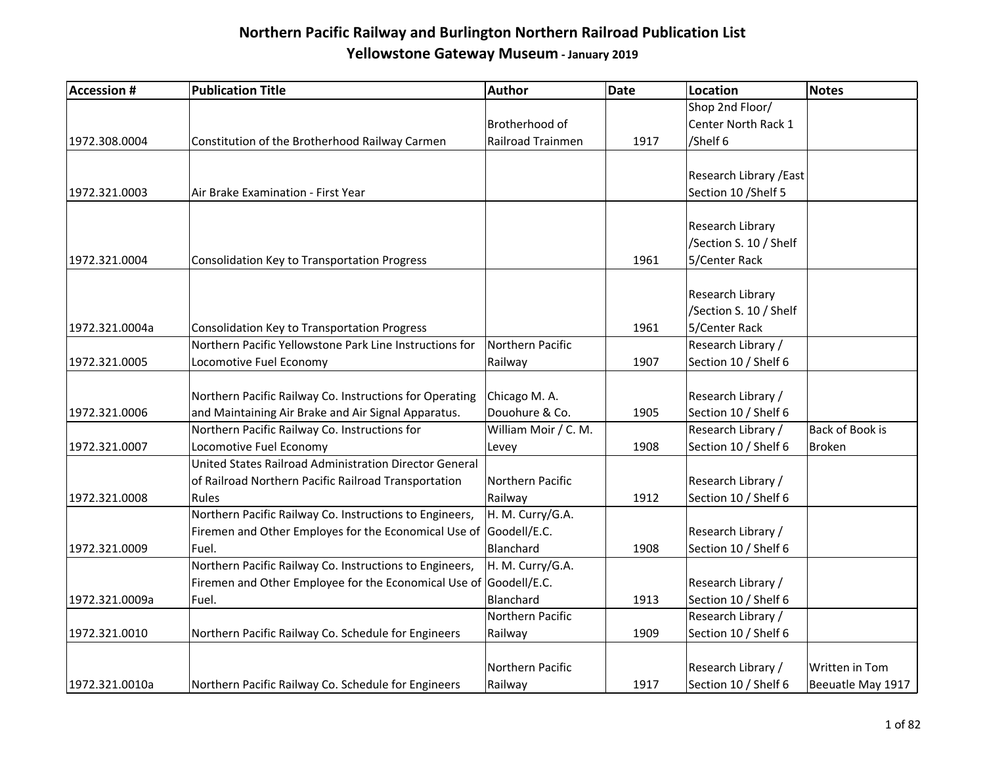| <b>Accession #</b> | <b>Publication Title</b>                                          | Author               | <b>Date</b> | <b>Location</b>         | <b>Notes</b>      |
|--------------------|-------------------------------------------------------------------|----------------------|-------------|-------------------------|-------------------|
|                    |                                                                   |                      |             | Shop 2nd Floor/         |                   |
|                    |                                                                   | Brotherhood of       |             | Center North Rack 1     |                   |
| 1972.308.0004      | Constitution of the Brotherhood Railway Carmen                    | Railroad Trainmen    | 1917        | /Shelf 6                |                   |
|                    |                                                                   |                      |             |                         |                   |
|                    |                                                                   |                      |             | Research Library / East |                   |
| 1972.321.0003      | Air Brake Examination - First Year                                |                      |             | Section 10 / Shelf 5    |                   |
|                    |                                                                   |                      |             |                         |                   |
|                    |                                                                   |                      |             | Research Library        |                   |
|                    |                                                                   |                      |             | /Section S. 10 / Shelf  |                   |
| 1972.321.0004      | <b>Consolidation Key to Transportation Progress</b>               |                      | 1961        | 5/Center Rack           |                   |
|                    |                                                                   |                      |             |                         |                   |
|                    |                                                                   |                      |             | Research Library        |                   |
|                    |                                                                   |                      |             | /Section S. 10 / Shelf  |                   |
| 1972.321.0004a     | <b>Consolidation Key to Transportation Progress</b>               |                      | 1961        | 5/Center Rack           |                   |
|                    | Northern Pacific Yellowstone Park Line Instructions for           | Northern Pacific     |             | Research Library /      |                   |
| 1972.321.0005      | Locomotive Fuel Economy                                           | Railway              | 1907        | Section 10 / Shelf 6    |                   |
|                    |                                                                   |                      |             |                         |                   |
|                    | Northern Pacific Railway Co. Instructions for Operating           | Chicago M. A.        |             | Research Library /      |                   |
| 1972.321.0006      | and Maintaining Air Brake and Air Signal Apparatus.               | Douohure & Co.       | 1905        | Section 10 / Shelf 6    |                   |
|                    | Northern Pacific Railway Co. Instructions for                     | William Moir / C. M. |             | Research Library /      | Back of Book is   |
| 1972.321.0007      | Locomotive Fuel Economy                                           | Levey                | 1908        | Section 10 / Shelf 6    | <b>Broken</b>     |
|                    | United States Railroad Administration Director General            |                      |             |                         |                   |
|                    | of Railroad Northern Pacific Railroad Transportation              | Northern Pacific     |             | Research Library /      |                   |
| 1972.321.0008      | Rules                                                             | Railway              | 1912        | Section 10 / Shelf 6    |                   |
|                    | Northern Pacific Railway Co. Instructions to Engineers,           | H. M. Curry/G.A.     |             |                         |                   |
|                    | Firemen and Other Employes for the Economical Use of Goodell/E.C. |                      |             | Research Library /      |                   |
| 1972.321.0009      | Fuel.                                                             | Blanchard            | 1908        | Section 10 / Shelf 6    |                   |
|                    | Northern Pacific Railway Co. Instructions to Engineers,           | H. M. Curry/G.A.     |             |                         |                   |
|                    | Firemen and Other Employee for the Economical Use of Goodell/E.C. |                      |             | Research Library /      |                   |
| 1972.321.0009a     | Fuel.                                                             | Blanchard            | 1913        | Section 10 / Shelf 6    |                   |
|                    |                                                                   | Northern Pacific     |             | Research Library /      |                   |
| 1972.321.0010      | Northern Pacific Railway Co. Schedule for Engineers               | Railway              | 1909        | Section 10 / Shelf 6    |                   |
|                    |                                                                   |                      |             |                         |                   |
|                    |                                                                   | Northern Pacific     |             | Research Library /      | Written in Tom    |
| 1972.321.0010a     | Northern Pacific Railway Co. Schedule for Engineers               | Railway              | 1917        | Section 10 / Shelf 6    | Beeuatle May 1917 |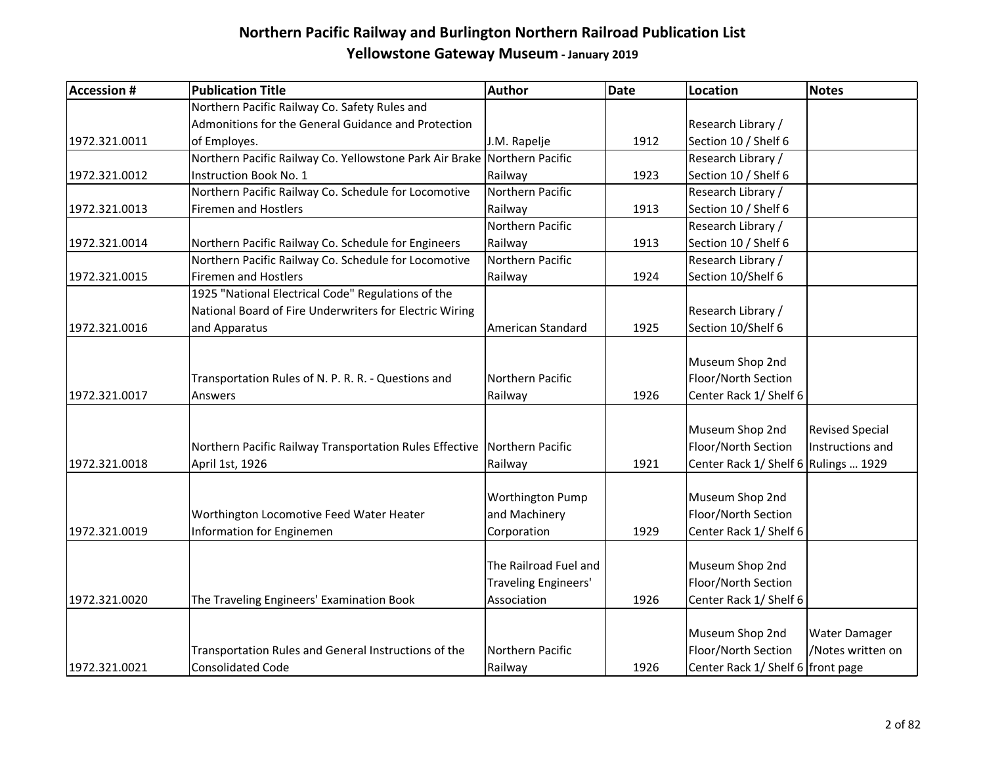| <b>Accession #</b> | <b>Publication Title</b>                                                 | Author                | <b>Date</b> | <b>Location</b>                      | <b>Notes</b>           |
|--------------------|--------------------------------------------------------------------------|-----------------------|-------------|--------------------------------------|------------------------|
|                    | Northern Pacific Railway Co. Safety Rules and                            |                       |             |                                      |                        |
|                    | Admonitions for the General Guidance and Protection                      |                       |             | Research Library /                   |                        |
| 1972.321.0011      | of Employes.                                                             | J.M. Rapelje          | 1912        | Section 10 / Shelf 6                 |                        |
|                    | Northern Pacific Railway Co. Yellowstone Park Air Brake Northern Pacific |                       |             | Research Library /                   |                        |
| 1972.321.0012      | Instruction Book No. 1                                                   | Railway               | 1923        | Section 10 / Shelf 6                 |                        |
|                    | Northern Pacific Railway Co. Schedule for Locomotive                     | Northern Pacific      |             | Research Library /                   |                        |
| 1972.321.0013      | <b>Firemen and Hostlers</b>                                              | Railway               | 1913        | Section 10 / Shelf 6                 |                        |
|                    |                                                                          | Northern Pacific      |             | Research Library /                   |                        |
| 1972.321.0014      | Northern Pacific Railway Co. Schedule for Engineers                      | Railway               | 1913        | Section 10 / Shelf 6                 |                        |
|                    | Northern Pacific Railway Co. Schedule for Locomotive                     | Northern Pacific      |             | Research Library /                   |                        |
| 1972.321.0015      | <b>Firemen and Hostlers</b>                                              | Railway               | 1924        | Section 10/Shelf 6                   |                        |
|                    | 1925 "National Electrical Code" Regulations of the                       |                       |             |                                      |                        |
|                    | National Board of Fire Underwriters for Electric Wiring                  |                       |             | Research Library /                   |                        |
| 1972.321.0016      | and Apparatus                                                            | American Standard     | 1925        | Section 10/Shelf 6                   |                        |
|                    |                                                                          |                       |             |                                      |                        |
|                    |                                                                          |                       |             | Museum Shop 2nd                      |                        |
|                    | Transportation Rules of N. P. R. R. - Questions and                      | Northern Pacific      |             | Floor/North Section                  |                        |
| 1972.321.0017      | Answers                                                                  | Railway               | 1926        | Center Rack 1/ Shelf 6               |                        |
|                    |                                                                          |                       |             |                                      |                        |
|                    |                                                                          |                       |             | Museum Shop 2nd                      | <b>Revised Special</b> |
|                    | Northern Pacific Railway Transportation Rules Effective                  | Northern Pacific      |             | Floor/North Section                  | Instructions and       |
| 1972.321.0018      | April 1st, 1926                                                          | Railway               | 1921        | Center Rack 1/ Shelf 6 Rulings  1929 |                        |
|                    |                                                                          |                       |             |                                      |                        |
|                    |                                                                          | Worthington Pump      |             | Museum Shop 2nd                      |                        |
|                    | Worthington Locomotive Feed Water Heater                                 | and Machinery         |             | Floor/North Section                  |                        |
| 1972.321.0019      | Information for Enginemen                                                | Corporation           | 1929        | Center Rack 1/ Shelf 6               |                        |
|                    |                                                                          |                       |             |                                      |                        |
|                    |                                                                          | The Railroad Fuel and |             | Museum Shop 2nd                      |                        |
|                    |                                                                          | Traveling Engineers'  |             | Floor/North Section                  |                        |
| 1972.321.0020      | The Traveling Engineers' Examination Book                                | Association           | 1926        | Center Rack 1/ Shelf 6               |                        |
|                    |                                                                          |                       |             |                                      |                        |
|                    |                                                                          |                       |             | Museum Shop 2nd                      | Water Damager          |
|                    | Transportation Rules and General Instructions of the                     | Northern Pacific      |             | Floor/North Section                  | /Notes written on      |
| 1972.321.0021      | <b>Consolidated Code</b>                                                 | Railway               | 1926        | Center Rack 1/ Shelf 6 front page    |                        |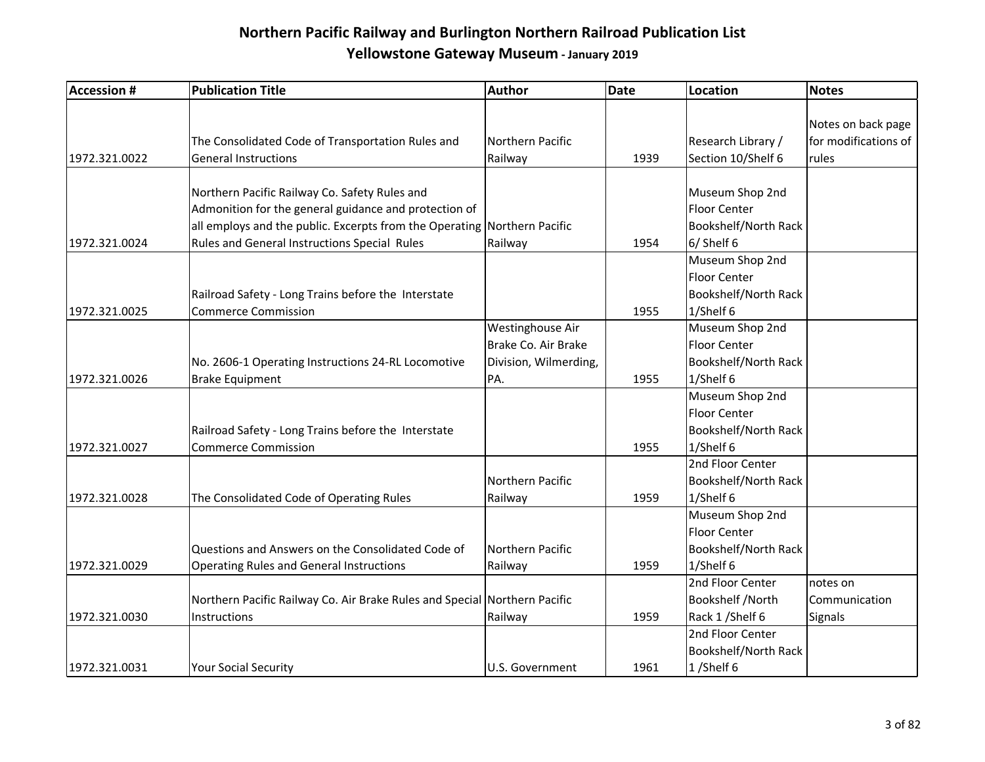| <b>Accession #</b> | <b>Publication Title</b>                                                  | <b>Author</b>         | <b>Date</b> | <b>Location</b>      | <b>Notes</b>         |
|--------------------|---------------------------------------------------------------------------|-----------------------|-------------|----------------------|----------------------|
|                    |                                                                           |                       |             |                      |                      |
|                    |                                                                           |                       |             |                      | Notes on back page   |
|                    | The Consolidated Code of Transportation Rules and                         | Northern Pacific      |             | Research Library /   | for modifications of |
| 1972.321.0022      | <b>General Instructions</b>                                               | Railway               | 1939        | Section 10/Shelf 6   | rules                |
|                    |                                                                           |                       |             |                      |                      |
|                    | Northern Pacific Railway Co. Safety Rules and                             |                       |             | Museum Shop 2nd      |                      |
|                    | Admonition for the general guidance and protection of                     |                       |             | <b>Floor Center</b>  |                      |
|                    | all employs and the public. Excerpts from the Operating Northern Pacific  |                       |             | Bookshelf/North Rack |                      |
| 1972.321.0024      | Rules and General Instructions Special Rules                              | Railway               | 1954        | 6/ Shelf 6           |                      |
|                    |                                                                           |                       |             | Museum Shop 2nd      |                      |
|                    |                                                                           |                       |             | <b>Floor Center</b>  |                      |
|                    | Railroad Safety - Long Trains before the Interstate                       |                       |             | Bookshelf/North Rack |                      |
| 1972.321.0025      | <b>Commerce Commission</b>                                                |                       | 1955        | 1/Shelf 6            |                      |
|                    |                                                                           | Westinghouse Air      |             | Museum Shop 2nd      |                      |
|                    |                                                                           | Brake Co. Air Brake   |             | <b>Floor Center</b>  |                      |
|                    | No. 2606-1 Operating Instructions 24-RL Locomotive                        | Division, Wilmerding, |             | Bookshelf/North Rack |                      |
| 1972.321.0026      | Brake Equipment                                                           | PA.                   | 1955        | 1/Shelf 6            |                      |
|                    |                                                                           |                       |             | Museum Shop 2nd      |                      |
|                    |                                                                           |                       |             | <b>Floor Center</b>  |                      |
|                    | Railroad Safety - Long Trains before the Interstate                       |                       |             | Bookshelf/North Rack |                      |
| 1972.321.0027      | <b>Commerce Commission</b>                                                |                       | 1955        | 1/Shelf 6            |                      |
|                    |                                                                           |                       |             | 2nd Floor Center     |                      |
|                    |                                                                           | Northern Pacific      |             | Bookshelf/North Rack |                      |
| 1972.321.0028      | The Consolidated Code of Operating Rules                                  | Railway               | 1959        | 1/Shelf 6            |                      |
|                    |                                                                           |                       |             | Museum Shop 2nd      |                      |
|                    |                                                                           |                       |             | <b>Floor Center</b>  |                      |
|                    | Questions and Answers on the Consolidated Code of                         | Northern Pacific      |             | Bookshelf/North Rack |                      |
| 1972.321.0029      | <b>Operating Rules and General Instructions</b>                           | Railway               | 1959        | 1/Shelf 6            |                      |
|                    |                                                                           |                       |             | 2nd Floor Center     | notes on             |
|                    | Northern Pacific Railway Co. Air Brake Rules and Special Northern Pacific |                       |             | Bookshelf /North     | Communication        |
| 1972.321.0030      | <b>Instructions</b>                                                       | Railway               | 1959        | Rack 1 / Shelf 6     | Signals              |
|                    |                                                                           |                       |             | 2nd Floor Center     |                      |
|                    |                                                                           |                       |             | Bookshelf/North Rack |                      |
| 1972.321.0031      | <b>Your Social Security</b>                                               | U.S. Government       | 1961        | 1/Shelf 6            |                      |
|                    |                                                                           |                       |             |                      |                      |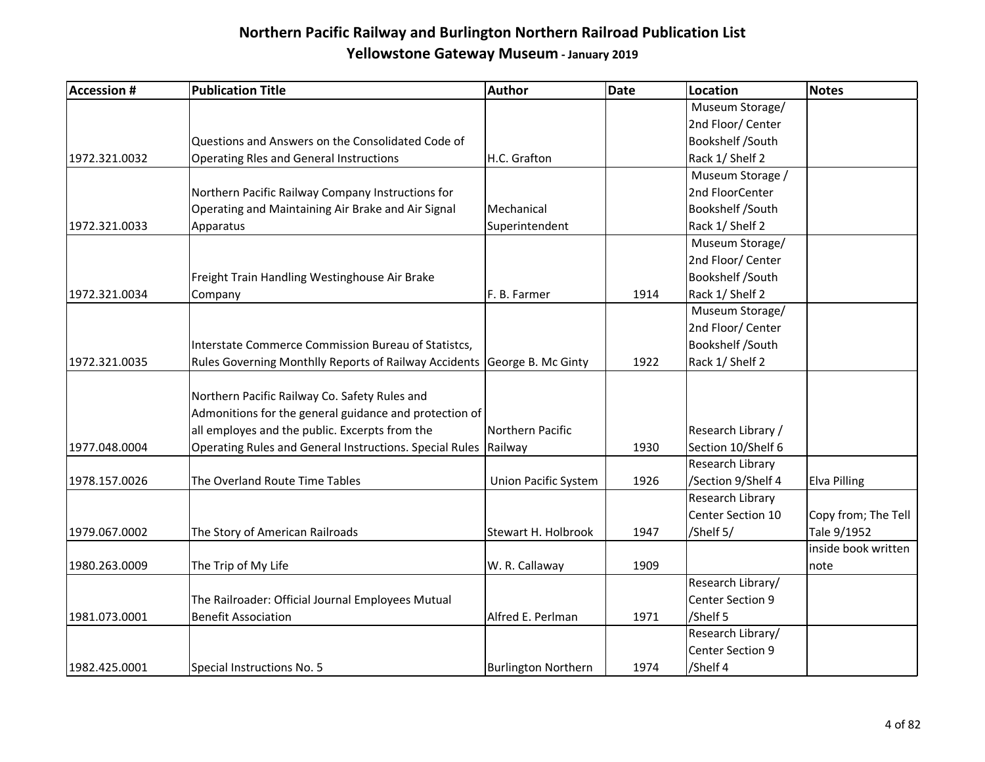| <b>Accession #</b> | <b>Publication Title</b>                                                                                                                                  | Author                      | <b>Date</b> | <b>Location</b>    | Notes               |
|--------------------|-----------------------------------------------------------------------------------------------------------------------------------------------------------|-----------------------------|-------------|--------------------|---------------------|
|                    |                                                                                                                                                           |                             |             | Museum Storage/    |                     |
|                    |                                                                                                                                                           |                             |             | 2nd Floor/ Center  |                     |
|                    | Questions and Answers on the Consolidated Code of                                                                                                         |                             |             | Bookshelf /South   |                     |
| 1972.321.0032      | <b>Operating Rles and General Instructions</b>                                                                                                            | H.C. Grafton                |             | Rack 1/ Shelf 2    |                     |
|                    |                                                                                                                                                           |                             |             | Museum Storage /   |                     |
|                    | Northern Pacific Railway Company Instructions for                                                                                                         |                             |             | 2nd FloorCenter    |                     |
|                    | Operating and Maintaining Air Brake and Air Signal                                                                                                        | Mechanical                  |             | Bookshelf /South   |                     |
| 1972.321.0033      | Apparatus                                                                                                                                                 | Superintendent              |             | Rack 1/ Shelf 2    |                     |
|                    |                                                                                                                                                           |                             |             | Museum Storage/    |                     |
|                    |                                                                                                                                                           |                             |             | 2nd Floor/ Center  |                     |
|                    | Freight Train Handling Westinghouse Air Brake                                                                                                             |                             |             | Bookshelf /South   |                     |
| 1972.321.0034      | Company                                                                                                                                                   | F. B. Farmer                | 1914        | Rack 1/ Shelf 2    |                     |
|                    |                                                                                                                                                           |                             |             | Museum Storage/    |                     |
|                    |                                                                                                                                                           |                             |             | 2nd Floor/ Center  |                     |
|                    | Interstate Commerce Commission Bureau of Statistcs,                                                                                                       |                             |             | Bookshelf /South   |                     |
| 1972.321.0035      | Rules Governing Monthlly Reports of Railway Accidents George B. Mc Ginty                                                                                  |                             | 1922        | Rack 1/ Shelf 2    |                     |
|                    | Northern Pacific Railway Co. Safety Rules and<br>Admonitions for the general guidance and protection of<br>all employes and the public. Excerpts from the | Northern Pacific            |             | Research Library / |                     |
| 1977.048.0004      | Operating Rules and General Instructions. Special Rules Railway                                                                                           |                             | 1930        | Section 10/Shelf 6 |                     |
|                    |                                                                                                                                                           |                             |             | Research Library   |                     |
| 1978.157.0026      | The Overland Route Time Tables                                                                                                                            | <b>Union Pacific System</b> | 1926        | /Section 9/Shelf 4 | Elva Pilling        |
|                    |                                                                                                                                                           |                             |             | Research Library   |                     |
|                    |                                                                                                                                                           |                             |             | Center Section 10  | Copy from; The Tell |
| 1979.067.0002      | The Story of American Railroads                                                                                                                           | Stewart H. Holbrook         | 1947        | /Shelf 5/          | Tale 9/1952         |
|                    |                                                                                                                                                           |                             |             |                    | inside book written |
| 1980.263.0009      | The Trip of My Life                                                                                                                                       | W. R. Callaway              | 1909        |                    | note                |
|                    |                                                                                                                                                           |                             |             | Research Library/  |                     |
|                    | The Railroader: Official Journal Employees Mutual                                                                                                         |                             |             | Center Section 9   |                     |
| 1981.073.0001      | <b>Benefit Association</b>                                                                                                                                | Alfred E. Perlman           | 1971        | /Shelf 5           |                     |
|                    |                                                                                                                                                           |                             |             | Research Library/  |                     |
|                    |                                                                                                                                                           |                             |             | Center Section 9   |                     |
| 1982.425.0001      | Special Instructions No. 5                                                                                                                                | <b>Burlington Northern</b>  | 1974        | /Shelf 4           |                     |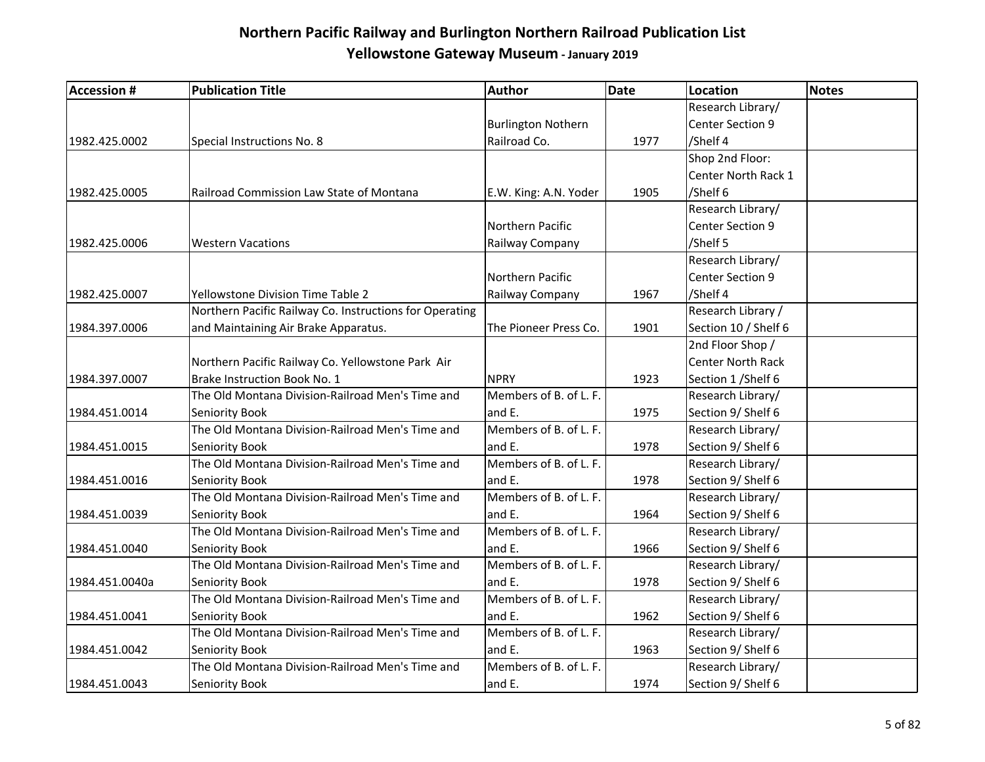| <b>Accession #</b> | <b>Publication Title</b>                                | Author                    | <b>Date</b> | <b>Location</b>          | Notes |
|--------------------|---------------------------------------------------------|---------------------------|-------------|--------------------------|-------|
|                    |                                                         |                           |             | Research Library/        |       |
|                    |                                                         | <b>Burlington Nothern</b> |             | Center Section 9         |       |
| 1982.425.0002      | Special Instructions No. 8                              | Railroad Co.              | 1977        | /Shelf 4                 |       |
|                    |                                                         |                           |             | Shop 2nd Floor:          |       |
|                    |                                                         |                           |             | Center North Rack 1      |       |
| 1982.425.0005      | Railroad Commission Law State of Montana                | E.W. King: A.N. Yoder     | 1905        | /Shelf 6                 |       |
|                    |                                                         |                           |             | Research Library/        |       |
|                    |                                                         | Northern Pacific          |             | Center Section 9         |       |
| 1982.425.0006      | <b>Western Vacations</b>                                | Railway Company           |             | /Shelf 5                 |       |
|                    |                                                         |                           |             | Research Library/        |       |
|                    |                                                         | Northern Pacific          |             | Center Section 9         |       |
| 1982.425.0007      | Yellowstone Division Time Table 2                       | Railway Company           | 1967        | /Shelf 4                 |       |
|                    | Northern Pacific Railway Co. Instructions for Operating |                           |             | Research Library /       |       |
| 1984.397.0006      | and Maintaining Air Brake Apparatus.                    | The Pioneer Press Co.     | 1901        | Section 10 / Shelf 6     |       |
|                    |                                                         |                           |             | 2nd Floor Shop /         |       |
|                    | Northern Pacific Railway Co. Yellowstone Park Air       |                           |             | <b>Center North Rack</b> |       |
| 1984.397.0007      | Brake Instruction Book No. 1                            | <b>NPRY</b>               | 1923        | Section 1 / Shelf 6      |       |
|                    | The Old Montana Division-Railroad Men's Time and        | Members of B. of L. F.    |             | Research Library/        |       |
| 1984.451.0014      | Seniority Book                                          | and E.                    | 1975        | Section 9/ Shelf 6       |       |
|                    | The Old Montana Division-Railroad Men's Time and        | Members of B. of L. F.    |             | Research Library/        |       |
| 1984.451.0015      | Seniority Book                                          | and E.                    | 1978        | Section 9/ Shelf 6       |       |
|                    | The Old Montana Division-Railroad Men's Time and        | Members of B. of L. F.    |             | Research Library/        |       |
| 1984.451.0016      | Seniority Book                                          | and E.                    | 1978        | Section 9/ Shelf 6       |       |
|                    | The Old Montana Division-Railroad Men's Time and        | Members of B. of L. F.    |             | Research Library/        |       |
| 1984.451.0039      | Seniority Book                                          | and E.                    | 1964        | Section 9/ Shelf 6       |       |
|                    | The Old Montana Division-Railroad Men's Time and        | Members of B. of L. F.    |             | Research Library/        |       |
| 1984.451.0040      | Seniority Book                                          | and E.                    | 1966        | Section 9/ Shelf 6       |       |
|                    | The Old Montana Division-Railroad Men's Time and        | Members of B. of L. F.    |             | Research Library/        |       |
| 1984.451.0040a     | Seniority Book                                          | and E.                    | 1978        | Section 9/ Shelf 6       |       |
|                    | The Old Montana Division-Railroad Men's Time and        | Members of B. of L. F.    |             | Research Library/        |       |
| 1984.451.0041      | Seniority Book                                          | and E.                    | 1962        | Section 9/ Shelf 6       |       |
|                    | The Old Montana Division-Railroad Men's Time and        | Members of B. of L. F.    |             | Research Library/        |       |
| 1984.451.0042      | Seniority Book                                          | and E.                    | 1963        | Section 9/ Shelf 6       |       |
|                    | The Old Montana Division-Railroad Men's Time and        | Members of B. of L. F.    |             | Research Library/        |       |
| 1984.451.0043      | Seniority Book                                          | and E.                    | 1974        | Section 9/ Shelf 6       |       |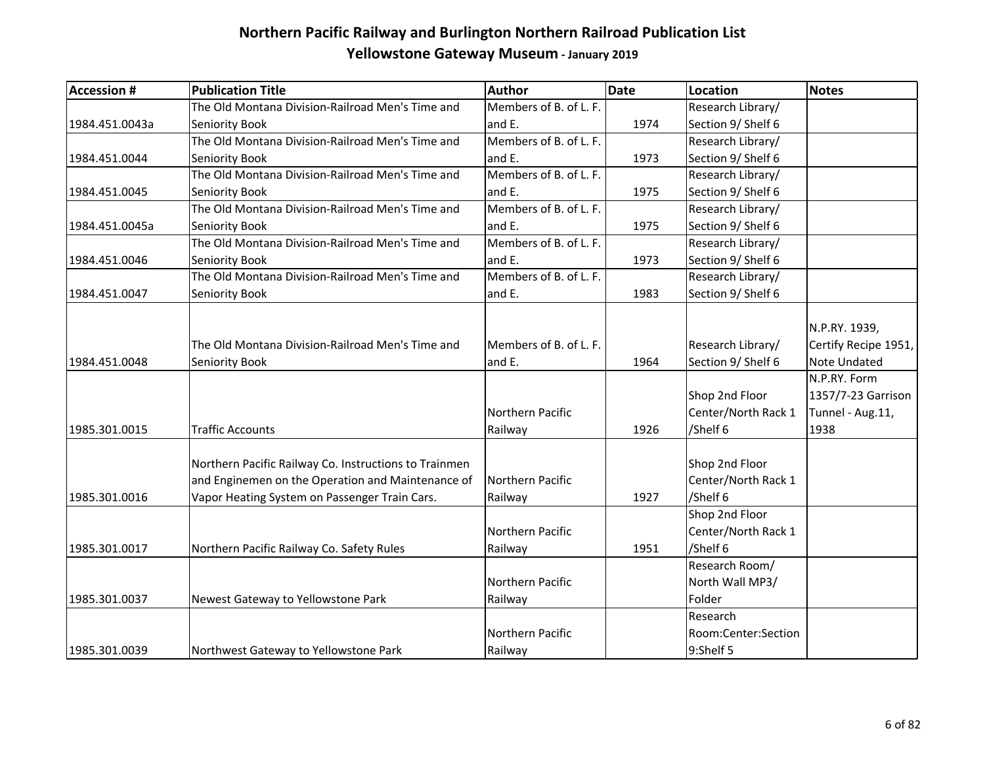| <b>Accession #</b> | <b>Publication Title</b>                              | Author                 | <b>Date</b> | Location            | <b>Notes</b>         |
|--------------------|-------------------------------------------------------|------------------------|-------------|---------------------|----------------------|
|                    | The Old Montana Division-Railroad Men's Time and      | Members of B. of L. F. |             | Research Library/   |                      |
| 1984.451.0043a     | Seniority Book                                        | and E.                 | 1974        | Section 9/ Shelf 6  |                      |
|                    | The Old Montana Division-Railroad Men's Time and      | Members of B. of L. F. |             | Research Library/   |                      |
| 1984.451.0044      | Seniority Book                                        | and E.                 | 1973        | Section 9/ Shelf 6  |                      |
|                    | The Old Montana Division-Railroad Men's Time and      | Members of B. of L. F. |             | Research Library/   |                      |
| 1984.451.0045      | Seniority Book                                        | and E.                 | 1975        | Section 9/ Shelf 6  |                      |
|                    | The Old Montana Division-Railroad Men's Time and      | Members of B. of L. F. |             | Research Library/   |                      |
| 1984.451.0045a     | Seniority Book                                        | and E.                 | 1975        | Section 9/ Shelf 6  |                      |
|                    | The Old Montana Division-Railroad Men's Time and      | Members of B. of L. F. |             | Research Library/   |                      |
| 1984.451.0046      | Seniority Book                                        | and E.                 | 1973        | Section 9/ Shelf 6  |                      |
|                    | The Old Montana Division-Railroad Men's Time and      | Members of B. of L. F. |             | Research Library/   |                      |
| 1984.451.0047      | Seniority Book                                        | and E.                 | 1983        | Section 9/ Shelf 6  |                      |
|                    |                                                       |                        |             |                     |                      |
|                    |                                                       |                        |             |                     | N.P.RY. 1939,        |
|                    | The Old Montana Division-Railroad Men's Time and      | Members of B. of L. F. |             | Research Library/   | Certify Recipe 1951, |
| 1984.451.0048      | Seniority Book                                        | and E.                 | 1964        | Section 9/ Shelf 6  | Note Undated         |
|                    |                                                       |                        |             |                     | N.P.RY. Form         |
|                    |                                                       |                        |             | Shop 2nd Floor      | 1357/7-23 Garrison   |
|                    |                                                       | Northern Pacific       |             | Center/North Rack 1 | Tunnel - Aug.11,     |
| 1985.301.0015      | <b>Traffic Accounts</b>                               | Railway                | 1926        | /Shelf 6            | 1938                 |
|                    |                                                       |                        |             |                     |                      |
|                    | Northern Pacific Railway Co. Instructions to Trainmen |                        |             | Shop 2nd Floor      |                      |
|                    | and Enginemen on the Operation and Maintenance of     | Northern Pacific       |             | Center/North Rack 1 |                      |
| 1985.301.0016      | Vapor Heating System on Passenger Train Cars.         | Railway                | 1927        | /Shelf 6            |                      |
|                    |                                                       |                        |             | Shop 2nd Floor      |                      |
|                    |                                                       | Northern Pacific       |             | Center/North Rack 1 |                      |
| 1985.301.0017      | Northern Pacific Railway Co. Safety Rules             | Railway                | 1951        | /Shelf 6            |                      |
|                    |                                                       |                        |             | Research Room/      |                      |
|                    |                                                       | Northern Pacific       |             | North Wall MP3/     |                      |
| 1985.301.0037      | Newest Gateway to Yellowstone Park                    | Railway                |             | Folder              |                      |
|                    |                                                       |                        |             | Research            |                      |
|                    |                                                       | Northern Pacific       |             | Room:Center:Section |                      |
| 1985.301.0039      | Northwest Gateway to Yellowstone Park                 | Railway                |             | 9:Shelf 5           |                      |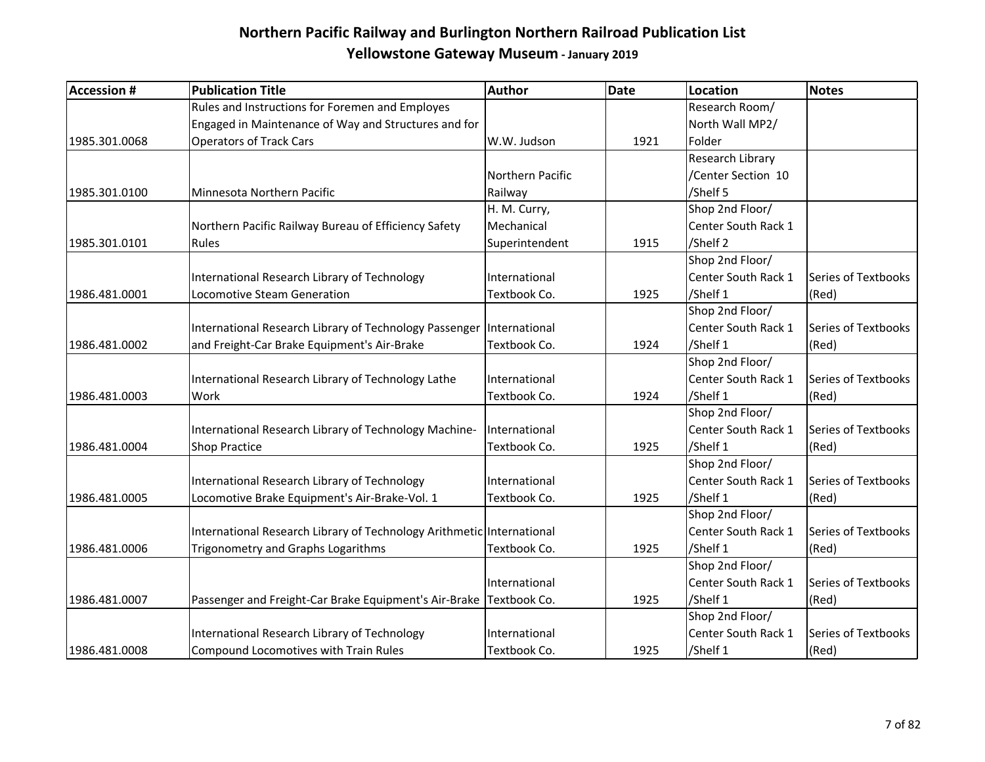| <b>Accession #</b> | <b>Publication Title</b>                                              | Author           | <b>Date</b> | Location                   | <b>Notes</b>        |
|--------------------|-----------------------------------------------------------------------|------------------|-------------|----------------------------|---------------------|
|                    | Rules and Instructions for Foremen and Employes                       |                  |             | Research Room/             |                     |
|                    | Engaged in Maintenance of Way and Structures and for                  |                  |             | North Wall MP2/            |                     |
| 1985.301.0068      | <b>Operators of Track Cars</b>                                        | W.W. Judson      | 1921        | Folder                     |                     |
|                    |                                                                       |                  |             | Research Library           |                     |
|                    |                                                                       | Northern Pacific |             | /Center Section 10         |                     |
| 1985.301.0100      | Minnesota Northern Pacific                                            | Railway          |             | /Shelf 5                   |                     |
|                    |                                                                       | H. M. Curry,     |             | Shop 2nd Floor/            |                     |
|                    | Northern Pacific Railway Bureau of Efficiency Safety                  | Mechanical       |             | Center South Rack 1        |                     |
| 1985.301.0101      | Rules                                                                 | Superintendent   | 1915        | /Shelf 2                   |                     |
|                    |                                                                       |                  |             | Shop 2nd Floor/            |                     |
|                    | International Research Library of Technology                          | International    |             | Center South Rack 1        | Series of Textbooks |
| 1986.481.0001      | Locomotive Steam Generation                                           | Textbook Co.     | 1925        | /Shelf 1                   | (Red)               |
|                    |                                                                       |                  |             | Shop 2nd Floor/            |                     |
|                    | International Research Library of Technology Passenger                | International    |             | <b>Center South Rack 1</b> | Series of Textbooks |
| 1986.481.0002      | and Freight-Car Brake Equipment's Air-Brake                           | Textbook Co.     | 1924        | /Shelf 1                   | (Red)               |
|                    |                                                                       |                  |             | Shop 2nd Floor/            |                     |
|                    | International Research Library of Technology Lathe                    | International    |             | Center South Rack 1        | Series of Textbooks |
| 1986.481.0003      | Work                                                                  | Textbook Co.     | 1924        | /Shelf 1                   | (Red)               |
|                    |                                                                       |                  |             | Shop 2nd Floor/            |                     |
|                    | International Research Library of Technology Machine-                 | International    |             | Center South Rack 1        | Series of Textbooks |
| 1986.481.0004      | <b>Shop Practice</b>                                                  | Textbook Co.     | 1925        | /Shelf 1                   | (Red)               |
|                    |                                                                       |                  |             | Shop 2nd Floor/            |                     |
|                    | International Research Library of Technology                          | International    |             | Center South Rack 1        | Series of Textbooks |
| 1986.481.0005      | Locomotive Brake Equipment's Air-Brake-Vol. 1                         | Textbook Co.     | 1925        | /Shelf 1                   | (Red)               |
|                    |                                                                       |                  |             | Shop 2nd Floor/            |                     |
|                    | International Research Library of Technology Arithmetic International |                  |             | Center South Rack 1        | Series of Textbooks |
| 1986.481.0006      | <b>Trigonometry and Graphs Logarithms</b>                             | Textbook Co.     | 1925        | /Shelf 1                   | (Red)               |
|                    |                                                                       |                  |             | Shop 2nd Floor/            |                     |
|                    |                                                                       | International    |             | Center South Rack 1        | Series of Textbooks |
| 1986.481.0007      | Passenger and Freight-Car Brake Equipment's Air-Brake Textbook Co.    |                  | 1925        | /Shelf 1                   | (Red)               |
|                    |                                                                       |                  |             | Shop 2nd Floor/            |                     |
|                    | International Research Library of Technology                          | International    |             | Center South Rack 1        | Series of Textbooks |
| 1986.481.0008      | Compound Locomotives with Train Rules                                 | Textbook Co.     | 1925        | /Shelf 1                   | (Red)               |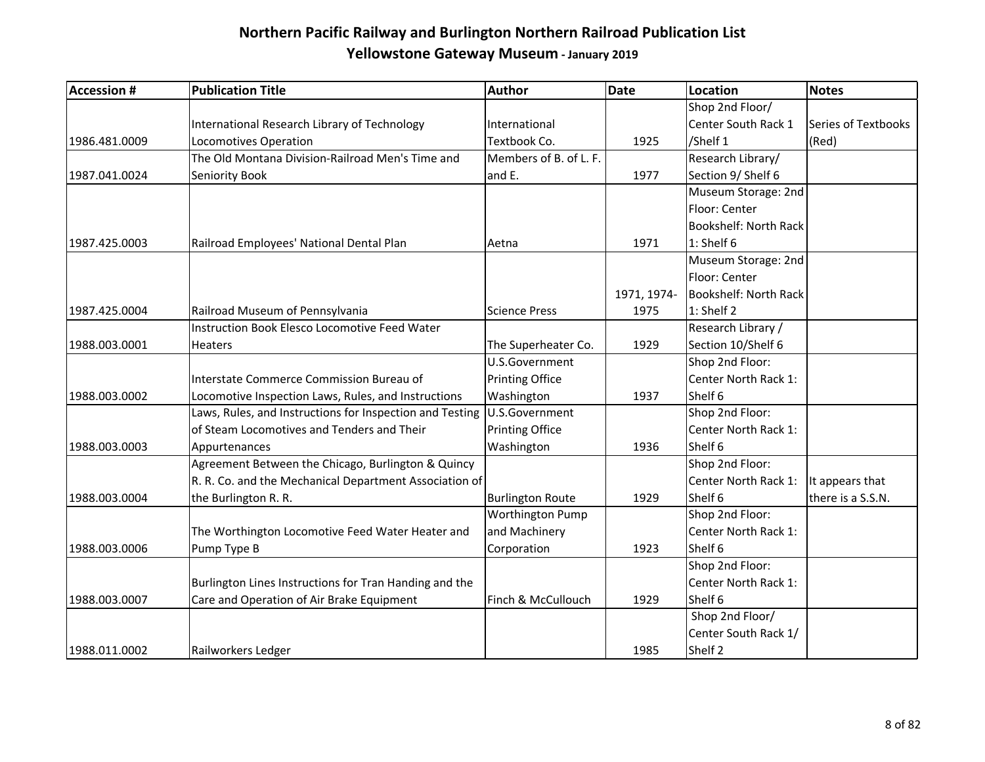| <b>Accession #</b> | <b>Publication Title</b>                                 | Author                  | <b>Date</b> | Location              | <b>Notes</b>        |
|--------------------|----------------------------------------------------------|-------------------------|-------------|-----------------------|---------------------|
|                    |                                                          |                         |             | Shop 2nd Floor/       |                     |
|                    | International Research Library of Technology             | International           |             | Center South Rack 1   | Series of Textbooks |
| 1986.481.0009      | Locomotives Operation                                    | Textbook Co.            | 1925        | /Shelf 1              | (Red)               |
|                    | The Old Montana Division-Railroad Men's Time and         | Members of B. of L. F.  |             | Research Library/     |                     |
| 1987.041.0024      | Seniority Book                                           | and E.                  | 1977        | Section 9/ Shelf 6    |                     |
|                    |                                                          |                         |             | Museum Storage: 2nd   |                     |
|                    |                                                          |                         |             | Floor: Center         |                     |
|                    |                                                          |                         |             | Bookshelf: North Rack |                     |
| 1987.425.0003      | Railroad Employees' National Dental Plan                 | Aetna                   | 1971        | 1: Shelf 6            |                     |
|                    |                                                          |                         |             | Museum Storage: 2nd   |                     |
|                    |                                                          |                         |             | Floor: Center         |                     |
|                    |                                                          |                         | 1971, 1974- | Bookshelf: North Rack |                     |
| 1987.425.0004      | Railroad Museum of Pennsylvania                          | <b>Science Press</b>    | 1975        | 1: Shelf 2            |                     |
|                    | Instruction Book Elesco Locomotive Feed Water            |                         |             | Research Library /    |                     |
| 1988.003.0001      | Heaters                                                  | The Superheater Co.     | 1929        | Section 10/Shelf 6    |                     |
|                    |                                                          | U.S.Government          |             | Shop 2nd Floor:       |                     |
|                    | Interstate Commerce Commission Bureau of                 | <b>Printing Office</b>  |             | Center North Rack 1:  |                     |
| 1988.003.0002      | Locomotive Inspection Laws, Rules, and Instructions      | Washington              | 1937        | Shelf 6               |                     |
|                    | Laws, Rules, and Instructions for Inspection and Testing | U.S.Government          |             | Shop 2nd Floor:       |                     |
|                    | of Steam Locomotives and Tenders and Their               | <b>Printing Office</b>  |             | Center North Rack 1:  |                     |
| 1988.003.0003      | Appurtenances                                            | Washington              | 1936        | Shelf 6               |                     |
|                    | Agreement Between the Chicago, Burlington & Quincy       |                         |             | Shop 2nd Floor:       |                     |
|                    | R. R. Co. and the Mechanical Department Association of   |                         |             | Center North Rack 1:  | It appears that     |
| 1988.003.0004      | the Burlington R. R.                                     | <b>Burlington Route</b> | 1929        | Shelf 6               | there is a S.S.N.   |
|                    |                                                          | <b>Worthington Pump</b> |             | Shop 2nd Floor:       |                     |
|                    | The Worthington Locomotive Feed Water Heater and         | and Machinery           |             | Center North Rack 1:  |                     |
| 1988.003.0006      | Pump Type B                                              | Corporation             | 1923        | Shelf 6               |                     |
|                    |                                                          |                         |             | Shop 2nd Floor:       |                     |
|                    | Burlington Lines Instructions for Tran Handing and the   |                         |             | Center North Rack 1:  |                     |
| 1988.003.0007      | Care and Operation of Air Brake Equipment                | Finch & McCullouch      | 1929        | Shelf 6               |                     |
|                    |                                                          |                         |             | Shop 2nd Floor/       |                     |
|                    |                                                          |                         |             | Center South Rack 1/  |                     |
| 1988.011.0002      | Railworkers Ledger                                       |                         | 1985        | Shelf 2               |                     |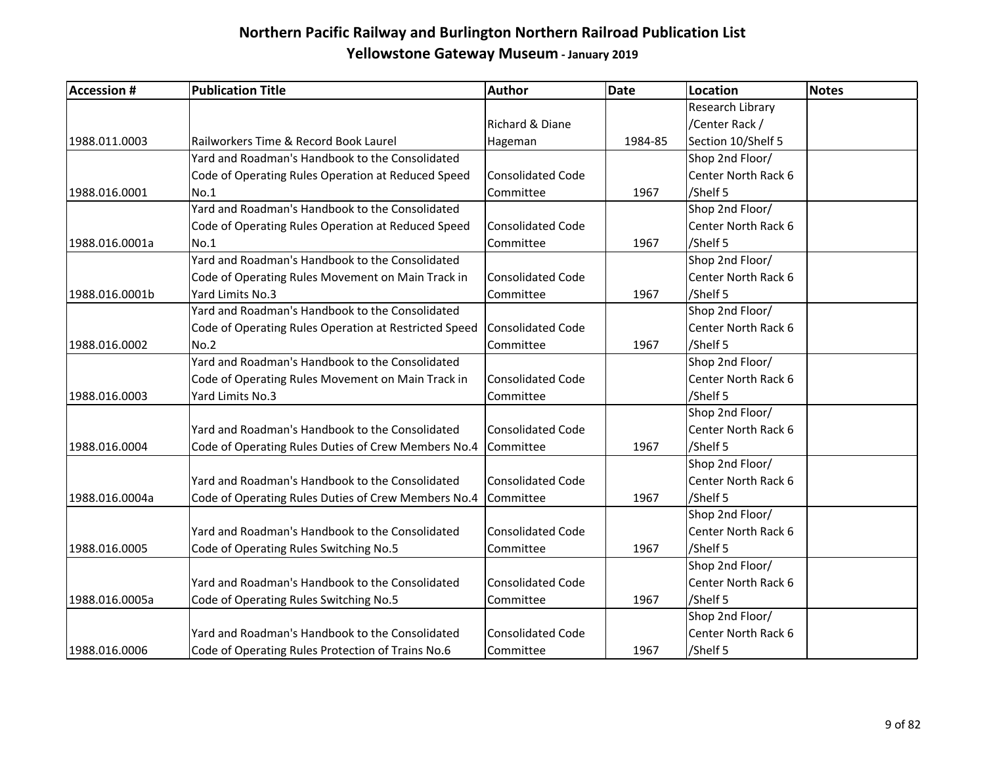| <b>Accession #</b> | <b>Publication Title</b>                              | <b>Author</b>            | <b>Date</b> | Location            | <b>Notes</b> |
|--------------------|-------------------------------------------------------|--------------------------|-------------|---------------------|--------------|
|                    |                                                       |                          |             | Research Library    |              |
|                    |                                                       | Richard & Diane          |             | /Center Rack /      |              |
| 1988.011.0003      | Railworkers Time & Record Book Laurel                 | Hageman                  | 1984-85     | Section 10/Shelf 5  |              |
|                    | Yard and Roadman's Handbook to the Consolidated       |                          |             | Shop 2nd Floor/     |              |
|                    | Code of Operating Rules Operation at Reduced Speed    | <b>Consolidated Code</b> |             | Center North Rack 6 |              |
| 1988.016.0001      | No.1                                                  | Committee                | 1967        | /Shelf 5            |              |
|                    | Yard and Roadman's Handbook to the Consolidated       |                          |             | Shop 2nd Floor/     |              |
|                    | Code of Operating Rules Operation at Reduced Speed    | <b>Consolidated Code</b> |             | Center North Rack 6 |              |
| 1988.016.0001a     | No.1                                                  | Committee                | 1967        | /Shelf 5            |              |
|                    | Yard and Roadman's Handbook to the Consolidated       |                          |             | Shop 2nd Floor/     |              |
|                    | Code of Operating Rules Movement on Main Track in     | <b>Consolidated Code</b> |             | Center North Rack 6 |              |
| 1988.016.0001b     | Yard Limits No.3                                      | Committee                | 1967        | /Shelf 5            |              |
|                    | Yard and Roadman's Handbook to the Consolidated       |                          |             | Shop 2nd Floor/     |              |
|                    | Code of Operating Rules Operation at Restricted Speed | Consolidated Code        |             | Center North Rack 6 |              |
| 1988.016.0002      | No.2                                                  | Committee                | 1967        | /Shelf 5            |              |
|                    | Yard and Roadman's Handbook to the Consolidated       |                          |             | Shop 2nd Floor/     |              |
|                    | Code of Operating Rules Movement on Main Track in     | <b>Consolidated Code</b> |             | Center North Rack 6 |              |
| 1988.016.0003      | Yard Limits No.3                                      | Committee                |             | /Shelf 5            |              |
|                    |                                                       |                          |             | Shop 2nd Floor/     |              |
|                    | Yard and Roadman's Handbook to the Consolidated       | <b>Consolidated Code</b> |             | Center North Rack 6 |              |
| 1988.016.0004      | Code of Operating Rules Duties of Crew Members No.4   | <b>Committee</b>         | 1967        | /Shelf 5            |              |
|                    |                                                       |                          |             | Shop 2nd Floor/     |              |
|                    | Yard and Roadman's Handbook to the Consolidated       | <b>Consolidated Code</b> |             | Center North Rack 6 |              |
| 1988.016.0004a     | Code of Operating Rules Duties of Crew Members No.4   | Committee                | 1967        | /Shelf 5            |              |
|                    |                                                       |                          |             | Shop 2nd Floor/     |              |
|                    | Yard and Roadman's Handbook to the Consolidated       | <b>Consolidated Code</b> |             | Center North Rack 6 |              |
| 1988.016.0005      | Code of Operating Rules Switching No.5                | Committee                | 1967        | /Shelf 5            |              |
|                    |                                                       |                          |             | Shop 2nd Floor/     |              |
|                    | Yard and Roadman's Handbook to the Consolidated       | <b>Consolidated Code</b> |             | Center North Rack 6 |              |
| 1988.016.0005a     | Code of Operating Rules Switching No.5                | Committee                | 1967        | /Shelf 5            |              |
|                    |                                                       |                          |             | Shop 2nd Floor/     |              |
|                    | Yard and Roadman's Handbook to the Consolidated       | <b>Consolidated Code</b> |             | Center North Rack 6 |              |
| 1988.016.0006      | Code of Operating Rules Protection of Trains No.6     | Committee                | 1967        | /Shelf 5            |              |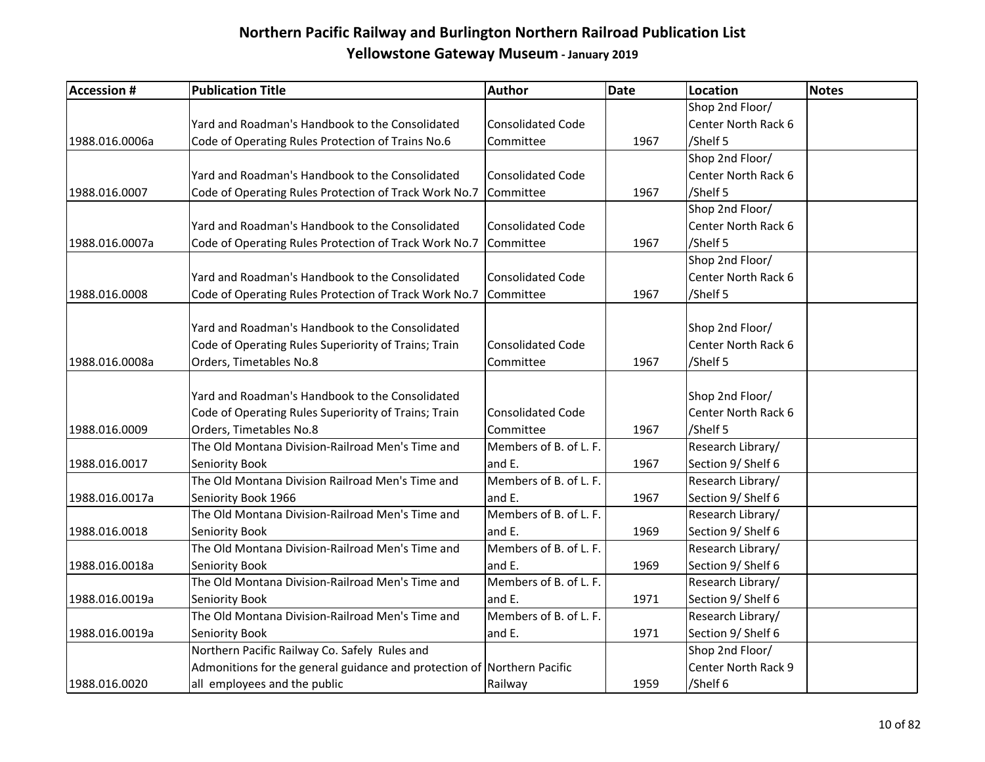| <b>Accession #</b> | <b>Publication Title</b>                                                | <b>Author</b>            | <b>Date</b> | <b>Location</b>     | <b>Notes</b> |
|--------------------|-------------------------------------------------------------------------|--------------------------|-------------|---------------------|--------------|
|                    |                                                                         |                          |             | Shop 2nd Floor/     |              |
|                    | Yard and Roadman's Handbook to the Consolidated                         | <b>Consolidated Code</b> |             | Center North Rack 6 |              |
| 1988.016.0006a     | Code of Operating Rules Protection of Trains No.6                       | Committee                | 1967        | /Shelf 5            |              |
|                    |                                                                         |                          |             | Shop 2nd Floor/     |              |
|                    | Yard and Roadman's Handbook to the Consolidated                         | <b>Consolidated Code</b> |             | Center North Rack 6 |              |
| 1988.016.0007      | Code of Operating Rules Protection of Track Work No.7                   | Committee                | 1967        | /Shelf 5            |              |
|                    |                                                                         |                          |             | Shop 2nd Floor/     |              |
|                    | Yard and Roadman's Handbook to the Consolidated                         | <b>Consolidated Code</b> |             | Center North Rack 6 |              |
| 1988.016.0007a     | Code of Operating Rules Protection of Track Work No.7                   | Committee                | 1967        | /Shelf 5            |              |
|                    |                                                                         |                          |             | Shop 2nd Floor/     |              |
|                    | Yard and Roadman's Handbook to the Consolidated                         | <b>Consolidated Code</b> |             | Center North Rack 6 |              |
| 1988.016.0008      | Code of Operating Rules Protection of Track Work No.7                   | Committee                | 1967        | /Shelf 5            |              |
|                    |                                                                         |                          |             |                     |              |
|                    | Yard and Roadman's Handbook to the Consolidated                         |                          |             | Shop 2nd Floor/     |              |
|                    | Code of Operating Rules Superiority of Trains; Train                    | <b>Consolidated Code</b> |             | Center North Rack 6 |              |
| 1988.016.0008a     | Orders, Timetables No.8                                                 | Committee                | 1967        | /Shelf 5            |              |
|                    |                                                                         |                          |             |                     |              |
|                    | Yard and Roadman's Handbook to the Consolidated                         |                          |             | Shop 2nd Floor/     |              |
|                    | Code of Operating Rules Superiority of Trains; Train                    | <b>Consolidated Code</b> |             | Center North Rack 6 |              |
| 1988.016.0009      | Orders, Timetables No.8                                                 | Committee                | 1967        | /Shelf 5            |              |
|                    | The Old Montana Division-Railroad Men's Time and                        | Members of B. of L. F.   |             | Research Library/   |              |
| 1988.016.0017      | Seniority Book                                                          | and E.                   | 1967        | Section 9/ Shelf 6  |              |
|                    | The Old Montana Division Railroad Men's Time and                        | Members of B. of L. F.   |             | Research Library/   |              |
| 1988.016.0017a     | Seniority Book 1966                                                     | and E.                   | 1967        | Section 9/ Shelf 6  |              |
|                    | The Old Montana Division-Railroad Men's Time and                        | Members of B. of L. F.   |             | Research Library/   |              |
| 1988.016.0018      | Seniority Book                                                          | and E.                   | 1969        | Section 9/ Shelf 6  |              |
|                    | The Old Montana Division-Railroad Men's Time and                        | Members of B. of L. F.   |             | Research Library/   |              |
| 1988.016.0018a     | Seniority Book                                                          | and E.                   | 1969        | Section 9/ Shelf 6  |              |
|                    | The Old Montana Division-Railroad Men's Time and                        | Members of B. of L. F.   |             | Research Library/   |              |
| 1988.016.0019a     | Seniority Book                                                          | and E.                   | 1971        | Section 9/ Shelf 6  |              |
|                    | The Old Montana Division-Railroad Men's Time and                        | Members of B. of L. F.   |             | Research Library/   |              |
| 1988.016.0019a     | Seniority Book                                                          | and E.                   | 1971        | Section 9/ Shelf 6  |              |
|                    | Northern Pacific Railway Co. Safely Rules and                           |                          |             | Shop 2nd Floor/     |              |
|                    | Admonitions for the general guidance and protection of Northern Pacific |                          |             | Center North Rack 9 |              |
| 1988.016.0020      | all employees and the public                                            | Railway                  | 1959        | /Shelf 6            |              |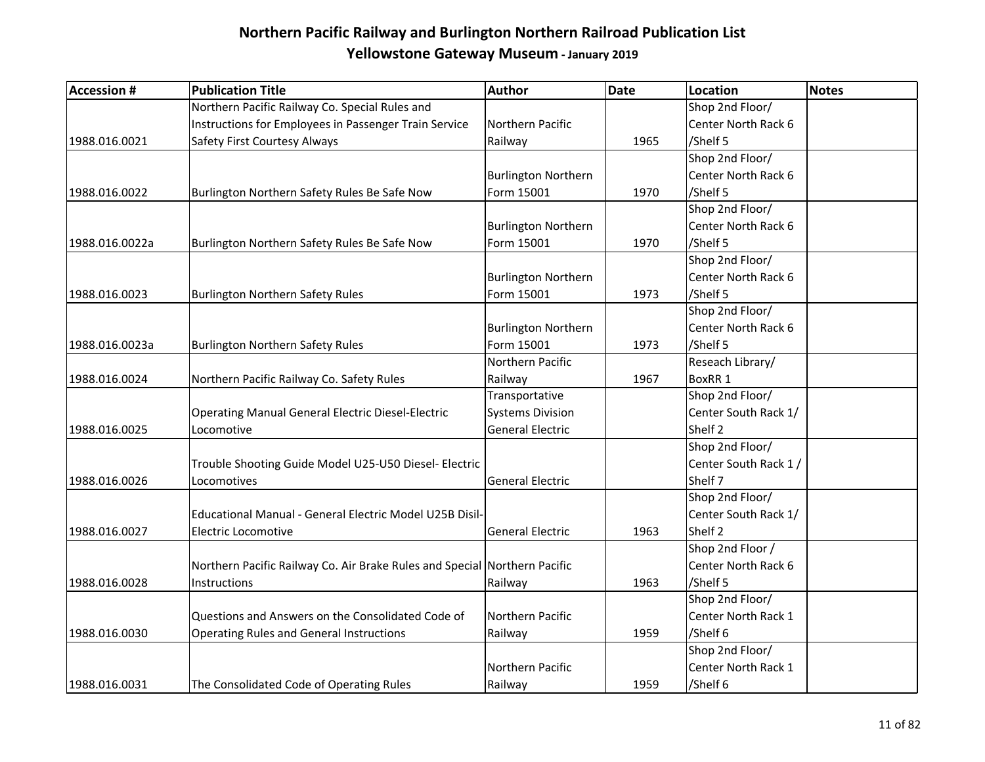| <b>Accession #</b> | <b>Publication Title</b>                                                  | <b>Author</b>              | <b>Date</b> | <b>Location</b>      | <b>Notes</b> |
|--------------------|---------------------------------------------------------------------------|----------------------------|-------------|----------------------|--------------|
|                    | Northern Pacific Railway Co. Special Rules and                            |                            |             | Shop 2nd Floor/      |              |
|                    | Instructions for Employees in Passenger Train Service                     | Northern Pacific           |             | Center North Rack 6  |              |
| 1988.016.0021      | Safety First Courtesy Always                                              | Railway                    | 1965        | /Shelf 5             |              |
|                    |                                                                           |                            |             | Shop 2nd Floor/      |              |
|                    |                                                                           | <b>Burlington Northern</b> |             | Center North Rack 6  |              |
| 1988.016.0022      | Burlington Northern Safety Rules Be Safe Now                              | Form 15001                 | 1970        | /Shelf 5             |              |
|                    |                                                                           |                            |             | Shop 2nd Floor/      |              |
|                    |                                                                           | <b>Burlington Northern</b> |             | Center North Rack 6  |              |
| 1988.016.0022a     | Burlington Northern Safety Rules Be Safe Now                              | Form 15001                 | 1970        | /Shelf 5             |              |
|                    |                                                                           |                            |             | Shop 2nd Floor/      |              |
|                    |                                                                           | <b>Burlington Northern</b> |             | Center North Rack 6  |              |
| 1988.016.0023      | <b>Burlington Northern Safety Rules</b>                                   | Form 15001                 | 1973        | /Shelf 5             |              |
|                    |                                                                           |                            |             | Shop 2nd Floor/      |              |
|                    |                                                                           | <b>Burlington Northern</b> |             | Center North Rack 6  |              |
| 1988.016.0023a     | <b>Burlington Northern Safety Rules</b>                                   | Form 15001                 | 1973        | /Shelf 5             |              |
|                    |                                                                           | Northern Pacific           |             | Reseach Library/     |              |
| 1988.016.0024      | Northern Pacific Railway Co. Safety Rules                                 | Railway                    | 1967        | BoxRR 1              |              |
|                    |                                                                           | Transportative             |             | Shop 2nd Floor/      |              |
|                    | <b>Operating Manual General Electric Diesel-Electric</b>                  | <b>Systems Division</b>    |             | Center South Rack 1/ |              |
| 1988.016.0025      | Locomotive                                                                | <b>General Electric</b>    |             | Shelf <sub>2</sub>   |              |
|                    |                                                                           |                            |             | Shop 2nd Floor/      |              |
|                    | Trouble Shooting Guide Model U25-U50 Diesel- Electric                     |                            |             | Center South Rack 1/ |              |
| 1988.016.0026      | Locomotives                                                               | <b>General Electric</b>    |             | Shelf 7              |              |
|                    |                                                                           |                            |             | Shop 2nd Floor/      |              |
|                    | Educational Manual - General Electric Model U25B Disil-                   |                            |             | Center South Rack 1/ |              |
| 1988.016.0027      | <b>Electric Locomotive</b>                                                | <b>General Electric</b>    | 1963        | Shelf <sub>2</sub>   |              |
|                    |                                                                           |                            |             | Shop 2nd Floor /     |              |
|                    | Northern Pacific Railway Co. Air Brake Rules and Special Northern Pacific |                            |             | Center North Rack 6  |              |
| 1988.016.0028      | Instructions                                                              | Railway                    | 1963        | /Shelf 5             |              |
|                    |                                                                           |                            |             | Shop 2nd Floor/      |              |
|                    | Questions and Answers on the Consolidated Code of                         | Northern Pacific           |             | Center North Rack 1  |              |
| 1988.016.0030      | <b>Operating Rules and General Instructions</b>                           | Railway                    | 1959        | /Shelf 6             |              |
|                    |                                                                           |                            |             | Shop 2nd Floor/      |              |
|                    |                                                                           | Northern Pacific           |             | Center North Rack 1  |              |
| 1988.016.0031      | The Consolidated Code of Operating Rules                                  | Railway                    | 1959        | /Shelf 6             |              |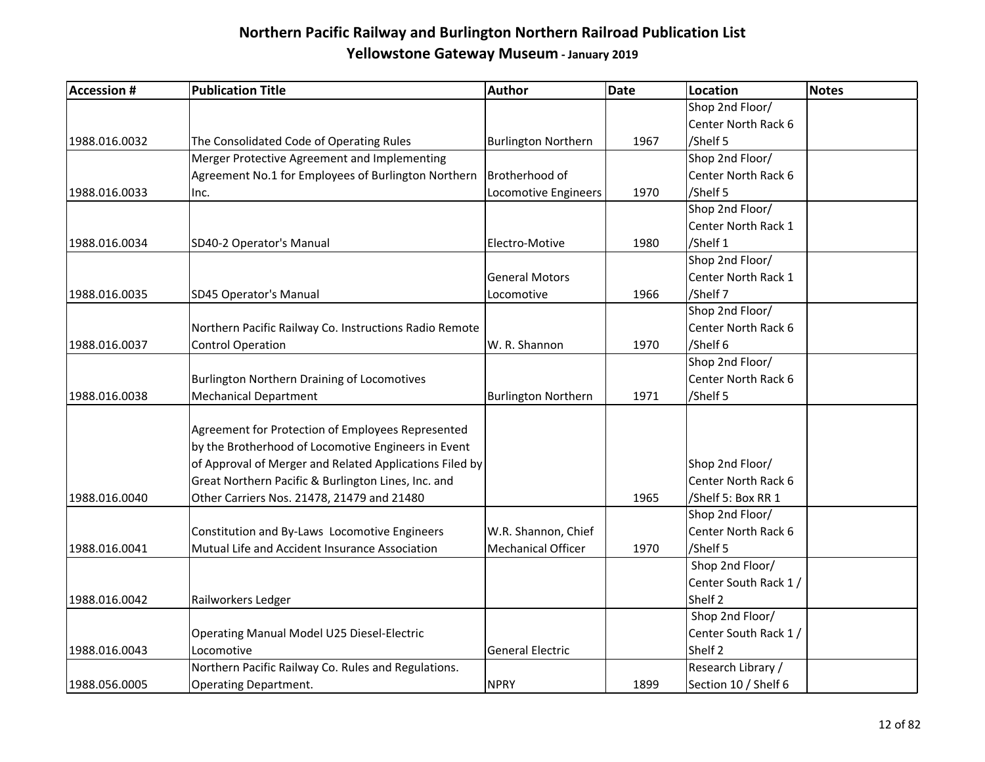| <b>Accession #</b> | <b>Publication Title</b>                                | <b>Author</b>              | <b>Date</b> | <b>Location</b>       | Notes |
|--------------------|---------------------------------------------------------|----------------------------|-------------|-----------------------|-------|
|                    |                                                         |                            |             | Shop 2nd Floor/       |       |
|                    |                                                         |                            |             | Center North Rack 6   |       |
| 1988.016.0032      | The Consolidated Code of Operating Rules                | <b>Burlington Northern</b> | 1967        | /Shelf 5              |       |
|                    | Merger Protective Agreement and Implementing            |                            |             | Shop 2nd Floor/       |       |
|                    | Agreement No.1 for Employees of Burlington Northern     | Brotherhood of             |             | Center North Rack 6   |       |
| 1988.016.0033      | Inc.                                                    | Locomotive Engineers       | 1970        | /Shelf 5              |       |
|                    |                                                         |                            |             | Shop 2nd Floor/       |       |
|                    |                                                         |                            |             | Center North Rack 1   |       |
| 1988.016.0034      | SD40-2 Operator's Manual                                | Electro-Motive             | 1980        | /Shelf 1              |       |
|                    |                                                         |                            |             | Shop 2nd Floor/       |       |
|                    |                                                         | <b>General Motors</b>      |             | Center North Rack 1   |       |
| 1988.016.0035      | SD45 Operator's Manual                                  | Locomotive                 | 1966        | /Shelf 7              |       |
|                    |                                                         |                            |             | Shop 2nd Floor/       |       |
|                    | Northern Pacific Railway Co. Instructions Radio Remote  |                            |             | Center North Rack 6   |       |
| 1988.016.0037      | <b>Control Operation</b>                                | W. R. Shannon              | 1970        | /Shelf 6              |       |
|                    |                                                         |                            |             | Shop 2nd Floor/       |       |
|                    | <b>Burlington Northern Draining of Locomotives</b>      |                            |             | Center North Rack 6   |       |
| 1988.016.0038      | <b>Mechanical Department</b>                            | <b>Burlington Northern</b> | 1971        | /Shelf 5              |       |
|                    | Agreement for Protection of Employees Represented       |                            |             |                       |       |
|                    | by the Brotherhood of Locomotive Engineers in Event     |                            |             |                       |       |
|                    | of Approval of Merger and Related Applications Filed by |                            |             | Shop 2nd Floor/       |       |
|                    | Great Northern Pacific & Burlington Lines, Inc. and     |                            |             | Center North Rack 6   |       |
| 1988.016.0040      | Other Carriers Nos. 21478, 21479 and 21480              |                            | 1965        | /Shelf 5: Box RR 1    |       |
|                    |                                                         |                            |             | Shop 2nd Floor/       |       |
|                    | Constitution and By-Laws Locomotive Engineers           | W.R. Shannon, Chief        |             | Center North Rack 6   |       |
| 1988.016.0041      | Mutual Life and Accident Insurance Association          | <b>Mechanical Officer</b>  | 1970        | /Shelf 5              |       |
|                    |                                                         |                            |             | Shop 2nd Floor/       |       |
|                    |                                                         |                            |             | Center South Rack 1 / |       |
| 1988.016.0042      | Railworkers Ledger                                      |                            |             | Shelf 2               |       |
|                    |                                                         |                            |             | Shop 2nd Floor/       |       |
|                    | Operating Manual Model U25 Diesel-Electric              |                            |             | Center South Rack 1 / |       |
| 1988.016.0043      | Locomotive                                              | <b>General Electric</b>    |             | Shelf <sub>2</sub>    |       |
|                    | Northern Pacific Railway Co. Rules and Regulations.     |                            |             | Research Library /    |       |
| 1988.056.0005      | <b>Operating Department.</b>                            | <b>NPRY</b>                | 1899        | Section 10 / Shelf 6  |       |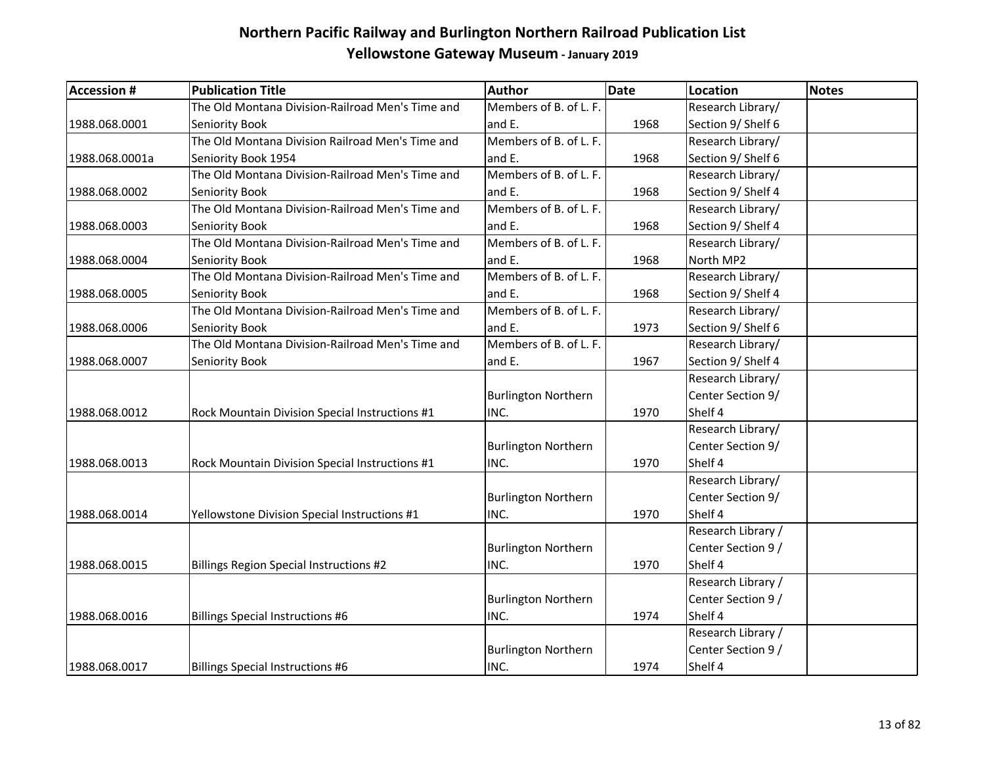| <b>Accession #</b> | <b>Publication Title</b>                         | Author                     | <b>Date</b> | <b>Location</b>    | Notes |
|--------------------|--------------------------------------------------|----------------------------|-------------|--------------------|-------|
|                    | The Old Montana Division-Railroad Men's Time and | Members of B. of L. F.     |             | Research Library/  |       |
| 1988.068.0001      | Seniority Book                                   | and E.                     | 1968        | Section 9/ Shelf 6 |       |
|                    | The Old Montana Division Railroad Men's Time and | Members of B. of L. F.     |             | Research Library/  |       |
| 1988.068.0001a     | Seniority Book 1954                              | and E.                     | 1968        | Section 9/ Shelf 6 |       |
|                    | The Old Montana Division-Railroad Men's Time and | Members of B. of L. F.     |             | Research Library/  |       |
| 1988.068.0002      | Seniority Book                                   | and E.                     | 1968        | Section 9/ Shelf 4 |       |
|                    | The Old Montana Division-Railroad Men's Time and | Members of B. of L. F.     |             | Research Library/  |       |
| 1988.068.0003      | Seniority Book                                   | and E.                     | 1968        | Section 9/ Shelf 4 |       |
|                    | The Old Montana Division-Railroad Men's Time and | Members of B. of L. F.     |             | Research Library/  |       |
| 1988.068.0004      | Seniority Book                                   | and E.                     | 1968        | North MP2          |       |
|                    | The Old Montana Division-Railroad Men's Time and | Members of B. of L. F.     |             | Research Library/  |       |
| 1988.068.0005      | Seniority Book                                   | and E.                     | 1968        | Section 9/ Shelf 4 |       |
|                    | The Old Montana Division-Railroad Men's Time and | Members of B. of L. F.     |             | Research Library/  |       |
| 1988.068.0006      | Seniority Book                                   | and E.                     | 1973        | Section 9/ Shelf 6 |       |
|                    | The Old Montana Division-Railroad Men's Time and | Members of B. of L. F.     |             | Research Library/  |       |
| 1988.068.0007      | <b>Seniority Book</b>                            | and E.                     | 1967        | Section 9/ Shelf 4 |       |
|                    |                                                  |                            |             | Research Library/  |       |
|                    |                                                  | <b>Burlington Northern</b> |             | Center Section 9/  |       |
| 1988.068.0012      | Rock Mountain Division Special Instructions #1   | INC.                       | 1970        | Shelf 4            |       |
|                    |                                                  |                            |             | Research Library/  |       |
|                    |                                                  | <b>Burlington Northern</b> |             | Center Section 9/  |       |
| 1988.068.0013      | Rock Mountain Division Special Instructions #1   | INC.                       | 1970        | Shelf 4            |       |
|                    |                                                  |                            |             | Research Library/  |       |
|                    |                                                  | <b>Burlington Northern</b> |             | Center Section 9/  |       |
| 1988.068.0014      | Yellowstone Division Special Instructions #1     | INC.                       | 1970        | Shelf 4            |       |
|                    |                                                  |                            |             | Research Library / |       |
|                    |                                                  | <b>Burlington Northern</b> |             | Center Section 9 / |       |
| 1988.068.0015      | Billings Region Special Instructions #2          | INC.                       | 1970        | Shelf 4            |       |
|                    |                                                  |                            |             | Research Library / |       |
|                    |                                                  | <b>Burlington Northern</b> |             | Center Section 9 / |       |
| 1988.068.0016      | Billings Special Instructions #6                 | INC.                       | 1974        | Shelf 4            |       |
|                    |                                                  |                            |             | Research Library / |       |
|                    |                                                  | <b>Burlington Northern</b> |             | Center Section 9 / |       |
| 1988.068.0017      | Billings Special Instructions #6                 | INC.                       | 1974        | Shelf 4            |       |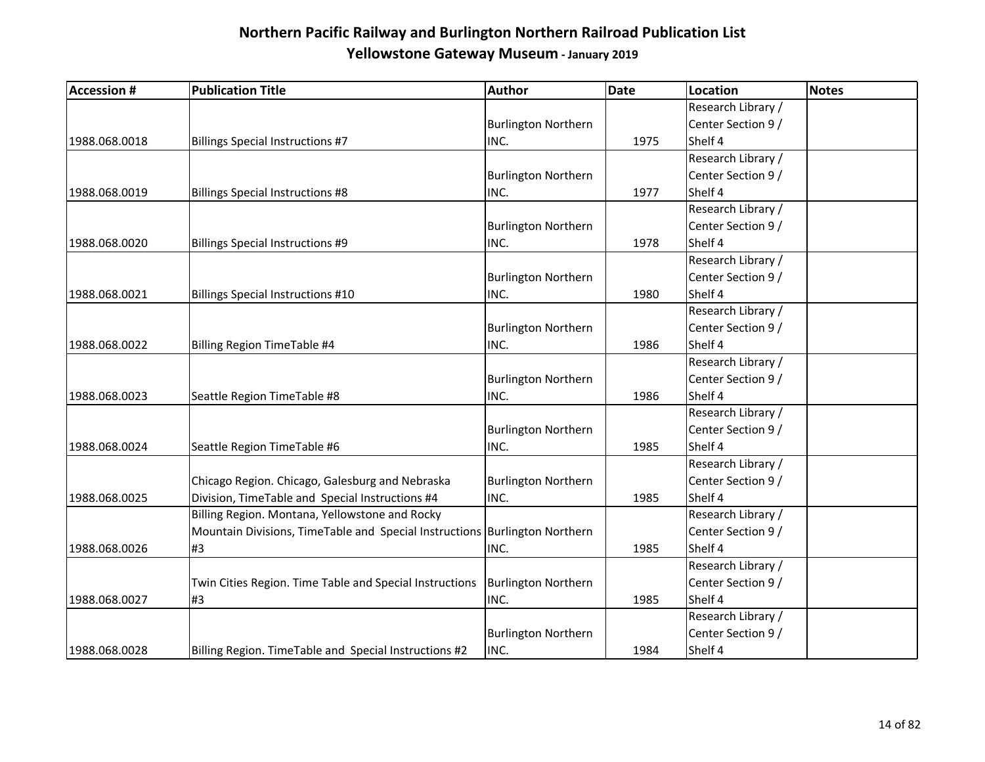| <b>Accession #</b> | <b>Publication Title</b>                                                   | Author                     | Date | <b>Location</b>    | <b>Notes</b> |
|--------------------|----------------------------------------------------------------------------|----------------------------|------|--------------------|--------------|
|                    |                                                                            |                            |      | Research Library / |              |
|                    |                                                                            | <b>Burlington Northern</b> |      | Center Section 9 / |              |
| 1988.068.0018      | <b>Billings Special Instructions #7</b>                                    | INC.                       | 1975 | Shelf 4            |              |
|                    |                                                                            |                            |      | Research Library / |              |
|                    |                                                                            | <b>Burlington Northern</b> |      | Center Section 9 / |              |
| 1988.068.0019      | <b>Billings Special Instructions #8</b>                                    | INC.                       | 1977 | Shelf 4            |              |
|                    |                                                                            |                            |      | Research Library / |              |
|                    |                                                                            | <b>Burlington Northern</b> |      | Center Section 9 / |              |
| 1988.068.0020      | <b>Billings Special Instructions #9</b>                                    | INC.                       | 1978 | Shelf 4            |              |
|                    |                                                                            |                            |      | Research Library / |              |
|                    |                                                                            | <b>Burlington Northern</b> |      | Center Section 9 / |              |
| 1988.068.0021      | <b>Billings Special Instructions #10</b>                                   | INC.                       | 1980 | Shelf 4            |              |
|                    |                                                                            |                            |      | Research Library / |              |
|                    |                                                                            | <b>Burlington Northern</b> |      | Center Section 9 / |              |
| 1988.068.0022      | Billing Region TimeTable #4                                                | INC.                       | 1986 | Shelf 4            |              |
|                    |                                                                            |                            |      | Research Library / |              |
|                    |                                                                            | <b>Burlington Northern</b> |      | Center Section 9 / |              |
| 1988.068.0023      | Seattle Region TimeTable #8                                                | INC.                       | 1986 | Shelf 4            |              |
|                    |                                                                            |                            |      | Research Library / |              |
|                    |                                                                            | <b>Burlington Northern</b> |      | Center Section 9 / |              |
| 1988.068.0024      | Seattle Region TimeTable #6                                                | INC.                       | 1985 | Shelf 4            |              |
|                    |                                                                            |                            |      | Research Library / |              |
|                    | Chicago Region. Chicago, Galesburg and Nebraska                            | <b>Burlington Northern</b> |      | Center Section 9 / |              |
| 1988.068.0025      | Division, TimeTable and Special Instructions #4                            | INC.                       | 1985 | Shelf 4            |              |
|                    | Billing Region. Montana, Yellowstone and Rocky                             |                            |      | Research Library / |              |
|                    | Mountain Divisions, TimeTable and Special Instructions Burlington Northern |                            |      | Center Section 9 / |              |
| 1988.068.0026      | #3                                                                         | INC.                       | 1985 | Shelf 4            |              |
|                    |                                                                            |                            |      | Research Library / |              |
|                    | Twin Cities Region. Time Table and Special Instructions                    | <b>Burlington Northern</b> |      | Center Section 9 / |              |
| 1988.068.0027      | #3                                                                         | INC.                       | 1985 | Shelf 4            |              |
|                    |                                                                            |                            |      | Research Library / |              |
|                    |                                                                            | <b>Burlington Northern</b> |      | Center Section 9 / |              |
| 1988.068.0028      | Billing Region. TimeTable and Special Instructions #2                      | INC.                       | 1984 | Shelf 4            |              |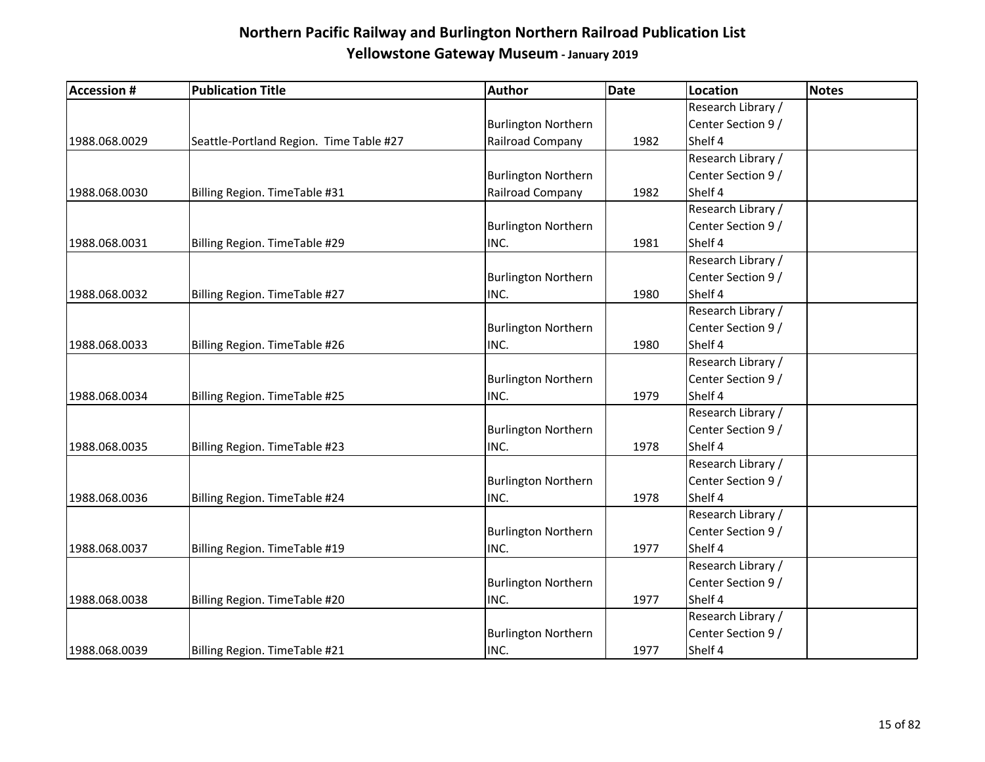| <b>Accession #</b> | <b>Publication Title</b>                | Author                     | Date | Location           | Notes |
|--------------------|-----------------------------------------|----------------------------|------|--------------------|-------|
|                    |                                         |                            |      | Research Library / |       |
|                    |                                         | <b>Burlington Northern</b> |      | Center Section 9 / |       |
| 1988.068.0029      | Seattle-Portland Region. Time Table #27 | Railroad Company           | 1982 | Shelf 4            |       |
|                    |                                         |                            |      | Research Library / |       |
|                    |                                         | <b>Burlington Northern</b> |      | Center Section 9 / |       |
| 1988.068.0030      | Billing Region. TimeTable #31           | Railroad Company           | 1982 | Shelf 4            |       |
|                    |                                         |                            |      | Research Library / |       |
|                    |                                         | <b>Burlington Northern</b> |      | Center Section 9 / |       |
| 1988.068.0031      | Billing Region. TimeTable #29           | INC.                       | 1981 | Shelf 4            |       |
|                    |                                         |                            |      | Research Library / |       |
|                    |                                         | <b>Burlington Northern</b> |      | Center Section 9 / |       |
| 1988.068.0032      | Billing Region. TimeTable #27           | INC.                       | 1980 | Shelf 4            |       |
|                    |                                         |                            |      | Research Library / |       |
|                    |                                         | <b>Burlington Northern</b> |      | Center Section 9 / |       |
| 1988.068.0033      | Billing Region. TimeTable #26           | INC.                       | 1980 | Shelf 4            |       |
|                    |                                         |                            |      | Research Library / |       |
|                    |                                         | <b>Burlington Northern</b> |      | Center Section 9 / |       |
| 1988.068.0034      | Billing Region. TimeTable #25           | INC.                       | 1979 | Shelf 4            |       |
|                    |                                         |                            |      | Research Library / |       |
|                    |                                         | <b>Burlington Northern</b> |      | Center Section 9 / |       |
| 1988.068.0035      | Billing Region. TimeTable #23           | INC.                       | 1978 | Shelf 4            |       |
|                    |                                         |                            |      | Research Library / |       |
|                    |                                         | <b>Burlington Northern</b> |      | Center Section 9 / |       |
| 1988.068.0036      | Billing Region. TimeTable #24           | INC.                       | 1978 | Shelf 4            |       |
|                    |                                         |                            |      | Research Library / |       |
|                    |                                         | <b>Burlington Northern</b> |      | Center Section 9 / |       |
| 1988.068.0037      | Billing Region. TimeTable #19           | INC.                       | 1977 | Shelf 4            |       |
|                    |                                         |                            |      | Research Library / |       |
|                    |                                         | <b>Burlington Northern</b> |      | Center Section 9 / |       |
| 1988.068.0038      | Billing Region. TimeTable #20           | INC.                       | 1977 | Shelf 4            |       |
|                    |                                         |                            |      | Research Library / |       |
|                    |                                         | <b>Burlington Northern</b> |      | Center Section 9 / |       |
| 1988.068.0039      | Billing Region. TimeTable #21           | INC.                       | 1977 | Shelf 4            |       |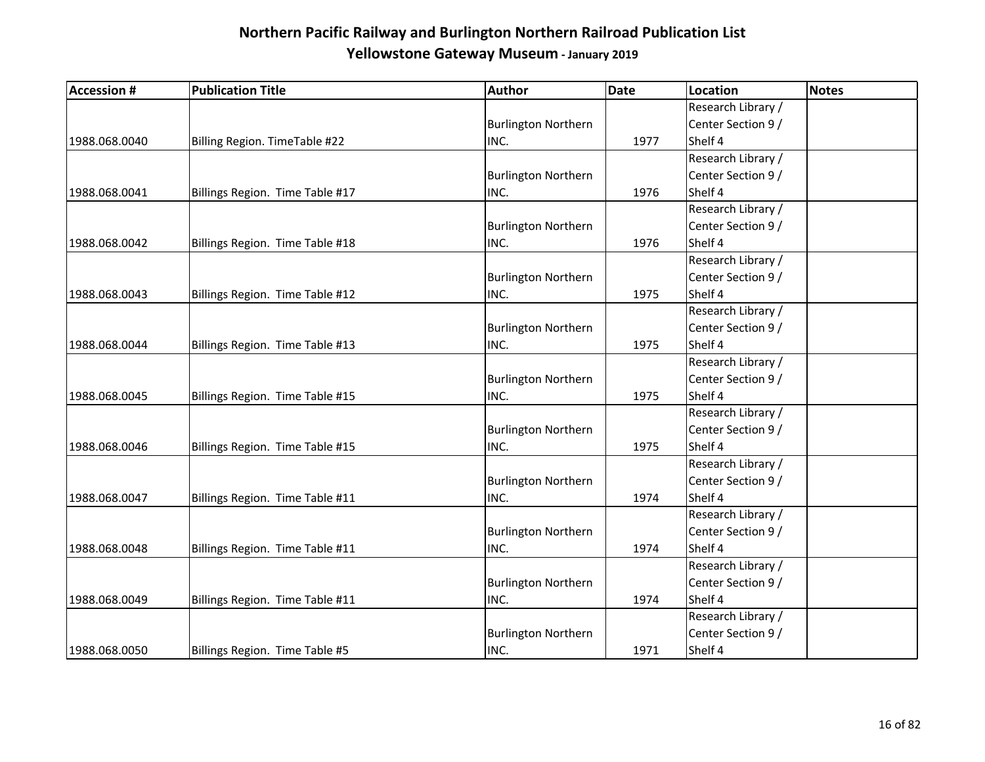| <b>Accession #</b> | <b>Publication Title</b>        | Author                     | <b>Date</b> | Location           | <b>Notes</b> |
|--------------------|---------------------------------|----------------------------|-------------|--------------------|--------------|
|                    |                                 |                            |             | Research Library / |              |
|                    |                                 | <b>Burlington Northern</b> |             | Center Section 9 / |              |
| 1988.068.0040      | Billing Region. TimeTable #22   | INC.                       | 1977        | Shelf 4            |              |
|                    |                                 |                            |             | Research Library / |              |
|                    |                                 | <b>Burlington Northern</b> |             | Center Section 9 / |              |
| 1988.068.0041      | Billings Region. Time Table #17 | INC.                       | 1976        | Shelf 4            |              |
|                    |                                 |                            |             | Research Library / |              |
|                    |                                 | <b>Burlington Northern</b> |             | Center Section 9 / |              |
| 1988.068.0042      | Billings Region. Time Table #18 | INC.                       | 1976        | Shelf 4            |              |
|                    |                                 |                            |             | Research Library / |              |
|                    |                                 | <b>Burlington Northern</b> |             | Center Section 9 / |              |
| 1988.068.0043      | Billings Region. Time Table #12 | INC.                       | 1975        | Shelf 4            |              |
|                    |                                 |                            |             | Research Library / |              |
|                    |                                 | <b>Burlington Northern</b> |             | Center Section 9 / |              |
| 1988.068.0044      | Billings Region. Time Table #13 | INC.                       | 1975        | Shelf 4            |              |
|                    |                                 |                            |             | Research Library / |              |
|                    |                                 | <b>Burlington Northern</b> |             | Center Section 9 / |              |
| 1988.068.0045      | Billings Region. Time Table #15 | INC.                       | 1975        | Shelf 4            |              |
|                    |                                 |                            |             | Research Library / |              |
|                    |                                 | <b>Burlington Northern</b> |             | Center Section 9 / |              |
| 1988.068.0046      | Billings Region. Time Table #15 | INC.                       | 1975        | Shelf 4            |              |
|                    |                                 |                            |             | Research Library / |              |
|                    |                                 | <b>Burlington Northern</b> |             | Center Section 9 / |              |
| 1988.068.0047      | Billings Region. Time Table #11 | INC.                       | 1974        | Shelf 4            |              |
|                    |                                 |                            |             | Research Library / |              |
|                    |                                 | <b>Burlington Northern</b> |             | Center Section 9 / |              |
| 1988.068.0048      | Billings Region. Time Table #11 | INC.                       | 1974        | Shelf 4            |              |
|                    |                                 |                            |             | Research Library / |              |
|                    |                                 | <b>Burlington Northern</b> |             | Center Section 9 / |              |
| 1988.068.0049      | Billings Region. Time Table #11 | INC.                       | 1974        | Shelf 4            |              |
|                    |                                 |                            |             | Research Library / |              |
|                    |                                 | <b>Burlington Northern</b> |             | Center Section 9 / |              |
| 1988.068.0050      | Billings Region. Time Table #5  | INC.                       | 1971        | Shelf 4            |              |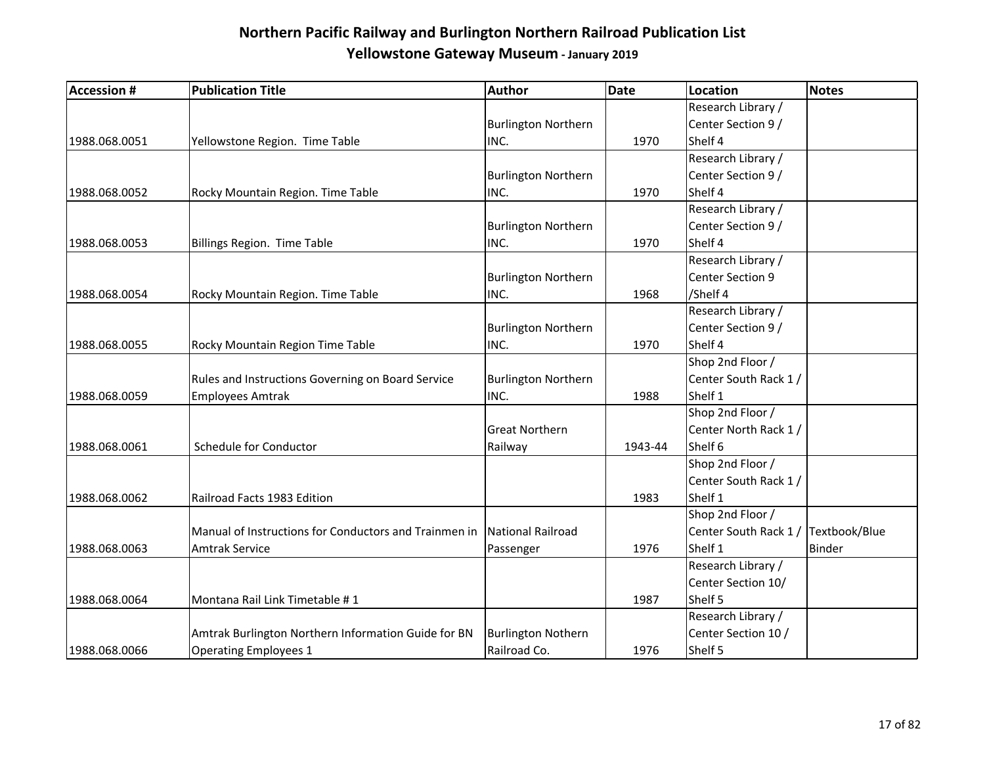| <b>Accession #</b> | <b>Publication Title</b>                              | <b>Author</b>              | <b>Date</b> | <b>Location</b>                     | <b>Notes</b> |
|--------------------|-------------------------------------------------------|----------------------------|-------------|-------------------------------------|--------------|
|                    |                                                       |                            |             | Research Library /                  |              |
|                    |                                                       | <b>Burlington Northern</b> |             | Center Section 9 /                  |              |
| 1988.068.0051      | Yellowstone Region. Time Table                        | INC.                       | 1970        | Shelf 4                             |              |
|                    |                                                       |                            |             | Research Library /                  |              |
|                    |                                                       | <b>Burlington Northern</b> |             | Center Section 9 /                  |              |
| 1988.068.0052      | Rocky Mountain Region. Time Table                     | INC.                       | 1970        | Shelf 4                             |              |
|                    |                                                       |                            |             | Research Library /                  |              |
|                    |                                                       | <b>Burlington Northern</b> |             | Center Section 9 /                  |              |
| 1988.068.0053      | Billings Region. Time Table                           | INC.                       | 1970        | Shelf 4                             |              |
|                    |                                                       |                            |             | Research Library /                  |              |
|                    |                                                       | <b>Burlington Northern</b> |             | Center Section 9                    |              |
| 1988.068.0054      | Rocky Mountain Region. Time Table                     | INC.                       | 1968        | /Shelf 4                            |              |
|                    |                                                       |                            |             | Research Library /                  |              |
|                    |                                                       | <b>Burlington Northern</b> |             | Center Section 9 /                  |              |
| 1988.068.0055      | Rocky Mountain Region Time Table                      | INC.                       | 1970        | Shelf 4                             |              |
|                    |                                                       |                            |             | Shop 2nd Floor /                    |              |
|                    | Rules and Instructions Governing on Board Service     | <b>Burlington Northern</b> |             | Center South Rack 1/                |              |
| 1988.068.0059      | <b>Employees Amtrak</b>                               | INC.                       | 1988        | Shelf 1                             |              |
|                    |                                                       |                            |             | Shop 2nd Floor /                    |              |
|                    |                                                       | <b>Great Northern</b>      |             | Center North Rack 1/                |              |
| 1988.068.0061      | Schedule for Conductor                                | Railway                    | 1943-44     | Shelf 6                             |              |
|                    |                                                       |                            |             | Shop 2nd Floor /                    |              |
|                    |                                                       |                            |             | Center South Rack 1 /               |              |
| 1988.068.0062      | Railroad Facts 1983 Edition                           |                            | 1983        | Shelf 1                             |              |
|                    |                                                       |                            |             | Shop 2nd Floor /                    |              |
|                    | Manual of Instructions for Conductors and Trainmen in | National Railroad          |             | Center South Rack 1 / Textbook/Blue |              |
| 1988.068.0063      | <b>Amtrak Service</b>                                 | Passenger                  | 1976        | Shelf 1                             | Binder       |
|                    |                                                       |                            |             | Research Library /                  |              |
|                    |                                                       |                            |             | Center Section 10/                  |              |
| 1988.068.0064      | Montana Rail Link Timetable #1                        |                            | 1987        | Shelf 5                             |              |
|                    |                                                       |                            |             | Research Library /                  |              |
|                    | Amtrak Burlington Northern Information Guide for BN   | <b>Burlington Nothern</b>  |             | Center Section 10 /                 |              |
| 1988.068.0066      | <b>Operating Employees 1</b>                          | Railroad Co.               | 1976        | Shelf 5                             |              |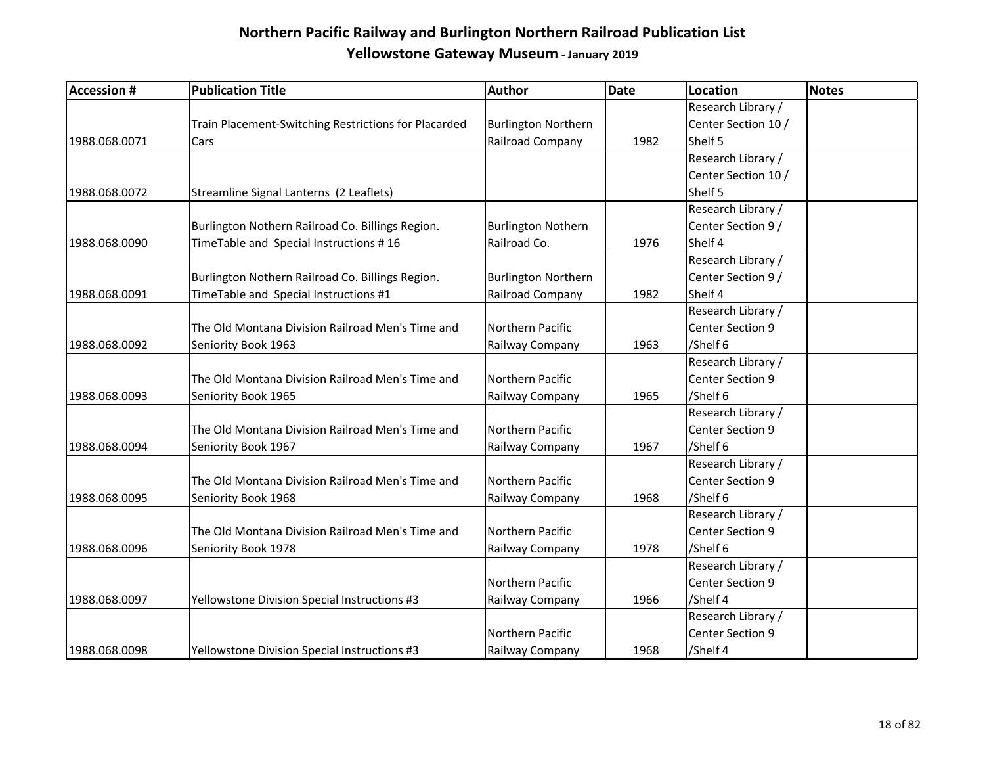| <b>Accession #</b> | <b>Publication Title</b>                             | <b>Author</b>              | <b>Date</b> | Location            | <b>Notes</b> |
|--------------------|------------------------------------------------------|----------------------------|-------------|---------------------|--------------|
|                    |                                                      |                            |             | Research Library /  |              |
|                    | Train Placement-Switching Restrictions for Placarded | <b>Burlington Northern</b> |             | Center Section 10 / |              |
| 1988.068.0071      | Cars                                                 | Railroad Company           | 1982        | Shelf 5             |              |
|                    |                                                      |                            |             | Research Library /  |              |
|                    |                                                      |                            |             | Center Section 10 / |              |
| 1988.068.0072      | Streamline Signal Lanterns (2 Leaflets)              |                            |             | Shelf 5             |              |
|                    |                                                      |                            |             | Research Library /  |              |
|                    | Burlington Nothern Railroad Co. Billings Region.     | <b>Burlington Nothern</b>  |             | Center Section 9 /  |              |
| 1988.068.0090      | TimeTable and Special Instructions #16               | Railroad Co.               | 1976        | Shelf 4             |              |
|                    |                                                      |                            |             | Research Library /  |              |
|                    | Burlington Nothern Railroad Co. Billings Region.     | <b>Burlington Northern</b> |             | Center Section 9 /  |              |
| 1988.068.0091      | TimeTable and Special Instructions #1                | Railroad Company           | 1982        | Shelf 4             |              |
|                    |                                                      |                            |             | Research Library /  |              |
|                    | The Old Montana Division Railroad Men's Time and     | Northern Pacific           |             | Center Section 9    |              |
| 1988.068.0092      | Seniority Book 1963                                  | Railway Company            | 1963        | /Shelf 6            |              |
|                    |                                                      |                            |             | Research Library /  |              |
|                    | The Old Montana Division Railroad Men's Time and     | Northern Pacific           |             | Center Section 9    |              |
| 1988.068.0093      | Seniority Book 1965                                  | Railway Company            | 1965        | /Shelf 6            |              |
|                    |                                                      |                            |             | Research Library /  |              |
|                    | The Old Montana Division Railroad Men's Time and     | Northern Pacific           |             | Center Section 9    |              |
| 1988.068.0094      | Seniority Book 1967                                  | Railway Company            | 1967        | /Shelf 6            |              |
|                    |                                                      |                            |             | Research Library /  |              |
|                    | The Old Montana Division Railroad Men's Time and     | Northern Pacific           |             | Center Section 9    |              |
| 1988.068.0095      | Seniority Book 1968                                  | Railway Company            | 1968        | /Shelf 6            |              |
|                    |                                                      |                            |             | Research Library /  |              |
|                    | The Old Montana Division Railroad Men's Time and     | Northern Pacific           |             | Center Section 9    |              |
| 1988.068.0096      | Seniority Book 1978                                  | Railway Company            | 1978        | /Shelf 6            |              |
|                    |                                                      |                            |             | Research Library /  |              |
|                    |                                                      | Northern Pacific           |             | Center Section 9    |              |
| 1988.068.0097      | Yellowstone Division Special Instructions #3         | Railway Company            | 1966        | /Shelf 4            |              |
|                    |                                                      |                            |             | Research Library /  |              |
|                    |                                                      | Northern Pacific           |             | Center Section 9    |              |
| 1988.068.0098      | Yellowstone Division Special Instructions #3         | Railway Company            | 1968        | /Shelf 4            |              |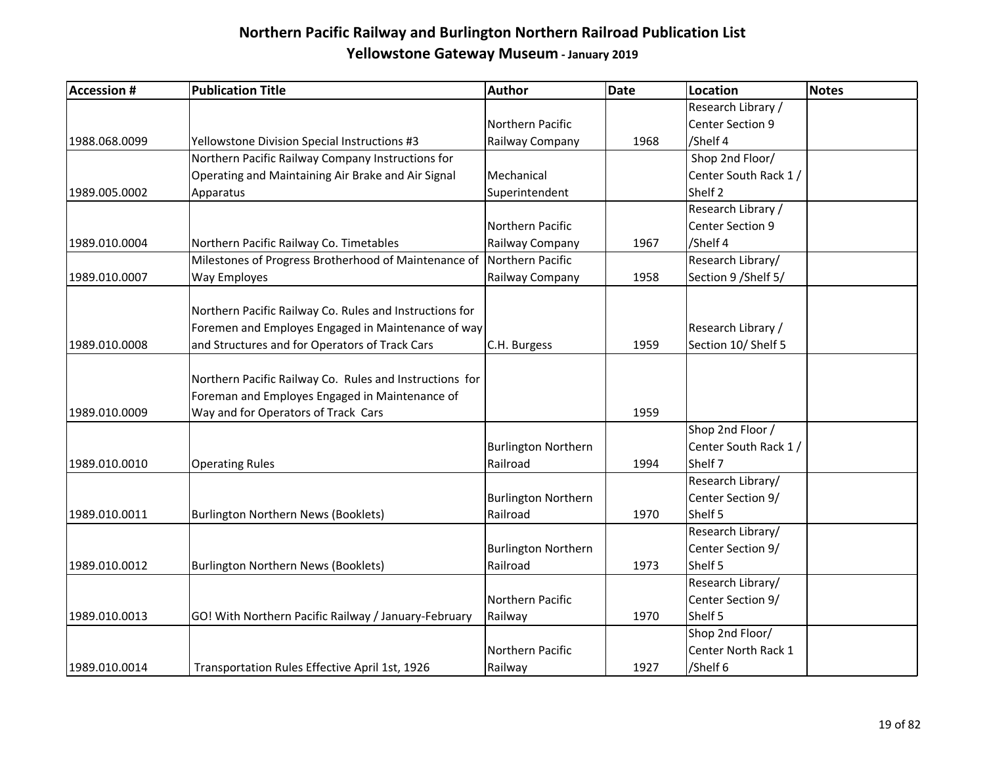| <b>Accession #</b> | <b>Publication Title</b>                                | <b>Author</b>              | <b>Date</b> | <b>Location</b>       | <b>Notes</b> |
|--------------------|---------------------------------------------------------|----------------------------|-------------|-----------------------|--------------|
|                    |                                                         |                            |             | Research Library /    |              |
|                    |                                                         | Northern Pacific           |             | Center Section 9      |              |
| 1988.068.0099      | Yellowstone Division Special Instructions #3            | Railway Company            | 1968        | /Shelf 4              |              |
|                    | Northern Pacific Railway Company Instructions for       |                            |             | Shop 2nd Floor/       |              |
|                    | Operating and Maintaining Air Brake and Air Signal      | Mechanical                 |             | Center South Rack 1 / |              |
| 1989.005.0002      | Apparatus                                               | Superintendent             |             | Shelf <sub>2</sub>    |              |
|                    |                                                         |                            |             | Research Library /    |              |
|                    |                                                         | Northern Pacific           |             | Center Section 9      |              |
| 1989.010.0004      | Northern Pacific Railway Co. Timetables                 | Railway Company            | 1967        | /Shelf 4              |              |
|                    | Milestones of Progress Brotherhood of Maintenance of    | Northern Pacific           |             | Research Library/     |              |
| 1989.010.0007      | Way Employes                                            | Railway Company            | 1958        | Section 9 / Shelf 5/  |              |
|                    |                                                         |                            |             |                       |              |
|                    | Northern Pacific Railway Co. Rules and Instructions for |                            |             |                       |              |
|                    | Foremen and Employes Engaged in Maintenance of way      |                            |             | Research Library /    |              |
| 1989.010.0008      | and Structures and for Operators of Track Cars          | C.H. Burgess               | 1959        | Section 10/ Shelf 5   |              |
|                    |                                                         |                            |             |                       |              |
|                    | Northern Pacific Railway Co. Rules and Instructions for |                            |             |                       |              |
|                    | Foreman and Employes Engaged in Maintenance of          |                            |             |                       |              |
| 1989.010.0009      | Way and for Operators of Track Cars                     |                            | 1959        |                       |              |
|                    |                                                         |                            |             | Shop 2nd Floor /      |              |
|                    |                                                         | <b>Burlington Northern</b> |             | Center South Rack 1 / |              |
| 1989.010.0010      | <b>Operating Rules</b>                                  | Railroad                   | 1994        | Shelf 7               |              |
|                    |                                                         |                            |             | Research Library/     |              |
|                    |                                                         | <b>Burlington Northern</b> |             | Center Section 9/     |              |
| 1989.010.0011      | <b>Burlington Northern News (Booklets)</b>              | Railroad                   | 1970        | Shelf 5               |              |
|                    |                                                         |                            |             | Research Library/     |              |
|                    |                                                         | <b>Burlington Northern</b> |             | Center Section 9/     |              |
| 1989.010.0012      | <b>Burlington Northern News (Booklets)</b>              | Railroad                   | 1973        | Shelf 5               |              |
|                    |                                                         |                            |             | Research Library/     |              |
|                    |                                                         | Northern Pacific           |             | Center Section 9/     |              |
| 1989.010.0013      | GO! With Northern Pacific Railway / January-February    | Railway                    | 1970        | Shelf 5               |              |
|                    |                                                         |                            |             | Shop 2nd Floor/       |              |
|                    |                                                         | Northern Pacific           |             | Center North Rack 1   |              |
| 1989.010.0014      | Transportation Rules Effective April 1st, 1926          | Railway                    | 1927        | /Shelf 6              |              |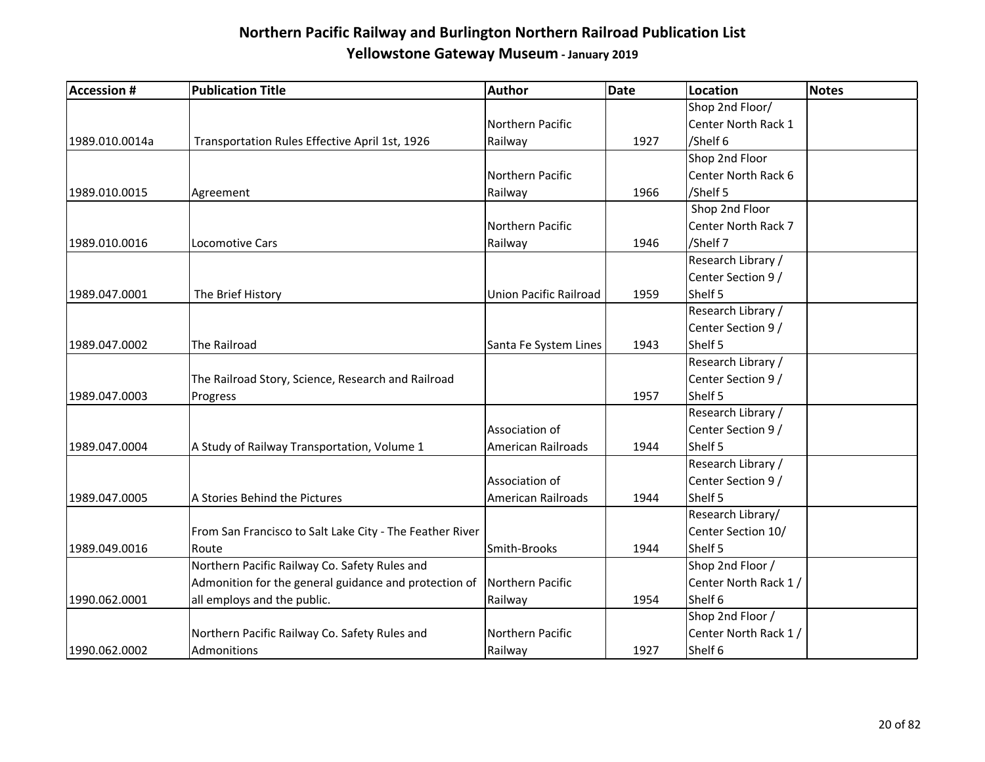| <b>Accession #</b> | <b>Publication Title</b>                                 | Author                 | <b>Date</b> | <b>Location</b>       | <b>Notes</b> |
|--------------------|----------------------------------------------------------|------------------------|-------------|-----------------------|--------------|
|                    |                                                          |                        |             | Shop 2nd Floor/       |              |
|                    |                                                          | Northern Pacific       |             | Center North Rack 1   |              |
| 1989.010.0014a     | Transportation Rules Effective April 1st, 1926           | Railway                | 1927        | /Shelf 6              |              |
|                    |                                                          |                        |             | Shop 2nd Floor        |              |
|                    |                                                          | Northern Pacific       |             | Center North Rack 6   |              |
| 1989.010.0015      | Agreement                                                | Railway                | 1966        | /Shelf 5              |              |
|                    |                                                          |                        |             | Shop 2nd Floor        |              |
|                    |                                                          | Northern Pacific       |             | Center North Rack 7   |              |
| 1989.010.0016      | <b>Locomotive Cars</b>                                   | Railway                | 1946        | /Shelf 7              |              |
|                    |                                                          |                        |             | Research Library /    |              |
|                    |                                                          |                        |             | Center Section 9 /    |              |
| 1989.047.0001      | The Brief History                                        | Union Pacific Railroad | 1959        | Shelf 5               |              |
|                    |                                                          |                        |             | Research Library /    |              |
|                    |                                                          |                        |             | Center Section 9 /    |              |
| 1989.047.0002      | The Railroad                                             | Santa Fe System Lines  | 1943        | Shelf 5               |              |
|                    |                                                          |                        |             | Research Library /    |              |
|                    | The Railroad Story, Science, Research and Railroad       |                        |             | Center Section 9 /    |              |
| 1989.047.0003      | Progress                                                 |                        | 1957        | Shelf 5               |              |
|                    |                                                          |                        |             | Research Library /    |              |
|                    |                                                          | Association of         |             | Center Section 9 /    |              |
| 1989.047.0004      | A Study of Railway Transportation, Volume 1              | American Railroads     | 1944        | Shelf 5               |              |
|                    |                                                          |                        |             | Research Library /    |              |
|                    |                                                          | Association of         |             | Center Section 9 /    |              |
| 1989.047.0005      | A Stories Behind the Pictures                            | American Railroads     | 1944        | Shelf 5               |              |
|                    |                                                          |                        |             | Research Library/     |              |
|                    | From San Francisco to Salt Lake City - The Feather River |                        |             | Center Section 10/    |              |
| 1989.049.0016      | Route                                                    | Smith-Brooks           | 1944        | Shelf 5               |              |
|                    | Northern Pacific Railway Co. Safety Rules and            |                        |             | Shop 2nd Floor /      |              |
|                    | Admonition for the general guidance and protection of    | Northern Pacific       |             | Center North Rack 1 / |              |
| 1990.062.0001      | all employs and the public.                              | Railway                | 1954        | Shelf 6               |              |
|                    |                                                          |                        |             | Shop 2nd Floor /      |              |
|                    | Northern Pacific Railway Co. Safety Rules and            | Northern Pacific       |             | Center North Rack 1 / |              |
| 1990.062.0002      | Admonitions                                              | Railway                | 1927        | Shelf 6               |              |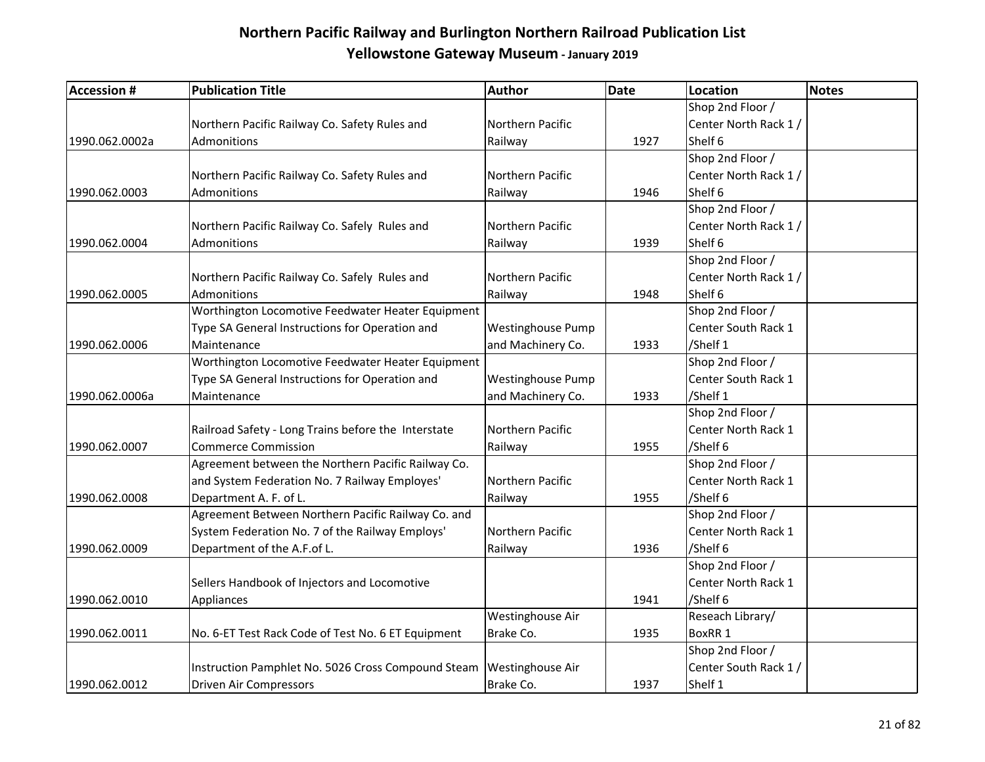| <b>Accession #</b> | <b>Publication Title</b>                            | Author                   | <b>Date</b> | Location              | Notes |
|--------------------|-----------------------------------------------------|--------------------------|-------------|-----------------------|-------|
|                    |                                                     |                          |             | Shop 2nd Floor /      |       |
|                    | Northern Pacific Railway Co. Safety Rules and       | Northern Pacific         |             | Center North Rack 1/  |       |
| 1990.062.0002a     | Admonitions                                         | Railway                  | 1927        | Shelf 6               |       |
|                    |                                                     |                          |             | Shop 2nd Floor /      |       |
|                    | Northern Pacific Railway Co. Safety Rules and       | Northern Pacific         |             | Center North Rack 1 / |       |
| 1990.062.0003      | Admonitions                                         | Railway                  | 1946        | Shelf 6               |       |
|                    |                                                     |                          |             | Shop 2nd Floor /      |       |
|                    | Northern Pacific Railway Co. Safely Rules and       | Northern Pacific         |             | Center North Rack 1 / |       |
| 1990.062.0004      | <b>Admonitions</b>                                  | Railway                  | 1939        | Shelf 6               |       |
|                    |                                                     |                          |             | Shop 2nd Floor /      |       |
|                    | Northern Pacific Railway Co. Safely Rules and       | Northern Pacific         |             | Center North Rack 1 / |       |
| 1990.062.0005      | Admonitions                                         | Railway                  | 1948        | Shelf 6               |       |
|                    | Worthington Locomotive Feedwater Heater Equipment   |                          |             | Shop 2nd Floor /      |       |
|                    | Type SA General Instructions for Operation and      | <b>Westinghouse Pump</b> |             | Center South Rack 1   |       |
| 1990.062.0006      | Maintenance                                         | and Machinery Co.        | 1933        | /Shelf 1              |       |
|                    | Worthington Locomotive Feedwater Heater Equipment   |                          |             | Shop 2nd Floor /      |       |
|                    | Type SA General Instructions for Operation and      | <b>Westinghouse Pump</b> |             | Center South Rack 1   |       |
| 1990.062.0006a     | Maintenance                                         | and Machinery Co.        | 1933        | /Shelf 1              |       |
|                    |                                                     |                          |             | Shop 2nd Floor /      |       |
|                    | Railroad Safety - Long Trains before the Interstate | Northern Pacific         |             | Center North Rack 1   |       |
| 1990.062.0007      | <b>Commerce Commission</b>                          | Railway                  | 1955        | /Shelf 6              |       |
|                    | Agreement between the Northern Pacific Railway Co.  |                          |             | Shop 2nd Floor /      |       |
|                    | and System Federation No. 7 Railway Employes'       | Northern Pacific         |             | Center North Rack 1   |       |
| 1990.062.0008      | Department A. F. of L.                              | Railway                  | 1955        | /Shelf 6              |       |
|                    | Agreement Between Northern Pacific Railway Co. and  |                          |             | Shop 2nd Floor /      |       |
|                    | System Federation No. 7 of the Railway Employs'     | Northern Pacific         |             | Center North Rack 1   |       |
| 1990.062.0009      | Department of the A.F.of L.                         | Railway                  | 1936        | /Shelf 6              |       |
|                    |                                                     |                          |             | Shop 2nd Floor /      |       |
|                    | Sellers Handbook of Injectors and Locomotive        |                          |             | Center North Rack 1   |       |
| 1990.062.0010      | Appliances                                          |                          | 1941        | /Shelf 6              |       |
|                    |                                                     | Westinghouse Air         |             | Reseach Library/      |       |
| 1990.062.0011      | No. 6-ET Test Rack Code of Test No. 6 ET Equipment  | Brake Co.                | 1935        | BoxRR 1               |       |
|                    |                                                     |                          |             | Shop 2nd Floor /      |       |
|                    | Instruction Pamphlet No. 5026 Cross Compound Steam  | <b>Westinghouse Air</b>  |             | Center South Rack 1 / |       |
| 1990.062.0012      | <b>Driven Air Compressors</b>                       | Brake Co.                | 1937        | Shelf 1               |       |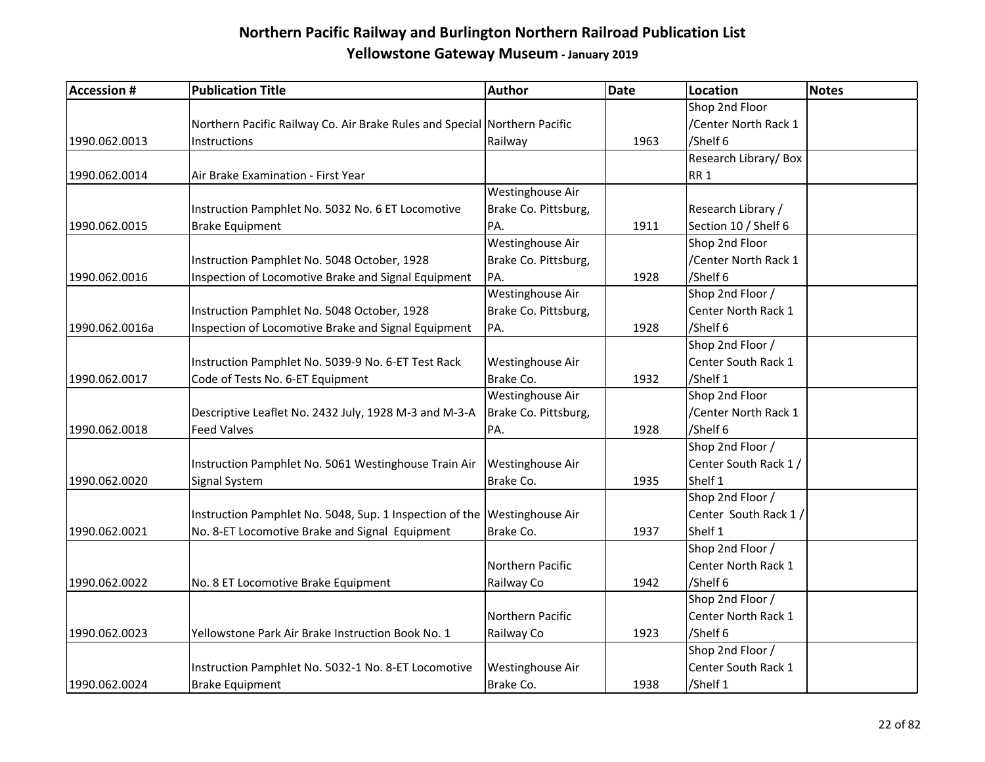| <b>Accession #</b> | <b>Publication Title</b>                                                  | <b>Author</b>           | Date | <b>Location</b>       | <b>Notes</b> |
|--------------------|---------------------------------------------------------------------------|-------------------------|------|-----------------------|--------------|
|                    |                                                                           |                         |      | Shop 2nd Floor        |              |
|                    | Northern Pacific Railway Co. Air Brake Rules and Special Northern Pacific |                         |      | /Center North Rack 1  |              |
| 1990.062.0013      | Instructions                                                              | Railway                 | 1963 | /Shelf 6              |              |
|                    |                                                                           |                         |      | Research Library/Box  |              |
| 1990.062.0014      | Air Brake Examination - First Year                                        |                         |      | RR <sub>1</sub>       |              |
|                    |                                                                           | Westinghouse Air        |      |                       |              |
|                    | Instruction Pamphlet No. 5032 No. 6 ET Locomotive                         | Brake Co. Pittsburg,    |      | Research Library /    |              |
| 1990.062.0015      | <b>Brake Equipment</b>                                                    | PA.                     | 1911 | Section 10 / Shelf 6  |              |
|                    |                                                                           | Westinghouse Air        |      | Shop 2nd Floor        |              |
|                    | Instruction Pamphlet No. 5048 October, 1928                               | Brake Co. Pittsburg,    |      | /Center North Rack 1  |              |
| 1990.062.0016      | Inspection of Locomotive Brake and Signal Equipment                       | PA.                     | 1928 | /Shelf 6              |              |
|                    |                                                                           | Westinghouse Air        |      | Shop 2nd Floor /      |              |
|                    | Instruction Pamphlet No. 5048 October, 1928                               | Brake Co. Pittsburg,    |      | Center North Rack 1   |              |
| 1990.062.0016a     | Inspection of Locomotive Brake and Signal Equipment                       | PA.                     | 1928 | /Shelf 6              |              |
|                    |                                                                           |                         |      | Shop 2nd Floor /      |              |
|                    | Instruction Pamphlet No. 5039-9 No. 6-ET Test Rack                        | Westinghouse Air        |      | Center South Rack 1   |              |
| 1990.062.0017      | Code of Tests No. 6-ET Equipment                                          | Brake Co.               | 1932 | /Shelf 1              |              |
|                    |                                                                           | Westinghouse Air        |      | Shop 2nd Floor        |              |
|                    | Descriptive Leaflet No. 2432 July, 1928 M-3 and M-3-A                     | Brake Co. Pittsburg,    |      | /Center North Rack 1  |              |
| 1990.062.0018      | <b>Feed Valves</b>                                                        | PA.                     | 1928 | /Shelf 6              |              |
|                    |                                                                           |                         |      | Shop 2nd Floor /      |              |
|                    | Instruction Pamphlet No. 5061 Westinghouse Train Air                      | <b>Westinghouse Air</b> |      | Center South Rack 1/  |              |
| 1990.062.0020      | Signal System                                                             | Brake Co.               | 1935 | Shelf 1               |              |
|                    |                                                                           |                         |      | Shop 2nd Floor /      |              |
|                    | Instruction Pamphlet No. 5048, Sup. 1 Inspection of the Westinghouse Air  |                         |      | Center South Rack 1 / |              |
| 1990.062.0021      | No. 8-ET Locomotive Brake and Signal Equipment                            | Brake Co.               | 1937 | Shelf 1               |              |
|                    |                                                                           |                         |      | Shop 2nd Floor /      |              |
|                    |                                                                           | Northern Pacific        |      | Center North Rack 1   |              |
| 1990.062.0022      | No. 8 ET Locomotive Brake Equipment                                       | Railway Co              | 1942 | /Shelf 6              |              |
|                    |                                                                           |                         |      | Shop 2nd Floor /      |              |
|                    |                                                                           | Northern Pacific        |      | Center North Rack 1   |              |
| 1990.062.0023      | Yellowstone Park Air Brake Instruction Book No. 1                         | Railway Co              | 1923 | /Shelf 6              |              |
|                    |                                                                           |                         |      | Shop 2nd Floor /      |              |
|                    | Instruction Pamphlet No. 5032-1 No. 8-ET Locomotive                       | Westinghouse Air        |      | Center South Rack 1   |              |
| 1990.062.0024      | <b>Brake Equipment</b>                                                    | Brake Co.               | 1938 | /Shelf 1              |              |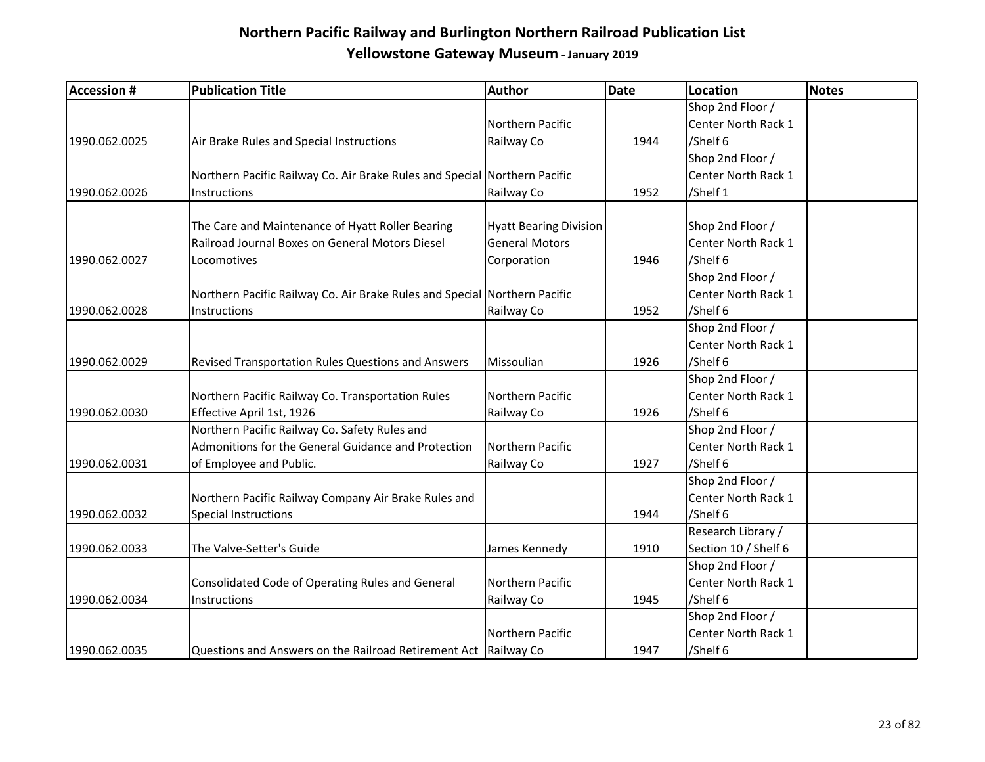| <b>Accession #</b> | <b>Publication Title</b>                                                  | Author                        | <b>Date</b> | Location             | Notes |
|--------------------|---------------------------------------------------------------------------|-------------------------------|-------------|----------------------|-------|
|                    |                                                                           |                               |             | Shop 2nd Floor /     |       |
|                    |                                                                           | Northern Pacific              |             | Center North Rack 1  |       |
| 1990.062.0025      | Air Brake Rules and Special Instructions                                  | Railway Co                    | 1944        | /Shelf 6             |       |
|                    |                                                                           |                               |             | Shop 2nd Floor /     |       |
|                    | Northern Pacific Railway Co. Air Brake Rules and Special Northern Pacific |                               |             | Center North Rack 1  |       |
| 1990.062.0026      | Instructions                                                              | Railway Co                    | 1952        | /Shelf 1             |       |
|                    |                                                                           |                               |             |                      |       |
|                    | The Care and Maintenance of Hyatt Roller Bearing                          | <b>Hyatt Bearing Division</b> |             | Shop 2nd Floor /     |       |
|                    | Railroad Journal Boxes on General Motors Diesel                           | <b>General Motors</b>         |             | Center North Rack 1  |       |
| 1990.062.0027      | Locomotives                                                               | Corporation                   | 1946        | /Shelf 6             |       |
|                    |                                                                           |                               |             | Shop 2nd Floor /     |       |
|                    | Northern Pacific Railway Co. Air Brake Rules and Special Northern Pacific |                               |             | Center North Rack 1  |       |
| 1990.062.0028      | <b>Instructions</b>                                                       | Railway Co                    | 1952        | /Shelf 6             |       |
|                    |                                                                           |                               |             | Shop 2nd Floor /     |       |
|                    |                                                                           |                               |             | Center North Rack 1  |       |
| 1990.062.0029      | Revised Transportation Rules Questions and Answers                        | Missoulian                    | 1926        | /Shelf 6             |       |
|                    |                                                                           |                               |             | Shop 2nd Floor /     |       |
|                    | Northern Pacific Railway Co. Transportation Rules                         | Northern Pacific              |             | Center North Rack 1  |       |
| 1990.062.0030      | Effective April 1st, 1926                                                 | Railway Co                    | 1926        | /Shelf 6             |       |
|                    | Northern Pacific Railway Co. Safety Rules and                             |                               |             | Shop 2nd Floor /     |       |
|                    | Admonitions for the General Guidance and Protection                       | Northern Pacific              |             | Center North Rack 1  |       |
| 1990.062.0031      | of Employee and Public.                                                   | Railway Co                    | 1927        | /Shelf 6             |       |
|                    |                                                                           |                               |             | Shop 2nd Floor /     |       |
|                    | Northern Pacific Railway Company Air Brake Rules and                      |                               |             | Center North Rack 1  |       |
| 1990.062.0032      | <b>Special Instructions</b>                                               |                               | 1944        | /Shelf 6             |       |
|                    |                                                                           |                               |             | Research Library /   |       |
| 1990.062.0033      | The Valve-Setter's Guide                                                  | James Kennedy                 | 1910        | Section 10 / Shelf 6 |       |
|                    |                                                                           |                               |             | Shop 2nd Floor /     |       |
|                    | Consolidated Code of Operating Rules and General                          | Northern Pacific              |             | Center North Rack 1  |       |
| 1990.062.0034      | <b>Instructions</b>                                                       | Railway Co                    | 1945        | /Shelf 6             |       |
|                    |                                                                           |                               |             | Shop 2nd Floor /     |       |
|                    |                                                                           | Northern Pacific              |             | Center North Rack 1  |       |
| 1990.062.0035      | Questions and Answers on the Railroad Retirement Act   Railway Co         |                               | 1947        | /Shelf 6             |       |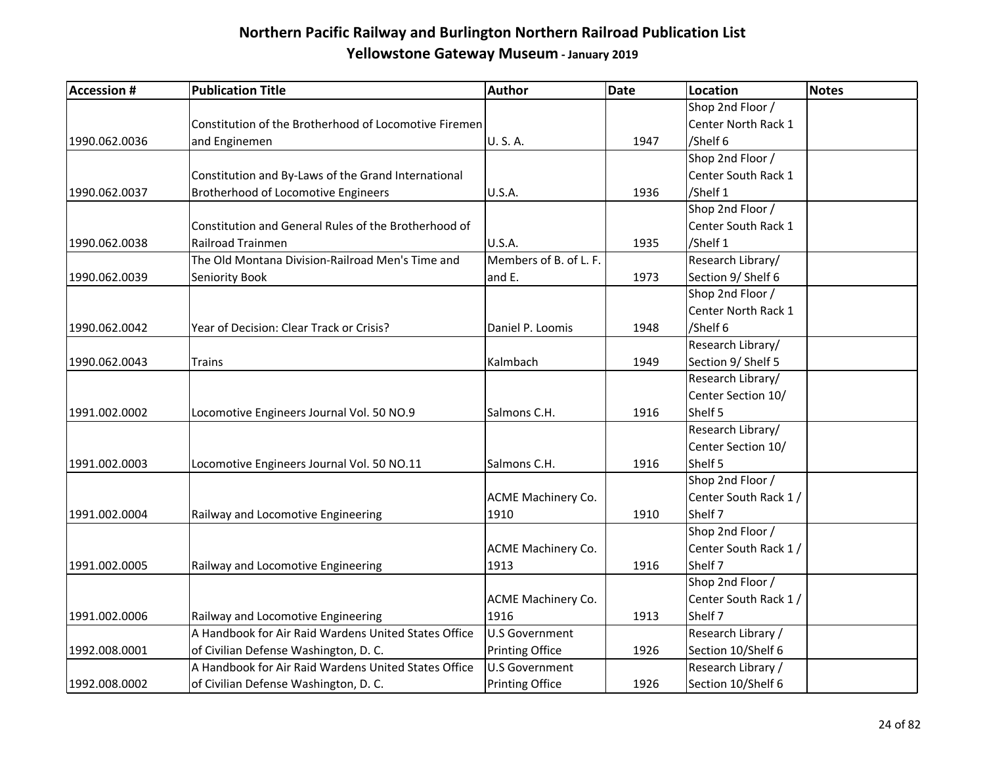| <b>Accession #</b> | <b>Publication Title</b>                              | <b>Author</b>          | <b>Date</b> | Location              | Notes |
|--------------------|-------------------------------------------------------|------------------------|-------------|-----------------------|-------|
|                    |                                                       |                        |             | Shop 2nd Floor /      |       |
|                    | Constitution of the Brotherhood of Locomotive Firemen |                        |             | Center North Rack 1   |       |
| 1990.062.0036      | and Enginemen                                         | U.S.A.                 | 1947        | /Shelf 6              |       |
|                    |                                                       |                        |             | Shop 2nd Floor /      |       |
|                    | Constitution and By-Laws of the Grand International   |                        |             | Center South Rack 1   |       |
| 1990.062.0037      | Brotherhood of Locomotive Engineers                   | <b>U.S.A.</b>          | 1936        | /Shelf 1              |       |
|                    |                                                       |                        |             | Shop 2nd Floor /      |       |
|                    | Constitution and General Rules of the Brotherhood of  |                        |             | Center South Rack 1   |       |
| 1990.062.0038      | <b>Railroad Trainmen</b>                              | U.S.A.                 | 1935        | /Shelf 1              |       |
|                    | The Old Montana Division-Railroad Men's Time and      | Members of B. of L. F. |             | Research Library/     |       |
| 1990.062.0039      | Seniority Book                                        | and E.                 | 1973        | Section 9/ Shelf 6    |       |
|                    |                                                       |                        |             | Shop 2nd Floor /      |       |
|                    |                                                       |                        |             | Center North Rack 1   |       |
| 1990.062.0042      | Year of Decision: Clear Track or Crisis?              | Daniel P. Loomis       | 1948        | /Shelf 6              |       |
|                    |                                                       |                        |             | Research Library/     |       |
| 1990.062.0043      | Trains                                                | Kalmbach               | 1949        | Section 9/ Shelf 5    |       |
|                    |                                                       |                        |             | Research Library/     |       |
|                    |                                                       |                        |             | Center Section 10/    |       |
| 1991.002.0002      | Locomotive Engineers Journal Vol. 50 NO.9             | Salmons C.H.           | 1916        | Shelf 5               |       |
|                    |                                                       |                        |             | Research Library/     |       |
|                    |                                                       |                        |             | Center Section 10/    |       |
| 1991.002.0003      | Locomotive Engineers Journal Vol. 50 NO.11            | Salmons C.H.           | 1916        | Shelf 5               |       |
|                    |                                                       |                        |             | Shop 2nd Floor /      |       |
|                    |                                                       | ACME Machinery Co.     |             | Center South Rack 1 / |       |
| 1991.002.0004      | Railway and Locomotive Engineering                    | 1910                   | 1910        | Shelf 7               |       |
|                    |                                                       |                        |             | Shop 2nd Floor /      |       |
|                    |                                                       | ACME Machinery Co.     |             | Center South Rack 1 / |       |
| 1991.002.0005      | Railway and Locomotive Engineering                    | 1913                   | 1916        | Shelf 7               |       |
|                    |                                                       |                        |             | Shop 2nd Floor /      |       |
|                    |                                                       | ACME Machinery Co.     |             | Center South Rack 1/  |       |
| 1991.002.0006      | Railway and Locomotive Engineering                    | 1916                   | 1913        | Shelf 7               |       |
|                    | A Handbook for Air Raid Wardens United States Office  | <b>U.S Government</b>  |             | Research Library /    |       |
| 1992.008.0001      | of Civilian Defense Washington, D. C.                 | <b>Printing Office</b> | 1926        | Section 10/Shelf 6    |       |
|                    | A Handbook for Air Raid Wardens United States Office  | U.S Government         |             | Research Library /    |       |
| 1992.008.0002      | of Civilian Defense Washington, D. C.                 | <b>Printing Office</b> | 1926        | Section 10/Shelf 6    |       |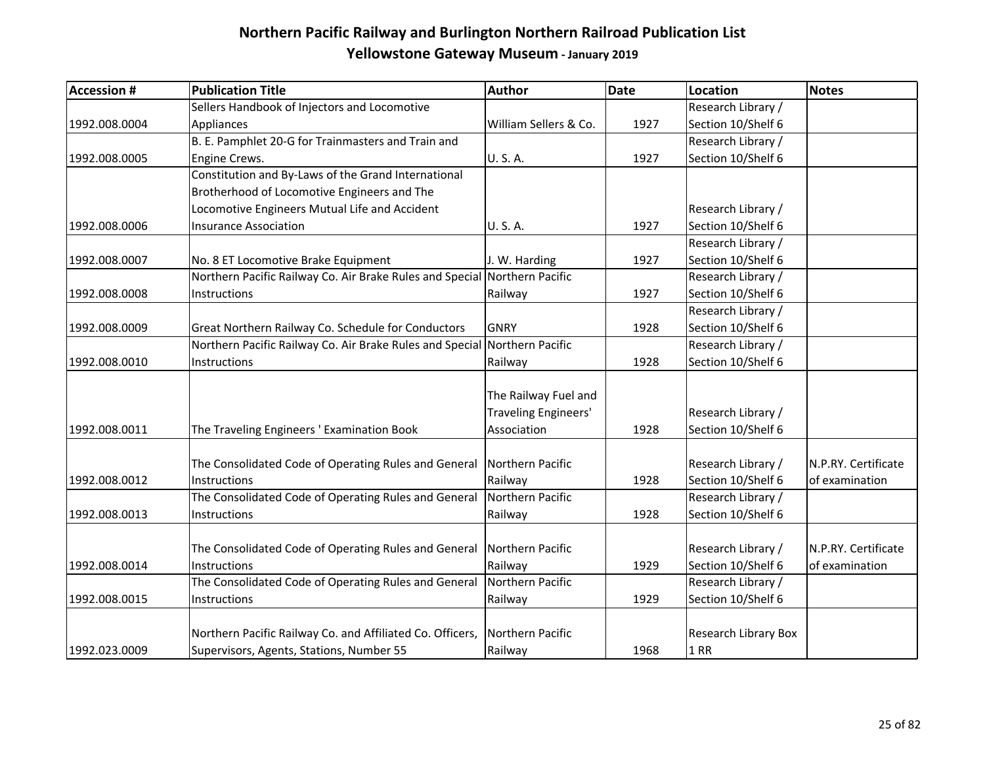| <b>Accession #</b> | <b>Publication Title</b>                                                  | Author                      | <b>Date</b> | Location             | <b>Notes</b>        |
|--------------------|---------------------------------------------------------------------------|-----------------------------|-------------|----------------------|---------------------|
|                    | Sellers Handbook of Injectors and Locomotive                              |                             |             | Research Library /   |                     |
| 1992.008.0004      | Appliances                                                                | William Sellers & Co.       | 1927        | Section 10/Shelf 6   |                     |
|                    | B. E. Pamphlet 20-G for Trainmasters and Train and                        |                             |             | Research Library /   |                     |
| 1992.008.0005      | Engine Crews.                                                             | U.S.A.                      | 1927        | Section 10/Shelf 6   |                     |
|                    | Constitution and By-Laws of the Grand International                       |                             |             |                      |                     |
|                    | Brotherhood of Locomotive Engineers and The                               |                             |             |                      |                     |
|                    | Locomotive Engineers Mutual Life and Accident                             |                             |             | Research Library /   |                     |
| 1992.008.0006      | <b>Insurance Association</b>                                              | U.S.A.                      | 1927        | Section 10/Shelf 6   |                     |
|                    |                                                                           |                             |             | Research Library /   |                     |
| 1992.008.0007      | No. 8 ET Locomotive Brake Equipment                                       | J. W. Harding               | 1927        | Section 10/Shelf 6   |                     |
|                    | Northern Pacific Railway Co. Air Brake Rules and Special Northern Pacific |                             |             | Research Library /   |                     |
| 1992.008.0008      | Instructions                                                              | Railway                     | 1927        | Section 10/Shelf 6   |                     |
|                    |                                                                           |                             |             | Research Library /   |                     |
| 1992.008.0009      | Great Northern Railway Co. Schedule for Conductors                        | <b>GNRY</b>                 | 1928        | Section 10/Shelf 6   |                     |
|                    | Northern Pacific Railway Co. Air Brake Rules and Special Northern Pacific |                             |             | Research Library /   |                     |
| 1992.008.0010      | Instructions                                                              | Railway                     | 1928        | Section 10/Shelf 6   |                     |
|                    |                                                                           |                             |             |                      |                     |
|                    |                                                                           | The Railway Fuel and        |             |                      |                     |
|                    |                                                                           | <b>Traveling Engineers'</b> |             | Research Library /   |                     |
| 1992.008.0011      | The Traveling Engineers ' Examination Book                                | Association                 | 1928        | Section 10/Shelf 6   |                     |
|                    |                                                                           |                             |             |                      |                     |
|                    | The Consolidated Code of Operating Rules and General                      | Northern Pacific            |             | Research Library /   | N.P.RY. Certificate |
| 1992.008.0012      | Instructions                                                              | Railway                     | 1928        | Section 10/Shelf 6   | of examination      |
|                    | The Consolidated Code of Operating Rules and General                      | Northern Pacific            |             | Research Library /   |                     |
| 1992.008.0013      | Instructions                                                              | Railway                     | 1928        | Section 10/Shelf 6   |                     |
|                    |                                                                           |                             |             |                      |                     |
|                    | The Consolidated Code of Operating Rules and General                      | Northern Pacific            |             | Research Library /   | N.P.RY. Certificate |
| 1992.008.0014      | Instructions                                                              | Railway                     | 1929        | Section 10/Shelf 6   | of examination      |
|                    | The Consolidated Code of Operating Rules and General                      | Northern Pacific            |             | Research Library /   |                     |
| 1992.008.0015      | Instructions                                                              | Railway                     | 1929        | Section 10/Shelf 6   |                     |
|                    |                                                                           |                             |             |                      |                     |
|                    | Northern Pacific Railway Co. and Affiliated Co. Officers,                 | Northern Pacific            |             | Research Library Box |                     |
| 1992.023.0009      | Supervisors, Agents, Stations, Number 55                                  | Railway                     | 1968        | <b>1 RR</b>          |                     |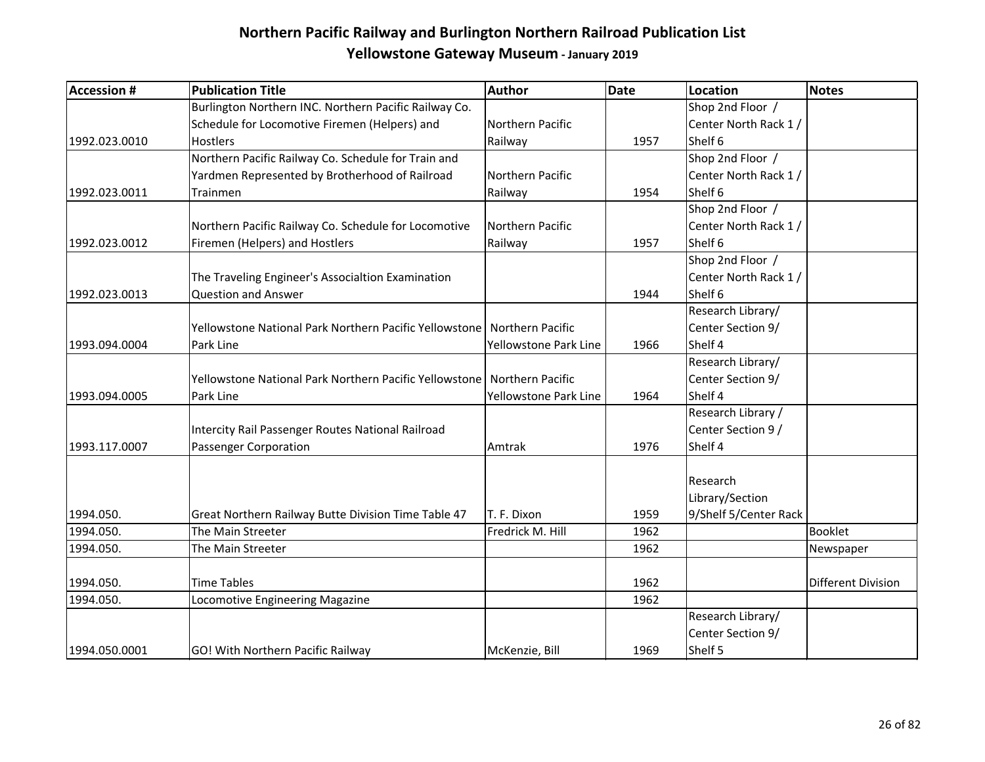| <b>Accession #</b> | <b>Publication Title</b>                                                | <b>Author</b>         | <b>Date</b> | <b>Location</b>       | Notes                     |
|--------------------|-------------------------------------------------------------------------|-----------------------|-------------|-----------------------|---------------------------|
|                    | Burlington Northern INC. Northern Pacific Railway Co.                   |                       |             | Shop 2nd Floor /      |                           |
|                    | Schedule for Locomotive Firemen (Helpers) and                           | Northern Pacific      |             | Center North Rack 1 / |                           |
| 1992.023.0010      | Hostlers                                                                | Railway               | 1957        | Shelf 6               |                           |
|                    | Northern Pacific Railway Co. Schedule for Train and                     |                       |             | Shop 2nd Floor /      |                           |
|                    | Yardmen Represented by Brotherhood of Railroad                          | Northern Pacific      |             | Center North Rack 1/  |                           |
| 1992.023.0011      | Trainmen                                                                | Railway               | 1954        | Shelf 6               |                           |
|                    |                                                                         |                       |             | Shop 2nd Floor /      |                           |
|                    | Northern Pacific Railway Co. Schedule for Locomotive                    | Northern Pacific      |             | Center North Rack 1 / |                           |
| 1992.023.0012      | Firemen (Helpers) and Hostlers                                          | Railway               | 1957        | Shelf 6               |                           |
|                    |                                                                         |                       |             | Shop 2nd Floor /      |                           |
|                    | The Traveling Engineer's Associaltion Examination                       |                       |             | Center North Rack 1/  |                           |
| 1992.023.0013      | <b>Question and Answer</b>                                              |                       | 1944        | Shelf 6               |                           |
|                    |                                                                         |                       |             | Research Library/     |                           |
|                    | Yellowstone National Park Northern Pacific Yellowstone Northern Pacific |                       |             | Center Section 9/     |                           |
| 1993.094.0004      | Park Line                                                               | Yellowstone Park Line | 1966        | Shelf 4               |                           |
|                    |                                                                         |                       |             | Research Library/     |                           |
|                    | Yellowstone National Park Northern Pacific Yellowstone                  | Northern Pacific      |             | Center Section 9/     |                           |
| 1993.094.0005      | Park Line                                                               | Yellowstone Park Line | 1964        | Shelf 4               |                           |
|                    |                                                                         |                       |             | Research Library /    |                           |
|                    | Intercity Rail Passenger Routes National Railroad                       |                       |             | Center Section 9 /    |                           |
| 1993.117.0007      | Passenger Corporation                                                   | Amtrak                | 1976        | Shelf 4               |                           |
|                    |                                                                         |                       |             | Research              |                           |
|                    |                                                                         |                       |             | Library/Section       |                           |
| 1994.050.          | Great Northern Railway Butte Division Time Table 47                     | T. F. Dixon           | 1959        | 9/Shelf 5/Center Rack |                           |
| 1994.050.          | The Main Streeter                                                       | Fredrick M. Hill      | 1962        |                       | Booklet                   |
| 1994.050.          | The Main Streeter                                                       |                       | 1962        |                       | Newspaper                 |
|                    |                                                                         |                       |             |                       |                           |
| 1994.050.          | <b>Time Tables</b>                                                      |                       | 1962        |                       | <b>Different Division</b> |
| 1994.050.          | Locomotive Engineering Magazine                                         |                       | 1962        |                       |                           |
|                    |                                                                         |                       |             | Research Library/     |                           |
|                    |                                                                         |                       |             | Center Section 9/     |                           |
| 1994.050.0001      | GO! With Northern Pacific Railway                                       | McKenzie, Bill        | 1969        | Shelf 5               |                           |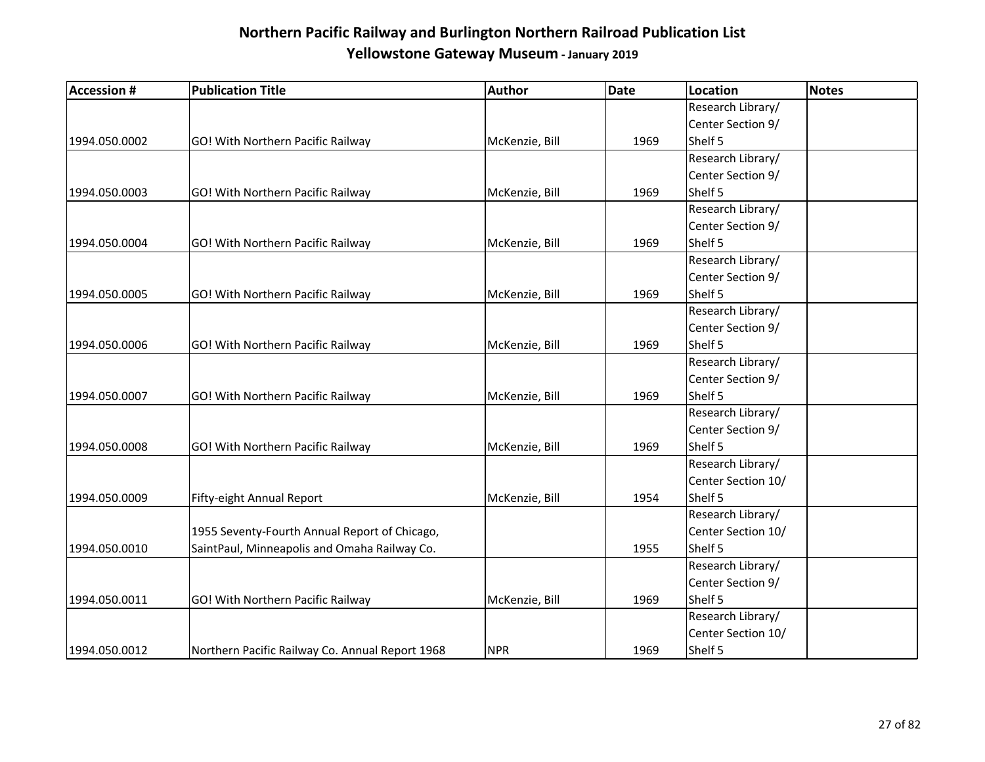| <b>Accession #</b> | <b>Publication Title</b>                        | Author         | Date | <b>Location</b>    | <b>Notes</b> |
|--------------------|-------------------------------------------------|----------------|------|--------------------|--------------|
|                    |                                                 |                |      | Research Library/  |              |
|                    |                                                 |                |      | Center Section 9/  |              |
| 1994.050.0002      | GO! With Northern Pacific Railway               | McKenzie, Bill | 1969 | Shelf 5            |              |
|                    |                                                 |                |      | Research Library/  |              |
|                    |                                                 |                |      | Center Section 9/  |              |
| 1994.050.0003      | GO! With Northern Pacific Railway               | McKenzie, Bill | 1969 | Shelf 5            |              |
|                    |                                                 |                |      | Research Library/  |              |
|                    |                                                 |                |      | Center Section 9/  |              |
| 1994.050.0004      | GO! With Northern Pacific Railway               | McKenzie, Bill | 1969 | Shelf 5            |              |
|                    |                                                 |                |      | Research Library/  |              |
|                    |                                                 |                |      | Center Section 9/  |              |
| 1994.050.0005      | GO! With Northern Pacific Railway               | McKenzie, Bill | 1969 | Shelf 5            |              |
|                    |                                                 |                |      | Research Library/  |              |
|                    |                                                 |                |      | Center Section 9/  |              |
| 1994.050.0006      | GO! With Northern Pacific Railway               | McKenzie, Bill | 1969 | Shelf 5            |              |
|                    |                                                 |                |      | Research Library/  |              |
|                    |                                                 |                |      | Center Section 9/  |              |
| 1994.050.0007      | GO! With Northern Pacific Railway               | McKenzie, Bill | 1969 | Shelf 5            |              |
|                    |                                                 |                |      | Research Library/  |              |
|                    |                                                 |                |      | Center Section 9/  |              |
| 1994.050.0008      | GO! With Northern Pacific Railway               | McKenzie, Bill | 1969 | Shelf 5            |              |
|                    |                                                 |                |      | Research Library/  |              |
|                    |                                                 |                |      | Center Section 10/ |              |
| 1994.050.0009      | Fifty-eight Annual Report                       | McKenzie, Bill | 1954 | Shelf 5            |              |
|                    |                                                 |                |      | Research Library/  |              |
|                    | 1955 Seventy-Fourth Annual Report of Chicago,   |                |      | Center Section 10/ |              |
| 1994.050.0010      | SaintPaul, Minneapolis and Omaha Railway Co.    |                | 1955 | Shelf 5            |              |
|                    |                                                 |                |      | Research Library/  |              |
|                    |                                                 |                |      | Center Section 9/  |              |
| 1994.050.0011      | GO! With Northern Pacific Railway               | McKenzie, Bill | 1969 | Shelf 5            |              |
|                    |                                                 |                |      | Research Library/  |              |
|                    |                                                 |                |      | Center Section 10/ |              |
| 1994.050.0012      | Northern Pacific Railway Co. Annual Report 1968 | <b>NPR</b>     | 1969 | Shelf 5            |              |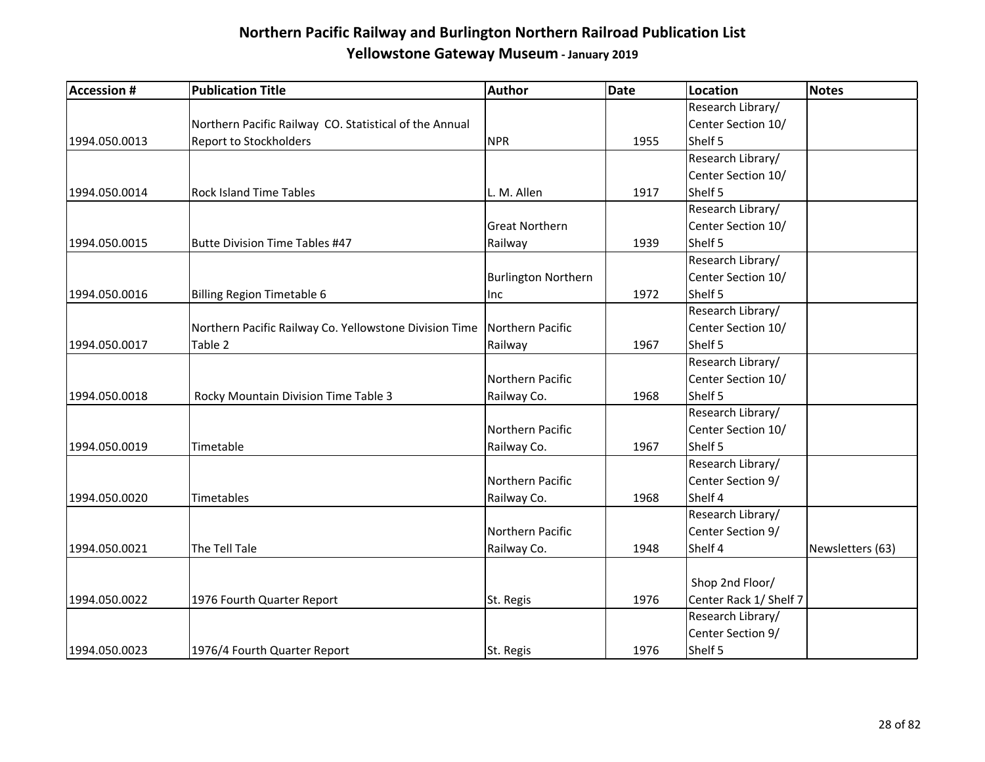| <b>Accession #</b> | <b>Publication Title</b>                               | Author                     | <b>Date</b> | Location               | <b>Notes</b>     |
|--------------------|--------------------------------------------------------|----------------------------|-------------|------------------------|------------------|
|                    |                                                        |                            |             | Research Library/      |                  |
|                    | Northern Pacific Railway CO. Statistical of the Annual |                            |             | Center Section 10/     |                  |
| 1994.050.0013      | <b>Report to Stockholders</b>                          | <b>NPR</b>                 | 1955        | Shelf 5                |                  |
|                    |                                                        |                            |             | Research Library/      |                  |
|                    |                                                        |                            |             | Center Section 10/     |                  |
| 1994.050.0014      | <b>Rock Island Time Tables</b>                         | L. M. Allen                | 1917        | Shelf 5                |                  |
|                    |                                                        |                            |             | Research Library/      |                  |
|                    |                                                        | <b>Great Northern</b>      |             | Center Section 10/     |                  |
| 1994.050.0015      | <b>Butte Division Time Tables #47</b>                  | Railway                    | 1939        | Shelf 5                |                  |
|                    |                                                        |                            |             | Research Library/      |                  |
|                    |                                                        | <b>Burlington Northern</b> |             | Center Section 10/     |                  |
| 1994.050.0016      | <b>Billing Region Timetable 6</b>                      | Inc                        | 1972        | Shelf 5                |                  |
|                    |                                                        |                            |             | Research Library/      |                  |
|                    | Northern Pacific Railway Co. Yellowstone Division Time | Northern Pacific           |             | Center Section 10/     |                  |
| 1994.050.0017      | Table 2                                                | Railway                    | 1967        | Shelf 5                |                  |
|                    |                                                        |                            |             | Research Library/      |                  |
|                    |                                                        | Northern Pacific           |             | Center Section 10/     |                  |
| 1994.050.0018      | Rocky Mountain Division Time Table 3                   | Railway Co.                | 1968        | Shelf 5                |                  |
|                    |                                                        |                            |             | Research Library/      |                  |
|                    |                                                        | Northern Pacific           |             | Center Section 10/     |                  |
| 1994.050.0019      | Timetable                                              | Railway Co.                | 1967        | Shelf 5                |                  |
|                    |                                                        |                            |             | Research Library/      |                  |
|                    |                                                        | Northern Pacific           |             | Center Section 9/      |                  |
| 1994.050.0020      | Timetables                                             | Railway Co.                | 1968        | Shelf 4                |                  |
|                    |                                                        |                            |             | Research Library/      |                  |
|                    |                                                        | Northern Pacific           |             | Center Section 9/      |                  |
| 1994.050.0021      | The Tell Tale                                          | Railway Co.                | 1948        | Shelf 4                | Newsletters (63) |
|                    |                                                        |                            |             |                        |                  |
|                    |                                                        |                            |             | Shop 2nd Floor/        |                  |
| 1994.050.0022      | 1976 Fourth Quarter Report                             | St. Regis                  | 1976        | Center Rack 1/ Shelf 7 |                  |
|                    |                                                        |                            |             | Research Library/      |                  |
|                    |                                                        |                            |             | Center Section 9/      |                  |
| 1994.050.0023      | 1976/4 Fourth Quarter Report                           | St. Regis                  | 1976        | Shelf 5                |                  |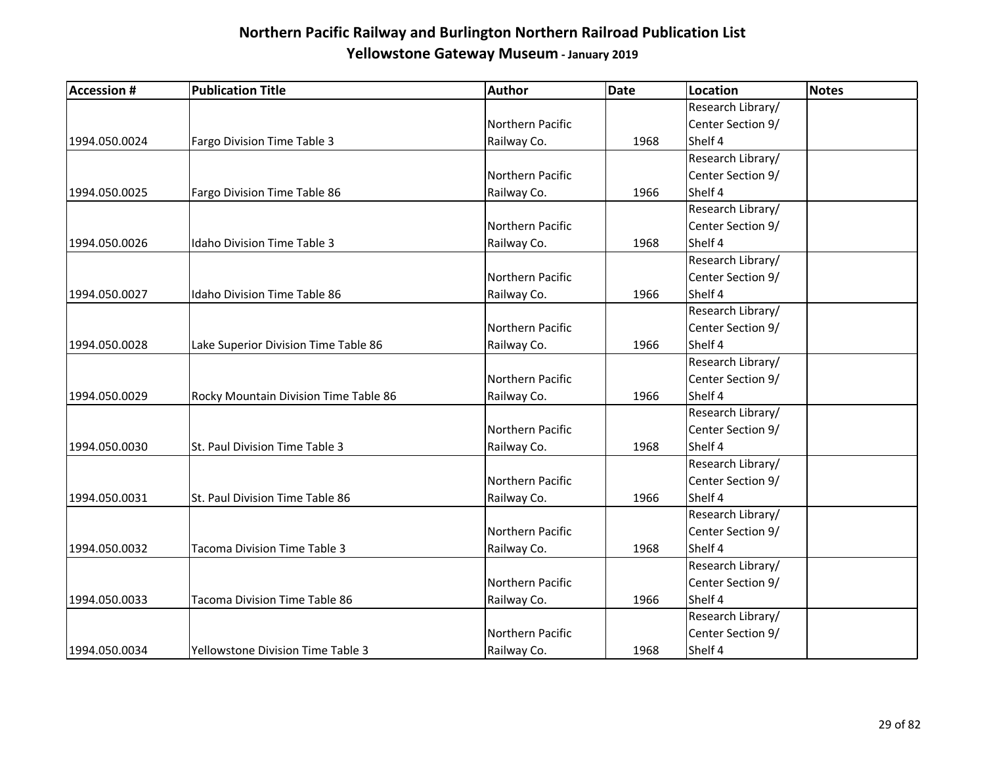| <b>Accession #</b> | <b>Publication Title</b>              | Author           | <b>Date</b> | <b>Location</b>   | <b>Notes</b> |
|--------------------|---------------------------------------|------------------|-------------|-------------------|--------------|
|                    |                                       |                  |             | Research Library/ |              |
|                    |                                       | Northern Pacific |             | Center Section 9/ |              |
| 1994.050.0024      | Fargo Division Time Table 3           | Railway Co.      | 1968        | Shelf 4           |              |
|                    |                                       |                  |             | Research Library/ |              |
|                    |                                       | Northern Pacific |             | Center Section 9/ |              |
| 1994.050.0025      | Fargo Division Time Table 86          | Railway Co.      | 1966        | Shelf 4           |              |
|                    |                                       |                  |             | Research Library/ |              |
|                    |                                       | Northern Pacific |             | Center Section 9/ |              |
| 1994.050.0026      | <b>Idaho Division Time Table 3</b>    | Railway Co.      | 1968        | Shelf 4           |              |
|                    |                                       |                  |             | Research Library/ |              |
|                    |                                       | Northern Pacific |             | Center Section 9/ |              |
| 1994.050.0027      | Idaho Division Time Table 86          | Railway Co.      | 1966        | Shelf 4           |              |
|                    |                                       |                  |             | Research Library/ |              |
|                    |                                       | Northern Pacific |             | Center Section 9/ |              |
| 1994.050.0028      | Lake Superior Division Time Table 86  | Railway Co.      | 1966        | Shelf 4           |              |
|                    |                                       |                  |             | Research Library/ |              |
|                    |                                       | Northern Pacific |             | Center Section 9/ |              |
| 1994.050.0029      | Rocky Mountain Division Time Table 86 | Railway Co.      | 1966        | Shelf 4           |              |
|                    |                                       |                  |             | Research Library/ |              |
|                    |                                       | Northern Pacific |             | Center Section 9/ |              |
| 1994.050.0030      | St. Paul Division Time Table 3        | Railway Co.      | 1968        | Shelf 4           |              |
|                    |                                       |                  |             | Research Library/ |              |
|                    |                                       | Northern Pacific |             | Center Section 9/ |              |
| 1994.050.0031      | St. Paul Division Time Table 86       | Railway Co.      | 1966        | Shelf 4           |              |
|                    |                                       |                  |             | Research Library/ |              |
|                    |                                       | Northern Pacific |             | Center Section 9/ |              |
| 1994.050.0032      | Tacoma Division Time Table 3          | Railway Co.      | 1968        | Shelf 4           |              |
|                    |                                       |                  |             | Research Library/ |              |
|                    |                                       | Northern Pacific |             | Center Section 9/ |              |
| 1994.050.0033      | Tacoma Division Time Table 86         | Railway Co.      | 1966        | Shelf 4           |              |
|                    |                                       |                  |             | Research Library/ |              |
|                    |                                       | Northern Pacific |             | Center Section 9/ |              |
| 1994.050.0034      | Yellowstone Division Time Table 3     | Railway Co.      | 1968        | Shelf 4           |              |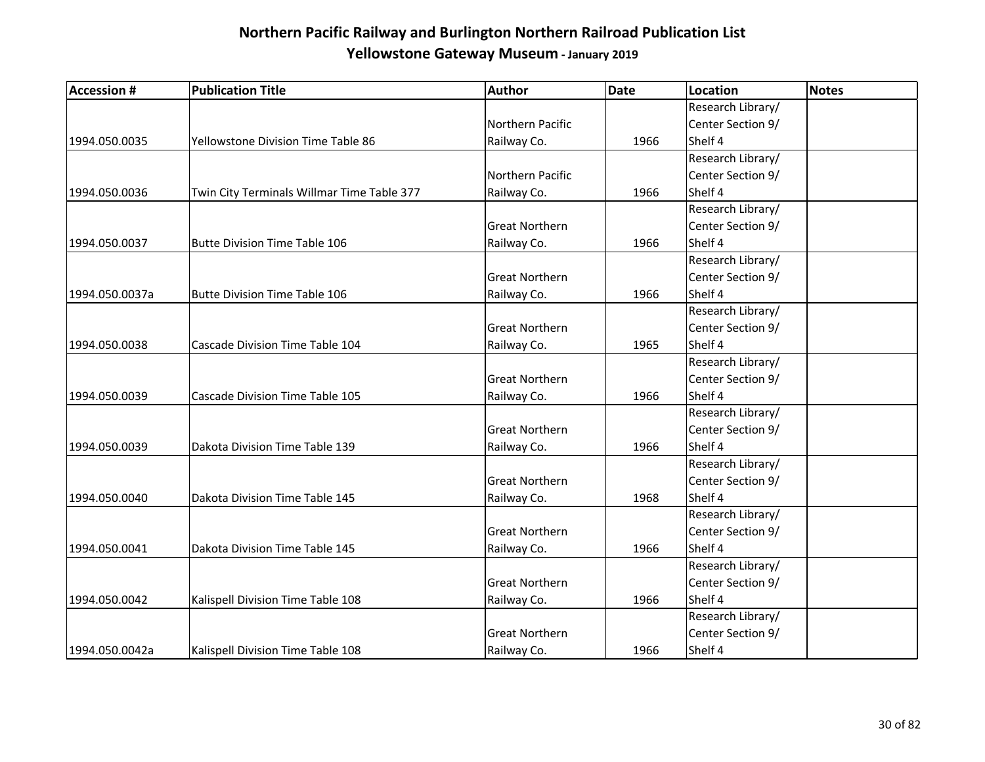| <b>Accession #</b> | <b>Publication Title</b>                   | <b>Author</b>         | <b>Date</b> | <b>Location</b>   | <b>Notes</b> |
|--------------------|--------------------------------------------|-----------------------|-------------|-------------------|--------------|
|                    |                                            |                       |             | Research Library/ |              |
|                    |                                            | Northern Pacific      |             | Center Section 9/ |              |
| 1994.050.0035      | Yellowstone Division Time Table 86         | Railway Co.           | 1966        | Shelf 4           |              |
|                    |                                            |                       |             | Research Library/ |              |
|                    |                                            | Northern Pacific      |             | Center Section 9/ |              |
| 1994.050.0036      | Twin City Terminals Willmar Time Table 377 | Railway Co.           | 1966        | Shelf 4           |              |
|                    |                                            |                       |             | Research Library/ |              |
|                    |                                            | <b>Great Northern</b> |             | Center Section 9/ |              |
| 1994.050.0037      | <b>Butte Division Time Table 106</b>       | Railway Co.           | 1966        | Shelf 4           |              |
|                    |                                            |                       |             | Research Library/ |              |
|                    |                                            | <b>Great Northern</b> |             | Center Section 9/ |              |
| 1994.050.0037a     | <b>Butte Division Time Table 106</b>       | Railway Co.           | 1966        | Shelf 4           |              |
|                    |                                            |                       |             | Research Library/ |              |
|                    |                                            | <b>Great Northern</b> |             | Center Section 9/ |              |
| 1994.050.0038      | Cascade Division Time Table 104            | Railway Co.           | 1965        | Shelf 4           |              |
|                    |                                            |                       |             | Research Library/ |              |
|                    |                                            | <b>Great Northern</b> |             | Center Section 9/ |              |
| 1994.050.0039      | Cascade Division Time Table 105            | Railway Co.           | 1966        | Shelf 4           |              |
|                    |                                            |                       |             | Research Library/ |              |
|                    |                                            | <b>Great Northern</b> |             | Center Section 9/ |              |
| 1994.050.0039      | Dakota Division Time Table 139             | Railway Co.           | 1966        | Shelf 4           |              |
|                    |                                            |                       |             | Research Library/ |              |
|                    |                                            | <b>Great Northern</b> |             | Center Section 9/ |              |
| 1994.050.0040      | Dakota Division Time Table 145             | Railway Co.           | 1968        | Shelf 4           |              |
|                    |                                            |                       |             | Research Library/ |              |
|                    |                                            | <b>Great Northern</b> |             | Center Section 9/ |              |
| 1994.050.0041      | Dakota Division Time Table 145             | Railway Co.           | 1966        | Shelf 4           |              |
|                    |                                            |                       |             | Research Library/ |              |
|                    |                                            | <b>Great Northern</b> |             | Center Section 9/ |              |
| 1994.050.0042      | Kalispell Division Time Table 108          | Railway Co.           | 1966        | Shelf 4           |              |
|                    |                                            |                       |             | Research Library/ |              |
|                    |                                            | <b>Great Northern</b> |             | Center Section 9/ |              |
| 1994.050.0042a     | Kalispell Division Time Table 108          | Railway Co.           | 1966        | Shelf 4           |              |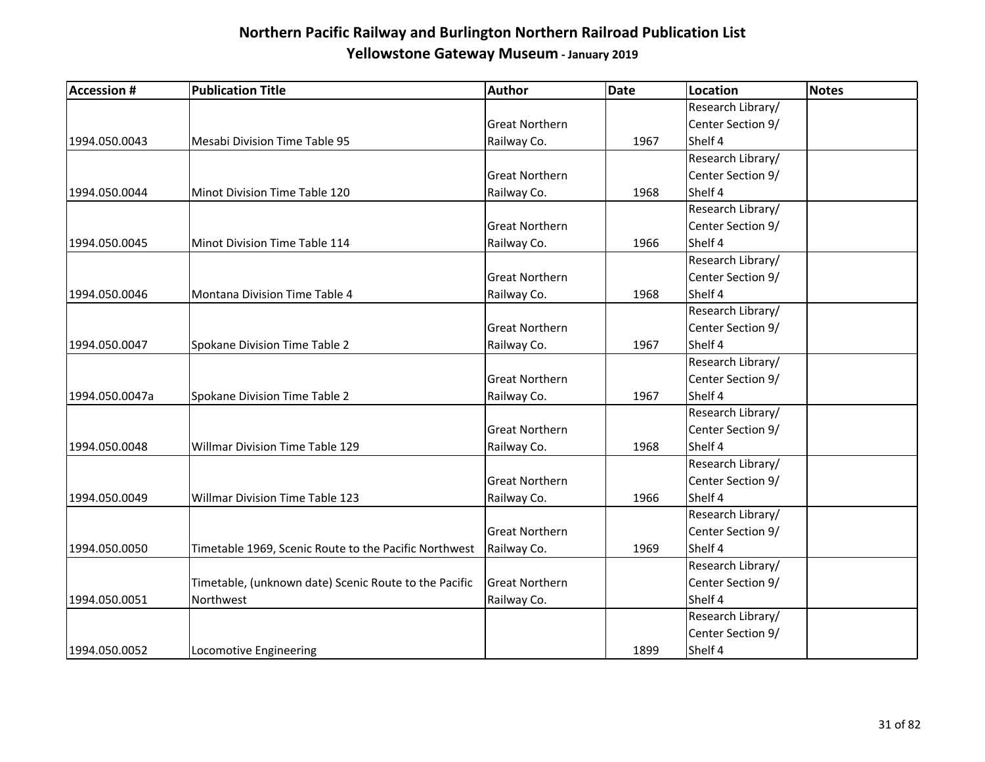| <b>Accession #</b> | <b>Publication Title</b>                              | <b>Author</b>         | <b>Date</b> | Location          | <b>Notes</b> |
|--------------------|-------------------------------------------------------|-----------------------|-------------|-------------------|--------------|
|                    |                                                       |                       |             | Research Library/ |              |
|                    |                                                       | <b>Great Northern</b> |             | Center Section 9/ |              |
| 1994.050.0043      | Mesabi Division Time Table 95                         | Railway Co.           | 1967        | Shelf 4           |              |
|                    |                                                       |                       |             | Research Library/ |              |
|                    |                                                       | <b>Great Northern</b> |             | Center Section 9/ |              |
| 1994.050.0044      | Minot Division Time Table 120                         | Railway Co.           | 1968        | Shelf 4           |              |
|                    |                                                       |                       |             | Research Library/ |              |
|                    |                                                       | <b>Great Northern</b> |             | Center Section 9/ |              |
| 1994.050.0045      | Minot Division Time Table 114                         | Railway Co.           | 1966        | Shelf 4           |              |
|                    |                                                       |                       |             | Research Library/ |              |
|                    |                                                       | <b>Great Northern</b> |             | Center Section 9/ |              |
| 1994.050.0046      | Montana Division Time Table 4                         | Railway Co.           | 1968        | Shelf 4           |              |
|                    |                                                       |                       |             | Research Library/ |              |
|                    |                                                       | <b>Great Northern</b> |             | Center Section 9/ |              |
| 1994.050.0047      | Spokane Division Time Table 2                         | Railway Co.           | 1967        | Shelf 4           |              |
|                    |                                                       |                       |             | Research Library/ |              |
|                    |                                                       | <b>Great Northern</b> |             | Center Section 9/ |              |
| 1994.050.0047a     | Spokane Division Time Table 2                         | Railway Co.           | 1967        | Shelf 4           |              |
|                    |                                                       |                       |             | Research Library/ |              |
|                    |                                                       | <b>Great Northern</b> |             | Center Section 9/ |              |
| 1994.050.0048      | <b>Willmar Division Time Table 129</b>                | Railway Co.           | 1968        | Shelf 4           |              |
|                    |                                                       |                       |             | Research Library/ |              |
|                    |                                                       | <b>Great Northern</b> |             | Center Section 9/ |              |
| 1994.050.0049      | <b>Willmar Division Time Table 123</b>                | Railway Co.           | 1966        | Shelf 4           |              |
|                    |                                                       |                       |             | Research Library/ |              |
|                    |                                                       | <b>Great Northern</b> |             | Center Section 9/ |              |
| 1994.050.0050      | Timetable 1969, Scenic Route to the Pacific Northwest | Railway Co.           | 1969        | Shelf 4           |              |
|                    |                                                       |                       |             | Research Library/ |              |
|                    | Timetable, (unknown date) Scenic Route to the Pacific | <b>Great Northern</b> |             | Center Section 9/ |              |
| 1994.050.0051      | Northwest                                             | Railway Co.           |             | Shelf 4           |              |
|                    |                                                       |                       |             | Research Library/ |              |
|                    |                                                       |                       |             | Center Section 9/ |              |
| 1994.050.0052      | Locomotive Engineering                                |                       | 1899        | Shelf 4           |              |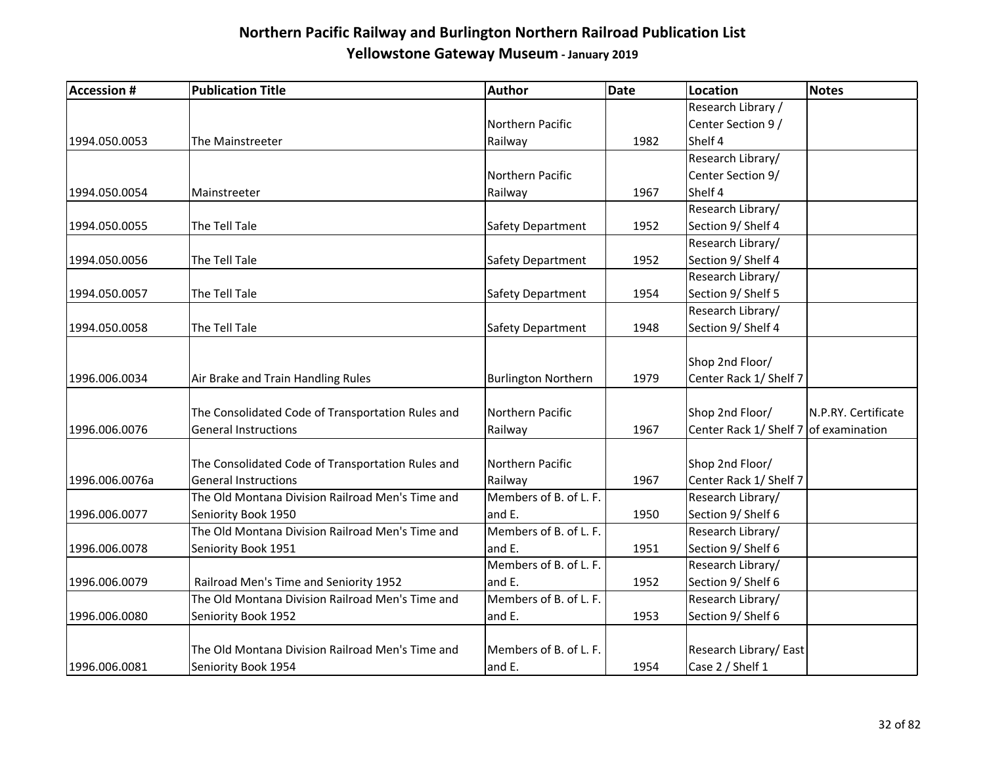| <b>Accession #</b> | <b>Publication Title</b>                          | Author                     | <b>Date</b> | <b>Location</b>        | <b>Notes</b>        |
|--------------------|---------------------------------------------------|----------------------------|-------------|------------------------|---------------------|
|                    |                                                   |                            |             | Research Library /     |                     |
|                    |                                                   | Northern Pacific           |             | Center Section 9 /     |                     |
| 1994.050.0053      | The Mainstreeter                                  | Railway                    | 1982        | Shelf 4                |                     |
|                    |                                                   |                            |             | Research Library/      |                     |
|                    |                                                   | Northern Pacific           |             | Center Section 9/      |                     |
| 1994.050.0054      | Mainstreeter                                      | Railway                    | 1967        | Shelf 4                |                     |
|                    |                                                   |                            |             | Research Library/      |                     |
| 1994.050.0055      | The Tell Tale                                     | Safety Department          | 1952        | Section 9/ Shelf 4     |                     |
|                    |                                                   |                            |             | Research Library/      |                     |
| 1994.050.0056      | The Tell Tale                                     | Safety Department          | 1952        | Section 9/ Shelf 4     |                     |
|                    |                                                   |                            |             | Research Library/      |                     |
| 1994.050.0057      | The Tell Tale                                     | Safety Department          | 1954        | Section 9/ Shelf 5     |                     |
|                    |                                                   |                            |             | Research Library/      |                     |
| 1994.050.0058      | The Tell Tale                                     | Safety Department          | 1948        | Section 9/ Shelf 4     |                     |
|                    |                                                   |                            |             |                        |                     |
|                    |                                                   |                            |             | Shop 2nd Floor/        |                     |
| 1996.006.0034      | Air Brake and Train Handling Rules                | <b>Burlington Northern</b> | 1979        | Center Rack 1/ Shelf 7 |                     |
|                    |                                                   |                            |             |                        |                     |
|                    | The Consolidated Code of Transportation Rules and | Northern Pacific           |             | Shop 2nd Floor/        | N.P.RY. Certificate |
| 1996.006.0076      | <b>General Instructions</b>                       | Railway                    | 1967        | Center Rack 1/ Shelf 7 | of examination      |
|                    |                                                   |                            |             |                        |                     |
|                    | The Consolidated Code of Transportation Rules and | Northern Pacific           |             | Shop 2nd Floor/        |                     |
| 1996.006.0076a     | <b>General Instructions</b>                       | Railway                    | 1967        | Center Rack 1/ Shelf 7 |                     |
|                    | The Old Montana Division Railroad Men's Time and  | Members of B. of L. F.     |             | Research Library/      |                     |
| 1996.006.0077      | Seniority Book 1950                               | and E.                     | 1950        | Section 9/ Shelf 6     |                     |
|                    | The Old Montana Division Railroad Men's Time and  | Members of B. of L. F.     |             | Research Library/      |                     |
| 1996.006.0078      | Seniority Book 1951                               | and E.                     | 1951        | Section 9/ Shelf 6     |                     |
|                    |                                                   | Members of B. of L. F.     |             | Research Library/      |                     |
| 1996.006.0079      | Railroad Men's Time and Seniority 1952            | and E.                     | 1952        | Section 9/ Shelf 6     |                     |
|                    | The Old Montana Division Railroad Men's Time and  | Members of B. of L. F.     |             | Research Library/      |                     |
| 1996.006.0080      | Seniority Book 1952                               | and E.                     | 1953        | Section 9/ Shelf 6     |                     |
|                    |                                                   |                            |             |                        |                     |
|                    | The Old Montana Division Railroad Men's Time and  | Members of B. of L. F.     |             | Research Library/East  |                     |
| 1996.006.0081      | Seniority Book 1954                               | and E.                     | 1954        | Case 2 / Shelf 1       |                     |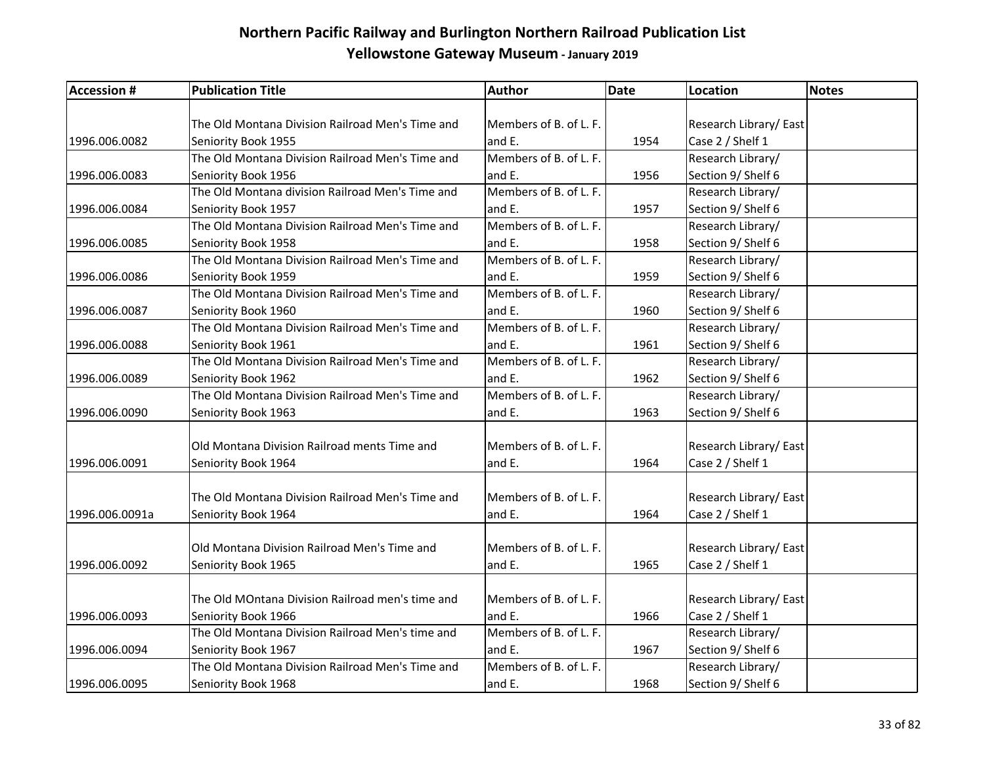| <b>Accession #</b> | <b>Publication Title</b>                         | Author                 | <b>Date</b> | Location              | <b>Notes</b> |
|--------------------|--------------------------------------------------|------------------------|-------------|-----------------------|--------------|
|                    |                                                  |                        |             |                       |              |
|                    | The Old Montana Division Railroad Men's Time and | Members of B. of L. F. |             | Research Library/East |              |
| 1996.006.0082      | Seniority Book 1955                              | and E.                 | 1954        | Case 2 / Shelf 1      |              |
|                    | The Old Montana Division Railroad Men's Time and | Members of B. of L. F. |             | Research Library/     |              |
| 1996.006.0083      | Seniority Book 1956                              | and E.                 | 1956        | Section 9/ Shelf 6    |              |
|                    | The Old Montana division Railroad Men's Time and | Members of B. of L. F. |             | Research Library/     |              |
| 1996.006.0084      | Seniority Book 1957                              | and E.                 | 1957        | Section 9/ Shelf 6    |              |
|                    | The Old Montana Division Railroad Men's Time and | Members of B. of L. F. |             | Research Library/     |              |
| 1996.006.0085      | Seniority Book 1958                              | and E.                 | 1958        | Section 9/ Shelf 6    |              |
|                    | The Old Montana Division Railroad Men's Time and | Members of B. of L. F. |             | Research Library/     |              |
| 1996.006.0086      | Seniority Book 1959                              | and E.                 | 1959        | Section 9/ Shelf 6    |              |
|                    | The Old Montana Division Railroad Men's Time and | Members of B. of L. F. |             | Research Library/     |              |
| 1996.006.0087      | Seniority Book 1960                              | and E.                 | 1960        | Section 9/ Shelf 6    |              |
|                    | The Old Montana Division Railroad Men's Time and | Members of B. of L. F. |             | Research Library/     |              |
| 1996.006.0088      | Seniority Book 1961                              | and E.                 | 1961        | Section 9/ Shelf 6    |              |
|                    | The Old Montana Division Railroad Men's Time and | Members of B. of L. F. |             | Research Library/     |              |
| 1996.006.0089      | Seniority Book 1962                              | and E.                 | 1962        | Section 9/ Shelf 6    |              |
|                    | The Old Montana Division Railroad Men's Time and | Members of B. of L. F. |             | Research Library/     |              |
| 1996.006.0090      | Seniority Book 1963                              | and E.                 | 1963        | Section 9/ Shelf 6    |              |
|                    |                                                  |                        |             |                       |              |
|                    | Old Montana Division Railroad ments Time and     | Members of B. of L. F. |             | Research Library/East |              |
| 1996.006.0091      | Seniority Book 1964                              | and E.                 | 1964        | Case 2 / Shelf 1      |              |
|                    | The Old Montana Division Railroad Men's Time and | Members of B. of L. F. |             | Research Library/East |              |
| 1996.006.0091a     | Seniority Book 1964                              | and E.                 | 1964        | Case 2 / Shelf 1      |              |
|                    |                                                  |                        |             |                       |              |
|                    | Old Montana Division Railroad Men's Time and     | Members of B. of L. F. |             | Research Library/East |              |
| 1996.006.0092      | Seniority Book 1965                              | and E.                 | 1965        | Case 2 / Shelf 1      |              |
|                    |                                                  |                        |             |                       |              |
|                    | The Old MOntana Division Railroad men's time and | Members of B. of L. F. |             | Research Library/East |              |
| 1996.006.0093      | Seniority Book 1966                              | and E.                 | 1966        | Case 2 / Shelf 1      |              |
|                    | The Old Montana Division Railroad Men's time and | Members of B. of L. F. |             | Research Library/     |              |
| 1996.006.0094      | Seniority Book 1967                              | and E.                 | 1967        | Section 9/ Shelf 6    |              |
|                    | The Old Montana Division Railroad Men's Time and | Members of B. of L. F. |             | Research Library/     |              |
| 1996.006.0095      | Seniority Book 1968                              | and E.                 | 1968        | Section 9/ Shelf 6    |              |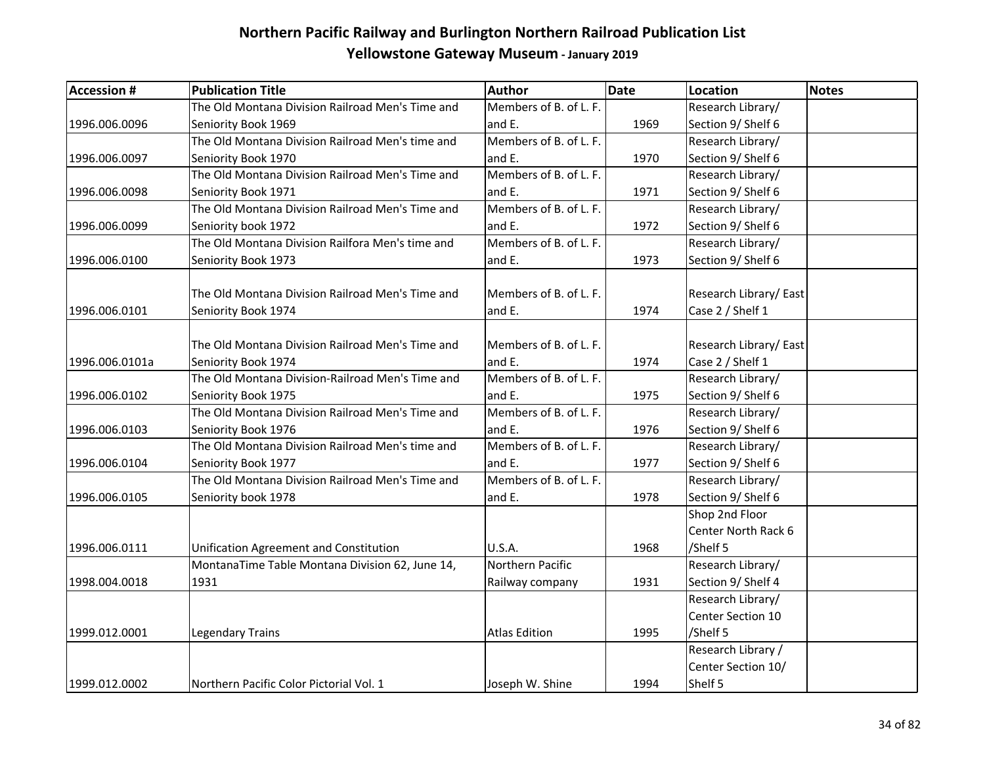| <b>Accession #</b> | <b>Publication Title</b>                         | Author                 | Date | Location              | Notes |
|--------------------|--------------------------------------------------|------------------------|------|-----------------------|-------|
|                    | The Old Montana Division Railroad Men's Time and | Members of B. of L. F. |      | Research Library/     |       |
| 1996.006.0096      | Seniority Book 1969                              | and E.                 | 1969 | Section 9/ Shelf 6    |       |
|                    | The Old Montana Division Railroad Men's time and | Members of B. of L. F. |      | Research Library/     |       |
| 1996.006.0097      | Seniority Book 1970                              | and E.                 | 1970 | Section 9/ Shelf 6    |       |
|                    | The Old Montana Division Railroad Men's Time and | Members of B. of L. F. |      | Research Library/     |       |
| 1996.006.0098      | Seniority Book 1971                              | and E.                 | 1971 | Section 9/ Shelf 6    |       |
|                    | The Old Montana Division Railroad Men's Time and | Members of B. of L. F. |      | Research Library/     |       |
| 1996.006.0099      | Seniority book 1972                              | and E.                 | 1972 | Section 9/ Shelf 6    |       |
|                    | The Old Montana Division Railfora Men's time and | Members of B. of L. F. |      | Research Library/     |       |
| 1996.006.0100      | Seniority Book 1973                              | and E.                 | 1973 | Section 9/ Shelf 6    |       |
|                    |                                                  |                        |      |                       |       |
|                    | The Old Montana Division Railroad Men's Time and | Members of B. of L. F. |      | Research Library/East |       |
| 1996.006.0101      | Seniority Book 1974                              | and E.                 | 1974 | Case 2 / Shelf 1      |       |
|                    | The Old Montana Division Railroad Men's Time and | Members of B. of L. F. |      | Research Library/East |       |
| 1996.006.0101a     | Seniority Book 1974                              | and E.                 | 1974 | Case 2 / Shelf 1      |       |
|                    | The Old Montana Division-Railroad Men's Time and | Members of B. of L. F. |      | Research Library/     |       |
| 1996.006.0102      | Seniority Book 1975                              | and E.                 | 1975 | Section 9/ Shelf 6    |       |
|                    | The Old Montana Division Railroad Men's Time and | Members of B. of L. F. |      | Research Library/     |       |
| 1996.006.0103      | Seniority Book 1976                              | and E.                 | 1976 | Section 9/ Shelf 6    |       |
|                    | The Old Montana Division Railroad Men's time and | Members of B. of L. F. |      | Research Library/     |       |
| 1996.006.0104      | Seniority Book 1977                              | and E.                 | 1977 | Section 9/ Shelf 6    |       |
|                    | The Old Montana Division Railroad Men's Time and | Members of B. of L. F. |      | Research Library/     |       |
| 1996.006.0105      | Seniority book 1978                              | and E.                 | 1978 | Section 9/ Shelf 6    |       |
|                    |                                                  |                        |      | Shop 2nd Floor        |       |
|                    |                                                  |                        |      | Center North Rack 6   |       |
| 1996.006.0111      | Unification Agreement and Constitution           | <b>U.S.A.</b>          | 1968 | /Shelf 5              |       |
|                    | MontanaTime Table Montana Division 62, June 14,  | Northern Pacific       |      | Research Library/     |       |
| 1998.004.0018      | 1931                                             | Railway company        | 1931 | Section 9/ Shelf 4    |       |
|                    |                                                  |                        |      | Research Library/     |       |
|                    |                                                  |                        |      | Center Section 10     |       |
| 1999.012.0001      | <b>Legendary Trains</b>                          | Atlas Edition          | 1995 | /Shelf 5              |       |
|                    |                                                  |                        |      | Research Library /    |       |
|                    |                                                  |                        |      | Center Section 10/    |       |
| 1999.012.0002      | Northern Pacific Color Pictorial Vol. 1          | Joseph W. Shine        | 1994 | Shelf 5               |       |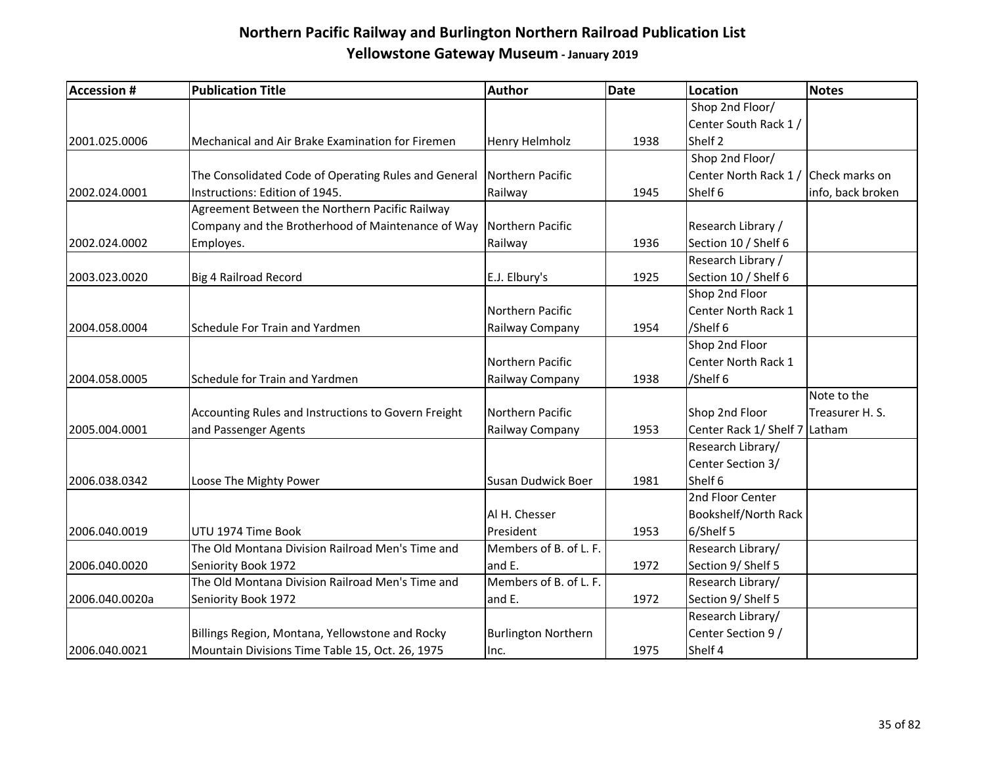| <b>Accession #</b> | <b>Publication Title</b>                             | Author                     | <b>Date</b> | Location                      | Notes             |
|--------------------|------------------------------------------------------|----------------------------|-------------|-------------------------------|-------------------|
|                    |                                                      |                            |             | Shop 2nd Floor/               |                   |
|                    |                                                      |                            |             | Center South Rack 1 /         |                   |
| 2001.025.0006      | Mechanical and Air Brake Examination for Firemen     | <b>Henry Helmholz</b>      | 1938        | Shelf 2                       |                   |
|                    |                                                      |                            |             | Shop 2nd Floor/               |                   |
|                    | The Consolidated Code of Operating Rules and General | Northern Pacific           |             | Center North Rack 1 /         | Check marks on    |
| 2002.024.0001      | Instructions: Edition of 1945.                       | Railway                    | 1945        | Shelf 6                       | info, back broken |
|                    | Agreement Between the Northern Pacific Railway       |                            |             |                               |                   |
|                    | Company and the Brotherhood of Maintenance of Way    | Northern Pacific           |             | Research Library /            |                   |
| 2002.024.0002      | Employes.                                            | Railway                    | 1936        | Section 10 / Shelf 6          |                   |
|                    |                                                      |                            |             | Research Library /            |                   |
| 2003.023.0020      | <b>Big 4 Railroad Record</b>                         | E.J. Elbury's              | 1925        | Section 10 / Shelf 6          |                   |
|                    |                                                      |                            |             | Shop 2nd Floor                |                   |
|                    |                                                      | Northern Pacific           |             | Center North Rack 1           |                   |
| 2004.058.0004      | Schedule For Train and Yardmen                       | Railway Company            | 1954        | /Shelf 6                      |                   |
|                    |                                                      |                            |             | Shop 2nd Floor                |                   |
|                    |                                                      | Northern Pacific           |             | Center North Rack 1           |                   |
| 2004.058.0005      | Schedule for Train and Yardmen                       | Railway Company            | 1938        | /Shelf 6                      |                   |
|                    |                                                      |                            |             |                               | Note to the       |
|                    | Accounting Rules and Instructions to Govern Freight  | Northern Pacific           |             | Shop 2nd Floor                | Treasurer H. S.   |
| 2005.004.0001      | and Passenger Agents                                 | Railway Company            | 1953        | Center Rack 1/ Shelf 7 Latham |                   |
|                    |                                                      |                            |             | Research Library/             |                   |
|                    |                                                      |                            |             | Center Section 3/             |                   |
| 2006.038.0342      | Loose The Mighty Power                               | Susan Dudwick Boer         | 1981        | Shelf 6                       |                   |
|                    |                                                      |                            |             | 2nd Floor Center              |                   |
|                    |                                                      | Al H. Chesser              |             | Bookshelf/North Rack          |                   |
| 2006.040.0019      | UTU 1974 Time Book                                   | President                  | 1953        | 6/Shelf 5                     |                   |
|                    | The Old Montana Division Railroad Men's Time and     | Members of B. of L. F.     |             | Research Library/             |                   |
| 2006.040.0020      | Seniority Book 1972                                  | and E.                     | 1972        | Section 9/ Shelf 5            |                   |
|                    | The Old Montana Division Railroad Men's Time and     | Members of B. of L. F.     |             | Research Library/             |                   |
| 2006.040.0020a     | Seniority Book 1972                                  | and E.                     | 1972        | Section 9/ Shelf 5            |                   |
|                    |                                                      |                            |             | Research Library/             |                   |
|                    | Billings Region, Montana, Yellowstone and Rocky      | <b>Burlington Northern</b> |             | Center Section 9 /            |                   |
| 2006.040.0021      | Mountain Divisions Time Table 15, Oct. 26, 1975      | lnc.                       | 1975        | Shelf 4                       |                   |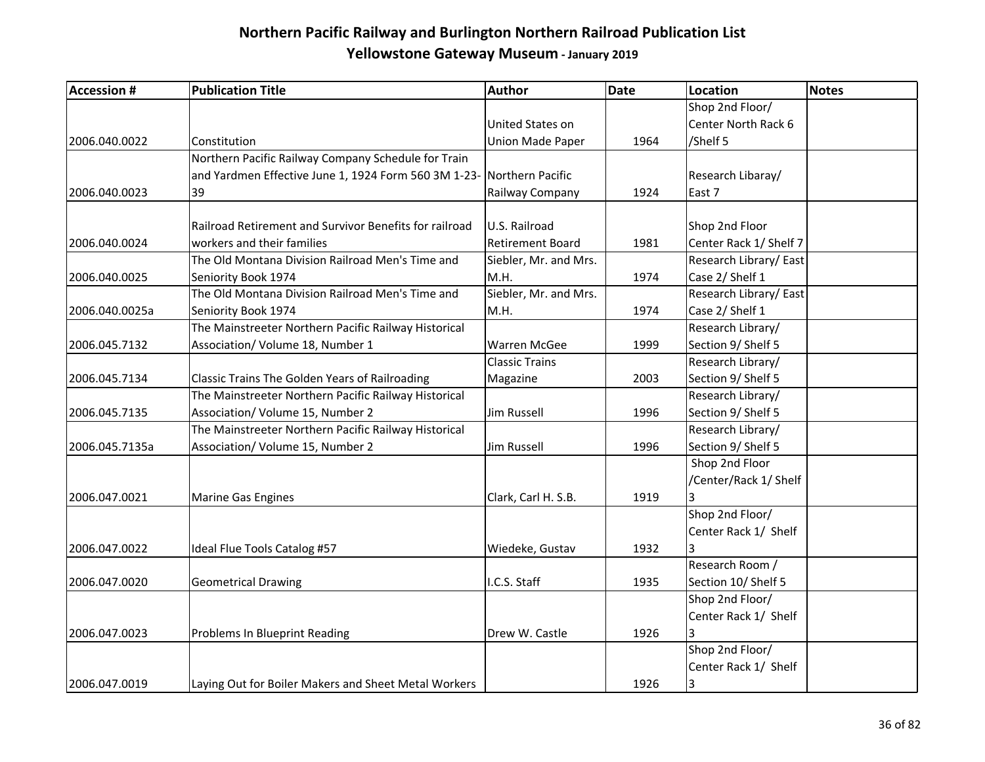| <b>Accession #</b> | <b>Publication Title</b>                                              | Author                  | <b>Date</b> | Location               | <b>Notes</b> |
|--------------------|-----------------------------------------------------------------------|-------------------------|-------------|------------------------|--------------|
|                    |                                                                       |                         |             | Shop 2nd Floor/        |              |
|                    |                                                                       | United States on        |             | Center North Rack 6    |              |
| 2006.040.0022      | Constitution                                                          | <b>Union Made Paper</b> | 1964        | /Shelf 5               |              |
|                    | Northern Pacific Railway Company Schedule for Train                   |                         |             |                        |              |
|                    | and Yardmen Effective June 1, 1924 Form 560 3M 1-23- Northern Pacific |                         |             | Research Libaray/      |              |
| 2006.040.0023      | 39                                                                    | Railway Company         | 1924        | East 7                 |              |
|                    | Railroad Retirement and Survivor Benefits for railroad                | U.S. Railroad           |             | Shop 2nd Floor         |              |
| 2006.040.0024      | workers and their families                                            | <b>Retirement Board</b> | 1981        | Center Rack 1/ Shelf 7 |              |
|                    | The Old Montana Division Railroad Men's Time and                      | Siebler, Mr. and Mrs.   |             | Research Library/East  |              |
| 2006.040.0025      | Seniority Book 1974                                                   | M.H.                    | 1974        | Case 2/ Shelf 1        |              |
|                    | The Old Montana Division Railroad Men's Time and                      | Siebler, Mr. and Mrs.   |             | Research Library/East  |              |
| 2006.040.0025a     | Seniority Book 1974                                                   | M.H.                    | 1974        | Case 2/ Shelf 1        |              |
|                    | The Mainstreeter Northern Pacific Railway Historical                  |                         |             | Research Library/      |              |
| 2006.045.7132      | Association/ Volume 18, Number 1                                      | <b>Warren McGee</b>     | 1999        | Section 9/ Shelf 5     |              |
|                    |                                                                       | <b>Classic Trains</b>   |             | Research Library/      |              |
| 2006.045.7134      | Classic Trains The Golden Years of Railroading                        | Magazine                | 2003        | Section 9/ Shelf 5     |              |
|                    | The Mainstreeter Northern Pacific Railway Historical                  |                         |             | Research Library/      |              |
| 2006.045.7135      | Association/ Volume 15, Number 2                                      | Jim Russell             | 1996        | Section 9/ Shelf 5     |              |
|                    | The Mainstreeter Northern Pacific Railway Historical                  |                         |             | Research Library/      |              |
| 2006.045.7135a     | Association/ Volume 15, Number 2                                      | Jim Russell             | 1996        | Section 9/ Shelf 5     |              |
|                    |                                                                       |                         |             | Shop 2nd Floor         |              |
|                    |                                                                       |                         |             | /Center/Rack 1/ Shelf  |              |
| 2006.047.0021      | <b>Marine Gas Engines</b>                                             | Clark, Carl H. S.B.     | 1919        |                        |              |
|                    |                                                                       |                         |             | Shop 2nd Floor/        |              |
|                    |                                                                       |                         |             | Center Rack 1/ Shelf   |              |
| 2006.047.0022      | Ideal Flue Tools Catalog #57                                          | Wiedeke, Gustav         | 1932        |                        |              |
|                    |                                                                       |                         |             | Research Room /        |              |
| 2006.047.0020      | <b>Geometrical Drawing</b>                                            | I.C.S. Staff            | 1935        | Section 10/ Shelf 5    |              |
|                    |                                                                       |                         |             | Shop 2nd Floor/        |              |
|                    |                                                                       |                         |             | Center Rack 1/ Shelf   |              |
| 2006.047.0023      | Problems In Blueprint Reading                                         | Drew W. Castle          | 1926        | 3                      |              |
|                    |                                                                       |                         |             | Shop 2nd Floor/        |              |
|                    |                                                                       |                         |             | Center Rack 1/ Shelf   |              |
| 2006.047.0019      | Laying Out for Boiler Makers and Sheet Metal Workers                  |                         | 1926        | 3                      |              |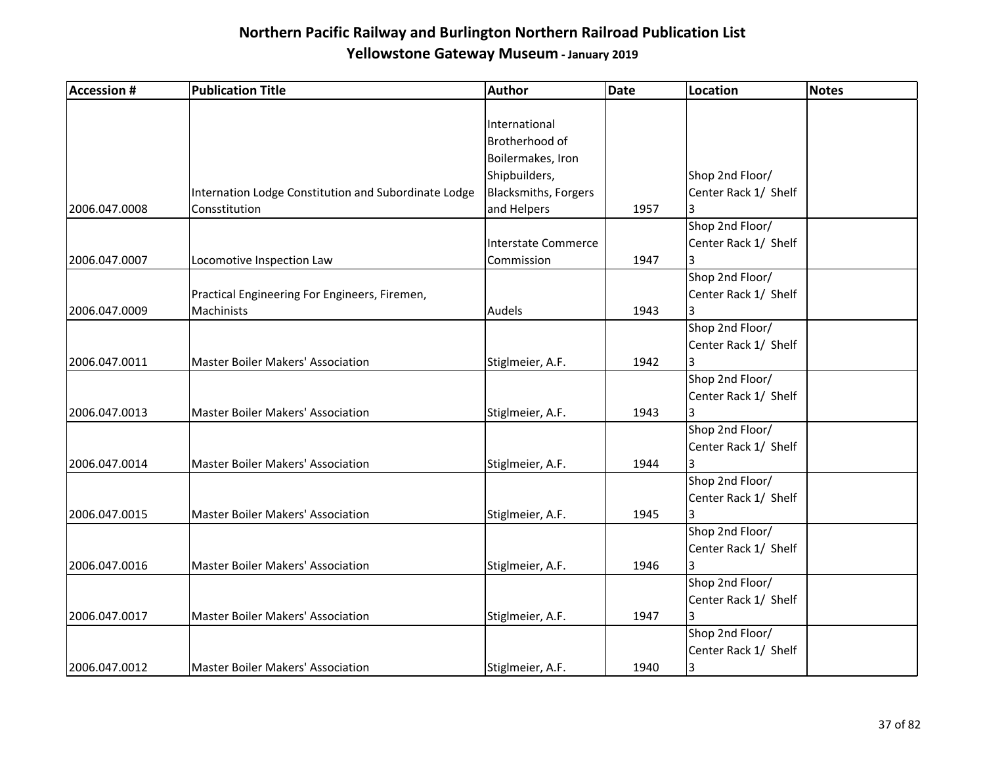| <b>Accession #</b> | <b>Publication Title</b>                             | Author                      | <b>Date</b> | Location             | <b>Notes</b> |
|--------------------|------------------------------------------------------|-----------------------------|-------------|----------------------|--------------|
|                    |                                                      |                             |             |                      |              |
|                    |                                                      | International               |             |                      |              |
|                    |                                                      | Brotherhood of              |             |                      |              |
|                    |                                                      | Boilermakes, Iron           |             |                      |              |
|                    |                                                      | Shipbuilders,               |             | Shop 2nd Floor/      |              |
|                    | Internation Lodge Constitution and Subordinate Lodge | <b>Blacksmiths, Forgers</b> |             | Center Rack 1/ Shelf |              |
| 2006.047.0008      | Consstitution                                        | and Helpers                 | 1957        | 3                    |              |
|                    |                                                      |                             |             | Shop 2nd Floor/      |              |
|                    |                                                      | Interstate Commerce         |             | Center Rack 1/ Shelf |              |
| 2006.047.0007      | Locomotive Inspection Law                            | Commission                  | 1947        | 3                    |              |
|                    |                                                      |                             |             | Shop 2nd Floor/      |              |
|                    | Practical Engineering For Engineers, Firemen,        |                             |             | Center Rack 1/ Shelf |              |
| 2006.047.0009      | Machinists                                           | Audels                      | 1943        | 3                    |              |
|                    |                                                      |                             |             | Shop 2nd Floor/      |              |
|                    |                                                      |                             |             | Center Rack 1/ Shelf |              |
| 2006.047.0011      | Master Boiler Makers' Association                    | Stiglmeier, A.F.            | 1942        | 3                    |              |
|                    |                                                      |                             |             | Shop 2nd Floor/      |              |
|                    |                                                      |                             |             | Center Rack 1/ Shelf |              |
| 2006.047.0013      | Master Boiler Makers' Association                    | Stiglmeier, A.F.            | 1943        | 3                    |              |
|                    |                                                      |                             |             | Shop 2nd Floor/      |              |
|                    |                                                      |                             |             |                      |              |
|                    |                                                      |                             |             | Center Rack 1/ Shelf |              |
| 2006.047.0014      | <b>Master Boiler Makers' Association</b>             | Stiglmeier, A.F.            | 1944        | 3                    |              |
|                    |                                                      |                             |             | Shop 2nd Floor/      |              |
|                    |                                                      |                             |             | Center Rack 1/ Shelf |              |
| 2006.047.0015      | Master Boiler Makers' Association                    | Stiglmeier, A.F.            | 1945        | 3                    |              |
|                    |                                                      |                             |             | Shop 2nd Floor/      |              |
|                    |                                                      |                             |             | Center Rack 1/ Shelf |              |
| 2006.047.0016      | <b>Master Boiler Makers' Association</b>             | Stiglmeier, A.F.            | 1946        |                      |              |
|                    |                                                      |                             |             | Shop 2nd Floor/      |              |
|                    |                                                      |                             |             | Center Rack 1/ Shelf |              |
| 2006.047.0017      | <b>Master Boiler Makers' Association</b>             | Stiglmeier, A.F.            | 1947        | 3                    |              |
|                    |                                                      |                             |             | Shop 2nd Floor/      |              |
|                    |                                                      |                             |             | Center Rack 1/ Shelf |              |
| 2006.047.0012      | <b>Master Boiler Makers' Association</b>             | Stiglmeier, A.F.            | 1940        | 3                    |              |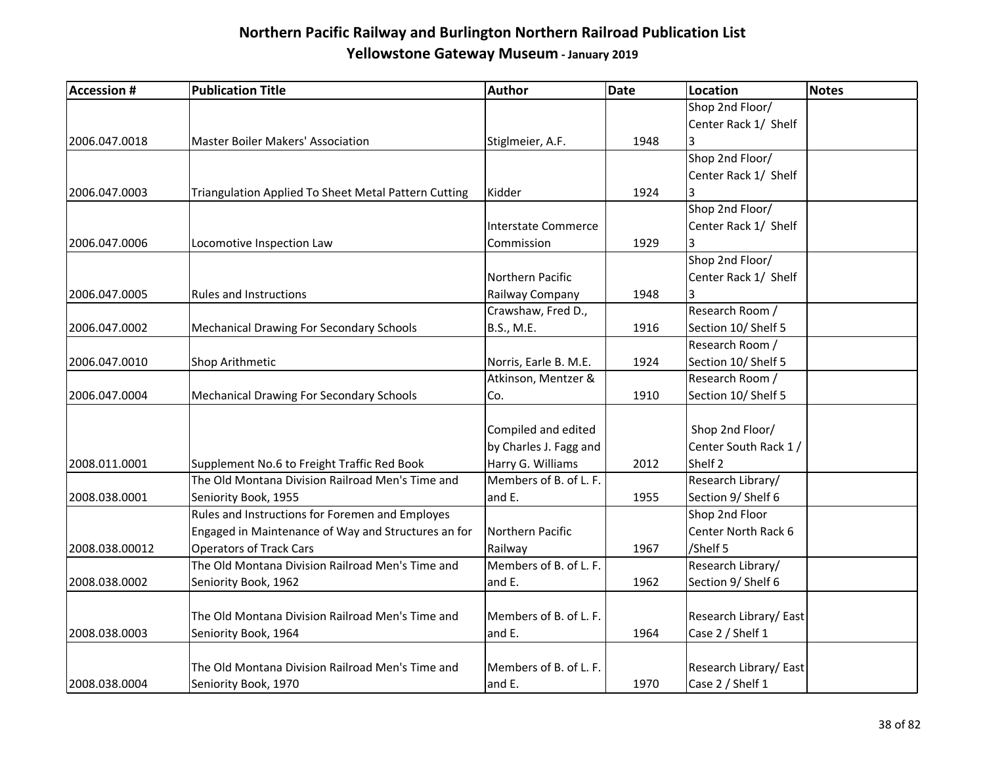| <b>Accession #</b> | <b>Publication Title</b>                             | <b>Author</b>          | Date | Location              | <b>Notes</b> |
|--------------------|------------------------------------------------------|------------------------|------|-----------------------|--------------|
|                    |                                                      |                        |      | Shop 2nd Floor/       |              |
|                    |                                                      |                        |      | Center Rack 1/ Shelf  |              |
| 2006.047.0018      | Master Boiler Makers' Association                    | Stiglmeier, A.F.       | 1948 | 3                     |              |
|                    |                                                      |                        |      | Shop 2nd Floor/       |              |
|                    |                                                      |                        |      | Center Rack 1/ Shelf  |              |
| 2006.047.0003      | Triangulation Applied To Sheet Metal Pattern Cutting | Kidder                 | 1924 | 3                     |              |
|                    |                                                      |                        |      | Shop 2nd Floor/       |              |
|                    |                                                      | Interstate Commerce    |      | Center Rack 1/ Shelf  |              |
| 2006.047.0006      | Locomotive Inspection Law                            | Commission             | 1929 | 3                     |              |
|                    |                                                      |                        |      | Shop 2nd Floor/       |              |
|                    |                                                      | Northern Pacific       |      | Center Rack 1/ Shelf  |              |
| 2006.047.0005      | <b>Rules and Instructions</b>                        | Railway Company        | 1948 | 3                     |              |
|                    |                                                      | Crawshaw, Fred D.,     |      | Research Room /       |              |
| 2006.047.0002      | <b>Mechanical Drawing For Secondary Schools</b>      | B.S., M.E.             | 1916 | Section 10/ Shelf 5   |              |
|                    |                                                      |                        |      | Research Room /       |              |
| 2006.047.0010      | Shop Arithmetic                                      | Norris, Earle B. M.E.  | 1924 | Section 10/ Shelf 5   |              |
|                    |                                                      | Atkinson, Mentzer &    |      | Research Room /       |              |
| 2006.047.0004      | <b>Mechanical Drawing For Secondary Schools</b>      | Co.                    | 1910 | Section 10/ Shelf 5   |              |
|                    |                                                      |                        |      |                       |              |
|                    |                                                      | Compiled and edited    |      | Shop 2nd Floor/       |              |
|                    |                                                      | by Charles J. Fagg and |      | Center South Rack 1 / |              |
| 2008.011.0001      | Supplement No.6 to Freight Traffic Red Book          | Harry G. Williams      | 2012 | Shelf <sub>2</sub>    |              |
|                    | The Old Montana Division Railroad Men's Time and     | Members of B. of L. F. |      | Research Library/     |              |
| 2008.038.0001      | Seniority Book, 1955                                 | and E.                 | 1955 | Section 9/ Shelf 6    |              |
|                    | Rules and Instructions for Foremen and Employes      |                        |      | Shop 2nd Floor        |              |
|                    | Engaged in Maintenance of Way and Structures an for  | Northern Pacific       |      | Center North Rack 6   |              |
| 2008.038.00012     | <b>Operators of Track Cars</b>                       | Railway                | 1967 | /Shelf 5              |              |
|                    | The Old Montana Division Railroad Men's Time and     | Members of B. of L. F. |      | Research Library/     |              |
| 2008.038.0002      | Seniority Book, 1962                                 | and E.                 | 1962 | Section 9/ Shelf 6    |              |
|                    |                                                      |                        |      |                       |              |
|                    | The Old Montana Division Railroad Men's Time and     | Members of B. of L. F. |      | Research Library/East |              |
| 2008.038.0003      | Seniority Book, 1964                                 | and E.                 | 1964 | Case 2 / Shelf 1      |              |
|                    |                                                      |                        |      |                       |              |
|                    | The Old Montana Division Railroad Men's Time and     | Members of B. of L. F. |      | Research Library/East |              |
| 2008.038.0004      | Seniority Book, 1970                                 | and E.                 | 1970 | Case 2 / Shelf 1      |              |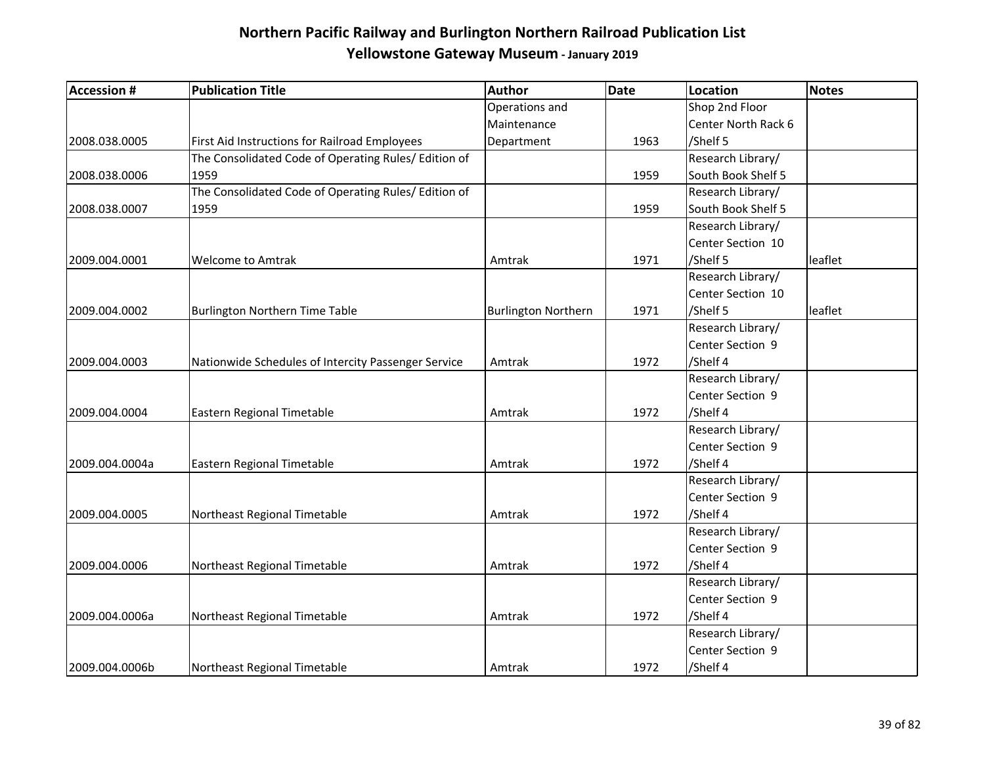| <b>Accession #</b> | <b>Publication Title</b>                             | <b>Author</b>              | Date | Location            | <b>Notes</b> |
|--------------------|------------------------------------------------------|----------------------------|------|---------------------|--------------|
|                    |                                                      | Operations and             |      | Shop 2nd Floor      |              |
|                    |                                                      | Maintenance                |      | Center North Rack 6 |              |
| 2008.038.0005      | First Aid Instructions for Railroad Employees        | Department                 | 1963 | /Shelf 5            |              |
|                    | The Consolidated Code of Operating Rules/ Edition of |                            |      | Research Library/   |              |
| 2008.038.0006      | 1959                                                 |                            | 1959 | South Book Shelf 5  |              |
|                    | The Consolidated Code of Operating Rules/ Edition of |                            |      | Research Library/   |              |
| 2008.038.0007      | 1959                                                 |                            | 1959 | South Book Shelf 5  |              |
|                    |                                                      |                            |      | Research Library/   |              |
|                    |                                                      |                            |      | Center Section 10   |              |
| 2009.004.0001      | <b>Welcome to Amtrak</b>                             | Amtrak                     | 1971 | /Shelf 5            | leaflet      |
|                    |                                                      |                            |      | Research Library/   |              |
|                    |                                                      |                            |      | Center Section 10   |              |
| 2009.004.0002      | <b>Burlington Northern Time Table</b>                | <b>Burlington Northern</b> | 1971 | /Shelf 5            | leaflet      |
|                    |                                                      |                            |      | Research Library/   |              |
|                    |                                                      |                            |      | Center Section 9    |              |
| 2009.004.0003      | Nationwide Schedules of Intercity Passenger Service  | Amtrak                     | 1972 | /Shelf 4            |              |
|                    |                                                      |                            |      | Research Library/   |              |
|                    |                                                      |                            |      | Center Section 9    |              |
| 2009.004.0004      | Eastern Regional Timetable                           | Amtrak                     | 1972 | /Shelf 4            |              |
|                    |                                                      |                            |      | Research Library/   |              |
|                    |                                                      |                            |      | Center Section 9    |              |
| 2009.004.0004a     | Eastern Regional Timetable                           | Amtrak                     | 1972 | /Shelf 4            |              |
|                    |                                                      |                            |      | Research Library/   |              |
|                    |                                                      |                            |      | Center Section 9    |              |
| 2009.004.0005      | Northeast Regional Timetable                         | Amtrak                     | 1972 | /Shelf 4            |              |
|                    |                                                      |                            |      | Research Library/   |              |
|                    |                                                      |                            |      | Center Section 9    |              |
| 2009.004.0006      | Northeast Regional Timetable                         | Amtrak                     | 1972 | /Shelf 4            |              |
|                    |                                                      |                            |      | Research Library/   |              |
|                    |                                                      |                            |      | Center Section 9    |              |
| 2009.004.0006a     | Northeast Regional Timetable                         | Amtrak                     | 1972 | /Shelf 4            |              |
|                    |                                                      |                            |      | Research Library/   |              |
|                    |                                                      |                            |      | Center Section 9    |              |
| 2009.004.0006b     | Northeast Regional Timetable                         | Amtrak                     | 1972 | /Shelf 4            |              |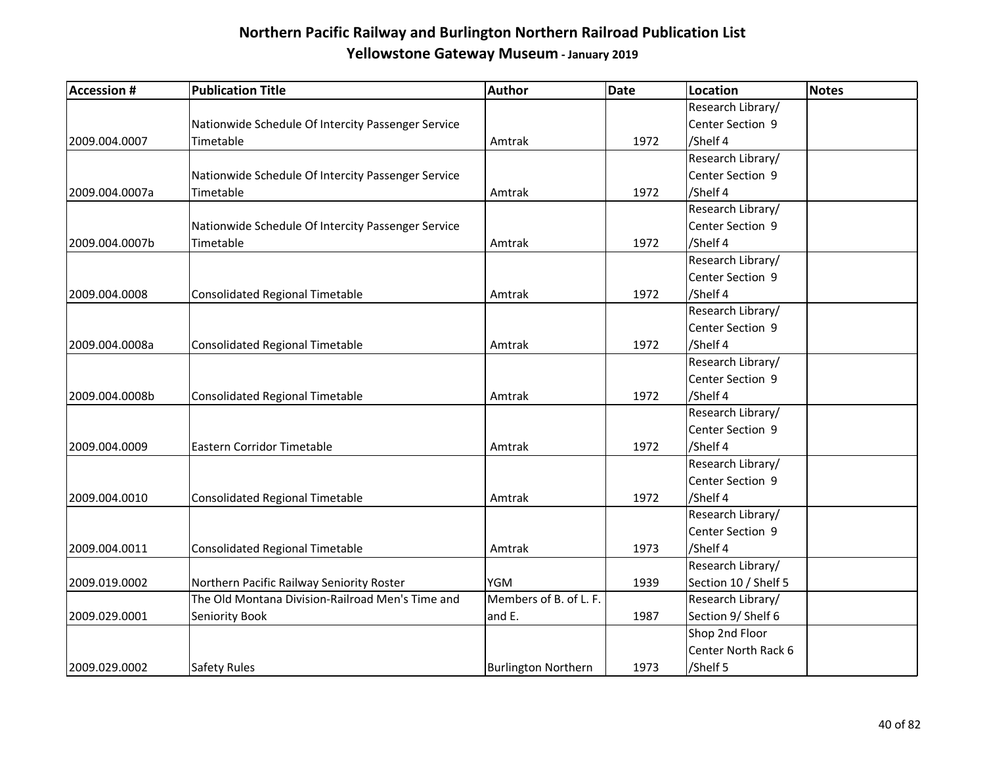| <b>Accession #</b> | <b>Publication Title</b>                           | <b>Author</b>              | <b>Date</b> | Location             | <b>Notes</b> |
|--------------------|----------------------------------------------------|----------------------------|-------------|----------------------|--------------|
|                    |                                                    |                            |             | Research Library/    |              |
|                    | Nationwide Schedule Of Intercity Passenger Service |                            |             | Center Section 9     |              |
| 2009.004.0007      | Timetable                                          | Amtrak                     | 1972        | /Shelf 4             |              |
|                    |                                                    |                            |             | Research Library/    |              |
|                    | Nationwide Schedule Of Intercity Passenger Service |                            |             | Center Section 9     |              |
| 2009.004.0007a     | Timetable                                          | Amtrak                     | 1972        | /Shelf 4             |              |
|                    |                                                    |                            |             | Research Library/    |              |
|                    | Nationwide Schedule Of Intercity Passenger Service |                            |             | Center Section 9     |              |
| 2009.004.0007b     | Timetable                                          | Amtrak                     | 1972        | /Shelf 4             |              |
|                    |                                                    |                            |             | Research Library/    |              |
|                    |                                                    |                            |             | Center Section 9     |              |
| 2009.004.0008      | Consolidated Regional Timetable                    | Amtrak                     | 1972        | /Shelf 4             |              |
|                    |                                                    |                            |             | Research Library/    |              |
|                    |                                                    |                            |             | Center Section 9     |              |
| 2009.004.0008a     | Consolidated Regional Timetable                    | Amtrak                     | 1972        | /Shelf 4             |              |
|                    |                                                    |                            |             | Research Library/    |              |
|                    |                                                    |                            |             | Center Section 9     |              |
| 2009.004.0008b     | Consolidated Regional Timetable                    | Amtrak                     | 1972        | /Shelf 4             |              |
|                    |                                                    |                            |             | Research Library/    |              |
|                    |                                                    |                            |             | Center Section 9     |              |
| 2009.004.0009      | Eastern Corridor Timetable                         | Amtrak                     | 1972        | /Shelf 4             |              |
|                    |                                                    |                            |             | Research Library/    |              |
|                    |                                                    |                            |             | Center Section 9     |              |
| 2009.004.0010      | <b>Consolidated Regional Timetable</b>             | Amtrak                     | 1972        | /Shelf 4             |              |
|                    |                                                    |                            |             | Research Library/    |              |
|                    |                                                    |                            |             | Center Section 9     |              |
| 2009.004.0011      | Consolidated Regional Timetable                    | Amtrak                     | 1973        | /Shelf 4             |              |
|                    |                                                    |                            |             | Research Library/    |              |
| 2009.019.0002      | Northern Pacific Railway Seniority Roster          | <b>YGM</b>                 | 1939        | Section 10 / Shelf 5 |              |
|                    | The Old Montana Division-Railroad Men's Time and   | Members of B. of L. F.     |             | Research Library/    |              |
| 2009.029.0001      | Seniority Book                                     | and E.                     | 1987        | Section 9/ Shelf 6   |              |
|                    |                                                    |                            |             | Shop 2nd Floor       |              |
|                    |                                                    |                            |             | Center North Rack 6  |              |
| 2009.029.0002      | <b>Safety Rules</b>                                | <b>Burlington Northern</b> | 1973        | /Shelf 5             |              |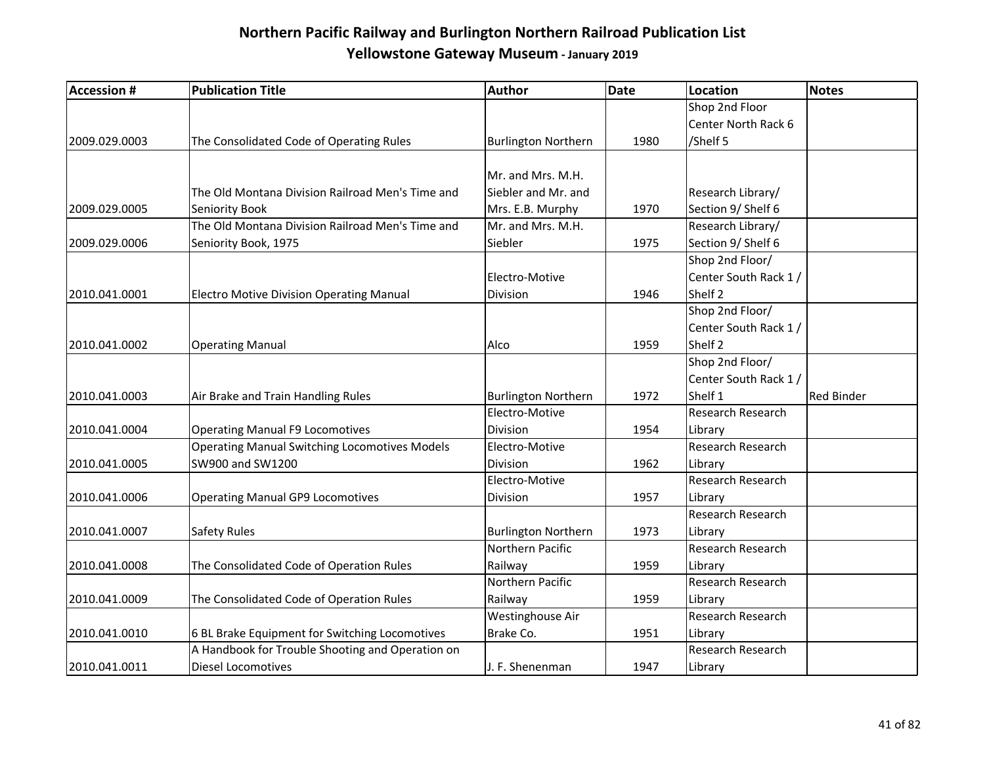| <b>Accession #</b> | <b>Publication Title</b>                             | <b>Author</b>              | <b>Date</b> | <b>Location</b>          | <b>Notes</b>      |
|--------------------|------------------------------------------------------|----------------------------|-------------|--------------------------|-------------------|
|                    |                                                      |                            |             | Shop 2nd Floor           |                   |
|                    |                                                      |                            |             | Center North Rack 6      |                   |
| 2009.029.0003      | The Consolidated Code of Operating Rules             | <b>Burlington Northern</b> | 1980        | /Shelf 5                 |                   |
|                    |                                                      |                            |             |                          |                   |
|                    |                                                      | Mr. and Mrs. M.H.          |             |                          |                   |
|                    | The Old Montana Division Railroad Men's Time and     | Siebler and Mr. and        |             | Research Library/        |                   |
| 2009.029.0005      | Seniority Book                                       | Mrs. E.B. Murphy           | 1970        | Section 9/ Shelf 6       |                   |
|                    | The Old Montana Division Railroad Men's Time and     | Mr. and Mrs. M.H.          |             | Research Library/        |                   |
| 2009.029.0006      | Seniority Book, 1975                                 | Siebler                    | 1975        | Section 9/ Shelf 6       |                   |
|                    |                                                      |                            |             | Shop 2nd Floor/          |                   |
|                    |                                                      | Electro-Motive             |             | Center South Rack 1 /    |                   |
| 2010.041.0001      | <b>Electro Motive Division Operating Manual</b>      | Division                   | 1946        | Shelf <sub>2</sub>       |                   |
|                    |                                                      |                            |             | Shop 2nd Floor/          |                   |
|                    |                                                      |                            |             | Center South Rack 1/     |                   |
| 2010.041.0002      | <b>Operating Manual</b>                              | Alco                       | 1959        | Shelf <sub>2</sub>       |                   |
|                    |                                                      |                            |             | Shop 2nd Floor/          |                   |
|                    |                                                      |                            |             | Center South Rack 1 /    |                   |
| 2010.041.0003      | Air Brake and Train Handling Rules                   | <b>Burlington Northern</b> | 1972        | Shelf 1                  | <b>Red Binder</b> |
|                    |                                                      | Electro-Motive             |             | Research Research        |                   |
| 2010.041.0004      | <b>Operating Manual F9 Locomotives</b>               | Division                   | 1954        | Library                  |                   |
|                    | <b>Operating Manual Switching Locomotives Models</b> | Electro-Motive             |             | <b>Research Research</b> |                   |
| 2010.041.0005      | SW900 and SW1200                                     | Division                   | 1962        | Library                  |                   |
|                    |                                                      | Electro-Motive             |             | Research Research        |                   |
| 2010.041.0006      | <b>Operating Manual GP9 Locomotives</b>              | Division                   | 1957        | Library                  |                   |
|                    |                                                      |                            |             | Research Research        |                   |
| 2010.041.0007      | Safety Rules                                         | <b>Burlington Northern</b> | 1973        | Library                  |                   |
|                    |                                                      | Northern Pacific           |             | Research Research        |                   |
| 2010.041.0008      | The Consolidated Code of Operation Rules             | Railway                    | 1959        | Library                  |                   |
|                    |                                                      | Northern Pacific           |             | Research Research        |                   |
| 2010.041.0009      | The Consolidated Code of Operation Rules             | Railway                    | 1959        | Library                  |                   |
|                    |                                                      | Westinghouse Air           |             | Research Research        |                   |
| 2010.041.0010      | 6 BL Brake Equipment for Switching Locomotives       | Brake Co.                  | 1951        | Library                  |                   |
|                    | A Handbook for Trouble Shooting and Operation on     |                            |             | Research Research        |                   |
| 2010.041.0011      | <b>Diesel Locomotives</b>                            | J. F. Shenenman            | 1947        | Library                  |                   |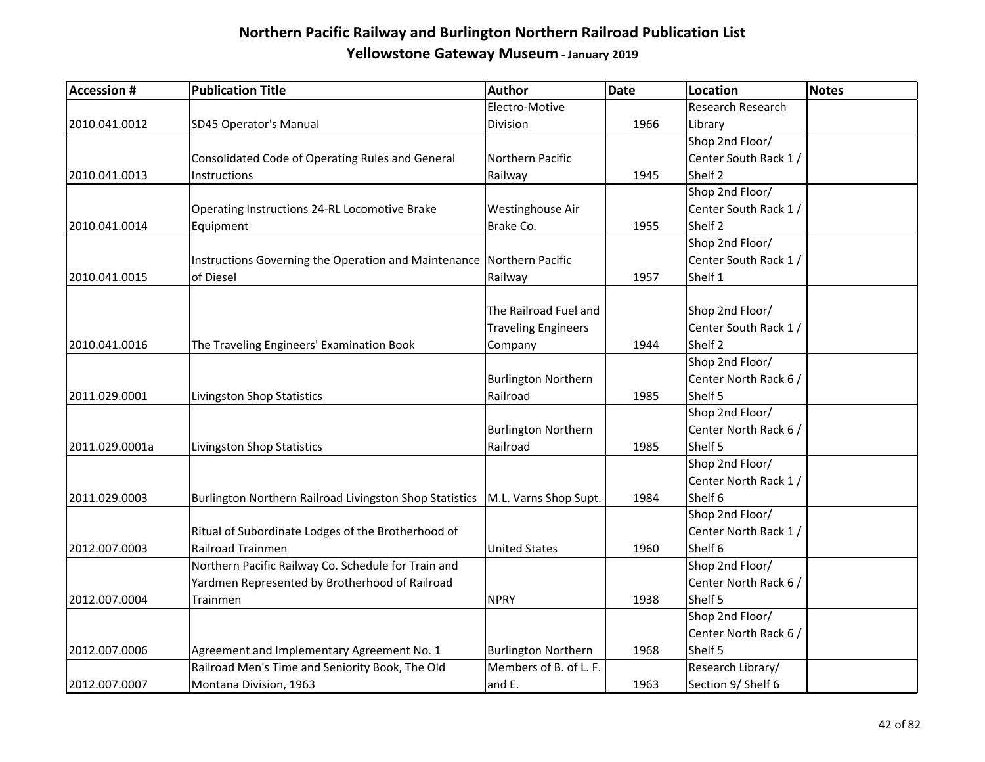| <b>Accession #</b> | <b>Publication Title</b>                                              | Author                     | Date | <b>Location</b>       | <b>Notes</b> |
|--------------------|-----------------------------------------------------------------------|----------------------------|------|-----------------------|--------------|
|                    |                                                                       | Electro-Motive             |      | Research Research     |              |
| 2010.041.0012      | SD45 Operator's Manual                                                | Division                   | 1966 | Library               |              |
|                    |                                                                       |                            |      | Shop 2nd Floor/       |              |
|                    | Consolidated Code of Operating Rules and General                      | Northern Pacific           |      | Center South Rack 1 / |              |
| 2010.041.0013      | Instructions                                                          | Railway                    | 1945 | Shelf <sub>2</sub>    |              |
|                    |                                                                       |                            |      | Shop 2nd Floor/       |              |
|                    | Operating Instructions 24-RL Locomotive Brake                         | Westinghouse Air           |      | Center South Rack 1/  |              |
| 2010.041.0014      | Equipment                                                             | Brake Co.                  | 1955 | Shelf 2               |              |
|                    |                                                                       |                            |      | Shop 2nd Floor/       |              |
|                    | Instructions Governing the Operation and Maintenance Northern Pacific |                            |      | Center South Rack 1/  |              |
| 2010.041.0015      | of Diesel                                                             | Railway                    | 1957 | Shelf 1               |              |
|                    |                                                                       |                            |      |                       |              |
|                    |                                                                       | The Railroad Fuel and      |      | Shop 2nd Floor/       |              |
|                    |                                                                       | <b>Traveling Engineers</b> |      | Center South Rack 1 / |              |
| 2010.041.0016      | The Traveling Engineers' Examination Book                             | Company                    | 1944 | Shelf <sub>2</sub>    |              |
|                    |                                                                       |                            |      | Shop 2nd Floor/       |              |
|                    |                                                                       | <b>Burlington Northern</b> |      | Center North Rack 6 / |              |
| 2011.029.0001      | Livingston Shop Statistics                                            | Railroad                   | 1985 | Shelf 5               |              |
|                    |                                                                       |                            |      | Shop 2nd Floor/       |              |
|                    |                                                                       | <b>Burlington Northern</b> |      | Center North Rack 6 / |              |
| 2011.029.0001a     | Livingston Shop Statistics                                            | Railroad                   | 1985 | Shelf 5               |              |
|                    |                                                                       |                            |      | Shop 2nd Floor/       |              |
|                    |                                                                       |                            |      | Center North Rack 1/  |              |
| 2011.029.0003      | Burlington Northern Railroad Livingston Shop Statistics               | M.L. Varns Shop Supt.      | 1984 | Shelf 6               |              |
|                    |                                                                       |                            |      | Shop 2nd Floor/       |              |
|                    | Ritual of Subordinate Lodges of the Brotherhood of                    |                            |      | Center North Rack 1/  |              |
| 2012.007.0003      | Railroad Trainmen                                                     | <b>United States</b>       | 1960 | Shelf 6               |              |
|                    | Northern Pacific Railway Co. Schedule for Train and                   |                            |      | Shop 2nd Floor/       |              |
|                    | Yardmen Represented by Brotherhood of Railroad                        |                            |      | Center North Rack 6 / |              |
| 2012.007.0004      | Trainmen                                                              | <b>NPRY</b>                | 1938 | Shelf 5               |              |
|                    |                                                                       |                            |      | Shop 2nd Floor/       |              |
|                    |                                                                       |                            |      | Center North Rack 6 / |              |
| 2012.007.0006      | Agreement and Implementary Agreement No. 1                            | <b>Burlington Northern</b> | 1968 | Shelf 5               |              |
|                    | Railroad Men's Time and Seniority Book, The Old                       | Members of B. of L. F.     |      | Research Library/     |              |
| 2012.007.0007      | Montana Division, 1963                                                | and E.                     | 1963 | Section 9/ Shelf 6    |              |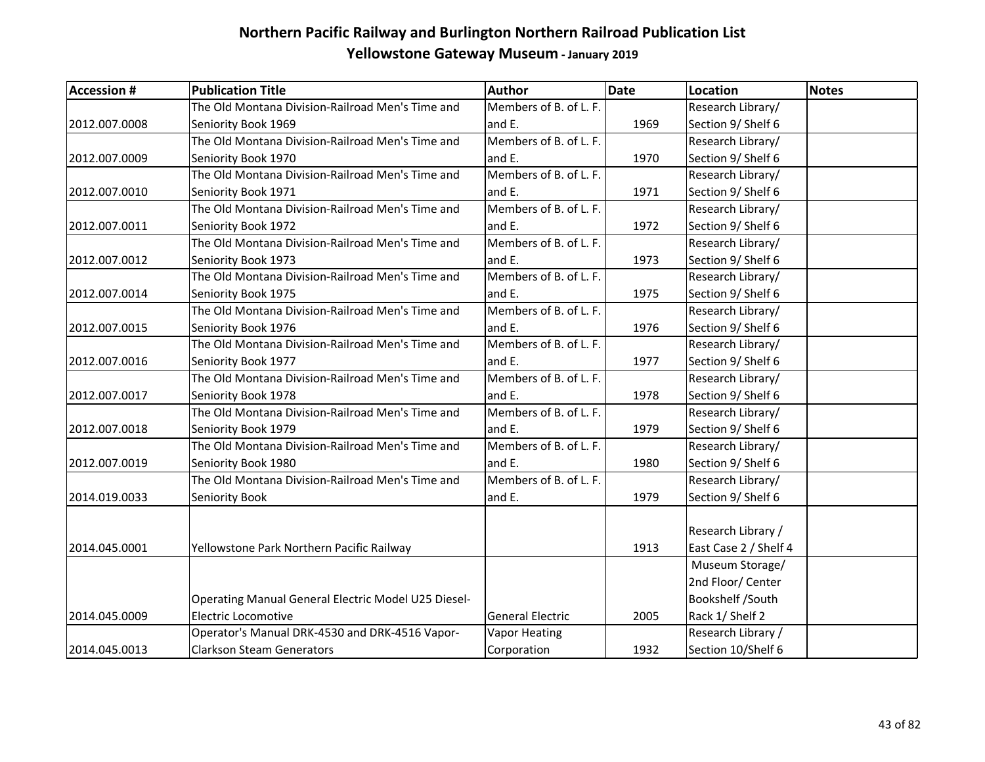| <b>Accession #</b> | <b>Publication Title</b>                            | <b>Author</b>           | <b>Date</b> | Location              | <b>Notes</b> |
|--------------------|-----------------------------------------------------|-------------------------|-------------|-----------------------|--------------|
|                    | The Old Montana Division-Railroad Men's Time and    | Members of B. of L. F.  |             | Research Library/     |              |
| 2012.007.0008      | Seniority Book 1969                                 | and E.                  | 1969        | Section 9/ Shelf 6    |              |
|                    | The Old Montana Division-Railroad Men's Time and    | Members of B. of L. F.  |             | Research Library/     |              |
| 2012.007.0009      | Seniority Book 1970                                 | and E.                  | 1970        | Section 9/ Shelf 6    |              |
|                    | The Old Montana Division-Railroad Men's Time and    | Members of B. of L. F.  |             | Research Library/     |              |
| 2012.007.0010      | Seniority Book 1971                                 | and E.                  | 1971        | Section 9/ Shelf 6    |              |
|                    | The Old Montana Division-Railroad Men's Time and    | Members of B. of L. F.  |             | Research Library/     |              |
| 2012.007.0011      | Seniority Book 1972                                 | and E.                  | 1972        | Section 9/ Shelf 6    |              |
|                    | The Old Montana Division-Railroad Men's Time and    | Members of B. of L. F.  |             | Research Library/     |              |
| 2012.007.0012      | Seniority Book 1973                                 | and E.                  | 1973        | Section 9/ Shelf 6    |              |
|                    | The Old Montana Division-Railroad Men's Time and    | Members of B. of L. F.  |             | Research Library/     |              |
| 2012.007.0014      | Seniority Book 1975                                 | and E.                  | 1975        | Section 9/ Shelf 6    |              |
|                    | The Old Montana Division-Railroad Men's Time and    | Members of B. of L. F.  |             | Research Library/     |              |
| 2012.007.0015      | Seniority Book 1976                                 | and E.                  | 1976        | Section 9/ Shelf 6    |              |
|                    | The Old Montana Division-Railroad Men's Time and    | Members of B. of L. F.  |             | Research Library/     |              |
| 2012.007.0016      | Seniority Book 1977                                 | and E.                  | 1977        | Section 9/ Shelf 6    |              |
|                    | The Old Montana Division-Railroad Men's Time and    | Members of B. of L. F.  |             | Research Library/     |              |
| 2012.007.0017      | Seniority Book 1978                                 | and E.                  | 1978        | Section 9/ Shelf 6    |              |
|                    | The Old Montana Division-Railroad Men's Time and    | Members of B. of L. F.  |             | Research Library/     |              |
| 2012.007.0018      | Seniority Book 1979                                 | and E.                  | 1979        | Section 9/ Shelf 6    |              |
|                    | The Old Montana Division-Railroad Men's Time and    | Members of B. of L. F.  |             | Research Library/     |              |
| 2012.007.0019      | Seniority Book 1980                                 | and E.                  | 1980        | Section 9/ Shelf 6    |              |
|                    | The Old Montana Division-Railroad Men's Time and    | Members of B. of L. F.  |             | Research Library/     |              |
| 2014.019.0033      | Seniority Book                                      | and E.                  | 1979        | Section 9/ Shelf 6    |              |
|                    |                                                     |                         |             |                       |              |
|                    |                                                     |                         |             | Research Library /    |              |
| 2014.045.0001      | Yellowstone Park Northern Pacific Railway           |                         | 1913        | East Case 2 / Shelf 4 |              |
|                    |                                                     |                         |             | Museum Storage/       |              |
|                    |                                                     |                         |             | 2nd Floor/ Center     |              |
|                    | Operating Manual General Electric Model U25 Diesel- |                         |             | Bookshelf /South      |              |
| 2014.045.0009      | <b>Electric Locomotive</b>                          | <b>General Electric</b> | 2005        | Rack 1/ Shelf 2       |              |
|                    | Operator's Manual DRK-4530 and DRK-4516 Vapor-      | <b>Vapor Heating</b>    |             | Research Library /    |              |
| 2014.045.0013      | <b>Clarkson Steam Generators</b>                    | Corporation             | 1932        | Section 10/Shelf 6    |              |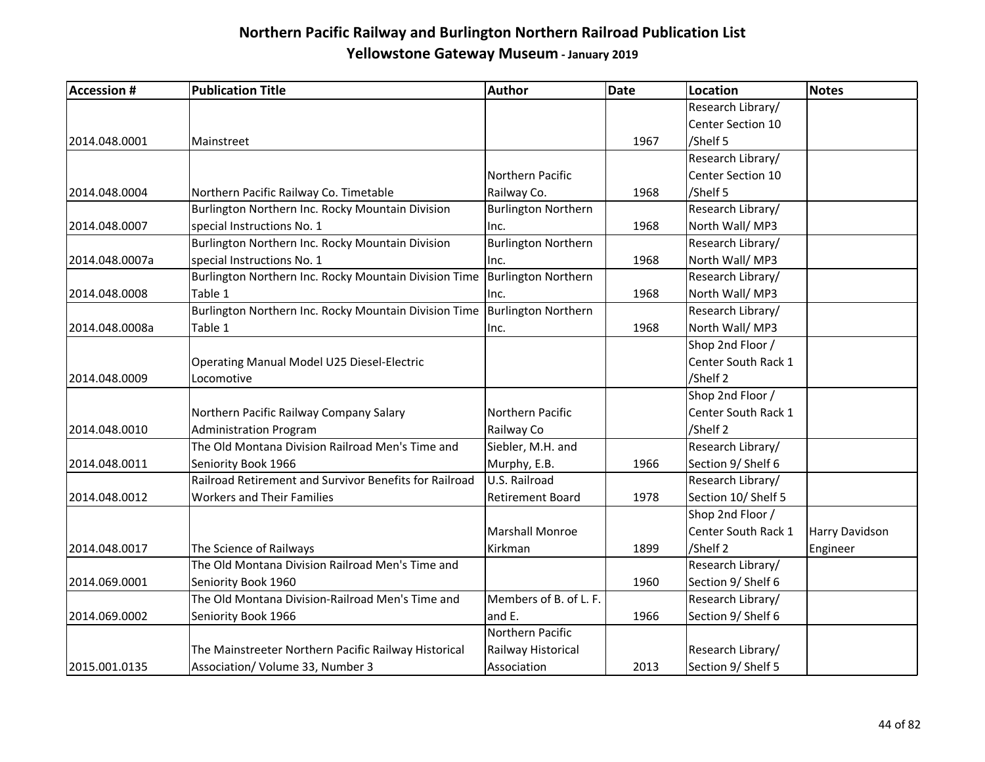| <b>Accession #</b> | <b>Publication Title</b>                               | <b>Author</b>              | <b>Date</b> | <b>Location</b>          | <b>Notes</b>   |
|--------------------|--------------------------------------------------------|----------------------------|-------------|--------------------------|----------------|
|                    |                                                        |                            |             | Research Library/        |                |
|                    |                                                        |                            |             | Center Section 10        |                |
| 2014.048.0001      | Mainstreet                                             |                            | 1967        | /Shelf 5                 |                |
|                    |                                                        |                            |             | Research Library/        |                |
|                    |                                                        | Northern Pacific           |             | <b>Center Section 10</b> |                |
| 2014.048.0004      | Northern Pacific Railway Co. Timetable                 | Railway Co.                | 1968        | /Shelf 5                 |                |
|                    | Burlington Northern Inc. Rocky Mountain Division       | <b>Burlington Northern</b> |             | Research Library/        |                |
| 2014.048.0007      | special Instructions No. 1                             | Inc.                       | 1968        | North Wall/MP3           |                |
|                    | Burlington Northern Inc. Rocky Mountain Division       | <b>Burlington Northern</b> |             | Research Library/        |                |
| 2014.048.0007a     | special Instructions No. 1                             | Inc.                       | 1968        | North Wall/MP3           |                |
|                    | Burlington Northern Inc. Rocky Mountain Division Time  | Burlington Northern        |             | Research Library/        |                |
| 2014.048.0008      | Table 1                                                | Inc.                       | 1968        | North Wall/MP3           |                |
|                    | Burlington Northern Inc. Rocky Mountain Division Time  | Burlington Northern        |             | Research Library/        |                |
| 2014.048.0008a     | Table 1                                                | Inc.                       | 1968        | North Wall/MP3           |                |
|                    |                                                        |                            |             | Shop 2nd Floor /         |                |
|                    | Operating Manual Model U25 Diesel-Electric             |                            |             | Center South Rack 1      |                |
| 2014.048.0009      | Locomotive                                             |                            |             | /Shelf 2                 |                |
|                    |                                                        |                            |             | Shop 2nd Floor /         |                |
|                    | Northern Pacific Railway Company Salary                | Northern Pacific           |             | Center South Rack 1      |                |
| 2014.048.0010      | <b>Administration Program</b>                          | Railway Co                 |             | /Shelf 2                 |                |
|                    | The Old Montana Division Railroad Men's Time and       | Siebler, M.H. and          |             | Research Library/        |                |
| 2014.048.0011      | Seniority Book 1966                                    | Murphy, E.B.               | 1966        | Section 9/ Shelf 6       |                |
|                    | Railroad Retirement and Survivor Benefits for Railroad | U.S. Railroad              |             | Research Library/        |                |
| 2014.048.0012      | <b>Workers and Their Families</b>                      | <b>Retirement Board</b>    | 1978        | Section 10/ Shelf 5      |                |
|                    |                                                        |                            |             | Shop 2nd Floor /         |                |
|                    |                                                        | <b>Marshall Monroe</b>     |             | Center South Rack 1      | Harry Davidson |
| 2014.048.0017      | The Science of Railways                                | Kirkman                    | 1899        | /Shelf 2                 | Engineer       |
|                    | The Old Montana Division Railroad Men's Time and       |                            |             | Research Library/        |                |
| 2014.069.0001      | Seniority Book 1960                                    |                            | 1960        | Section 9/ Shelf 6       |                |
|                    | The Old Montana Division-Railroad Men's Time and       | Members of B. of L. F.     |             | Research Library/        |                |
| 2014.069.0002      | Seniority Book 1966                                    | and E.                     | 1966        | Section 9/ Shelf 6       |                |
|                    |                                                        | Northern Pacific           |             |                          |                |
|                    | The Mainstreeter Northern Pacific Railway Historical   | Railway Historical         |             | Research Library/        |                |
| 2015.001.0135      | Association/ Volume 33, Number 3                       | Association                | 2013        | Section 9/ Shelf 5       |                |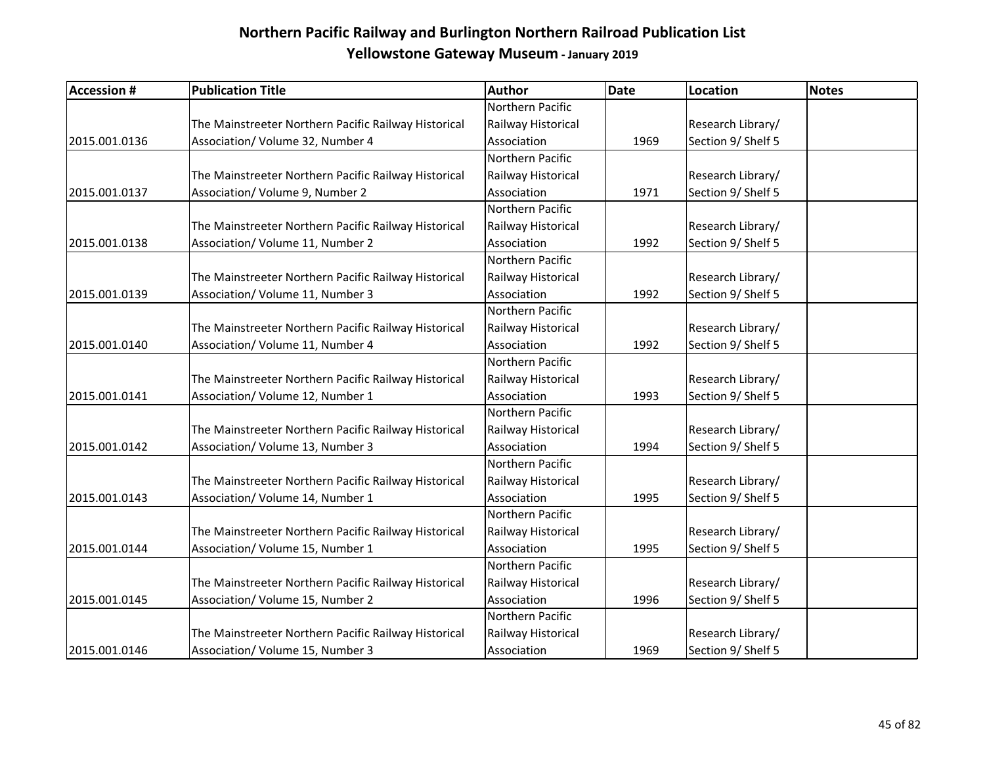| <b>Accession #</b> | <b>Publication Title</b>                             | Author             | <b>Date</b> | <b>Location</b>    | <b>Notes</b> |
|--------------------|------------------------------------------------------|--------------------|-------------|--------------------|--------------|
|                    |                                                      | Northern Pacific   |             |                    |              |
|                    | The Mainstreeter Northern Pacific Railway Historical | Railway Historical |             | Research Library/  |              |
| 2015.001.0136      | Association/ Volume 32, Number 4                     | Association        | 1969        | Section 9/ Shelf 5 |              |
|                    |                                                      | Northern Pacific   |             |                    |              |
|                    | The Mainstreeter Northern Pacific Railway Historical | Railway Historical |             | Research Library/  |              |
| 2015.001.0137      | Association/ Volume 9, Number 2                      | Association        | 1971        | Section 9/ Shelf 5 |              |
|                    |                                                      | Northern Pacific   |             |                    |              |
|                    | The Mainstreeter Northern Pacific Railway Historical | Railway Historical |             | Research Library/  |              |
| 2015.001.0138      | Association/ Volume 11, Number 2                     | Association        | 1992        | Section 9/ Shelf 5 |              |
|                    |                                                      | Northern Pacific   |             |                    |              |
|                    | The Mainstreeter Northern Pacific Railway Historical | Railway Historical |             | Research Library/  |              |
| 2015.001.0139      | Association/ Volume 11, Number 3                     | Association        | 1992        | Section 9/ Shelf 5 |              |
|                    |                                                      | Northern Pacific   |             |                    |              |
|                    | The Mainstreeter Northern Pacific Railway Historical | Railway Historical |             | Research Library/  |              |
| 2015.001.0140      | Association/ Volume 11, Number 4                     | Association        | 1992        | Section 9/ Shelf 5 |              |
|                    |                                                      | Northern Pacific   |             |                    |              |
|                    | The Mainstreeter Northern Pacific Railway Historical | Railway Historical |             | Research Library/  |              |
| 2015.001.0141      | Association/ Volume 12, Number 1                     | Association        | 1993        | Section 9/ Shelf 5 |              |
|                    |                                                      | Northern Pacific   |             |                    |              |
|                    | The Mainstreeter Northern Pacific Railway Historical | Railway Historical |             | Research Library/  |              |
| 2015.001.0142      | Association/ Volume 13, Number 3                     | Association        | 1994        | Section 9/ Shelf 5 |              |
|                    |                                                      | Northern Pacific   |             |                    |              |
|                    | The Mainstreeter Northern Pacific Railway Historical | Railway Historical |             | Research Library/  |              |
| 2015.001.0143      | Association/ Volume 14, Number 1                     | Association        | 1995        | Section 9/ Shelf 5 |              |
|                    |                                                      | Northern Pacific   |             |                    |              |
|                    | The Mainstreeter Northern Pacific Railway Historical | Railway Historical |             | Research Library/  |              |
| 2015.001.0144      | Association/ Volume 15, Number 1                     | Association        | 1995        | Section 9/ Shelf 5 |              |
|                    |                                                      | Northern Pacific   |             |                    |              |
|                    | The Mainstreeter Northern Pacific Railway Historical | Railway Historical |             | Research Library/  |              |
| 2015.001.0145      | Association/ Volume 15, Number 2                     | Association        | 1996        | Section 9/ Shelf 5 |              |
|                    |                                                      | Northern Pacific   |             |                    |              |
|                    | The Mainstreeter Northern Pacific Railway Historical | Railway Historical |             | Research Library/  |              |
| 2015.001.0146      | Association/ Volume 15, Number 3                     | Association        | 1969        | Section 9/ Shelf 5 |              |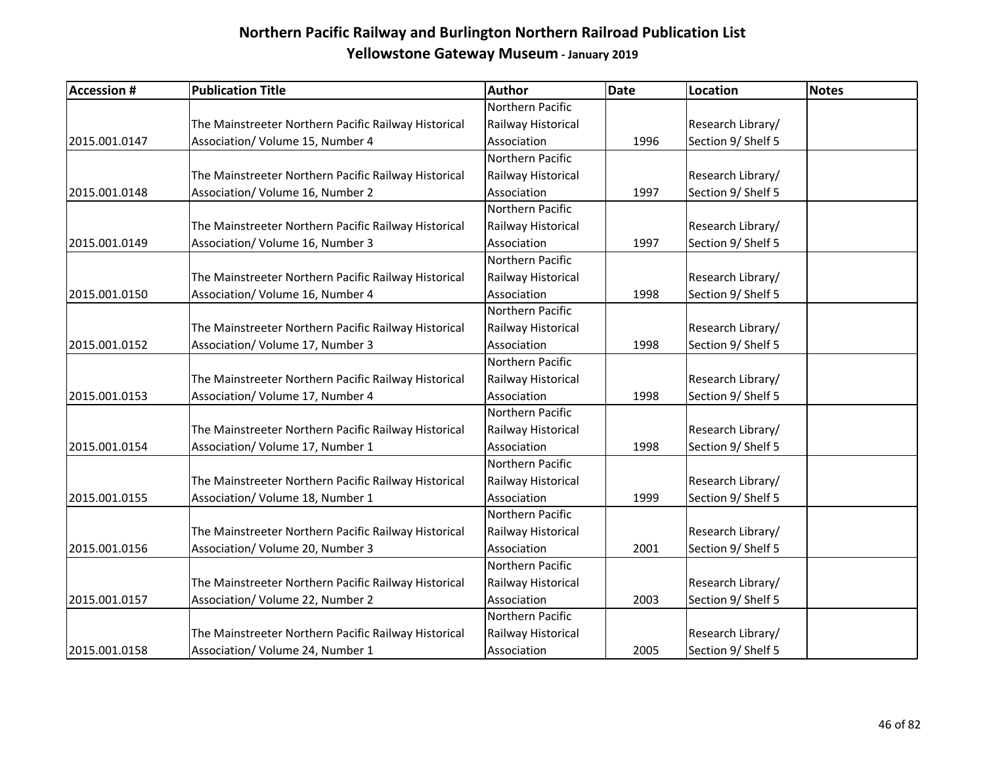| <b>Accession #</b> | <b>Publication Title</b>                             | Author             | <b>Date</b> | <b>Location</b>    | Notes |
|--------------------|------------------------------------------------------|--------------------|-------------|--------------------|-------|
|                    |                                                      | Northern Pacific   |             |                    |       |
|                    | The Mainstreeter Northern Pacific Railway Historical | Railway Historical |             | Research Library/  |       |
| 2015.001.0147      | Association/ Volume 15, Number 4                     | Association        | 1996        | Section 9/ Shelf 5 |       |
|                    |                                                      | Northern Pacific   |             |                    |       |
|                    | The Mainstreeter Northern Pacific Railway Historical | Railway Historical |             | Research Library/  |       |
| 2015.001.0148      | Association/ Volume 16, Number 2                     | Association        | 1997        | Section 9/ Shelf 5 |       |
|                    |                                                      | Northern Pacific   |             |                    |       |
|                    | The Mainstreeter Northern Pacific Railway Historical | Railway Historical |             | Research Library/  |       |
| 2015.001.0149      | Association/ Volume 16, Number 3                     | Association        | 1997        | Section 9/ Shelf 5 |       |
|                    |                                                      | Northern Pacific   |             |                    |       |
|                    | The Mainstreeter Northern Pacific Railway Historical | Railway Historical |             | Research Library/  |       |
| 2015.001.0150      | Association/ Volume 16, Number 4                     | Association        | 1998        | Section 9/ Shelf 5 |       |
|                    |                                                      | Northern Pacific   |             |                    |       |
|                    | The Mainstreeter Northern Pacific Railway Historical | Railway Historical |             | Research Library/  |       |
| 2015.001.0152      | Association/ Volume 17, Number 3                     | Association        | 1998        | Section 9/ Shelf 5 |       |
|                    |                                                      | Northern Pacific   |             |                    |       |
|                    | The Mainstreeter Northern Pacific Railway Historical | Railway Historical |             | Research Library/  |       |
| 2015.001.0153      | Association/ Volume 17, Number 4                     | Association        | 1998        | Section 9/ Shelf 5 |       |
|                    |                                                      | Northern Pacific   |             |                    |       |
|                    | The Mainstreeter Northern Pacific Railway Historical | Railway Historical |             | Research Library/  |       |
| 2015.001.0154      | Association/ Volume 17, Number 1                     | Association        | 1998        | Section 9/ Shelf 5 |       |
|                    |                                                      | Northern Pacific   |             |                    |       |
|                    | The Mainstreeter Northern Pacific Railway Historical | Railway Historical |             | Research Library/  |       |
| 2015.001.0155      | Association/ Volume 18, Number 1                     | Association        | 1999        | Section 9/ Shelf 5 |       |
|                    |                                                      | Northern Pacific   |             |                    |       |
|                    | The Mainstreeter Northern Pacific Railway Historical | Railway Historical |             | Research Library/  |       |
| 2015.001.0156      | Association/ Volume 20, Number 3                     | Association        | 2001        | Section 9/ Shelf 5 |       |
|                    |                                                      | Northern Pacific   |             |                    |       |
|                    | The Mainstreeter Northern Pacific Railway Historical | Railway Historical |             | Research Library/  |       |
| 2015.001.0157      | Association/ Volume 22, Number 2                     | Association        | 2003        | Section 9/ Shelf 5 |       |
|                    |                                                      | Northern Pacific   |             |                    |       |
|                    | The Mainstreeter Northern Pacific Railway Historical | Railway Historical |             | Research Library/  |       |
| 2015.001.0158      | Association/ Volume 24, Number 1                     | Association        | 2005        | Section 9/ Shelf 5 |       |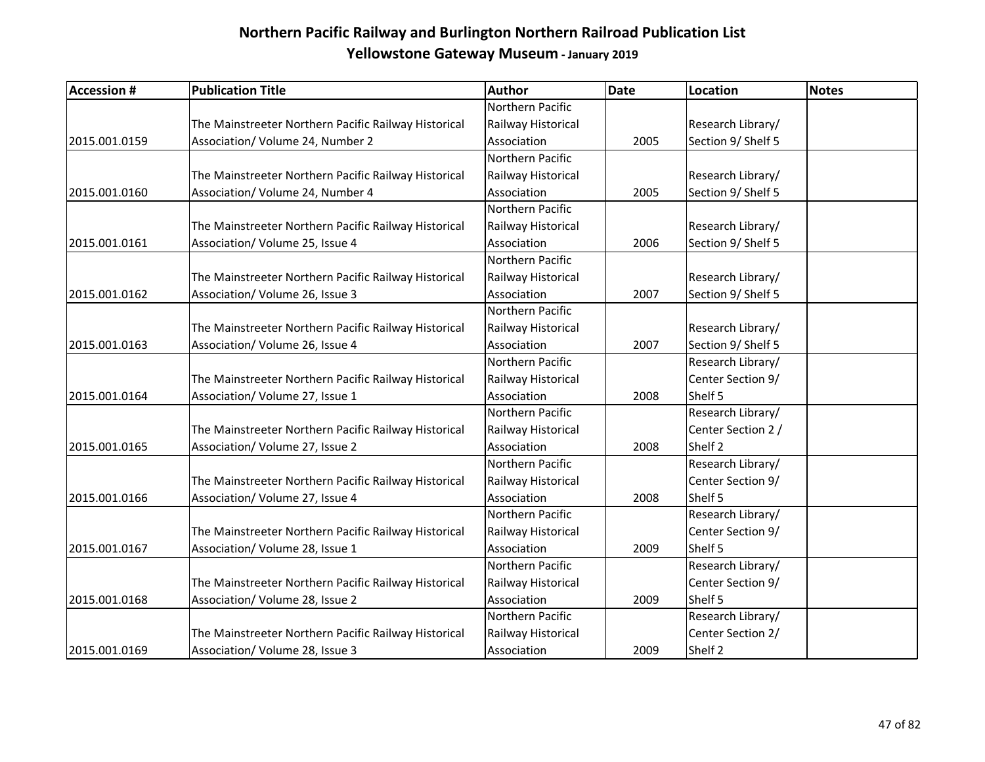| <b>Accession #</b> | <b>Publication Title</b>                             | Author             | <b>Date</b> | <b>Location</b>    | Notes |
|--------------------|------------------------------------------------------|--------------------|-------------|--------------------|-------|
|                    |                                                      | Northern Pacific   |             |                    |       |
|                    | The Mainstreeter Northern Pacific Railway Historical | Railway Historical |             | Research Library/  |       |
| 2015.001.0159      | Association/ Volume 24, Number 2                     | Association        | 2005        | Section 9/ Shelf 5 |       |
|                    |                                                      | Northern Pacific   |             |                    |       |
|                    | The Mainstreeter Northern Pacific Railway Historical | Railway Historical |             | Research Library/  |       |
| 2015.001.0160      | Association/ Volume 24, Number 4                     | Association        | 2005        | Section 9/ Shelf 5 |       |
|                    |                                                      | Northern Pacific   |             |                    |       |
|                    | The Mainstreeter Northern Pacific Railway Historical | Railway Historical |             | Research Library/  |       |
| 2015.001.0161      | Association/ Volume 25, Issue 4                      | Association        | 2006        | Section 9/ Shelf 5 |       |
|                    |                                                      | Northern Pacific   |             |                    |       |
|                    | The Mainstreeter Northern Pacific Railway Historical | Railway Historical |             | Research Library/  |       |
| 2015.001.0162      | Association/ Volume 26, Issue 3                      | Association        | 2007        | Section 9/ Shelf 5 |       |
|                    |                                                      | Northern Pacific   |             |                    |       |
|                    | The Mainstreeter Northern Pacific Railway Historical | Railway Historical |             | Research Library/  |       |
| 2015.001.0163      | Association/ Volume 26, Issue 4                      | Association        | 2007        | Section 9/ Shelf 5 |       |
|                    |                                                      | Northern Pacific   |             | Research Library/  |       |
|                    | The Mainstreeter Northern Pacific Railway Historical | Railway Historical |             | Center Section 9/  |       |
| 2015.001.0164      | Association/ Volume 27, Issue 1                      | Association        | 2008        | Shelf 5            |       |
|                    |                                                      | Northern Pacific   |             | Research Library/  |       |
|                    | The Mainstreeter Northern Pacific Railway Historical | Railway Historical |             | Center Section 2 / |       |
| 2015.001.0165      | Association/Volume 27, Issue 2                       | Association        | 2008        | Shelf 2            |       |
|                    |                                                      | Northern Pacific   |             | Research Library/  |       |
|                    | The Mainstreeter Northern Pacific Railway Historical | Railway Historical |             | Center Section 9/  |       |
| 2015.001.0166      | Association/ Volume 27, Issue 4                      | Association        | 2008        | Shelf 5            |       |
|                    |                                                      | Northern Pacific   |             | Research Library/  |       |
|                    | The Mainstreeter Northern Pacific Railway Historical | Railway Historical |             | Center Section 9/  |       |
| 2015.001.0167      | Association/ Volume 28, Issue 1                      | Association        | 2009        | Shelf 5            |       |
|                    |                                                      | Northern Pacific   |             | Research Library/  |       |
|                    | The Mainstreeter Northern Pacific Railway Historical | Railway Historical |             | Center Section 9/  |       |
| 2015.001.0168      | Association/ Volume 28, Issue 2                      | Association        | 2009        | Shelf 5            |       |
|                    |                                                      | Northern Pacific   |             | Research Library/  |       |
|                    | The Mainstreeter Northern Pacific Railway Historical | Railway Historical |             | Center Section 2/  |       |
| 2015.001.0169      | Association/Volume 28, Issue 3                       | Association        | 2009        | Shelf 2            |       |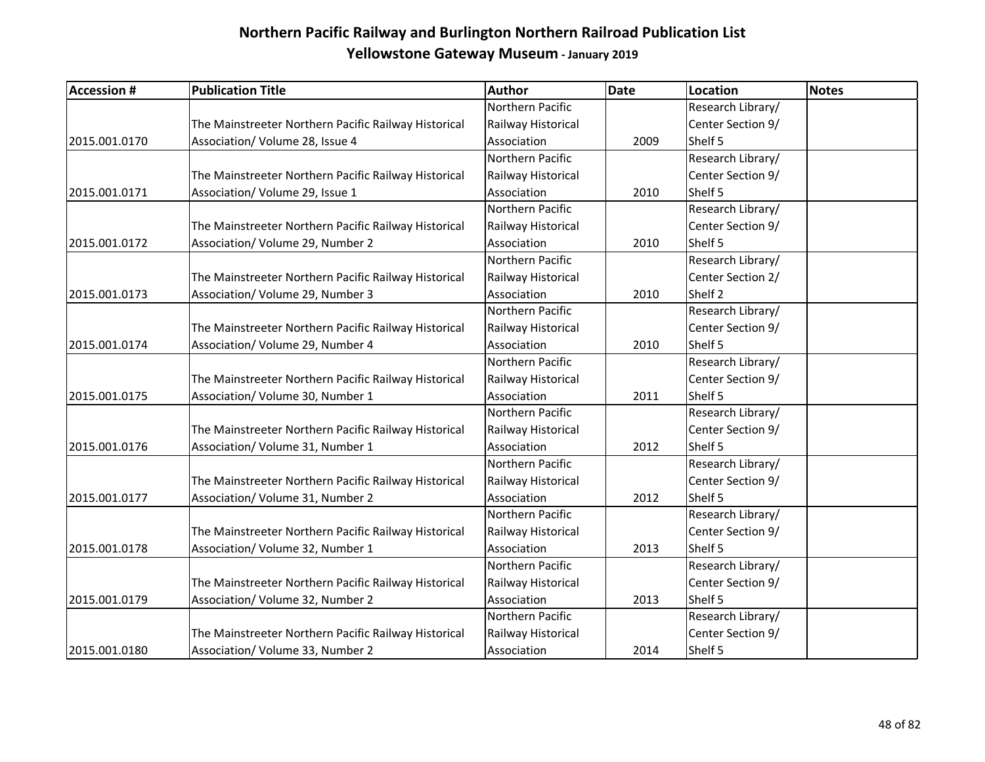| <b>Accession #</b> | <b>Publication Title</b>                             | <b>Author</b>      | <b>Date</b> | <b>Location</b>   | <b>Notes</b> |
|--------------------|------------------------------------------------------|--------------------|-------------|-------------------|--------------|
|                    |                                                      | Northern Pacific   |             | Research Library/ |              |
|                    | The Mainstreeter Northern Pacific Railway Historical | Railway Historical |             | Center Section 9/ |              |
| 2015.001.0170      | Association/ Volume 28, Issue 4                      | Association        | 2009        | Shelf 5           |              |
|                    |                                                      | Northern Pacific   |             | Research Library/ |              |
|                    | The Mainstreeter Northern Pacific Railway Historical | Railway Historical |             | Center Section 9/ |              |
| 2015.001.0171      | Association/ Volume 29, Issue 1                      | Association        | 2010        | Shelf 5           |              |
|                    |                                                      | Northern Pacific   |             | Research Library/ |              |
|                    | The Mainstreeter Northern Pacific Railway Historical | Railway Historical |             | Center Section 9/ |              |
| 2015.001.0172      | Association/ Volume 29, Number 2                     | Association        | 2010        | Shelf 5           |              |
|                    |                                                      | Northern Pacific   |             | Research Library/ |              |
|                    | The Mainstreeter Northern Pacific Railway Historical | Railway Historical |             | Center Section 2/ |              |
| 2015.001.0173      | Association/ Volume 29, Number 3                     | Association        | 2010        | Shelf 2           |              |
|                    |                                                      | Northern Pacific   |             | Research Library/ |              |
|                    | The Mainstreeter Northern Pacific Railway Historical | Railway Historical |             | Center Section 9/ |              |
| 2015.001.0174      | Association/ Volume 29, Number 4                     | Association        | 2010        | Shelf 5           |              |
|                    |                                                      | Northern Pacific   |             | Research Library/ |              |
|                    | The Mainstreeter Northern Pacific Railway Historical | Railway Historical |             | Center Section 9/ |              |
| 2015.001.0175      | Association/ Volume 30, Number 1                     | Association        | 2011        | Shelf 5           |              |
|                    |                                                      | Northern Pacific   |             | Research Library/ |              |
|                    | The Mainstreeter Northern Pacific Railway Historical | Railway Historical |             | Center Section 9/ |              |
| 2015.001.0176      | Association/ Volume 31, Number 1                     | Association        | 2012        | Shelf 5           |              |
|                    |                                                      | Northern Pacific   |             | Research Library/ |              |
|                    | The Mainstreeter Northern Pacific Railway Historical | Railway Historical |             | Center Section 9/ |              |
| 2015.001.0177      | Association/ Volume 31, Number 2                     | Association        | 2012        | Shelf 5           |              |
|                    |                                                      | Northern Pacific   |             | Research Library/ |              |
|                    | The Mainstreeter Northern Pacific Railway Historical | Railway Historical |             | Center Section 9/ |              |
| 2015.001.0178      | Association/ Volume 32, Number 1                     | Association        | 2013        | Shelf 5           |              |
|                    |                                                      | Northern Pacific   |             | Research Library/ |              |
|                    | The Mainstreeter Northern Pacific Railway Historical | Railway Historical |             | Center Section 9/ |              |
| 2015.001.0179      | Association/ Volume 32, Number 2                     | Association        | 2013        | Shelf 5           |              |
|                    |                                                      | Northern Pacific   |             | Research Library/ |              |
|                    | The Mainstreeter Northern Pacific Railway Historical | Railway Historical |             | Center Section 9/ |              |
| 2015.001.0180      | Association/ Volume 33, Number 2                     | Association        | 2014        | Shelf 5           |              |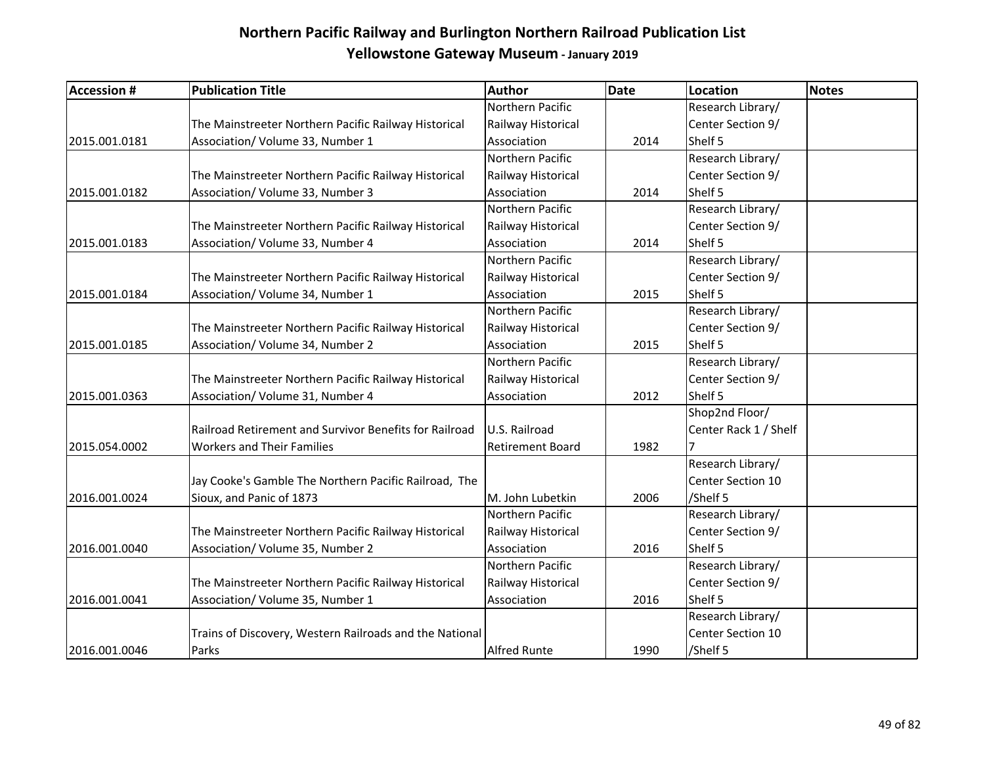| <b>Accession #</b> | <b>Publication Title</b>                                | <b>Author</b>           | <b>Date</b> | <b>Location</b>       | <b>Notes</b> |
|--------------------|---------------------------------------------------------|-------------------------|-------------|-----------------------|--------------|
|                    |                                                         | Northern Pacific        |             | Research Library/     |              |
|                    | The Mainstreeter Northern Pacific Railway Historical    | Railway Historical      |             | Center Section 9/     |              |
| 2015.001.0181      | Association/ Volume 33, Number 1                        | Association             | 2014        | Shelf 5               |              |
|                    |                                                         | Northern Pacific        |             | Research Library/     |              |
|                    | The Mainstreeter Northern Pacific Railway Historical    | Railway Historical      |             | Center Section 9/     |              |
| 2015.001.0182      | Association/ Volume 33, Number 3                        | Association             | 2014        | Shelf 5               |              |
|                    |                                                         | Northern Pacific        |             | Research Library/     |              |
|                    | The Mainstreeter Northern Pacific Railway Historical    | Railway Historical      |             | Center Section 9/     |              |
| 2015.001.0183      | Association/ Volume 33, Number 4                        | Association             | 2014        | Shelf 5               |              |
|                    |                                                         | Northern Pacific        |             | Research Library/     |              |
|                    | The Mainstreeter Northern Pacific Railway Historical    | Railway Historical      |             | Center Section 9/     |              |
| 2015.001.0184      | Association/ Volume 34, Number 1                        | Association             | 2015        | Shelf 5               |              |
|                    |                                                         | Northern Pacific        |             | Research Library/     |              |
|                    | The Mainstreeter Northern Pacific Railway Historical    | Railway Historical      |             | Center Section 9/     |              |
| 2015.001.0185      | Association/ Volume 34, Number 2                        | Association             | 2015        | Shelf 5               |              |
|                    |                                                         | Northern Pacific        |             | Research Library/     |              |
|                    | The Mainstreeter Northern Pacific Railway Historical    | Railway Historical      |             | Center Section 9/     |              |
| 2015.001.0363      | Association/ Volume 31, Number 4                        | Association             | 2012        | Shelf 5               |              |
|                    |                                                         |                         |             | Shop2nd Floor/        |              |
|                    | Railroad Retirement and Survivor Benefits for Railroad  | U.S. Railroad           |             | Center Rack 1 / Shelf |              |
| 2015.054.0002      | <b>Workers and Their Families</b>                       | <b>Retirement Board</b> | 1982        |                       |              |
|                    |                                                         |                         |             | Research Library/     |              |
|                    | Jay Cooke's Gamble The Northern Pacific Railroad, The   |                         |             | Center Section 10     |              |
| 2016.001.0024      | Sioux, and Panic of 1873                                | M. John Lubetkin        | 2006        | /Shelf 5              |              |
|                    |                                                         | Northern Pacific        |             | Research Library/     |              |
|                    | The Mainstreeter Northern Pacific Railway Historical    | Railway Historical      |             | Center Section 9/     |              |
| 2016.001.0040      | Association/ Volume 35, Number 2                        | Association             | 2016        | Shelf 5               |              |
|                    |                                                         | Northern Pacific        |             | Research Library/     |              |
|                    | The Mainstreeter Northern Pacific Railway Historical    | Railway Historical      |             | Center Section 9/     |              |
| 2016.001.0041      | Association/ Volume 35, Number 1                        | Association             | 2016        | Shelf 5               |              |
|                    |                                                         |                         |             | Research Library/     |              |
|                    | Trains of Discovery, Western Railroads and the National |                         |             | Center Section 10     |              |
| 2016.001.0046      | Parks                                                   | <b>Alfred Runte</b>     | 1990        | /Shelf 5              |              |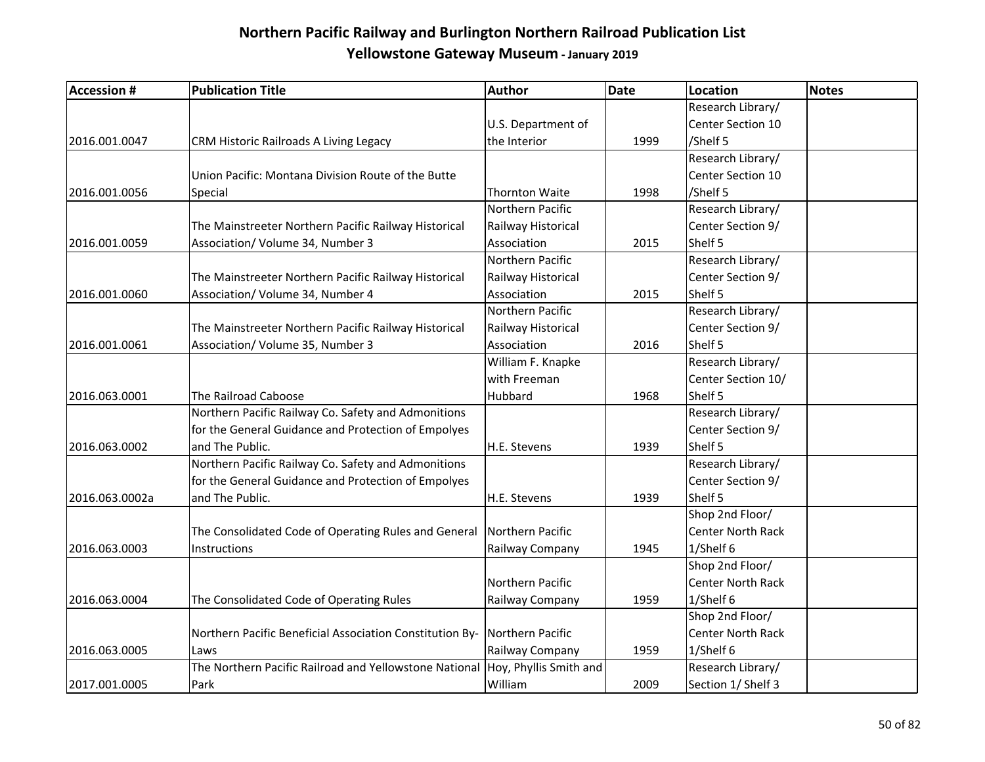| <b>Accession #</b> | <b>Publication Title</b>                                 | <b>Author</b>          | Date | <b>Location</b>          | <b>Notes</b> |
|--------------------|----------------------------------------------------------|------------------------|------|--------------------------|--------------|
|                    |                                                          |                        |      | Research Library/        |              |
|                    |                                                          | U.S. Department of     |      | Center Section 10        |              |
| 2016.001.0047      | CRM Historic Railroads A Living Legacy                   | the Interior           | 1999 | /Shelf 5                 |              |
|                    |                                                          |                        |      | Research Library/        |              |
|                    | Union Pacific: Montana Division Route of the Butte       |                        |      | Center Section 10        |              |
| 2016.001.0056      | Special                                                  | <b>Thornton Waite</b>  | 1998 | /Shelf 5                 |              |
|                    |                                                          | Northern Pacific       |      | Research Library/        |              |
|                    | The Mainstreeter Northern Pacific Railway Historical     | Railway Historical     |      | Center Section 9/        |              |
| 2016.001.0059      | Association/ Volume 34, Number 3                         | Association            | 2015 | Shelf 5                  |              |
|                    |                                                          | Northern Pacific       |      | Research Library/        |              |
|                    | The Mainstreeter Northern Pacific Railway Historical     | Railway Historical     |      | Center Section 9/        |              |
| 2016.001.0060      | Association/ Volume 34, Number 4                         | Association            | 2015 | Shelf 5                  |              |
|                    |                                                          | Northern Pacific       |      | Research Library/        |              |
|                    | The Mainstreeter Northern Pacific Railway Historical     | Railway Historical     |      | Center Section 9/        |              |
| 2016.001.0061      | Association/ Volume 35, Number 3                         | Association            | 2016 | Shelf 5                  |              |
|                    |                                                          | William F. Knapke      |      | Research Library/        |              |
|                    |                                                          | with Freeman           |      | Center Section 10/       |              |
| 2016.063.0001      | The Railroad Caboose                                     | Hubbard                | 1968 | Shelf 5                  |              |
|                    | Northern Pacific Railway Co. Safety and Admonitions      |                        |      | Research Library/        |              |
|                    | for the General Guidance and Protection of Empolyes      |                        |      | Center Section 9/        |              |
| 2016.063.0002      | and The Public.                                          | H.E. Stevens           | 1939 | Shelf 5                  |              |
|                    | Northern Pacific Railway Co. Safety and Admonitions      |                        |      | Research Library/        |              |
|                    | for the General Guidance and Protection of Empolyes      |                        |      | Center Section 9/        |              |
| 2016.063.0002a     | and The Public.                                          | H.E. Stevens           | 1939 | Shelf 5                  |              |
|                    |                                                          |                        |      | Shop 2nd Floor/          |              |
|                    | The Consolidated Code of Operating Rules and General     | Northern Pacific       |      | <b>Center North Rack</b> |              |
| 2016.063.0003      | Instructions                                             | Railway Company        | 1945 | 1/Shelf 6                |              |
|                    |                                                          |                        |      | Shop 2nd Floor/          |              |
|                    |                                                          | Northern Pacific       |      | <b>Center North Rack</b> |              |
| 2016.063.0004      | The Consolidated Code of Operating Rules                 | Railway Company        | 1959 | 1/Shelf 6                |              |
|                    |                                                          |                        |      | Shop 2nd Floor/          |              |
|                    | Northern Pacific Beneficial Association Constitution By- | Northern Pacific       |      | <b>Center North Rack</b> |              |
| 2016.063.0005      | Laws                                                     | Railway Company        | 1959 | 1/Shelf 6                |              |
|                    | The Northern Pacific Railroad and Yellowstone National   | Hoy, Phyllis Smith and |      | Research Library/        |              |
| 2017.001.0005      | Park                                                     | William                | 2009 | Section 1/ Shelf 3       |              |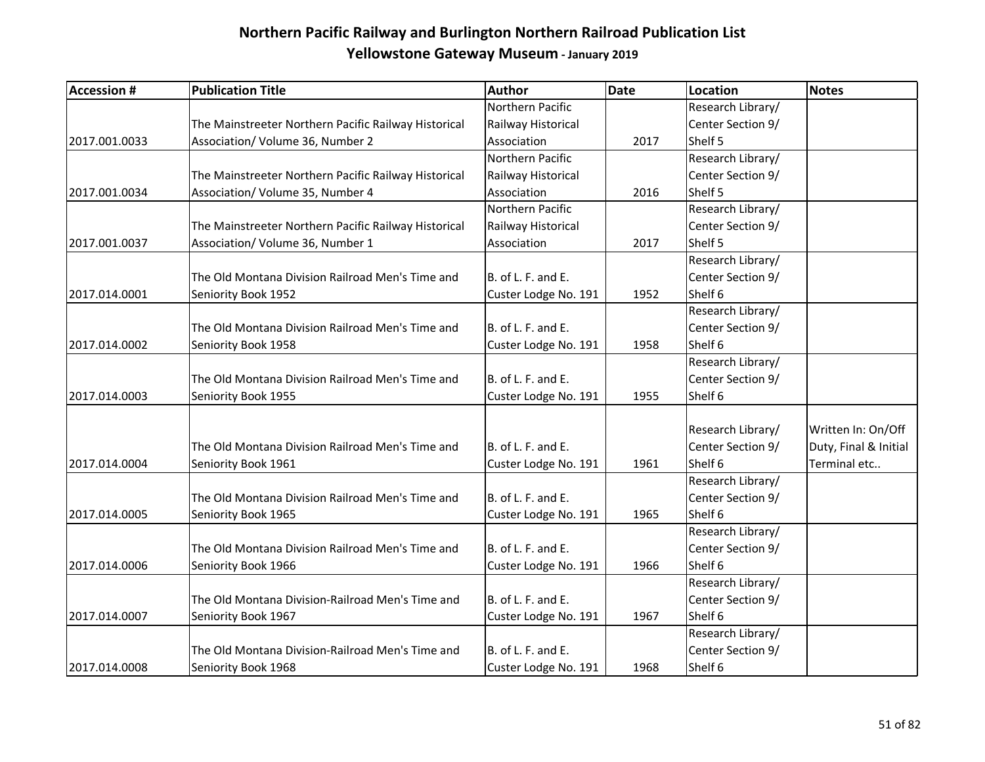| <b>Accession #</b> | <b>Publication Title</b>                             | Author               | <b>Date</b> | <b>Location</b>   | Notes                 |
|--------------------|------------------------------------------------------|----------------------|-------------|-------------------|-----------------------|
|                    |                                                      | Northern Pacific     |             | Research Library/ |                       |
|                    | The Mainstreeter Northern Pacific Railway Historical | Railway Historical   |             | Center Section 9/ |                       |
| 2017.001.0033      | Association/ Volume 36, Number 2                     | Association          | 2017        | Shelf 5           |                       |
|                    |                                                      | Northern Pacific     |             | Research Library/ |                       |
|                    | The Mainstreeter Northern Pacific Railway Historical | Railway Historical   |             | Center Section 9/ |                       |
| 2017.001.0034      | Association/ Volume 35, Number 4                     | Association          | 2016        | Shelf 5           |                       |
|                    |                                                      | Northern Pacific     |             | Research Library/ |                       |
|                    | The Mainstreeter Northern Pacific Railway Historical | Railway Historical   |             | Center Section 9/ |                       |
| 2017.001.0037      | Association/ Volume 36, Number 1                     | Association          | 2017        | Shelf 5           |                       |
|                    |                                                      |                      |             | Research Library/ |                       |
|                    | The Old Montana Division Railroad Men's Time and     | B. of L. F. and E.   |             | Center Section 9/ |                       |
| 2017.014.0001      | Seniority Book 1952                                  | Custer Lodge No. 191 | 1952        | Shelf 6           |                       |
|                    |                                                      |                      |             | Research Library/ |                       |
|                    | The Old Montana Division Railroad Men's Time and     | B. of L. F. and E.   |             | Center Section 9/ |                       |
| 2017.014.0002      | Seniority Book 1958                                  | Custer Lodge No. 191 | 1958        | Shelf 6           |                       |
|                    |                                                      |                      |             | Research Library/ |                       |
|                    | The Old Montana Division Railroad Men's Time and     | B. of L. F. and E.   |             | Center Section 9/ |                       |
| 2017.014.0003      | Seniority Book 1955                                  | Custer Lodge No. 191 | 1955        | Shelf 6           |                       |
|                    |                                                      |                      |             |                   |                       |
|                    |                                                      |                      |             | Research Library/ | Written In: On/Off    |
|                    | The Old Montana Division Railroad Men's Time and     | B. of L. F. and E.   |             | Center Section 9/ | Duty, Final & Initial |
| 2017.014.0004      | Seniority Book 1961                                  | Custer Lodge No. 191 | 1961        | Shelf 6           | Terminal etc          |
|                    |                                                      |                      |             | Research Library/ |                       |
|                    | The Old Montana Division Railroad Men's Time and     | B. of L. F. and E.   |             | Center Section 9/ |                       |
| 2017.014.0005      | Seniority Book 1965                                  | Custer Lodge No. 191 | 1965        | Shelf 6           |                       |
|                    |                                                      |                      |             | Research Library/ |                       |
|                    | The Old Montana Division Railroad Men's Time and     | B. of L. F. and E.   |             | Center Section 9/ |                       |
| 2017.014.0006      | Seniority Book 1966                                  | Custer Lodge No. 191 | 1966        | Shelf 6           |                       |
|                    |                                                      |                      |             | Research Library/ |                       |
|                    | The Old Montana Division-Railroad Men's Time and     | B. of L. F. and E.   |             | Center Section 9/ |                       |
| 2017.014.0007      | Seniority Book 1967                                  | Custer Lodge No. 191 | 1967        | Shelf 6           |                       |
|                    |                                                      |                      |             | Research Library/ |                       |
|                    | The Old Montana Division-Railroad Men's Time and     | B. of L. F. and E.   |             | Center Section 9/ |                       |
| 2017.014.0008      | Seniority Book 1968                                  | Custer Lodge No. 191 | 1968        | Shelf 6           |                       |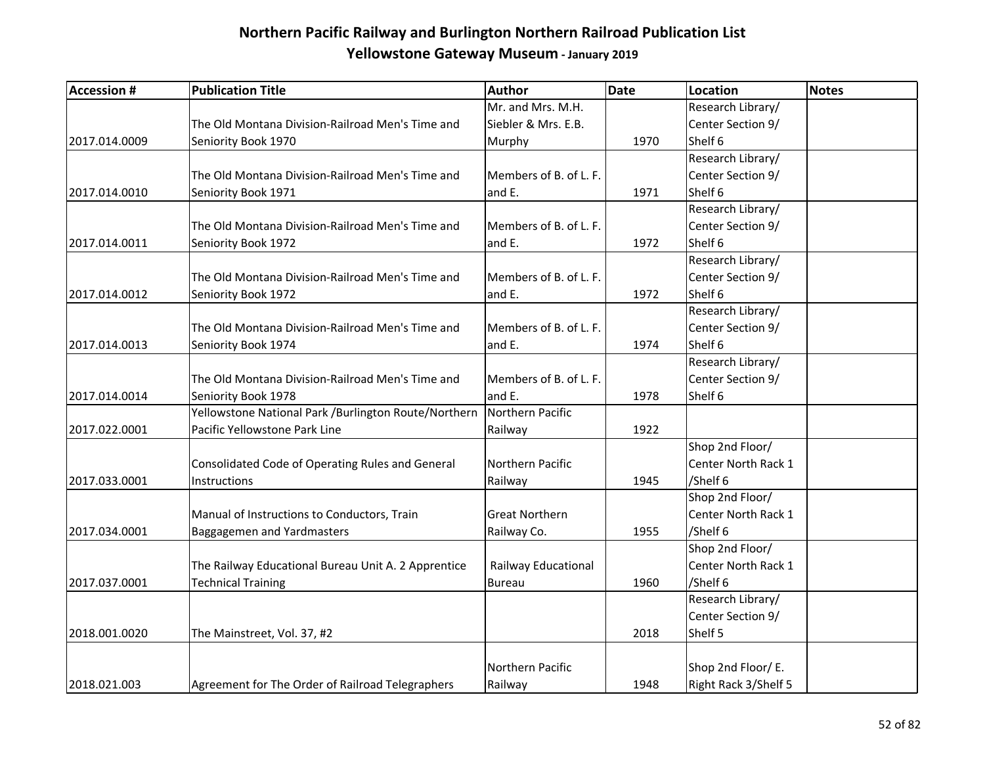| <b>Accession #</b> | <b>Publication Title</b>                             | Author                 | Date | <b>Location</b>      | <b>Notes</b> |
|--------------------|------------------------------------------------------|------------------------|------|----------------------|--------------|
|                    |                                                      | Mr. and Mrs. M.H.      |      | Research Library/    |              |
|                    | The Old Montana Division-Railroad Men's Time and     | Siebler & Mrs. E.B.    |      | Center Section 9/    |              |
| 2017.014.0009      | Seniority Book 1970                                  | Murphy                 | 1970 | Shelf 6              |              |
|                    |                                                      |                        |      | Research Library/    |              |
|                    | The Old Montana Division-Railroad Men's Time and     | Members of B. of L. F. |      | Center Section 9/    |              |
| 2017.014.0010      | Seniority Book 1971                                  | and E.                 | 1971 | Shelf 6              |              |
|                    |                                                      |                        |      | Research Library/    |              |
|                    | The Old Montana Division-Railroad Men's Time and     | Members of B. of L. F. |      | Center Section 9/    |              |
| 2017.014.0011      | Seniority Book 1972                                  | and E.                 | 1972 | Shelf 6              |              |
|                    |                                                      |                        |      | Research Library/    |              |
|                    | The Old Montana Division-Railroad Men's Time and     | Members of B. of L. F. |      | Center Section 9/    |              |
| 2017.014.0012      | Seniority Book 1972                                  | and E.                 | 1972 | Shelf 6              |              |
|                    |                                                      |                        |      | Research Library/    |              |
|                    | The Old Montana Division-Railroad Men's Time and     | Members of B. of L. F. |      | Center Section 9/    |              |
| 2017.014.0013      | Seniority Book 1974                                  | and E.                 | 1974 | Shelf 6              |              |
|                    |                                                      |                        |      | Research Library/    |              |
|                    | The Old Montana Division-Railroad Men's Time and     | Members of B. of L. F. |      | Center Section 9/    |              |
| 2017.014.0014      | Seniority Book 1978                                  | and E.                 | 1978 | Shelf 6              |              |
|                    | Yellowstone National Park /Burlington Route/Northern | Northern Pacific       |      |                      |              |
| 2017.022.0001      | Pacific Yellowstone Park Line                        | Railway                | 1922 |                      |              |
|                    |                                                      |                        |      | Shop 2nd Floor/      |              |
|                    | Consolidated Code of Operating Rules and General     | Northern Pacific       |      | Center North Rack 1  |              |
| 2017.033.0001      | Instructions                                         | Railway                | 1945 | /Shelf 6             |              |
|                    |                                                      |                        |      | Shop 2nd Floor/      |              |
|                    | Manual of Instructions to Conductors, Train          | <b>Great Northern</b>  |      | Center North Rack 1  |              |
| 2017.034.0001      | Baggagemen and Yardmasters                           | Railway Co.            | 1955 | /Shelf 6             |              |
|                    |                                                      |                        |      | Shop 2nd Floor/      |              |
|                    | The Railway Educational Bureau Unit A. 2 Apprentice  | Railway Educational    |      | Center North Rack 1  |              |
| 2017.037.0001      | <b>Technical Training</b>                            | <b>Bureau</b>          | 1960 | /Shelf 6             |              |
|                    |                                                      |                        |      | Research Library/    |              |
|                    |                                                      |                        |      | Center Section 9/    |              |
| 2018.001.0020      | The Mainstreet, Vol. 37, #2                          |                        | 2018 | Shelf 5              |              |
|                    |                                                      |                        |      |                      |              |
|                    |                                                      | Northern Pacific       |      | Shop 2nd Floor/ E.   |              |
| 2018.021.003       | Agreement for The Order of Railroad Telegraphers     | Railway                | 1948 | Right Rack 3/Shelf 5 |              |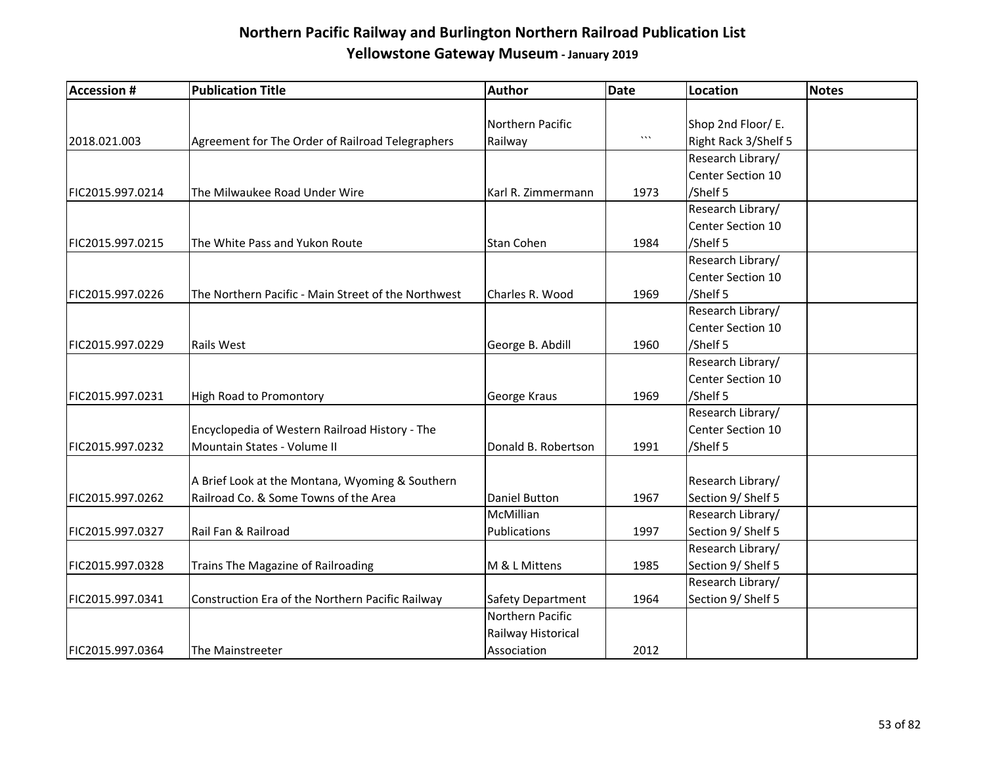| <b>Accession #</b> | <b>Publication Title</b>                            | Author              | <b>Date</b> | <b>Location</b>      | <b>Notes</b> |
|--------------------|-----------------------------------------------------|---------------------|-------------|----------------------|--------------|
|                    |                                                     |                     |             |                      |              |
|                    |                                                     | Northern Pacific    |             | Shop 2nd Floor/ E.   |              |
| 2018.021.003       | Agreement for The Order of Railroad Telegraphers    | Railway             | $\cdots$    | Right Rack 3/Shelf 5 |              |
|                    |                                                     |                     |             | Research Library/    |              |
|                    |                                                     |                     |             | Center Section 10    |              |
| FIC2015.997.0214   | The Milwaukee Road Under Wire                       | Karl R. Zimmermann  | 1973        | /Shelf 5             |              |
|                    |                                                     |                     |             | Research Library/    |              |
|                    |                                                     |                     |             | Center Section 10    |              |
| FIC2015.997.0215   | The White Pass and Yukon Route                      | Stan Cohen          | 1984        | /Shelf 5             |              |
|                    |                                                     |                     |             | Research Library/    |              |
|                    |                                                     |                     |             | Center Section 10    |              |
| FIC2015.997.0226   | The Northern Pacific - Main Street of the Northwest | Charles R. Wood     | 1969        | /Shelf 5             |              |
|                    |                                                     |                     |             | Research Library/    |              |
|                    |                                                     |                     |             | Center Section 10    |              |
| FIC2015.997.0229   | <b>Rails West</b>                                   | George B. Abdill    | 1960        | /Shelf 5             |              |
|                    |                                                     |                     |             | Research Library/    |              |
|                    |                                                     |                     |             | Center Section 10    |              |
| FIC2015.997.0231   | High Road to Promontory                             | George Kraus        | 1969        | /Shelf 5             |              |
|                    |                                                     |                     |             | Research Library/    |              |
|                    | Encyclopedia of Western Railroad History - The      |                     |             | Center Section 10    |              |
| FIC2015.997.0232   | Mountain States - Volume II                         | Donald B. Robertson | 1991        | /Shelf 5             |              |
|                    |                                                     |                     |             |                      |              |
|                    | A Brief Look at the Montana, Wyoming & Southern     |                     |             | Research Library/    |              |
| FIC2015.997.0262   | Railroad Co. & Some Towns of the Area               | Daniel Button       | 1967        | Section 9/ Shelf 5   |              |
|                    |                                                     | McMillian           |             | Research Library/    |              |
| FIC2015.997.0327   | Rail Fan & Railroad                                 | Publications        | 1997        | Section 9/ Shelf 5   |              |
|                    |                                                     |                     |             | Research Library/    |              |
| FIC2015.997.0328   | Trains The Magazine of Railroading                  | M & L Mittens       | 1985        | Section 9/ Shelf 5   |              |
|                    |                                                     |                     |             | Research Library/    |              |
| FIC2015.997.0341   | Construction Era of the Northern Pacific Railway    | Safety Department   | 1964        | Section 9/ Shelf 5   |              |
|                    |                                                     | Northern Pacific    |             |                      |              |
|                    |                                                     | Railway Historical  |             |                      |              |
| FIC2015.997.0364   | The Mainstreeter                                    | Association         | 2012        |                      |              |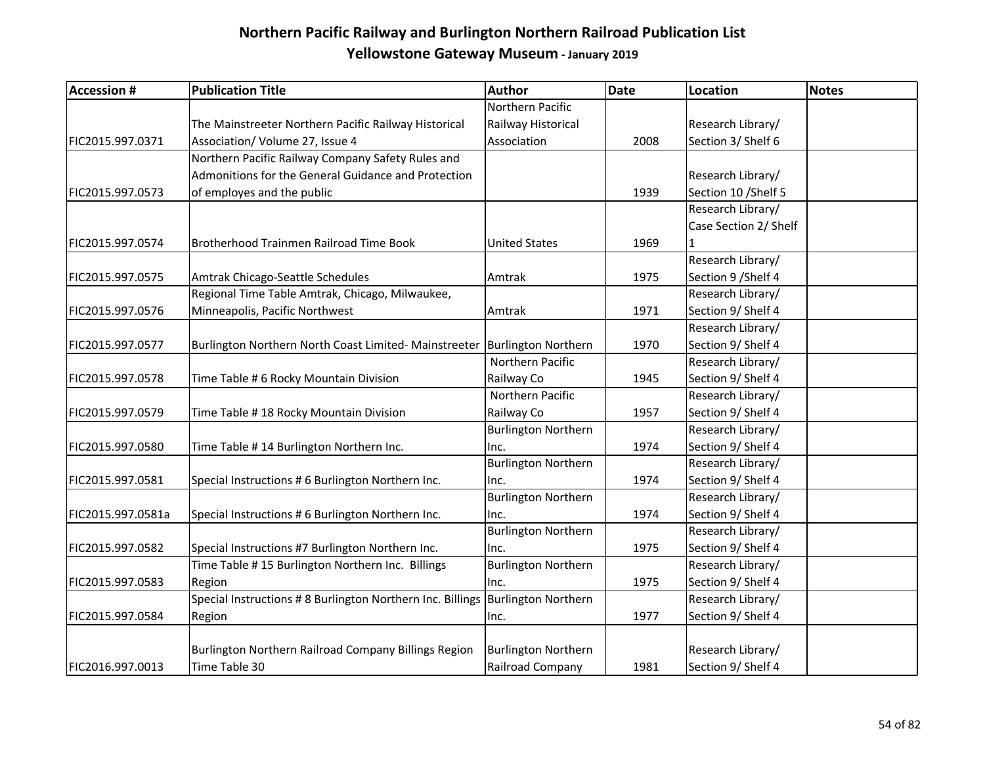| <b>Accession #</b> | <b>Publication Title</b>                                   | Author                     | <b>Date</b> | Location              | <b>Notes</b> |
|--------------------|------------------------------------------------------------|----------------------------|-------------|-----------------------|--------------|
|                    |                                                            | Northern Pacific           |             |                       |              |
|                    | The Mainstreeter Northern Pacific Railway Historical       | Railway Historical         |             | Research Library/     |              |
| FIC2015.997.0371   | Association/ Volume 27, Issue 4                            | Association                | 2008        | Section 3/ Shelf 6    |              |
|                    | Northern Pacific Railway Company Safety Rules and          |                            |             |                       |              |
|                    | Admonitions for the General Guidance and Protection        |                            |             | Research Library/     |              |
| FIC2015.997.0573   | of employes and the public                                 |                            | 1939        | Section 10 / Shelf 5  |              |
|                    |                                                            |                            |             | Research Library/     |              |
|                    |                                                            |                            |             | Case Section 2/ Shelf |              |
| FIC2015.997.0574   | Brotherhood Trainmen Railroad Time Book                    | <b>United States</b>       | 1969        | $\mathbf{1}$          |              |
|                    |                                                            |                            |             | Research Library/     |              |
| FIC2015.997.0575   | Amtrak Chicago-Seattle Schedules                           | Amtrak                     | 1975        | Section 9 / Shelf 4   |              |
|                    | Regional Time Table Amtrak, Chicago, Milwaukee,            |                            |             | Research Library/     |              |
| FIC2015.997.0576   | Minneapolis, Pacific Northwest                             | Amtrak                     | 1971        | Section 9/ Shelf 4    |              |
|                    |                                                            |                            |             | Research Library/     |              |
| FIC2015.997.0577   | Burlington Northern North Coast Limited- Mainstreeter      | <b>Burlington Northern</b> | 1970        | Section 9/ Shelf 4    |              |
|                    |                                                            | Northern Pacific           |             | Research Library/     |              |
| FIC2015.997.0578   | Time Table # 6 Rocky Mountain Division                     | Railway Co                 | 1945        | Section 9/ Shelf 4    |              |
|                    |                                                            | Northern Pacific           |             | Research Library/     |              |
| FIC2015.997.0579   | Time Table #18 Rocky Mountain Division                     | Railway Co                 | 1957        | Section 9/ Shelf 4    |              |
|                    |                                                            | <b>Burlington Northern</b> |             | Research Library/     |              |
| FIC2015.997.0580   | Time Table # 14 Burlington Northern Inc.                   | Inc.                       | 1974        | Section 9/ Shelf 4    |              |
|                    |                                                            | <b>Burlington Northern</b> |             | Research Library/     |              |
| FIC2015.997.0581   | Special Instructions # 6 Burlington Northern Inc.          | Inc.                       | 1974        | Section 9/ Shelf 4    |              |
|                    |                                                            | <b>Burlington Northern</b> |             | Research Library/     |              |
| FIC2015.997.0581a  | Special Instructions # 6 Burlington Northern Inc.          | Inc.                       | 1974        | Section 9/ Shelf 4    |              |
|                    |                                                            | <b>Burlington Northern</b> |             | Research Library/     |              |
| FIC2015.997.0582   | Special Instructions #7 Burlington Northern Inc.           | Inc.                       | 1975        | Section 9/ Shelf 4    |              |
|                    | Time Table #15 Burlington Northern Inc. Billings           | <b>Burlington Northern</b> |             | Research Library/     |              |
| FIC2015.997.0583   | Region                                                     | Inc.                       | 1975        | Section 9/ Shelf 4    |              |
|                    | Special Instructions # 8 Burlington Northern Inc. Billings | <b>Burlington Northern</b> |             | Research Library/     |              |
| FIC2015.997.0584   | Region                                                     | Inc.                       | 1977        | Section 9/ Shelf 4    |              |
|                    |                                                            |                            |             |                       |              |
|                    | Burlington Northern Railroad Company Billings Region       | <b>Burlington Northern</b> |             | Research Library/     |              |
| FIC2016.997.0013   | Time Table 30                                              | Railroad Company           | 1981        | Section 9/ Shelf 4    |              |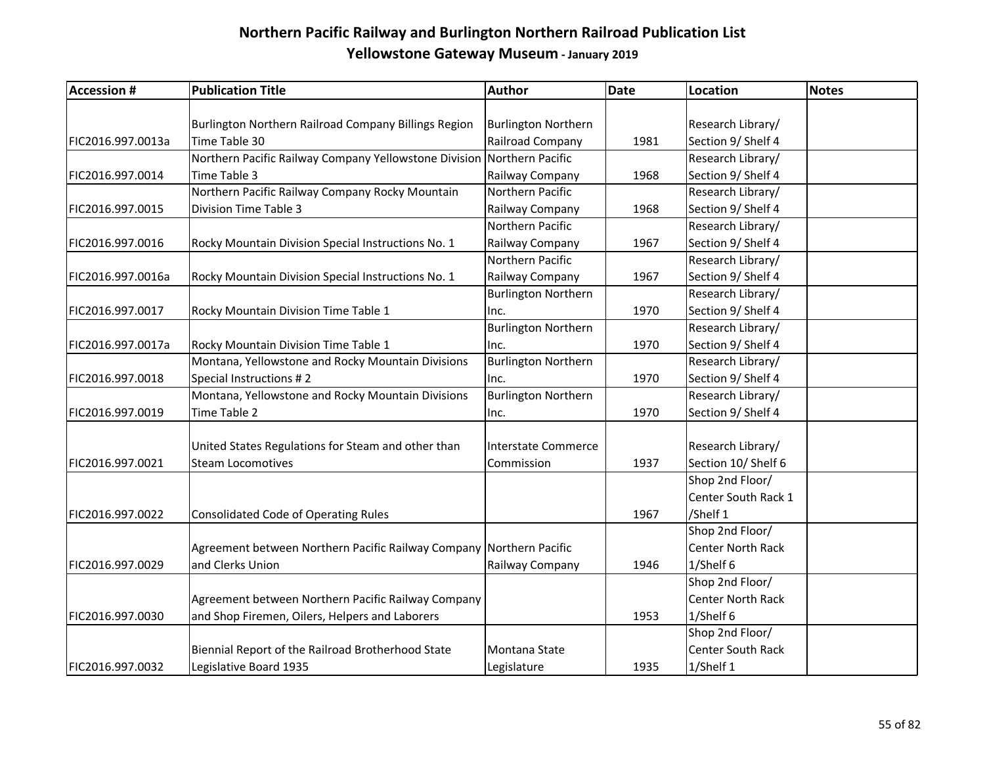| <b>Accession #</b> | <b>Publication Title</b>                                               | Author                     | <b>Date</b> | <b>Location</b>          | <b>Notes</b> |
|--------------------|------------------------------------------------------------------------|----------------------------|-------------|--------------------------|--------------|
|                    |                                                                        |                            |             |                          |              |
|                    | Burlington Northern Railroad Company Billings Region                   | <b>Burlington Northern</b> |             | Research Library/        |              |
| FIC2016.997.0013a  | Time Table 30                                                          | Railroad Company           | 1981        | Section 9/ Shelf 4       |              |
|                    | Northern Pacific Railway Company Yellowstone Division Northern Pacific |                            |             | Research Library/        |              |
| FIC2016.997.0014   | Time Table 3                                                           | Railway Company            | 1968        | Section 9/ Shelf 4       |              |
|                    | Northern Pacific Railway Company Rocky Mountain                        | Northern Pacific           |             | Research Library/        |              |
| FIC2016.997.0015   | Division Time Table 3                                                  | Railway Company            | 1968        | Section 9/ Shelf 4       |              |
|                    |                                                                        | Northern Pacific           |             | Research Library/        |              |
| FIC2016.997.0016   | Rocky Mountain Division Special Instructions No. 1                     | Railway Company            | 1967        | Section 9/ Shelf 4       |              |
|                    |                                                                        | Northern Pacific           |             | Research Library/        |              |
| FIC2016.997.0016a  | Rocky Mountain Division Special Instructions No. 1                     | Railway Company            | 1967        | Section 9/ Shelf 4       |              |
|                    |                                                                        | <b>Burlington Northern</b> |             | Research Library/        |              |
| FIC2016.997.0017   | Rocky Mountain Division Time Table 1                                   | Inc.                       | 1970        | Section 9/ Shelf 4       |              |
|                    |                                                                        | <b>Burlington Northern</b> |             | Research Library/        |              |
| FIC2016.997.0017a  | Rocky Mountain Division Time Table 1                                   | Inc.                       | 1970        | Section 9/ Shelf 4       |              |
|                    | Montana, Yellowstone and Rocky Mountain Divisions                      | <b>Burlington Northern</b> |             | Research Library/        |              |
| FIC2016.997.0018   | Special Instructions #2                                                | Inc.                       | 1970        | Section 9/ Shelf 4       |              |
|                    | Montana, Yellowstone and Rocky Mountain Divisions                      | <b>Burlington Northern</b> |             | Research Library/        |              |
| FIC2016.997.0019   | Time Table 2                                                           | Inc.                       | 1970        | Section 9/ Shelf 4       |              |
|                    |                                                                        |                            |             |                          |              |
|                    | United States Regulations for Steam and other than                     | Interstate Commerce        |             | Research Library/        |              |
| FIC2016.997.0021   | <b>Steam Locomotives</b>                                               | Commission                 | 1937        | Section 10/ Shelf 6      |              |
|                    |                                                                        |                            |             | Shop 2nd Floor/          |              |
|                    |                                                                        |                            |             | Center South Rack 1      |              |
| FIC2016.997.0022   | <b>Consolidated Code of Operating Rules</b>                            |                            | 1967        | /Shelf 1                 |              |
|                    |                                                                        |                            |             | Shop 2nd Floor/          |              |
|                    | Agreement between Northern Pacific Railway Company Northern Pacific    |                            |             | <b>Center North Rack</b> |              |
| FIC2016.997.0029   | and Clerks Union                                                       | Railway Company            | 1946        | 1/Shelf 6                |              |
|                    |                                                                        |                            |             | Shop 2nd Floor/          |              |
|                    | Agreement between Northern Pacific Railway Company                     |                            |             | <b>Center North Rack</b> |              |
| FIC2016.997.0030   | and Shop Firemen, Oilers, Helpers and Laborers                         |                            | 1953        | 1/Shelf 6                |              |
|                    |                                                                        |                            |             | Shop 2nd Floor/          |              |
|                    | Biennial Report of the Railroad Brotherhood State                      | Montana State              |             | <b>Center South Rack</b> |              |
| FIC2016.997.0032   | Legislative Board 1935                                                 | Legislature                | 1935        | 1/Shelf 1                |              |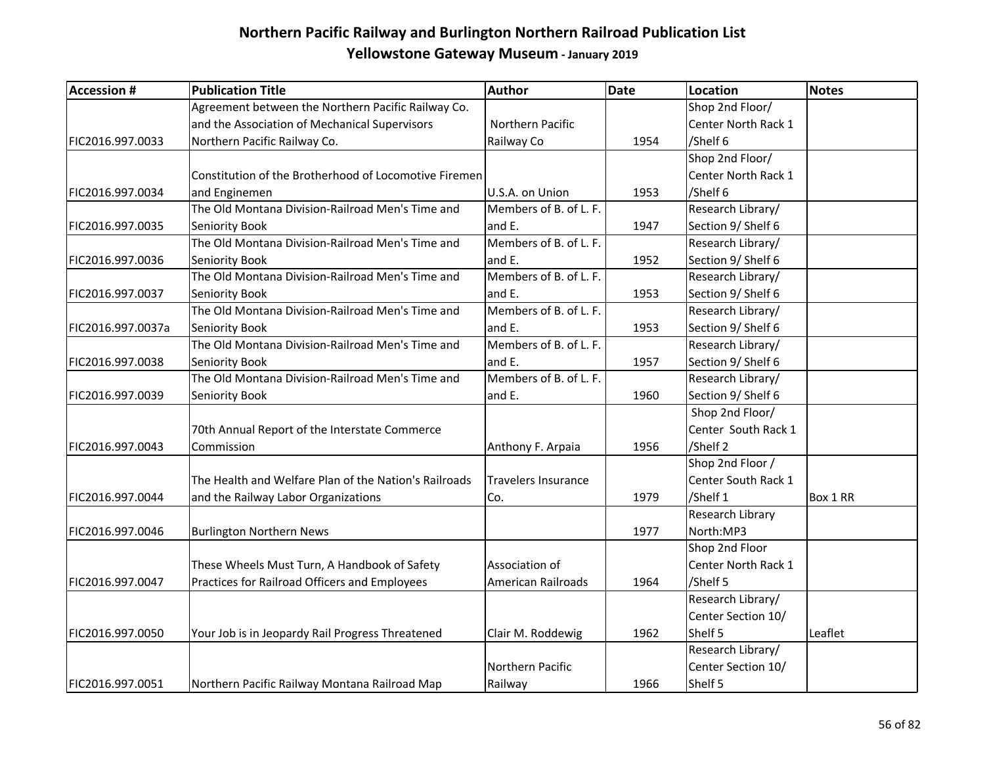| <b>Accession #</b> | <b>Publication Title</b>                              | Author                     | <b>Date</b> | Location            | Notes    |
|--------------------|-------------------------------------------------------|----------------------------|-------------|---------------------|----------|
|                    | Agreement between the Northern Pacific Railway Co.    |                            |             | Shop 2nd Floor/     |          |
|                    | and the Association of Mechanical Supervisors         | Northern Pacific           |             | Center North Rack 1 |          |
| FIC2016.997.0033   | Northern Pacific Railway Co.                          | Railway Co                 | 1954        | /Shelf 6            |          |
|                    |                                                       |                            |             | Shop 2nd Floor/     |          |
|                    | Constitution of the Brotherhood of Locomotive Firemen |                            |             | Center North Rack 1 |          |
| FIC2016.997.0034   | and Enginemen                                         | U.S.A. on Union            | 1953        | /Shelf 6            |          |
|                    | The Old Montana Division-Railroad Men's Time and      | Members of B. of L. F.     |             | Research Library/   |          |
| FIC2016.997.0035   | Seniority Book                                        | and E.                     | 1947        | Section 9/ Shelf 6  |          |
|                    | The Old Montana Division-Railroad Men's Time and      | Members of B. of L. F.     |             | Research Library/   |          |
| FIC2016.997.0036   | Seniority Book                                        | and E.                     | 1952        | Section 9/ Shelf 6  |          |
|                    | The Old Montana Division-Railroad Men's Time and      | Members of B. of L. F.     |             | Research Library/   |          |
| FIC2016.997.0037   | Seniority Book                                        | and E.                     | 1953        | Section 9/ Shelf 6  |          |
|                    | The Old Montana Division-Railroad Men's Time and      | Members of B. of L. F.     |             | Research Library/   |          |
| FIC2016.997.0037a  | Seniority Book                                        | and E.                     | 1953        | Section 9/ Shelf 6  |          |
|                    | The Old Montana Division-Railroad Men's Time and      | Members of B. of L. F.     |             | Research Library/   |          |
| FIC2016.997.0038   | Seniority Book                                        | and E.                     | 1957        | Section 9/ Shelf 6  |          |
|                    | The Old Montana Division-Railroad Men's Time and      | Members of B. of L. F.     |             | Research Library/   |          |
| FIC2016.997.0039   | Seniority Book                                        | and E.                     | 1960        | Section 9/ Shelf 6  |          |
|                    |                                                       |                            |             | Shop 2nd Floor/     |          |
|                    | 70th Annual Report of the Interstate Commerce         |                            |             | Center South Rack 1 |          |
| FIC2016.997.0043   | Commission                                            | Anthony F. Arpaia          | 1956        | /Shelf 2            |          |
|                    |                                                       |                            |             | Shop 2nd Floor /    |          |
|                    | The Health and Welfare Plan of the Nation's Railroads | <b>Travelers Insurance</b> |             | Center South Rack 1 |          |
| FIC2016.997.0044   | and the Railway Labor Organizations                   | Co.                        | 1979        | /Shelf 1            | Box 1 RR |
|                    |                                                       |                            |             | Research Library    |          |
| FIC2016.997.0046   | <b>Burlington Northern News</b>                       |                            | 1977        | North:MP3           |          |
|                    |                                                       |                            |             | Shop 2nd Floor      |          |
|                    | These Wheels Must Turn, A Handbook of Safety          | Association of             |             | Center North Rack 1 |          |
| FIC2016.997.0047   | Practices for Railroad Officers and Employees         | American Railroads         | 1964        | /Shelf 5            |          |
|                    |                                                       |                            |             | Research Library/   |          |
|                    |                                                       |                            |             | Center Section 10/  |          |
| FIC2016.997.0050   | Your Job is in Jeopardy Rail Progress Threatened      | Clair M. Roddewig          | 1962        | Shelf 5             | Leaflet  |
|                    |                                                       |                            |             | Research Library/   |          |
|                    |                                                       | Northern Pacific           |             | Center Section 10/  |          |
| FIC2016.997.0051   | Northern Pacific Railway Montana Railroad Map         | Railway                    | 1966        | Shelf 5             |          |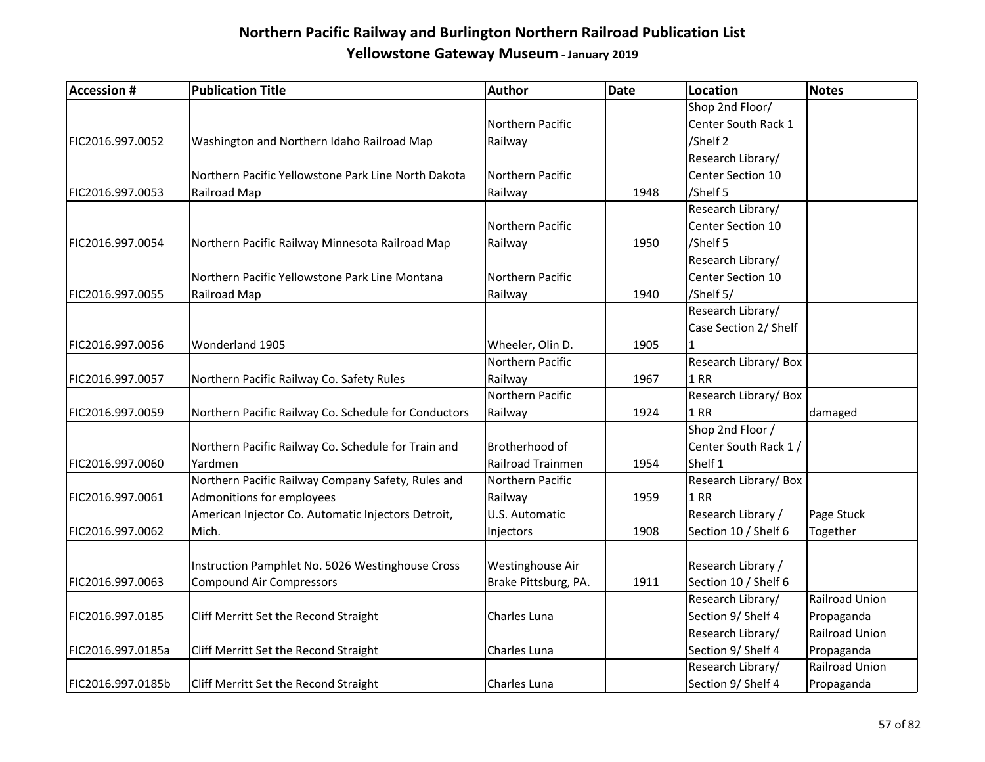| <b>Accession #</b> | <b>Publication Title</b>                             | Author               | <b>Date</b> | <b>Location</b>       | <b>Notes</b>          |
|--------------------|------------------------------------------------------|----------------------|-------------|-----------------------|-----------------------|
|                    |                                                      |                      |             | Shop 2nd Floor/       |                       |
|                    |                                                      | Northern Pacific     |             | Center South Rack 1   |                       |
| FIC2016.997.0052   | Washington and Northern Idaho Railroad Map           | Railway              |             | /Shelf 2              |                       |
|                    |                                                      |                      |             | Research Library/     |                       |
|                    | Northern Pacific Yellowstone Park Line North Dakota  | Northern Pacific     |             | Center Section 10     |                       |
| FIC2016.997.0053   | Railroad Map                                         | Railway              | 1948        | /Shelf 5              |                       |
|                    |                                                      |                      |             | Research Library/     |                       |
|                    |                                                      | Northern Pacific     |             | Center Section 10     |                       |
| FIC2016.997.0054   | Northern Pacific Railway Minnesota Railroad Map      | Railway              | 1950        | /Shelf 5              |                       |
|                    |                                                      |                      |             | Research Library/     |                       |
|                    | Northern Pacific Yellowstone Park Line Montana       | Northern Pacific     |             | Center Section 10     |                       |
| FIC2016.997.0055   | Railroad Map                                         | Railway              | 1940        | /Shelf 5/             |                       |
|                    |                                                      |                      |             | Research Library/     |                       |
|                    |                                                      |                      |             | Case Section 2/ Shelf |                       |
| FIC2016.997.0056   | Wonderland 1905                                      | Wheeler, Olin D.     | 1905        | $\mathbf{1}$          |                       |
|                    |                                                      | Northern Pacific     |             | Research Library/Box  |                       |
| FIC2016.997.0057   | Northern Pacific Railway Co. Safety Rules            | Railway              | 1967        | $1$ RR                |                       |
|                    |                                                      | Northern Pacific     |             | Research Library/Box  |                       |
| FIC2016.997.0059   | Northern Pacific Railway Co. Schedule for Conductors | Railway              | 1924        | 1 RR                  | damaged               |
|                    |                                                      |                      |             | Shop 2nd Floor /      |                       |
|                    | Northern Pacific Railway Co. Schedule for Train and  | Brotherhood of       |             | Center South Rack 1 / |                       |
| FIC2016.997.0060   | Yardmen                                              | Railroad Trainmen    | 1954        | Shelf 1               |                       |
|                    | Northern Pacific Railway Company Safety, Rules and   | Northern Pacific     |             | Research Library/Box  |                       |
| FIC2016.997.0061   | Admonitions for employees                            | Railway              | 1959        | <b>1 RR</b>           |                       |
|                    | American Injector Co. Automatic Injectors Detroit,   | U.S. Automatic       |             | Research Library /    | Page Stuck            |
| FIC2016.997.0062   | Mich.                                                | Injectors            | 1908        | Section 10 / Shelf 6  | Together              |
|                    |                                                      |                      |             |                       |                       |
|                    | Instruction Pamphlet No. 5026 Westinghouse Cross     | Westinghouse Air     |             | Research Library /    |                       |
| FIC2016.997.0063   | <b>Compound Air Compressors</b>                      | Brake Pittsburg, PA. | 1911        | Section 10 / Shelf 6  |                       |
|                    |                                                      |                      |             | Research Library/     | Railroad Union        |
| FIC2016.997.0185   | Cliff Merritt Set the Recond Straight                | Charles Luna         |             | Section 9/ Shelf 4    | Propaganda            |
|                    |                                                      |                      |             | Research Library/     | <b>Railroad Union</b> |
| FIC2016.997.0185a  | Cliff Merritt Set the Recond Straight                | Charles Luna         |             | Section 9/ Shelf 4    | Propaganda            |
|                    |                                                      |                      |             | Research Library/     | Railroad Union        |
| FIC2016.997.0185b  | Cliff Merritt Set the Recond Straight                | Charles Luna         |             | Section 9/ Shelf 4    | Propaganda            |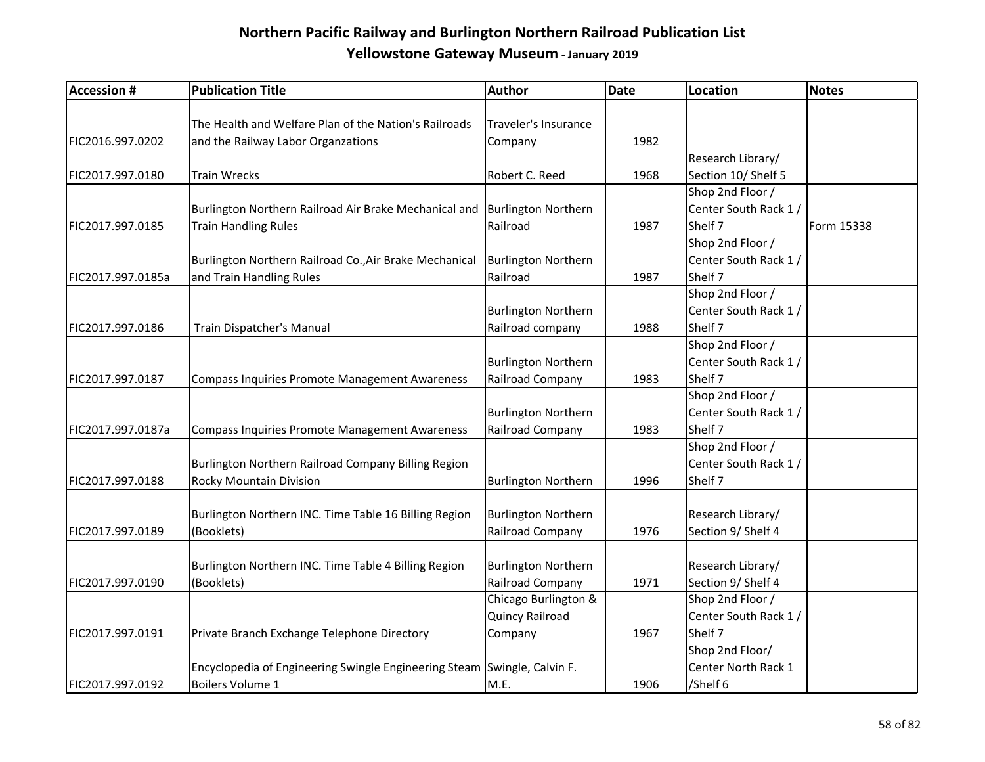| <b>Accession #</b> | <b>Publication Title</b>                                                 | Author                     | Date | <b>Location</b>       | <b>Notes</b> |
|--------------------|--------------------------------------------------------------------------|----------------------------|------|-----------------------|--------------|
|                    |                                                                          |                            |      |                       |              |
|                    | The Health and Welfare Plan of the Nation's Railroads                    | Traveler's Insurance       |      |                       |              |
| FIC2016.997.0202   | and the Railway Labor Organzations                                       | Company                    | 1982 |                       |              |
|                    |                                                                          |                            |      | Research Library/     |              |
| FIC2017.997.0180   | Train Wrecks                                                             | Robert C. Reed             | 1968 | Section 10/ Shelf 5   |              |
|                    |                                                                          |                            |      | Shop 2nd Floor /      |              |
|                    | Burlington Northern Railroad Air Brake Mechanical and                    | <b>Burlington Northern</b> |      | Center South Rack 1/  |              |
| FIC2017.997.0185   | Train Handling Rules                                                     | Railroad                   | 1987 | Shelf 7               | Form 15338   |
|                    |                                                                          |                            |      | Shop 2nd Floor /      |              |
|                    | Burlington Northern Railroad Co., Air Brake Mechanical                   | <b>Burlington Northern</b> |      | Center South Rack 1 / |              |
| FIC2017.997.0185a  | and Train Handling Rules                                                 | Railroad                   | 1987 | Shelf 7               |              |
|                    |                                                                          |                            |      | Shop 2nd Floor /      |              |
|                    |                                                                          | <b>Burlington Northern</b> |      | Center South Rack 1 / |              |
| FIC2017.997.0186   | Train Dispatcher's Manual                                                | Railroad company           | 1988 | Shelf 7               |              |
|                    |                                                                          |                            |      | Shop 2nd Floor /      |              |
|                    |                                                                          | <b>Burlington Northern</b> |      | Center South Rack 1/  |              |
| FIC2017.997.0187   | Compass Inquiries Promote Management Awareness                           | Railroad Company           | 1983 | Shelf 7               |              |
|                    |                                                                          |                            |      | Shop 2nd Floor /      |              |
|                    |                                                                          | <b>Burlington Northern</b> |      | Center South Rack 1/  |              |
| FIC2017.997.0187a  | Compass Inquiries Promote Management Awareness                           | Railroad Company           | 1983 | Shelf 7               |              |
|                    |                                                                          |                            |      | Shop 2nd Floor /      |              |
|                    | Burlington Northern Railroad Company Billing Region                      |                            |      | Center South Rack 1/  |              |
| FIC2017.997.0188   | Rocky Mountain Division                                                  | <b>Burlington Northern</b> | 1996 | Shelf 7               |              |
|                    |                                                                          |                            |      |                       |              |
|                    | Burlington Northern INC. Time Table 16 Billing Region                    | <b>Burlington Northern</b> |      | Research Library/     |              |
| FIC2017.997.0189   | (Booklets)                                                               | Railroad Company           | 1976 | Section 9/ Shelf 4    |              |
|                    |                                                                          |                            |      |                       |              |
|                    | Burlington Northern INC. Time Table 4 Billing Region                     | <b>Burlington Northern</b> |      | Research Library/     |              |
| FIC2017.997.0190   | (Booklets)                                                               | Railroad Company           | 1971 | Section 9/ Shelf 4    |              |
|                    |                                                                          | Chicago Burlington &       |      | Shop 2nd Floor /      |              |
|                    |                                                                          | Quincy Railroad            |      | Center South Rack 1 / |              |
| FIC2017.997.0191   | Private Branch Exchange Telephone Directory                              | Company                    | 1967 | Shelf 7               |              |
|                    |                                                                          |                            |      | Shop 2nd Floor/       |              |
|                    | Encyclopedia of Engineering Swingle Engineering Steam Swingle, Calvin F. |                            |      | Center North Rack 1   |              |
| FIC2017.997.0192   | Boilers Volume 1                                                         | M.E.                       | 1906 | /Shelf 6              |              |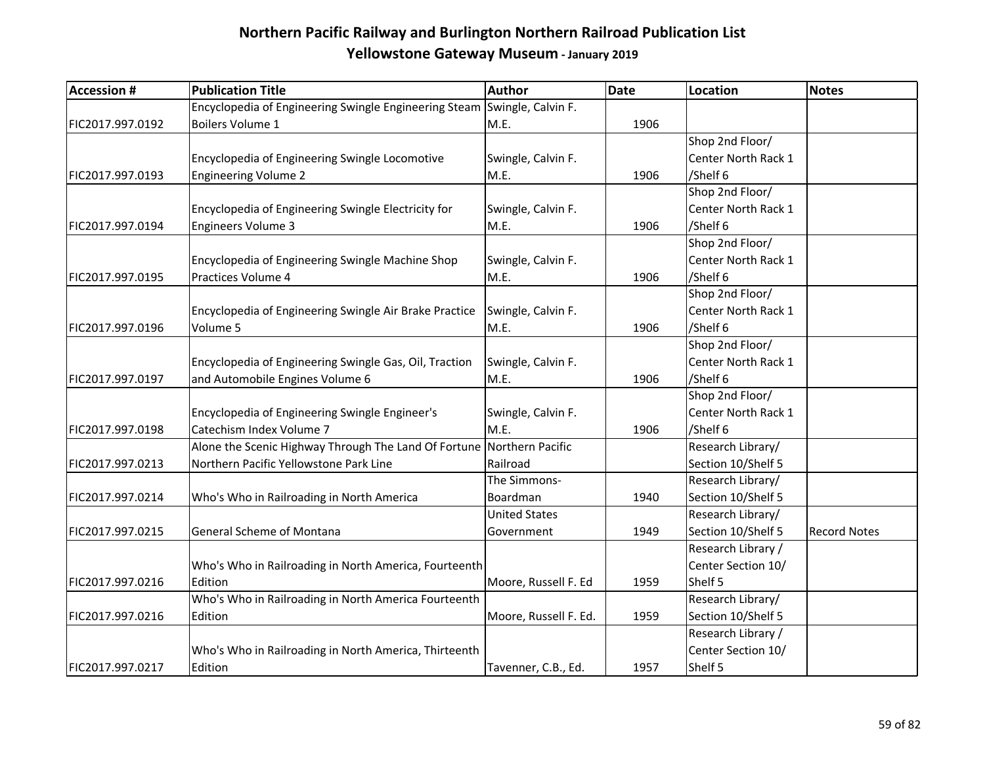| <b>Accession #</b> | <b>Publication Title</b>                                                 | Author                | <b>Date</b> | <b>Location</b>     | <b>Notes</b>        |
|--------------------|--------------------------------------------------------------------------|-----------------------|-------------|---------------------|---------------------|
|                    | Encyclopedia of Engineering Swingle Engineering Steam Swingle, Calvin F. |                       |             |                     |                     |
| FIC2017.997.0192   | Boilers Volume 1                                                         | M.E.                  | 1906        |                     |                     |
|                    |                                                                          |                       |             | Shop 2nd Floor/     |                     |
|                    | Encyclopedia of Engineering Swingle Locomotive                           | Swingle, Calvin F.    |             | Center North Rack 1 |                     |
| FIC2017.997.0193   | <b>Engineering Volume 2</b>                                              | M.E.                  | 1906        | /Shelf 6            |                     |
|                    |                                                                          |                       |             | Shop 2nd Floor/     |                     |
|                    | Encyclopedia of Engineering Swingle Electricity for                      | Swingle, Calvin F.    |             | Center North Rack 1 |                     |
| FIC2017.997.0194   | <b>Engineers Volume 3</b>                                                | M.E.                  | 1906        | /Shelf 6            |                     |
|                    |                                                                          |                       |             | Shop 2nd Floor/     |                     |
|                    | Encyclopedia of Engineering Swingle Machine Shop                         | Swingle, Calvin F.    |             | Center North Rack 1 |                     |
| FIC2017.997.0195   | Practices Volume 4                                                       | M.E.                  | 1906        | /Shelf 6            |                     |
|                    |                                                                          |                       |             | Shop 2nd Floor/     |                     |
|                    | Encyclopedia of Engineering Swingle Air Brake Practice                   | Swingle, Calvin F.    |             | Center North Rack 1 |                     |
| FIC2017.997.0196   | Volume 5                                                                 | M.E.                  | 1906        | /Shelf 6            |                     |
|                    |                                                                          |                       |             | Shop 2nd Floor/     |                     |
|                    | Encyclopedia of Engineering Swingle Gas, Oil, Traction                   | Swingle, Calvin F.    |             | Center North Rack 1 |                     |
| FIC2017.997.0197   | and Automobile Engines Volume 6                                          | M.E.                  | 1906        | /Shelf 6            |                     |
|                    |                                                                          |                       |             | Shop 2nd Floor/     |                     |
|                    | Encyclopedia of Engineering Swingle Engineer's                           | Swingle, Calvin F.    |             | Center North Rack 1 |                     |
| FIC2017.997.0198   | Catechism Index Volume 7                                                 | M.E.                  | 1906        | /Shelf 6            |                     |
|                    | Alone the Scenic Highway Through The Land Of Fortune                     | Northern Pacific      |             | Research Library/   |                     |
| FIC2017.997.0213   | Northern Pacific Yellowstone Park Line                                   | Railroad              |             | Section 10/Shelf 5  |                     |
|                    |                                                                          | The Simmons-          |             | Research Library/   |                     |
| FIC2017.997.0214   | Who's Who in Railroading in North America                                | Boardman              | 1940        | Section 10/Shelf 5  |                     |
|                    |                                                                          | <b>United States</b>  |             | Research Library/   |                     |
| FIC2017.997.0215   | General Scheme of Montana                                                | Government            | 1949        | Section 10/Shelf 5  | <b>Record Notes</b> |
|                    |                                                                          |                       |             | Research Library /  |                     |
|                    | Who's Who in Railroading in North America, Fourteenth                    |                       |             | Center Section 10/  |                     |
| FIC2017.997.0216   | Edition                                                                  | Moore, Russell F. Ed  | 1959        | Shelf 5             |                     |
|                    | Who's Who in Railroading in North America Fourteenth                     |                       |             | Research Library/   |                     |
| FIC2017.997.0216   | Edition                                                                  | Moore, Russell F. Ed. | 1959        | Section 10/Shelf 5  |                     |
|                    |                                                                          |                       |             | Research Library /  |                     |
|                    | Who's Who in Railroading in North America, Thirteenth                    |                       |             | Center Section 10/  |                     |
| FIC2017.997.0217   | Edition                                                                  | Tavenner, C.B., Ed.   | 1957        | Shelf 5             |                     |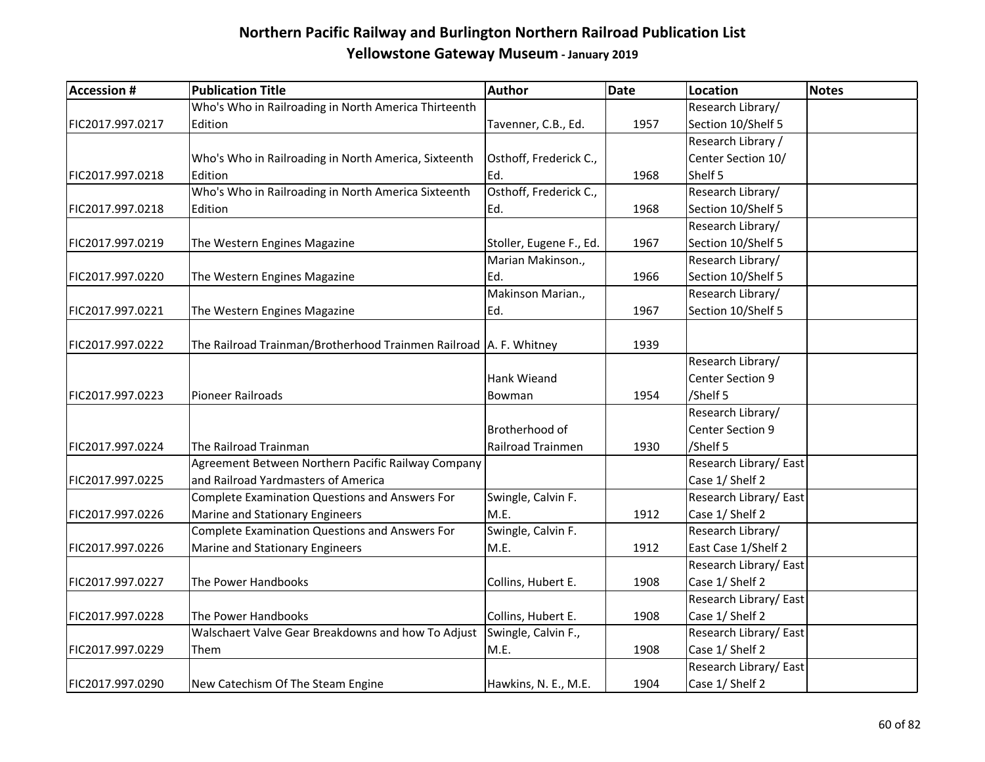| <b>Accession #</b> | <b>Publication Title</b>                                            | Author                  | Date | <b>Location</b>       | Notes |
|--------------------|---------------------------------------------------------------------|-------------------------|------|-----------------------|-------|
|                    | Who's Who in Railroading in North America Thirteenth                |                         |      | Research Library/     |       |
| FIC2017.997.0217   | Edition                                                             | Tavenner, C.B., Ed.     | 1957 | Section 10/Shelf 5    |       |
|                    |                                                                     |                         |      | Research Library /    |       |
|                    | Who's Who in Railroading in North America, Sixteenth                | Osthoff, Frederick C.,  |      | Center Section 10/    |       |
| FIC2017.997.0218   | Edition                                                             | Ed.                     | 1968 | Shelf 5               |       |
|                    | Who's Who in Railroading in North America Sixteenth                 | Osthoff, Frederick C.,  |      | Research Library/     |       |
| FIC2017.997.0218   | Edition                                                             | Ed.                     | 1968 | Section 10/Shelf 5    |       |
|                    |                                                                     |                         |      | Research Library/     |       |
| FIC2017.997.0219   | The Western Engines Magazine                                        | Stoller, Eugene F., Ed. | 1967 | Section 10/Shelf 5    |       |
|                    |                                                                     | Marian Makinson.,       |      | Research Library/     |       |
| FIC2017.997.0220   | The Western Engines Magazine                                        | Ed.                     | 1966 | Section 10/Shelf 5    |       |
|                    |                                                                     | Makinson Marian.,       |      | Research Library/     |       |
| FIC2017.997.0221   | The Western Engines Magazine                                        | Ed.                     | 1967 | Section 10/Shelf 5    |       |
|                    |                                                                     |                         |      |                       |       |
| FIC2017.997.0222   | The Railroad Trainman/Brotherhood Trainmen Railroad   A. F. Whitney |                         | 1939 |                       |       |
|                    |                                                                     |                         |      | Research Library/     |       |
|                    |                                                                     | <b>Hank Wieand</b>      |      | Center Section 9      |       |
| FIC2017.997.0223   | <b>Pioneer Railroads</b>                                            | Bowman                  | 1954 | /Shelf 5              |       |
|                    |                                                                     |                         |      | Research Library/     |       |
|                    |                                                                     | Brotherhood of          |      | Center Section 9      |       |
| FIC2017.997.0224   | The Railroad Trainman                                               | Railroad Trainmen       | 1930 | /Shelf 5              |       |
|                    | Agreement Between Northern Pacific Railway Company                  |                         |      | Research Library/East |       |
| FIC2017.997.0225   | and Railroad Yardmasters of America                                 |                         |      | Case 1/ Shelf 2       |       |
|                    | <b>Complete Examination Questions and Answers For</b>               | Swingle, Calvin F.      |      | Research Library/East |       |
| FIC2017.997.0226   | Marine and Stationary Engineers                                     | M.E.                    | 1912 | Case 1/ Shelf 2       |       |
|                    | <b>Complete Examination Questions and Answers For</b>               | Swingle, Calvin F.      |      | Research Library/     |       |
| FIC2017.997.0226   | Marine and Stationary Engineers                                     | M.E.                    | 1912 | East Case 1/Shelf 2   |       |
|                    |                                                                     |                         |      | Research Library/East |       |
| FIC2017.997.0227   | The Power Handbooks                                                 | Collins, Hubert E.      | 1908 | Case 1/ Shelf 2       |       |
|                    |                                                                     |                         |      | Research Library/East |       |
| FIC2017.997.0228   | The Power Handbooks                                                 | Collins, Hubert E.      | 1908 | Case 1/ Shelf 2       |       |
|                    | Walschaert Valve Gear Breakdowns and how To Adjust                  | Swingle, Calvin F.,     |      | Research Library/East |       |
| FIC2017.997.0229   | Them                                                                | M.E.                    | 1908 | Case 1/ Shelf 2       |       |
|                    |                                                                     |                         |      | Research Library/East |       |
| FIC2017.997.0290   | New Catechism Of The Steam Engine                                   | Hawkins, N. E., M.E.    | 1904 | Case 1/ Shelf 2       |       |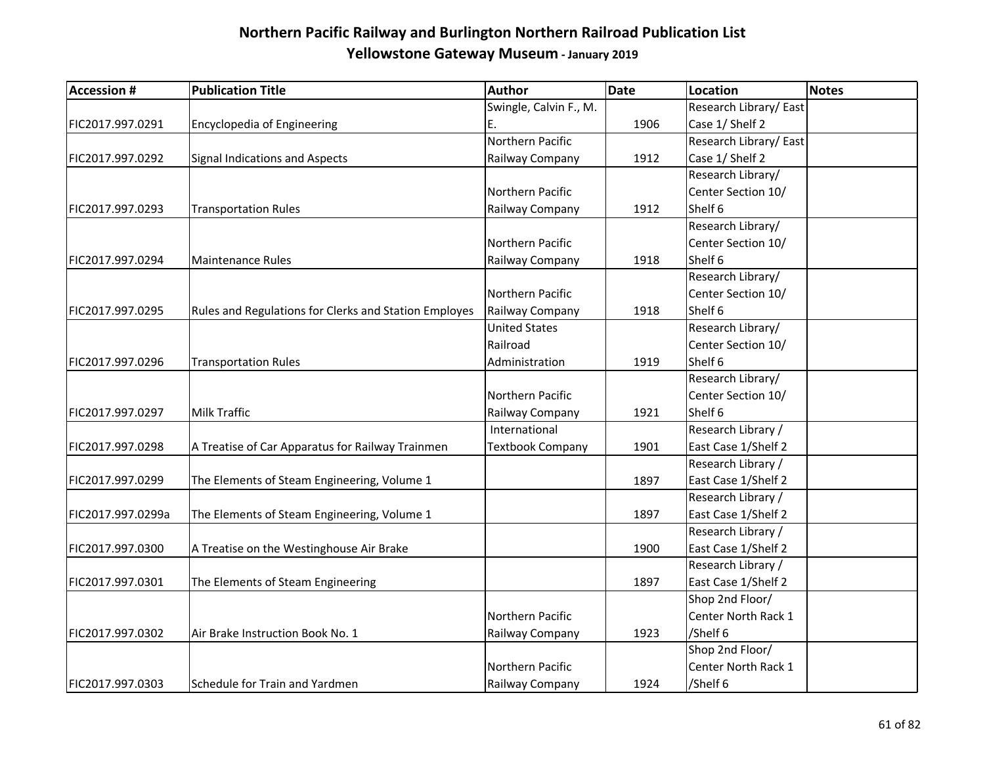| <b>Accession #</b> | <b>Publication Title</b>                              | <b>Author</b>           | Date | <b>Location</b>       | <b>Notes</b> |
|--------------------|-------------------------------------------------------|-------------------------|------|-----------------------|--------------|
|                    |                                                       | Swingle, Calvin F., M.  |      | Research Library/East |              |
| FIC2017.997.0291   | Encyclopedia of Engineering                           | Ε.                      | 1906 | Case 1/ Shelf 2       |              |
|                    |                                                       | Northern Pacific        |      | Research Library/East |              |
| FIC2017.997.0292   | Signal Indications and Aspects                        | Railway Company         | 1912 | Case 1/ Shelf 2       |              |
|                    |                                                       |                         |      | Research Library/     |              |
|                    |                                                       | Northern Pacific        |      | Center Section 10/    |              |
| FIC2017.997.0293   | <b>Transportation Rules</b>                           | Railway Company         | 1912 | Shelf 6               |              |
|                    |                                                       |                         |      | Research Library/     |              |
|                    |                                                       | Northern Pacific        |      | Center Section 10/    |              |
| FIC2017.997.0294   | Maintenance Rules                                     | Railway Company         | 1918 | Shelf 6               |              |
|                    |                                                       |                         |      | Research Library/     |              |
|                    |                                                       | Northern Pacific        |      | Center Section 10/    |              |
| FIC2017.997.0295   | Rules and Regulations for Clerks and Station Employes | Railway Company         | 1918 | Shelf 6               |              |
|                    |                                                       | <b>United States</b>    |      | Research Library/     |              |
|                    |                                                       | Railroad                |      | Center Section 10/    |              |
| FIC2017.997.0296   | <b>Transportation Rules</b>                           | Administration          | 1919 | Shelf 6               |              |
|                    |                                                       |                         |      | Research Library/     |              |
|                    |                                                       | Northern Pacific        |      | Center Section 10/    |              |
| FIC2017.997.0297   | Milk Traffic                                          | Railway Company         | 1921 | Shelf 6               |              |
|                    |                                                       | International           |      | Research Library /    |              |
| FIC2017.997.0298   | A Treatise of Car Apparatus for Railway Trainmen      | <b>Textbook Company</b> | 1901 | East Case 1/Shelf 2   |              |
|                    |                                                       |                         |      | Research Library /    |              |
| FIC2017.997.0299   | The Elements of Steam Engineering, Volume 1           |                         | 1897 | East Case 1/Shelf 2   |              |
|                    |                                                       |                         |      | Research Library /    |              |
| FIC2017.997.0299a  | The Elements of Steam Engineering, Volume 1           |                         | 1897 | East Case 1/Shelf 2   |              |
|                    |                                                       |                         |      | Research Library /    |              |
| FIC2017.997.0300   | A Treatise on the Westinghouse Air Brake              |                         | 1900 | East Case 1/Shelf 2   |              |
|                    |                                                       |                         |      | Research Library /    |              |
| FIC2017.997.0301   | The Elements of Steam Engineering                     |                         | 1897 | East Case 1/Shelf 2   |              |
|                    |                                                       |                         |      | Shop 2nd Floor/       |              |
|                    |                                                       | Northern Pacific        |      | Center North Rack 1   |              |
| FIC2017.997.0302   | Air Brake Instruction Book No. 1                      | Railway Company         | 1923 | /Shelf 6              |              |
|                    |                                                       |                         |      | Shop 2nd Floor/       |              |
|                    |                                                       | Northern Pacific        |      | Center North Rack 1   |              |
| FIC2017.997.0303   | Schedule for Train and Yardmen                        | Railway Company         | 1924 | /Shelf 6              |              |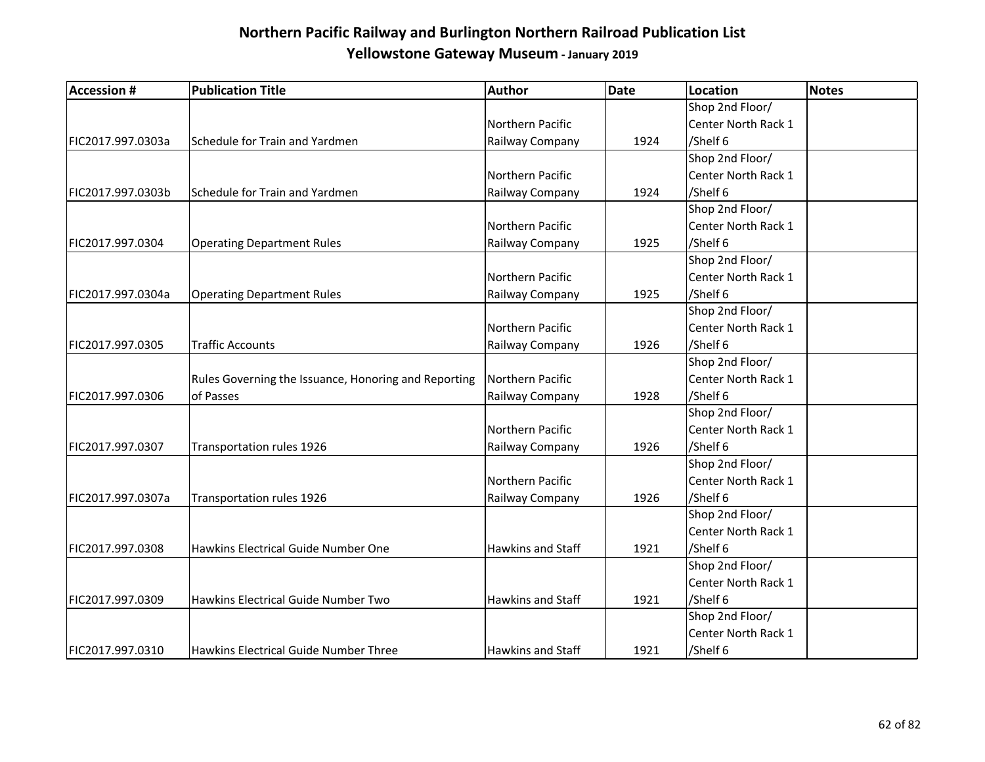| <b>Accession #</b> | <b>Publication Title</b>                             | Author                   | <b>Date</b> | Location            | <b>Notes</b> |
|--------------------|------------------------------------------------------|--------------------------|-------------|---------------------|--------------|
|                    |                                                      |                          |             | Shop 2nd Floor/     |              |
|                    |                                                      | Northern Pacific         |             | Center North Rack 1 |              |
| FIC2017.997.0303a  | Schedule for Train and Yardmen                       | Railway Company          | 1924        | /Shelf 6            |              |
|                    |                                                      |                          |             | Shop 2nd Floor/     |              |
|                    |                                                      | Northern Pacific         |             | Center North Rack 1 |              |
| FIC2017.997.0303b  | Schedule for Train and Yardmen                       | Railway Company          | 1924        | /Shelf 6            |              |
|                    |                                                      |                          |             | Shop 2nd Floor/     |              |
|                    |                                                      | Northern Pacific         |             | Center North Rack 1 |              |
| FIC2017.997.0304   | <b>Operating Department Rules</b>                    | Railway Company          | 1925        | /Shelf 6            |              |
|                    |                                                      |                          |             | Shop 2nd Floor/     |              |
|                    |                                                      | Northern Pacific         |             | Center North Rack 1 |              |
| FIC2017.997.0304a  | <b>Operating Department Rules</b>                    | Railway Company          | 1925        | /Shelf 6            |              |
|                    |                                                      |                          |             | Shop 2nd Floor/     |              |
|                    |                                                      | Northern Pacific         |             | Center North Rack 1 |              |
| FIC2017.997.0305   | <b>Traffic Accounts</b>                              | Railway Company          | 1926        | /Shelf 6            |              |
|                    |                                                      |                          |             | Shop 2nd Floor/     |              |
|                    | Rules Governing the Issuance, Honoring and Reporting | Northern Pacific         |             | Center North Rack 1 |              |
| FIC2017.997.0306   | of Passes                                            | Railway Company          | 1928        | /Shelf 6            |              |
|                    |                                                      |                          |             | Shop 2nd Floor/     |              |
|                    |                                                      | Northern Pacific         |             | Center North Rack 1 |              |
| FIC2017.997.0307   | Transportation rules 1926                            | Railway Company          | 1926        | /Shelf 6            |              |
|                    |                                                      |                          |             | Shop 2nd Floor/     |              |
|                    |                                                      | Northern Pacific         |             | Center North Rack 1 |              |
| FIC2017.997.0307a  | Transportation rules 1926                            | Railway Company          | 1926        | /Shelf 6            |              |
|                    |                                                      |                          |             | Shop 2nd Floor/     |              |
|                    |                                                      |                          |             | Center North Rack 1 |              |
| FIC2017.997.0308   | Hawkins Electrical Guide Number One                  | <b>Hawkins and Staff</b> | 1921        | /Shelf 6            |              |
|                    |                                                      |                          |             | Shop 2nd Floor/     |              |
|                    |                                                      |                          |             | Center North Rack 1 |              |
| FIC2017.997.0309   | Hawkins Electrical Guide Number Two                  | Hawkins and Staff        | 1921        | /Shelf 6            |              |
|                    |                                                      |                          |             | Shop 2nd Floor/     |              |
|                    |                                                      |                          |             | Center North Rack 1 |              |
| FIC2017.997.0310   | Hawkins Electrical Guide Number Three                | Hawkins and Staff        | 1921        | /Shelf 6            |              |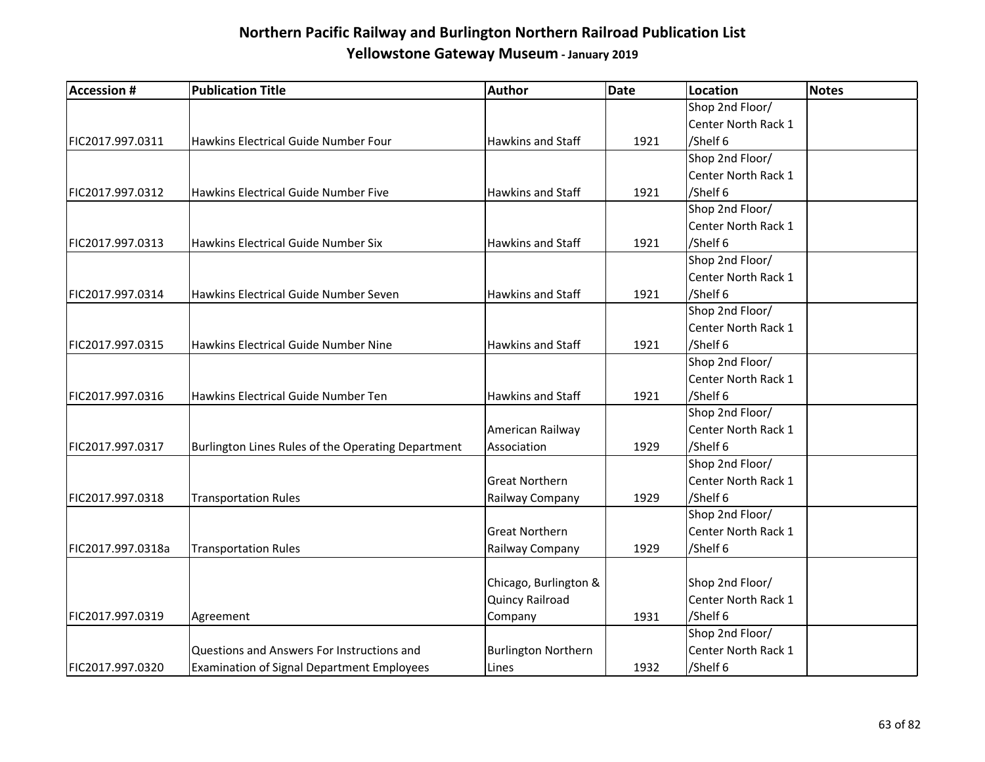| <b>Accession #</b> | <b>Publication Title</b>                           | Author                     | <b>Date</b> | <b>Location</b>     | <b>Notes</b> |
|--------------------|----------------------------------------------------|----------------------------|-------------|---------------------|--------------|
|                    |                                                    |                            |             | Shop 2nd Floor/     |              |
|                    |                                                    |                            |             | Center North Rack 1 |              |
| FIC2017.997.0311   | Hawkins Electrical Guide Number Four               | <b>Hawkins and Staff</b>   | 1921        | /Shelf 6            |              |
|                    |                                                    |                            |             | Shop 2nd Floor/     |              |
|                    |                                                    |                            |             | Center North Rack 1 |              |
| FIC2017.997.0312   | Hawkins Electrical Guide Number Five               | <b>Hawkins and Staff</b>   | 1921        | /Shelf 6            |              |
|                    |                                                    |                            |             | Shop 2nd Floor/     |              |
|                    |                                                    |                            |             | Center North Rack 1 |              |
| FIC2017.997.0313   | Hawkins Electrical Guide Number Six                | <b>Hawkins and Staff</b>   | 1921        | /Shelf 6            |              |
|                    |                                                    |                            |             | Shop 2nd Floor/     |              |
|                    |                                                    |                            |             | Center North Rack 1 |              |
| FIC2017.997.0314   | Hawkins Electrical Guide Number Seven              | Hawkins and Staff          | 1921        | /Shelf 6            |              |
|                    |                                                    |                            |             | Shop 2nd Floor/     |              |
|                    |                                                    |                            |             | Center North Rack 1 |              |
| FIC2017.997.0315   | Hawkins Electrical Guide Number Nine               | <b>Hawkins and Staff</b>   | 1921        | /Shelf 6            |              |
|                    |                                                    |                            |             | Shop 2nd Floor/     |              |
|                    |                                                    |                            |             | Center North Rack 1 |              |
| FIC2017.997.0316   | Hawkins Electrical Guide Number Ten                | <b>Hawkins and Staff</b>   | 1921        | /Shelf 6            |              |
|                    |                                                    |                            |             | Shop 2nd Floor/     |              |
|                    |                                                    | American Railway           |             | Center North Rack 1 |              |
| FIC2017.997.0317   | Burlington Lines Rules of the Operating Department | Association                | 1929        | /Shelf 6            |              |
|                    |                                                    |                            |             | Shop 2nd Floor/     |              |
|                    |                                                    | <b>Great Northern</b>      |             | Center North Rack 1 |              |
| FIC2017.997.0318   | Transportation Rules                               | Railway Company            | 1929        | /Shelf 6            |              |
|                    |                                                    |                            |             | Shop 2nd Floor/     |              |
|                    |                                                    | <b>Great Northern</b>      |             | Center North Rack 1 |              |
| FIC2017.997.0318a  | <b>Transportation Rules</b>                        | Railway Company            | 1929        | /Shelf 6            |              |
|                    |                                                    |                            |             |                     |              |
|                    |                                                    | Chicago, Burlington &      |             | Shop 2nd Floor/     |              |
|                    |                                                    | Quincy Railroad            |             | Center North Rack 1 |              |
| FIC2017.997.0319   | Agreement                                          | Company                    | 1931        | /Shelf 6            |              |
|                    |                                                    |                            |             | Shop 2nd Floor/     |              |
|                    | Questions and Answers For Instructions and         | <b>Burlington Northern</b> |             | Center North Rack 1 |              |
| FIC2017.997.0320   | <b>Examination of Signal Department Employees</b>  | Lines                      | 1932        | /Shelf 6            |              |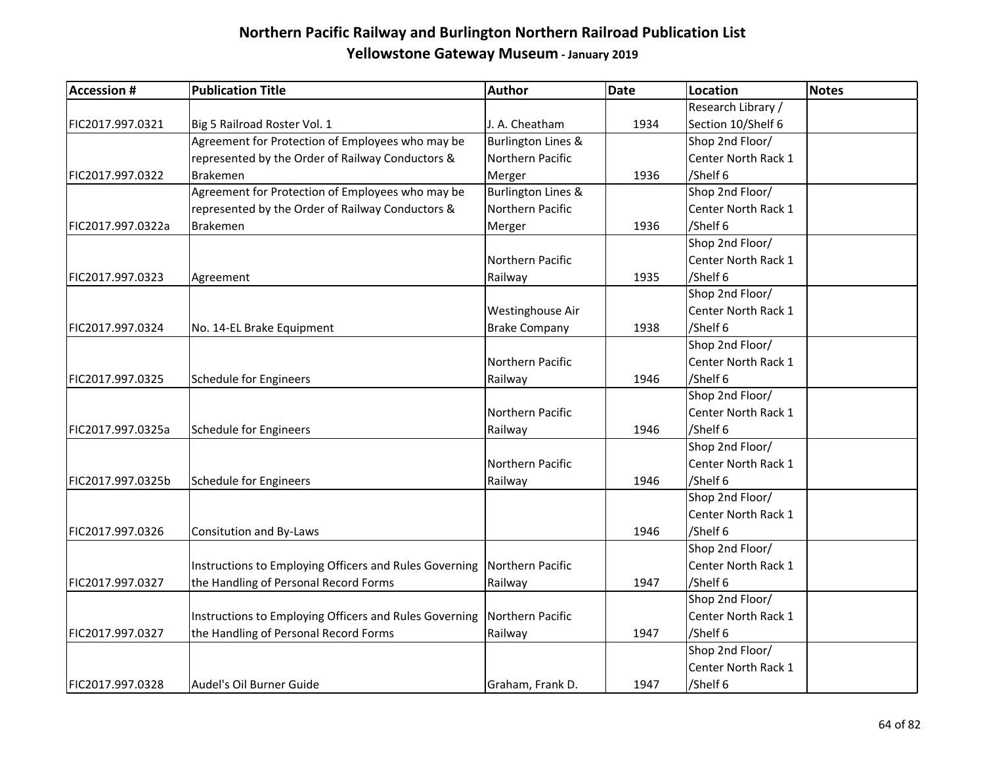| <b>Accession #</b> | <b>Publication Title</b>                               | Author                        | <b>Date</b> | Location            | <b>Notes</b> |
|--------------------|--------------------------------------------------------|-------------------------------|-------------|---------------------|--------------|
|                    |                                                        |                               |             | Research Library /  |              |
| FIC2017.997.0321   | Big 5 Railroad Roster Vol. 1                           | J. A. Cheatham                | 1934        | Section 10/Shelf 6  |              |
|                    | Agreement for Protection of Employees who may be       | Burlington Lines &            |             | Shop 2nd Floor/     |              |
|                    | represented by the Order of Railway Conductors &       | Northern Pacific              |             | Center North Rack 1 |              |
| FIC2017.997.0322   | <b>Brakemen</b>                                        | Merger                        | 1936        | /Shelf 6            |              |
|                    | Agreement for Protection of Employees who may be       | <b>Burlington Lines &amp;</b> |             | Shop 2nd Floor/     |              |
|                    | represented by the Order of Railway Conductors &       | Northern Pacific              |             | Center North Rack 1 |              |
| FIC2017.997.0322a  | <b>Brakemen</b>                                        | Merger                        | 1936        | /Shelf 6            |              |
|                    |                                                        |                               |             | Shop 2nd Floor/     |              |
|                    |                                                        | Northern Pacific              |             | Center North Rack 1 |              |
| FIC2017.997.0323   | Agreement                                              | Railway                       | 1935        | /Shelf 6            |              |
|                    |                                                        |                               |             | Shop 2nd Floor/     |              |
|                    |                                                        | Westinghouse Air              |             | Center North Rack 1 |              |
| FIC2017.997.0324   | No. 14-EL Brake Equipment                              | <b>Brake Company</b>          | 1938        | /Shelf 6            |              |
|                    |                                                        |                               |             | Shop 2nd Floor/     |              |
|                    |                                                        | Northern Pacific              |             | Center North Rack 1 |              |
| FIC2017.997.0325   | <b>Schedule for Engineers</b>                          | Railway                       | 1946        | /Shelf 6            |              |
|                    |                                                        |                               |             | Shop 2nd Floor/     |              |
|                    |                                                        | Northern Pacific              |             | Center North Rack 1 |              |
| FIC2017.997.0325a  | <b>Schedule for Engineers</b>                          | Railway                       | 1946        | /Shelf 6            |              |
|                    |                                                        |                               |             | Shop 2nd Floor/     |              |
|                    |                                                        | Northern Pacific              |             | Center North Rack 1 |              |
| FIC2017.997.0325b  | Schedule for Engineers                                 | Railway                       | 1946        | /Shelf 6            |              |
|                    |                                                        |                               |             | Shop 2nd Floor/     |              |
|                    |                                                        |                               |             | Center North Rack 1 |              |
| FIC2017.997.0326   | Consitution and By-Laws                                |                               | 1946        | /Shelf 6            |              |
|                    |                                                        |                               |             | Shop 2nd Floor/     |              |
|                    | Instructions to Employing Officers and Rules Governing | Northern Pacific              |             | Center North Rack 1 |              |
| FIC2017.997.0327   | the Handling of Personal Record Forms                  | Railway                       | 1947        | /Shelf 6            |              |
|                    |                                                        |                               |             | Shop 2nd Floor/     |              |
|                    | Instructions to Employing Officers and Rules Governing | Northern Pacific              |             | Center North Rack 1 |              |
| FIC2017.997.0327   | the Handling of Personal Record Forms                  | Railway                       | 1947        | /Shelf 6            |              |
|                    |                                                        |                               |             | Shop 2nd Floor/     |              |
|                    |                                                        |                               |             | Center North Rack 1 |              |
| FIC2017.997.0328   | Audel's Oil Burner Guide                               | Graham, Frank D.              | 1947        | /Shelf 6            |              |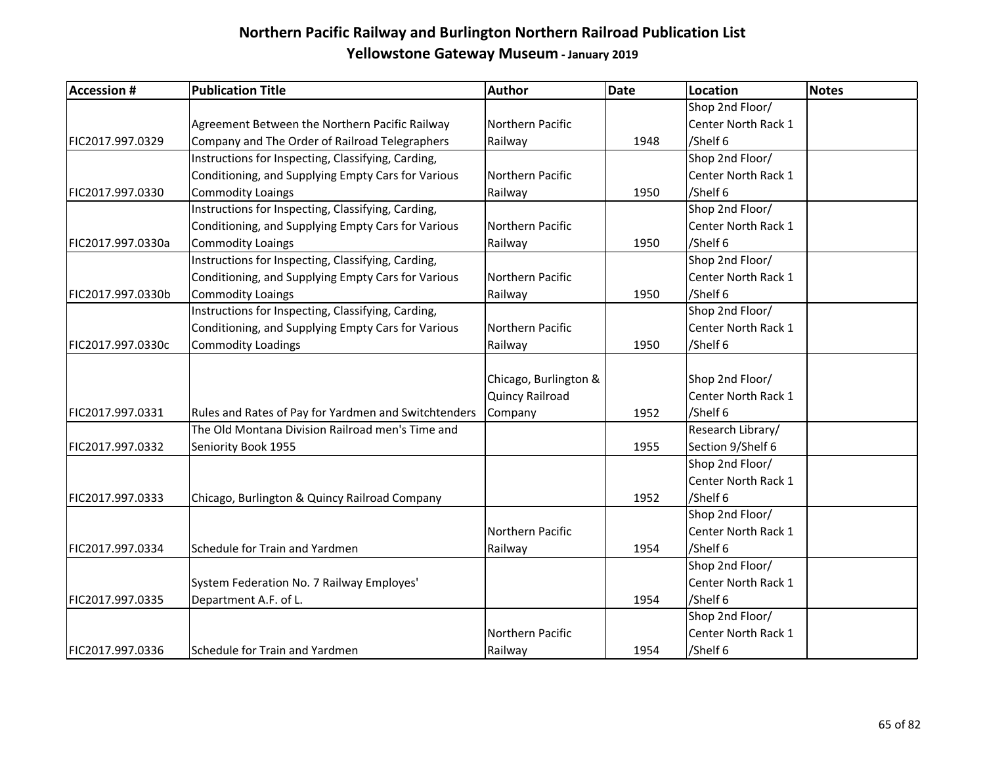| <b>Accession #</b> | <b>Publication Title</b>                             | <b>Author</b>         | <b>Date</b> | <b>Location</b>     | Notes |
|--------------------|------------------------------------------------------|-----------------------|-------------|---------------------|-------|
|                    |                                                      |                       |             | Shop 2nd Floor/     |       |
|                    | Agreement Between the Northern Pacific Railway       | Northern Pacific      |             | Center North Rack 1 |       |
| FIC2017.997.0329   | Company and The Order of Railroad Telegraphers       | Railway               | 1948        | /Shelf 6            |       |
|                    | Instructions for Inspecting, Classifying, Carding,   |                       |             | Shop 2nd Floor/     |       |
|                    | Conditioning, and Supplying Empty Cars for Various   | Northern Pacific      |             | Center North Rack 1 |       |
| FIC2017.997.0330   | <b>Commodity Loaings</b>                             | Railway               | 1950        | /Shelf 6            |       |
|                    | Instructions for Inspecting, Classifying, Carding,   |                       |             | Shop 2nd Floor/     |       |
|                    | Conditioning, and Supplying Empty Cars for Various   | Northern Pacific      |             | Center North Rack 1 |       |
| FIC2017.997.0330a  | <b>Commodity Loaings</b>                             | Railway               | 1950        | /Shelf 6            |       |
|                    | Instructions for Inspecting, Classifying, Carding,   |                       |             | Shop 2nd Floor/     |       |
|                    | Conditioning, and Supplying Empty Cars for Various   | Northern Pacific      |             | Center North Rack 1 |       |
| FIC2017.997.0330b  | <b>Commodity Loaings</b>                             | Railway               | 1950        | /Shelf 6            |       |
|                    | Instructions for Inspecting, Classifying, Carding,   |                       |             | Shop 2nd Floor/     |       |
|                    | Conditioning, and Supplying Empty Cars for Various   | Northern Pacific      |             | Center North Rack 1 |       |
| FIC2017.997.0330c  | <b>Commodity Loadings</b>                            | Railway               | 1950        | /Shelf 6            |       |
|                    |                                                      |                       |             |                     |       |
|                    |                                                      | Chicago, Burlington & |             | Shop 2nd Floor/     |       |
|                    |                                                      | Quincy Railroad       |             | Center North Rack 1 |       |
| FIC2017.997.0331   | Rules and Rates of Pay for Yardmen and Switchtenders | Company               | 1952        | /Shelf 6            |       |
|                    | The Old Montana Division Railroad men's Time and     |                       |             | Research Library/   |       |
| FIC2017.997.0332   | Seniority Book 1955                                  |                       | 1955        | Section 9/Shelf 6   |       |
|                    |                                                      |                       |             | Shop 2nd Floor/     |       |
|                    |                                                      |                       |             | Center North Rack 1 |       |
| FIC2017.997.0333   | Chicago, Burlington & Quincy Railroad Company        |                       | 1952        | /Shelf 6            |       |
|                    |                                                      |                       |             | Shop 2nd Floor/     |       |
|                    |                                                      | Northern Pacific      |             | Center North Rack 1 |       |
| FIC2017.997.0334   | Schedule for Train and Yardmen                       | Railway               | 1954        | /Shelf 6            |       |
|                    |                                                      |                       |             | Shop 2nd Floor/     |       |
|                    | System Federation No. 7 Railway Employes'            |                       |             | Center North Rack 1 |       |
| FIC2017.997.0335   | Department A.F. of L.                                |                       | 1954        | /Shelf 6            |       |
|                    |                                                      |                       |             | Shop 2nd Floor/     |       |
|                    |                                                      | Northern Pacific      |             | Center North Rack 1 |       |
| FIC2017.997.0336   | Schedule for Train and Yardmen                       | Railway               | 1954        | /Shelf 6            |       |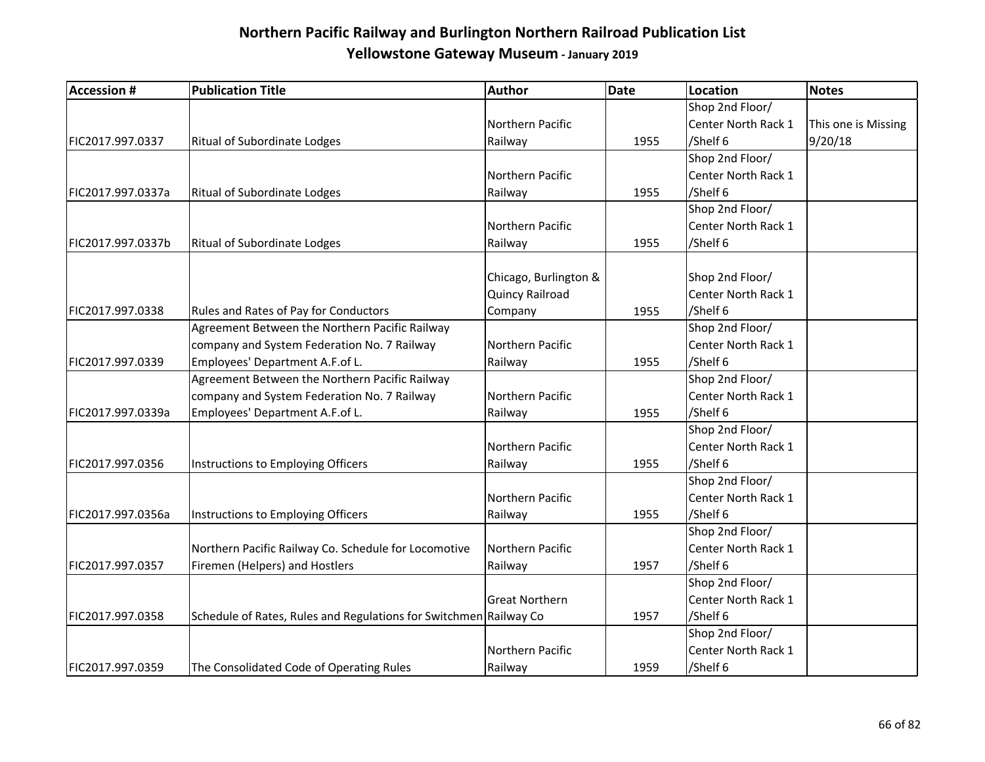| <b>Accession #</b> | <b>Publication Title</b>                                          | Author                 | Date | <b>Location</b>     | <b>Notes</b>        |
|--------------------|-------------------------------------------------------------------|------------------------|------|---------------------|---------------------|
|                    |                                                                   |                        |      | Shop 2nd Floor/     |                     |
|                    |                                                                   | Northern Pacific       |      | Center North Rack 1 | This one is Missing |
| FIC2017.997.0337   | Ritual of Subordinate Lodges                                      | Railway                | 1955 | /Shelf 6            | 9/20/18             |
|                    |                                                                   |                        |      | Shop 2nd Floor/     |                     |
|                    |                                                                   | Northern Pacific       |      | Center North Rack 1 |                     |
| FIC2017.997.0337a  | Ritual of Subordinate Lodges                                      | Railway                | 1955 | /Shelf 6            |                     |
|                    |                                                                   |                        |      | Shop 2nd Floor/     |                     |
|                    |                                                                   | Northern Pacific       |      | Center North Rack 1 |                     |
| FIC2017.997.0337b  | Ritual of Subordinate Lodges                                      | Railway                | 1955 | /Shelf 6            |                     |
|                    |                                                                   |                        |      |                     |                     |
|                    |                                                                   | Chicago, Burlington &  |      | Shop 2nd Floor/     |                     |
|                    |                                                                   | <b>Quincy Railroad</b> |      | Center North Rack 1 |                     |
| FIC2017.997.0338   | Rules and Rates of Pay for Conductors                             | Company                | 1955 | /Shelf 6            |                     |
|                    | Agreement Between the Northern Pacific Railway                    |                        |      | Shop 2nd Floor/     |                     |
|                    | company and System Federation No. 7 Railway                       | Northern Pacific       |      | Center North Rack 1 |                     |
| FIC2017.997.0339   | Employees' Department A.F.of L.                                   | Railway                | 1955 | /Shelf 6            |                     |
|                    | Agreement Between the Northern Pacific Railway                    |                        |      | Shop 2nd Floor/     |                     |
|                    | company and System Federation No. 7 Railway                       | Northern Pacific       |      | Center North Rack 1 |                     |
| FIC2017.997.0339a  | Employees' Department A.F.of L.                                   | Railway                | 1955 | /Shelf 6            |                     |
|                    |                                                                   |                        |      | Shop 2nd Floor/     |                     |
|                    |                                                                   | Northern Pacific       |      | Center North Rack 1 |                     |
| FIC2017.997.0356   | Instructions to Employing Officers                                | Railway                | 1955 | /Shelf 6            |                     |
|                    |                                                                   |                        |      | Shop 2nd Floor/     |                     |
|                    |                                                                   | Northern Pacific       |      | Center North Rack 1 |                     |
| FIC2017.997.0356a  | Instructions to Employing Officers                                | Railway                | 1955 | /Shelf 6            |                     |
|                    |                                                                   |                        |      | Shop 2nd Floor/     |                     |
|                    | Northern Pacific Railway Co. Schedule for Locomotive              | Northern Pacific       |      | Center North Rack 1 |                     |
| FIC2017.997.0357   | Firemen (Helpers) and Hostlers                                    | Railway                | 1957 | /Shelf 6            |                     |
|                    |                                                                   |                        |      | Shop 2nd Floor/     |                     |
|                    |                                                                   | <b>Great Northern</b>  |      | Center North Rack 1 |                     |
| FIC2017.997.0358   | Schedule of Rates, Rules and Regulations for Switchmen Railway Co |                        | 1957 | /Shelf 6            |                     |
|                    |                                                                   |                        |      | Shop 2nd Floor/     |                     |
|                    |                                                                   | Northern Pacific       |      | Center North Rack 1 |                     |
| FIC2017.997.0359   | The Consolidated Code of Operating Rules                          | Railway                | 1959 | /Shelf 6            |                     |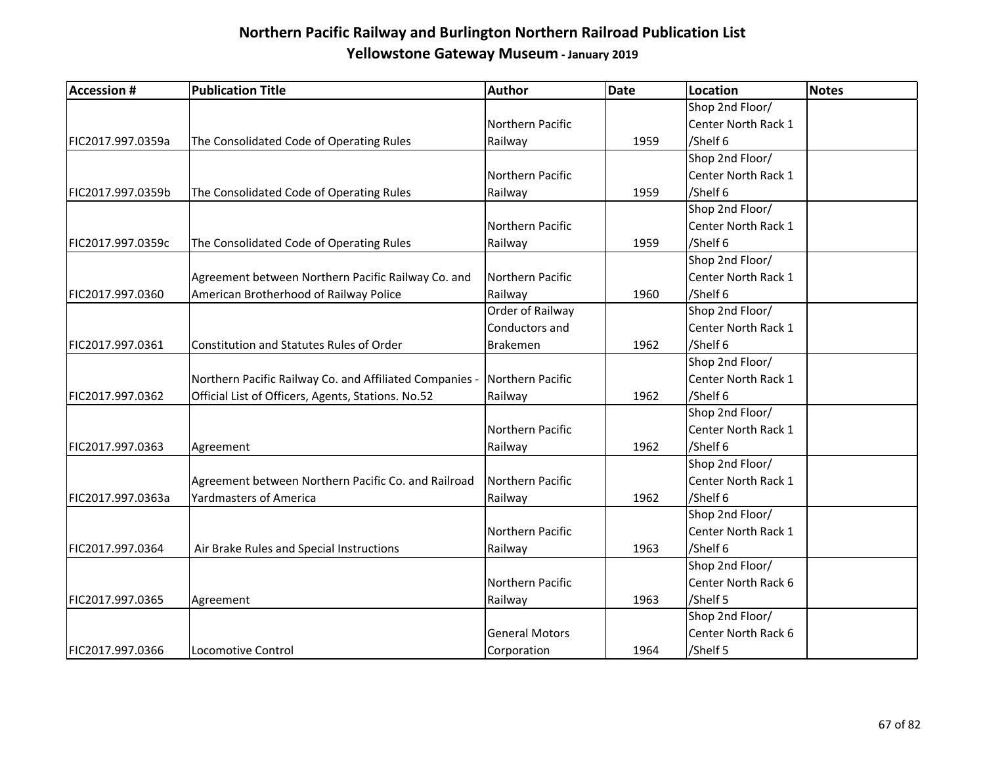| <b>Accession #</b> | <b>Publication Title</b>                                | Author                | <b>Date</b> | Location            | <b>Notes</b> |
|--------------------|---------------------------------------------------------|-----------------------|-------------|---------------------|--------------|
|                    |                                                         |                       |             | Shop 2nd Floor/     |              |
|                    |                                                         | Northern Pacific      |             | Center North Rack 1 |              |
| FIC2017.997.0359a  | The Consolidated Code of Operating Rules                | Railway               | 1959        | /Shelf 6            |              |
|                    |                                                         |                       |             | Shop 2nd Floor/     |              |
|                    |                                                         | Northern Pacific      |             | Center North Rack 1 |              |
| FIC2017.997.0359b  | The Consolidated Code of Operating Rules                | Railway               | 1959        | /Shelf 6            |              |
|                    |                                                         |                       |             | Shop 2nd Floor/     |              |
|                    |                                                         | Northern Pacific      |             | Center North Rack 1 |              |
| FIC2017.997.0359c  | The Consolidated Code of Operating Rules                | Railway               | 1959        | /Shelf 6            |              |
|                    |                                                         |                       |             | Shop 2nd Floor/     |              |
|                    | Agreement between Northern Pacific Railway Co. and      | Northern Pacific      |             | Center North Rack 1 |              |
| FIC2017.997.0360   | American Brotherhood of Railway Police                  | Railway               | 1960        | /Shelf 6            |              |
|                    |                                                         | Order of Railway      |             | Shop 2nd Floor/     |              |
|                    |                                                         | Conductors and        |             | Center North Rack 1 |              |
| FIC2017.997.0361   | Constitution and Statutes Rules of Order                | <b>Brakemen</b>       | 1962        | /Shelf 6            |              |
|                    |                                                         |                       |             | Shop 2nd Floor/     |              |
|                    | Northern Pacific Railway Co. and Affiliated Companies - | Northern Pacific      |             | Center North Rack 1 |              |
| FIC2017.997.0362   | Official List of Officers, Agents, Stations. No.52      | Railway               | 1962        | /Shelf 6            |              |
|                    |                                                         |                       |             | Shop 2nd Floor/     |              |
|                    |                                                         | Northern Pacific      |             | Center North Rack 1 |              |
| FIC2017.997.0363   | Agreement                                               | Railway               | 1962        | /Shelf 6            |              |
|                    |                                                         |                       |             | Shop 2nd Floor/     |              |
|                    | Agreement between Northern Pacific Co. and Railroad     | Northern Pacific      |             | Center North Rack 1 |              |
| FIC2017.997.0363a  | <b>Yardmasters of America</b>                           | Railway               | 1962        | /Shelf 6            |              |
|                    |                                                         |                       |             | Shop 2nd Floor/     |              |
|                    |                                                         | Northern Pacific      |             | Center North Rack 1 |              |
| FIC2017.997.0364   | Air Brake Rules and Special Instructions                | Railway               | 1963        | /Shelf 6            |              |
|                    |                                                         |                       |             | Shop 2nd Floor/     |              |
|                    |                                                         | Northern Pacific      |             | Center North Rack 6 |              |
| FIC2017.997.0365   | Agreement                                               | Railway               | 1963        | /Shelf 5            |              |
|                    |                                                         |                       |             | Shop 2nd Floor/     |              |
|                    |                                                         | <b>General Motors</b> |             | Center North Rack 6 |              |
| FIC2017.997.0366   | Locomotive Control                                      | Corporation           | 1964        | /Shelf 5            |              |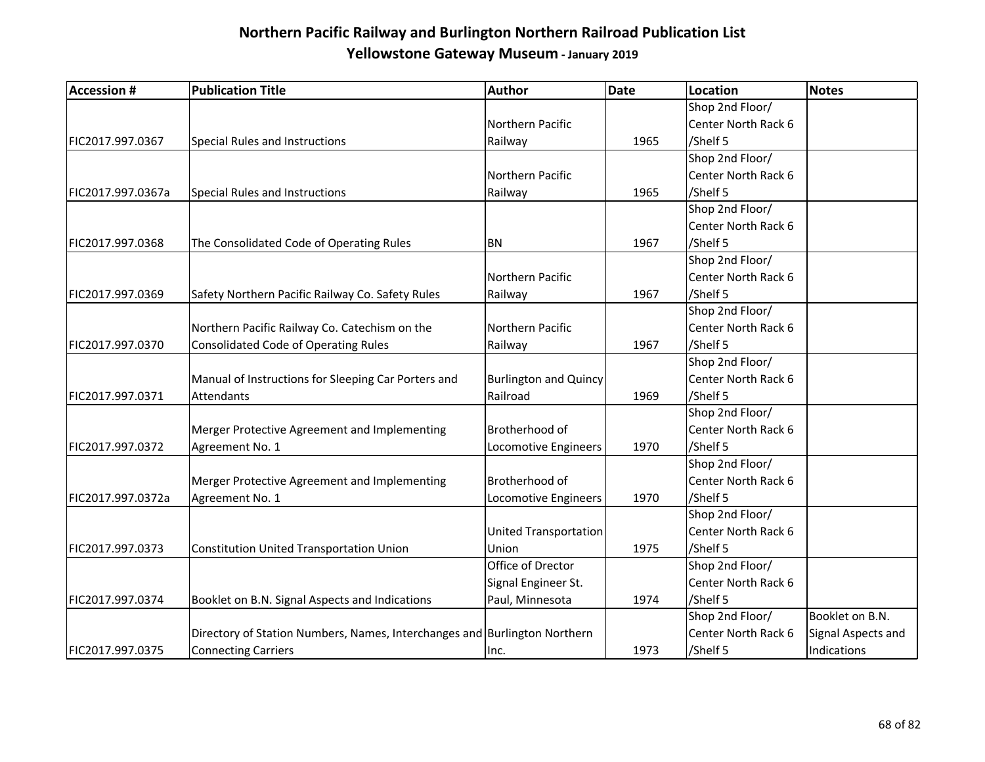| <b>Accession #</b> | <b>Publication Title</b>                                                  | <b>Author</b>                | <b>Date</b> | <b>Location</b>     | <b>Notes</b>       |
|--------------------|---------------------------------------------------------------------------|------------------------------|-------------|---------------------|--------------------|
|                    |                                                                           |                              |             | Shop 2nd Floor/     |                    |
|                    |                                                                           | Northern Pacific             |             | Center North Rack 6 |                    |
| FIC2017.997.0367   | <b>Special Rules and Instructions</b>                                     | Railway                      | 1965        | /Shelf 5            |                    |
|                    |                                                                           |                              |             | Shop 2nd Floor/     |                    |
|                    |                                                                           | Northern Pacific             |             | Center North Rack 6 |                    |
| FIC2017.997.0367a  | Special Rules and Instructions                                            | Railway                      | 1965        | /Shelf 5            |                    |
|                    |                                                                           |                              |             | Shop 2nd Floor/     |                    |
|                    |                                                                           |                              |             | Center North Rack 6 |                    |
| FIC2017.997.0368   | The Consolidated Code of Operating Rules                                  | <b>BN</b>                    | 1967        | /Shelf 5            |                    |
|                    |                                                                           |                              |             | Shop 2nd Floor/     |                    |
|                    |                                                                           | Northern Pacific             |             | Center North Rack 6 |                    |
| FIC2017.997.0369   | Safety Northern Pacific Railway Co. Safety Rules                          | Railway                      | 1967        | /Shelf 5            |                    |
|                    |                                                                           |                              |             | Shop 2nd Floor/     |                    |
|                    | Northern Pacific Railway Co. Catechism on the                             | Northern Pacific             |             | Center North Rack 6 |                    |
| FIC2017.997.0370   | <b>Consolidated Code of Operating Rules</b>                               | Railway                      | 1967        | /Shelf 5            |                    |
|                    |                                                                           |                              |             | Shop 2nd Floor/     |                    |
|                    | Manual of Instructions for Sleeping Car Porters and                       | <b>Burlington and Quincy</b> |             | Center North Rack 6 |                    |
| FIC2017.997.0371   | Attendants                                                                | Railroad                     | 1969        | /Shelf 5            |                    |
|                    |                                                                           |                              |             | Shop 2nd Floor/     |                    |
|                    | Merger Protective Agreement and Implementing                              | Brotherhood of               |             | Center North Rack 6 |                    |
| FIC2017.997.0372   | Agreement No. 1                                                           | Locomotive Engineers         | 1970        | /Shelf 5            |                    |
|                    |                                                                           |                              |             | Shop 2nd Floor/     |                    |
|                    | Merger Protective Agreement and Implementing                              | Brotherhood of               |             | Center North Rack 6 |                    |
| FIC2017.997.0372a  | Agreement No. 1                                                           | Locomotive Engineers         | 1970        | /Shelf 5            |                    |
|                    |                                                                           |                              |             | Shop 2nd Floor/     |                    |
|                    |                                                                           | <b>United Transportation</b> |             | Center North Rack 6 |                    |
| FIC2017.997.0373   | <b>Constitution United Transportation Union</b>                           | Union                        | 1975        | /Shelf 5            |                    |
|                    |                                                                           | Office of Drector            |             | Shop 2nd Floor/     |                    |
|                    |                                                                           | Signal Engineer St.          |             | Center North Rack 6 |                    |
| FIC2017.997.0374   | Booklet on B.N. Signal Aspects and Indications                            | Paul, Minnesota              | 1974        | /Shelf 5            |                    |
|                    |                                                                           |                              |             | Shop 2nd Floor/     | Booklet on B.N.    |
|                    | Directory of Station Numbers, Names, Interchanges and Burlington Northern |                              |             | Center North Rack 6 | Signal Aspects and |
| FIC2017.997.0375   | <b>Connecting Carriers</b>                                                | Inc.                         | 1973        | /Shelf 5            | Indications        |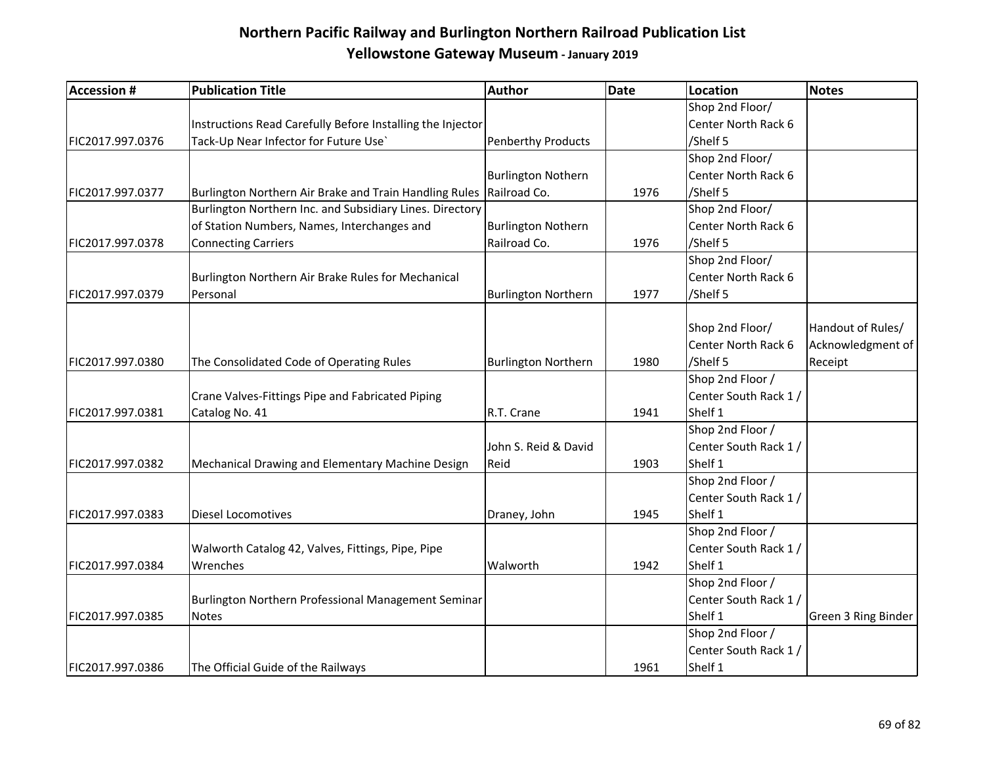| <b>Accession #</b> | <b>Publication Title</b>                                   | Author                     | <b>Date</b> | <b>Location</b>       | Notes               |
|--------------------|------------------------------------------------------------|----------------------------|-------------|-----------------------|---------------------|
|                    |                                                            |                            |             | Shop 2nd Floor/       |                     |
|                    | Instructions Read Carefully Before Installing the Injector |                            |             | Center North Rack 6   |                     |
| FIC2017.997.0376   | Tack-Up Near Infector for Future Use'                      | <b>Penberthy Products</b>  |             | /Shelf 5              |                     |
|                    |                                                            |                            |             | Shop 2nd Floor/       |                     |
|                    |                                                            | <b>Burlington Nothern</b>  |             | Center North Rack 6   |                     |
| FIC2017.997.0377   | Burlington Northern Air Brake and Train Handling Rules     | Railroad Co.               | 1976        | /Shelf 5              |                     |
|                    | Burlington Northern Inc. and Subsidiary Lines. Directory   |                            |             | Shop 2nd Floor/       |                     |
|                    | of Station Numbers, Names, Interchanges and                | <b>Burlington Nothern</b>  |             | Center North Rack 6   |                     |
| FIC2017.997.0378   | <b>Connecting Carriers</b>                                 | Railroad Co.               | 1976        | /Shelf 5              |                     |
|                    |                                                            |                            |             | Shop 2nd Floor/       |                     |
|                    | Burlington Northern Air Brake Rules for Mechanical         |                            |             | Center North Rack 6   |                     |
| FIC2017.997.0379   | Personal                                                   | <b>Burlington Northern</b> | 1977        | /Shelf 5              |                     |
|                    |                                                            |                            |             |                       |                     |
|                    |                                                            |                            |             | Shop 2nd Floor/       | Handout of Rules/   |
|                    |                                                            |                            |             | Center North Rack 6   | Acknowledgment of   |
| FIC2017.997.0380   | The Consolidated Code of Operating Rules                   | <b>Burlington Northern</b> | 1980        | /Shelf 5              | Receipt             |
|                    |                                                            |                            |             | Shop 2nd Floor /      |                     |
|                    | Crane Valves-Fittings Pipe and Fabricated Piping           |                            |             | Center South Rack 1 / |                     |
| FIC2017.997.0381   | Catalog No. 41                                             | R.T. Crane                 | 1941        | Shelf 1               |                     |
|                    |                                                            |                            |             | Shop 2nd Floor /      |                     |
|                    |                                                            | John S. Reid & David       |             | Center South Rack 1/  |                     |
| FIC2017.997.0382   | Mechanical Drawing and Elementary Machine Design           | Reid                       | 1903        | Shelf 1               |                     |
|                    |                                                            |                            |             | Shop 2nd Floor /      |                     |
|                    |                                                            |                            |             | Center South Rack 1/  |                     |
| FIC2017.997.0383   | <b>Diesel Locomotives</b>                                  | Draney, John               | 1945        | Shelf 1               |                     |
|                    |                                                            |                            |             | Shop 2nd Floor /      |                     |
|                    | Walworth Catalog 42, Valves, Fittings, Pipe, Pipe          |                            |             | Center South Rack 1/  |                     |
| FIC2017.997.0384   | Wrenches                                                   | Walworth                   | 1942        | Shelf 1               |                     |
|                    |                                                            |                            |             | Shop 2nd Floor /      |                     |
|                    | Burlington Northern Professional Management Seminar        |                            |             | Center South Rack 1 / |                     |
| FIC2017.997.0385   | <b>Notes</b>                                               |                            |             | Shelf 1               | Green 3 Ring Binder |
|                    |                                                            |                            |             | Shop 2nd Floor /      |                     |
|                    |                                                            |                            |             | Center South Rack 1/  |                     |
| FIC2017.997.0386   | The Official Guide of the Railways                         |                            | 1961        | Shelf 1               |                     |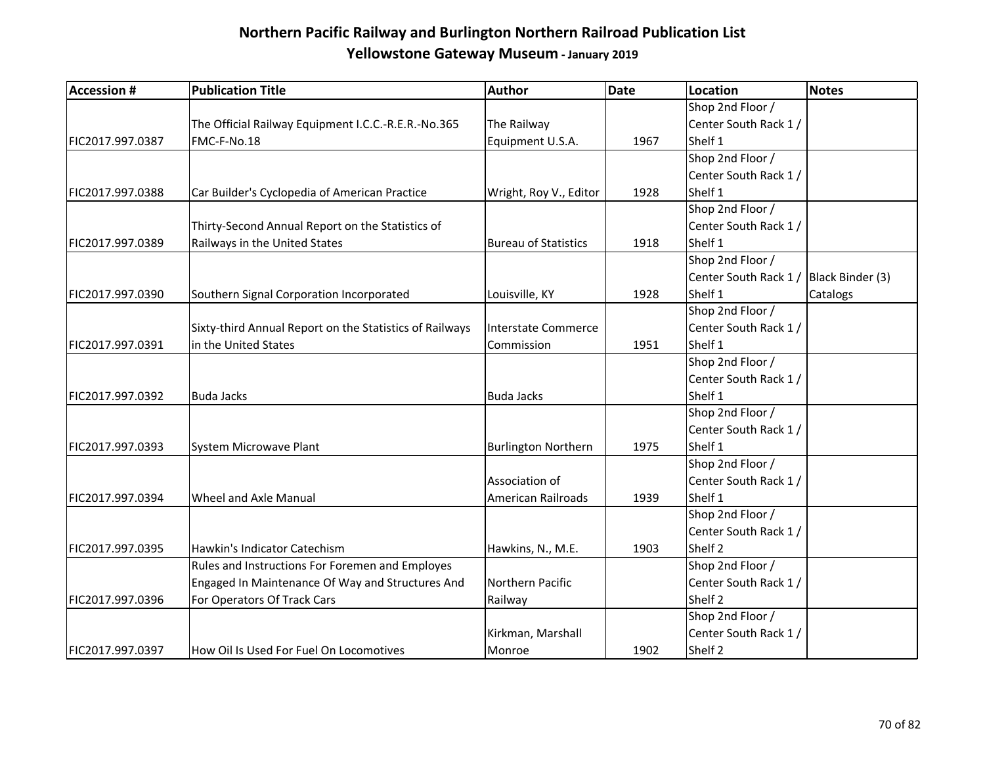| <b>Accession #</b> | <b>Publication Title</b>                                | <b>Author</b>               | <b>Date</b> | Location                               | Notes    |
|--------------------|---------------------------------------------------------|-----------------------------|-------------|----------------------------------------|----------|
|                    |                                                         |                             |             | Shop 2nd Floor /                       |          |
|                    | The Official Railway Equipment I.C.C.-R.E.R.-No.365     | The Railway                 |             | Center South Rack 1 /                  |          |
| FIC2017.997.0387   | FMC-F-No.18                                             | Equipment U.S.A.            | 1967        | Shelf 1                                |          |
|                    |                                                         |                             |             | Shop 2nd Floor /                       |          |
|                    |                                                         |                             |             | Center South Rack 1 /                  |          |
| FIC2017.997.0388   | Car Builder's Cyclopedia of American Practice           | Wright, Roy V., Editor      | 1928        | Shelf 1                                |          |
|                    |                                                         |                             |             | Shop 2nd Floor /                       |          |
|                    | Thirty-Second Annual Report on the Statistics of        |                             |             | Center South Rack 1/                   |          |
| FIC2017.997.0389   | Railways in the United States                           | <b>Bureau of Statistics</b> | 1918        | Shelf 1                                |          |
|                    |                                                         |                             |             | Shop 2nd Floor /                       |          |
|                    |                                                         |                             |             | Center South Rack 1 / Black Binder (3) |          |
| FIC2017.997.0390   | Southern Signal Corporation Incorporated                | Louisville, KY              | 1928        | Shelf 1                                | Catalogs |
|                    |                                                         |                             |             | Shop 2nd Floor /                       |          |
|                    | Sixty-third Annual Report on the Statistics of Railways | Interstate Commerce         |             | Center South Rack 1/                   |          |
| FIC2017.997.0391   | in the United States                                    | Commission                  | 1951        | Shelf 1                                |          |
|                    |                                                         |                             |             | Shop 2nd Floor /                       |          |
|                    |                                                         |                             |             | Center South Rack 1/                   |          |
| FIC2017.997.0392   | <b>Buda Jacks</b>                                       | <b>Buda Jacks</b>           |             | Shelf 1                                |          |
|                    |                                                         |                             |             | Shop 2nd Floor /                       |          |
|                    |                                                         |                             |             | Center South Rack 1 /                  |          |
| FIC2017.997.0393   | System Microwave Plant                                  | <b>Burlington Northern</b>  | 1975        | Shelf 1                                |          |
|                    |                                                         |                             |             | Shop 2nd Floor /                       |          |
|                    |                                                         | Association of              |             | Center South Rack 1 /                  |          |
| FIC2017.997.0394   | Wheel and Axle Manual                                   | American Railroads          | 1939        | Shelf 1                                |          |
|                    |                                                         |                             |             | Shop 2nd Floor /                       |          |
|                    |                                                         |                             |             | Center South Rack 1 /                  |          |
| FIC2017.997.0395   | Hawkin's Indicator Catechism                            | Hawkins, N., M.E.           | 1903        | Shelf 2                                |          |
|                    | Rules and Instructions For Foremen and Employes         |                             |             | Shop 2nd Floor /                       |          |
|                    | Engaged In Maintenance Of Way and Structures And        | Northern Pacific            |             | Center South Rack 1 /                  |          |
| FIC2017.997.0396   | For Operators Of Track Cars                             | Railway                     |             | Shelf 2                                |          |
|                    |                                                         |                             |             | Shop 2nd Floor /                       |          |
|                    |                                                         | Kirkman, Marshall           |             | Center South Rack 1/                   |          |
| FIC2017.997.0397   | How Oil Is Used For Fuel On Locomotives                 | Monroe                      | 1902        | Shelf 2                                |          |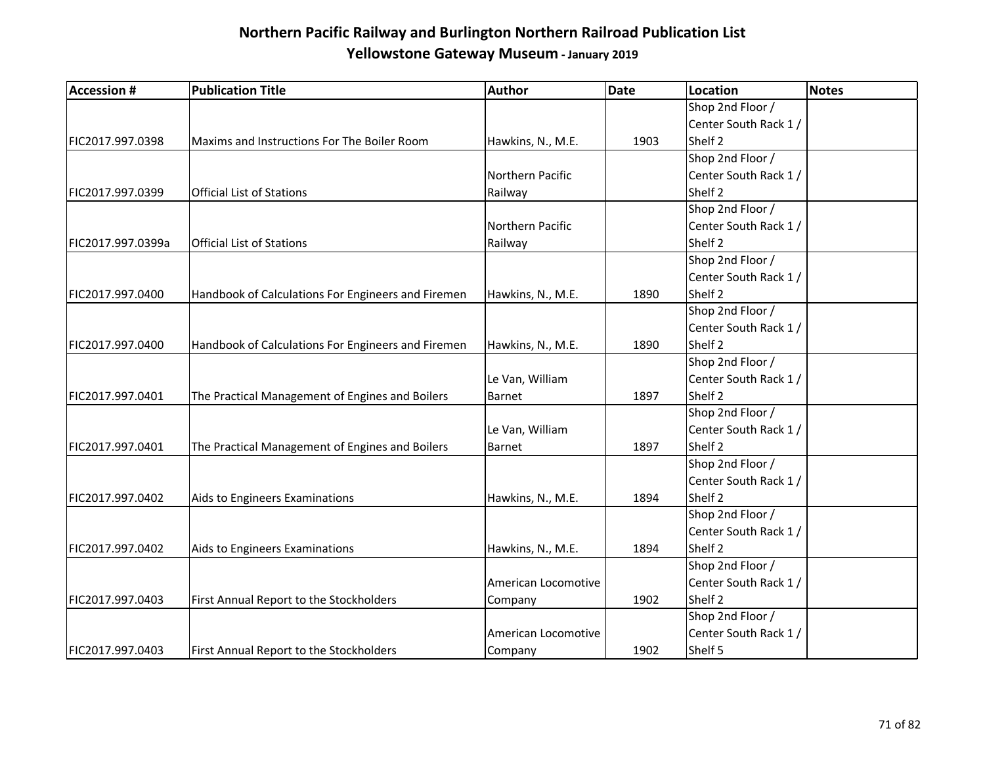| <b>Accession #</b> | <b>Publication Title</b>                           | Author              | Date | Location              | Notes |
|--------------------|----------------------------------------------------|---------------------|------|-----------------------|-------|
|                    |                                                    |                     |      | Shop 2nd Floor /      |       |
|                    |                                                    |                     |      | Center South Rack 1/  |       |
| FIC2017.997.0398   | Maxims and Instructions For The Boiler Room        | Hawkins, N., M.E.   | 1903 | Shelf 2               |       |
|                    |                                                    |                     |      | Shop 2nd Floor /      |       |
|                    |                                                    | Northern Pacific    |      | Center South Rack 1/  |       |
| FIC2017.997.0399   | Official List of Stations                          | Railway             |      | Shelf 2               |       |
|                    |                                                    |                     |      | Shop 2nd Floor /      |       |
|                    |                                                    | Northern Pacific    |      | Center South Rack 1/  |       |
| FIC2017.997.0399a  | <b>Official List of Stations</b>                   | Railway             |      | Shelf 2               |       |
|                    |                                                    |                     |      | Shop 2nd Floor /      |       |
|                    |                                                    |                     |      | Center South Rack 1 / |       |
| FIC2017.997.0400   | Handbook of Calculations For Engineers and Firemen | Hawkins, N., M.E.   | 1890 | Shelf 2               |       |
|                    |                                                    |                     |      | Shop 2nd Floor /      |       |
|                    |                                                    |                     |      | Center South Rack 1/  |       |
| FIC2017.997.0400   | Handbook of Calculations For Engineers and Firemen | Hawkins, N., M.E.   | 1890 | Shelf <sub>2</sub>    |       |
|                    |                                                    |                     |      | Shop 2nd Floor /      |       |
|                    |                                                    | Le Van, William     |      | Center South Rack 1/  |       |
| FIC2017.997.0401   | The Practical Management of Engines and Boilers    | Barnet              | 1897 | Shelf 2               |       |
|                    |                                                    |                     |      | Shop 2nd Floor /      |       |
|                    |                                                    | Le Van, William     |      | Center South Rack 1/  |       |
| FIC2017.997.0401   | The Practical Management of Engines and Boilers    | Barnet              | 1897 | Shelf 2               |       |
|                    |                                                    |                     |      | Shop 2nd Floor /      |       |
|                    |                                                    |                     |      | Center South Rack 1/  |       |
| FIC2017.997.0402   | Aids to Engineers Examinations                     | Hawkins, N., M.E.   | 1894 | Shelf 2               |       |
|                    |                                                    |                     |      | Shop 2nd Floor /      |       |
|                    |                                                    |                     |      | Center South Rack 1/  |       |
| FIC2017.997.0402   | Aids to Engineers Examinations                     | Hawkins, N., M.E.   | 1894 | Shelf 2               |       |
|                    |                                                    |                     |      | Shop 2nd Floor /      |       |
|                    |                                                    | American Locomotive |      | Center South Rack 1 / |       |
| FIC2017.997.0403   | First Annual Report to the Stockholders            | Company             | 1902 | Shelf 2               |       |
|                    |                                                    |                     |      | Shop 2nd Floor /      |       |
|                    |                                                    | American Locomotive |      | Center South Rack 1/  |       |
| FIC2017.997.0403   | First Annual Report to the Stockholders            | Company             | 1902 | Shelf 5               |       |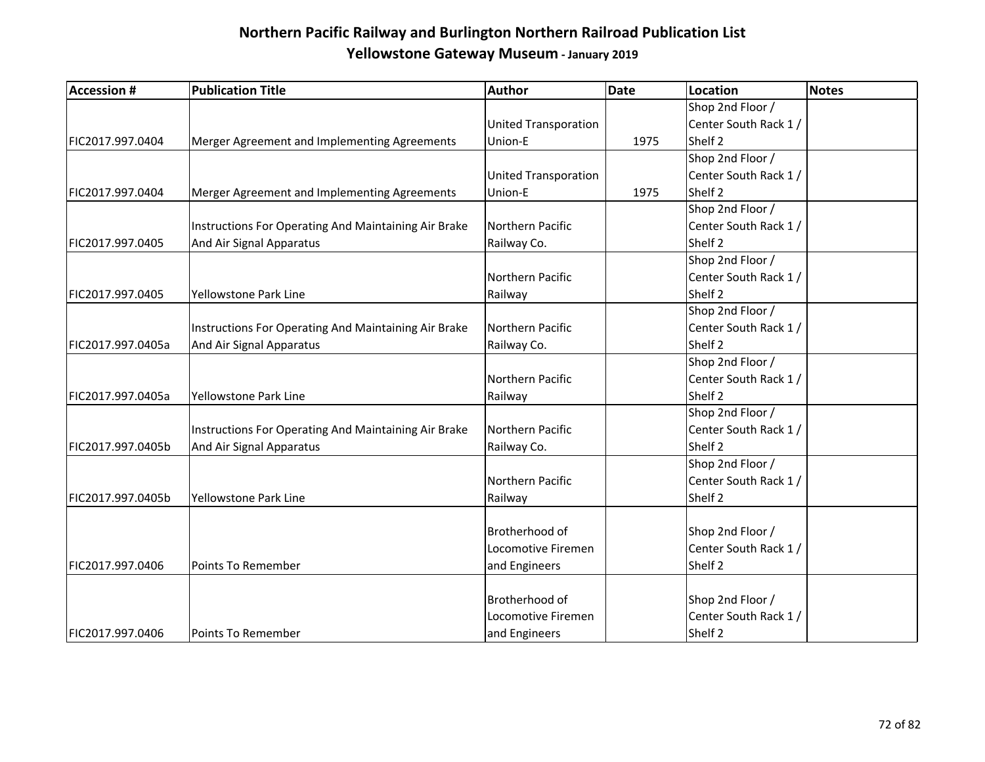| <b>Accession #</b> | <b>Publication Title</b>                             | Author                      | Date | Location              | <b>Notes</b> |
|--------------------|------------------------------------------------------|-----------------------------|------|-----------------------|--------------|
|                    |                                                      |                             |      | Shop 2nd Floor /      |              |
|                    |                                                      | <b>United Transporation</b> |      | Center South Rack 1 / |              |
| FIC2017.997.0404   | Merger Agreement and Implementing Agreements         | Union-E                     | 1975 | Shelf <sub>2</sub>    |              |
|                    |                                                      |                             |      | Shop 2nd Floor /      |              |
|                    |                                                      | <b>United Transporation</b> |      | Center South Rack 1 / |              |
| FIC2017.997.0404   | Merger Agreement and Implementing Agreements         | Union-E                     | 1975 | Shelf <sub>2</sub>    |              |
|                    |                                                      |                             |      | Shop 2nd Floor /      |              |
|                    | Instructions For Operating And Maintaining Air Brake | Northern Pacific            |      | Center South Rack 1 / |              |
| FIC2017.997.0405   | And Air Signal Apparatus                             | Railway Co.                 |      | Shelf <sub>2</sub>    |              |
|                    |                                                      |                             |      | Shop 2nd Floor /      |              |
|                    |                                                      | Northern Pacific            |      | Center South Rack 1/  |              |
| FIC2017.997.0405   | <b>Yellowstone Park Line</b>                         | Railway                     |      | Shelf <sub>2</sub>    |              |
|                    |                                                      |                             |      | Shop 2nd Floor /      |              |
|                    | Instructions For Operating And Maintaining Air Brake | Northern Pacific            |      | Center South Rack 1/  |              |
| FIC2017.997.0405a  | And Air Signal Apparatus                             | Railway Co.                 |      | Shelf <sub>2</sub>    |              |
|                    |                                                      |                             |      | Shop 2nd Floor /      |              |
|                    |                                                      | Northern Pacific            |      | Center South Rack 1 / |              |
| FIC2017.997.0405a  | Yellowstone Park Line                                | Railway                     |      | Shelf <sub>2</sub>    |              |
|                    |                                                      |                             |      | Shop 2nd Floor /      |              |
|                    | Instructions For Operating And Maintaining Air Brake | Northern Pacific            |      | Center South Rack 1/  |              |
| FIC2017.997.0405b  | And Air Signal Apparatus                             | Railway Co.                 |      | Shelf <sub>2</sub>    |              |
|                    |                                                      |                             |      | Shop 2nd Floor /      |              |
|                    |                                                      | Northern Pacific            |      | Center South Rack 1 / |              |
| FIC2017.997.0405b  | Yellowstone Park Line                                | Railway                     |      | Shelf <sub>2</sub>    |              |
|                    |                                                      |                             |      |                       |              |
|                    |                                                      | Brotherhood of              |      | Shop 2nd Floor /      |              |
|                    |                                                      | Locomotive Firemen          |      | Center South Rack 1 / |              |
| FIC2017.997.0406   | Points To Remember                                   | and Engineers               |      | Shelf <sub>2</sub>    |              |
|                    |                                                      |                             |      |                       |              |
|                    |                                                      | Brotherhood of              |      | Shop 2nd Floor /      |              |
|                    |                                                      | Locomotive Firemen          |      | Center South Rack 1 / |              |
| FIC2017.997.0406   | Points To Remember                                   | and Engineers               |      | Shelf <sub>2</sub>    |              |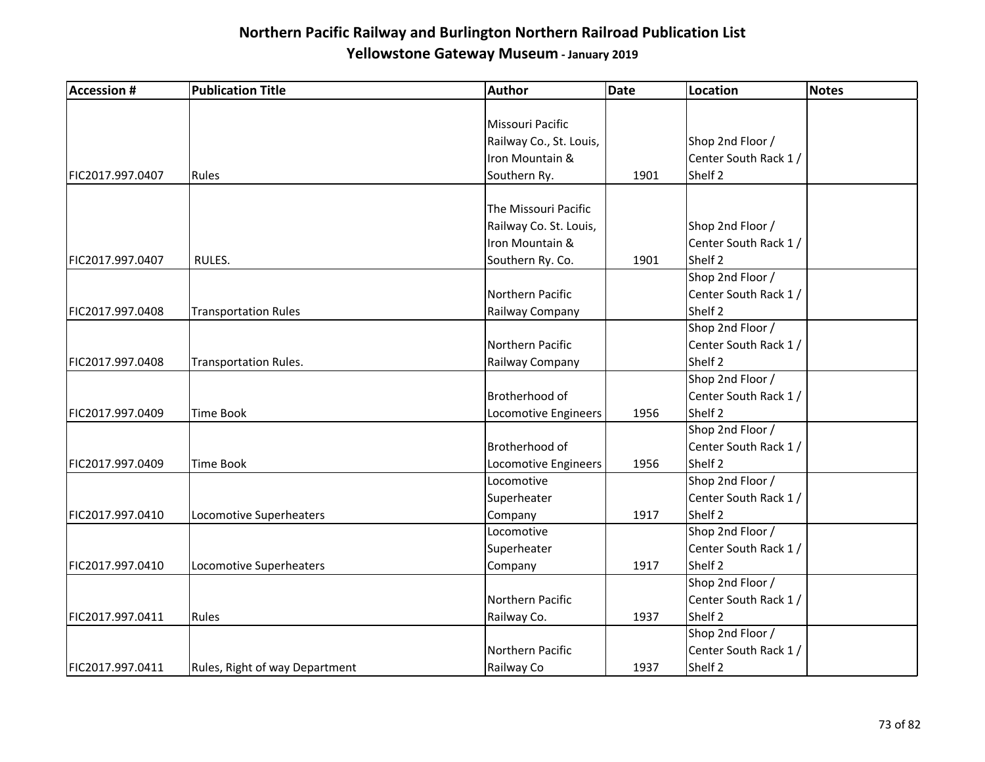| <b>Accession #</b> | <b>Publication Title</b>       | Author                  | <b>Date</b> | Location              | <b>Notes</b> |
|--------------------|--------------------------------|-------------------------|-------------|-----------------------|--------------|
|                    |                                |                         |             |                       |              |
|                    |                                | Missouri Pacific        |             |                       |              |
|                    |                                | Railway Co., St. Louis, |             | Shop 2nd Floor /      |              |
|                    |                                | Iron Mountain &         |             | Center South Rack 1 / |              |
| FIC2017.997.0407   | Rules                          | Southern Ry.            | 1901        | Shelf 2               |              |
|                    |                                |                         |             |                       |              |
|                    |                                | The Missouri Pacific    |             |                       |              |
|                    |                                | Railway Co. St. Louis,  |             | Shop 2nd Floor /      |              |
|                    |                                | Iron Mountain &         |             | Center South Rack 1 / |              |
| FIC2017.997.0407   | RULES.                         | Southern Ry. Co.        | 1901        | Shelf 2               |              |
|                    |                                |                         |             | Shop 2nd Floor /      |              |
|                    |                                | Northern Pacific        |             | Center South Rack 1 / |              |
| FIC2017.997.0408   | <b>Transportation Rules</b>    | Railway Company         |             | Shelf 2               |              |
|                    |                                |                         |             | Shop 2nd Floor /      |              |
|                    |                                | Northern Pacific        |             | Center South Rack 1 / |              |
| FIC2017.997.0408   | <b>Transportation Rules.</b>   | Railway Company         |             | Shelf 2               |              |
|                    |                                |                         |             | Shop 2nd Floor /      |              |
|                    |                                | Brotherhood of          |             | Center South Rack 1 / |              |
| FIC2017.997.0409   | Time Book                      | Locomotive Engineers    | 1956        | Shelf 2               |              |
|                    |                                |                         |             | Shop 2nd Floor /      |              |
|                    |                                | Brotherhood of          |             | Center South Rack 1 / |              |
| FIC2017.997.0409   | Time Book                      | Locomotive Engineers    | 1956        | Shelf 2               |              |
|                    |                                | Locomotive              |             | Shop 2nd Floor /      |              |
|                    |                                | Superheater             |             | Center South Rack 1 / |              |
| FIC2017.997.0410   | Locomotive Superheaters        | Company                 | 1917        | Shelf 2               |              |
|                    |                                | Locomotive              |             | Shop 2nd Floor /      |              |
|                    |                                | Superheater             |             | Center South Rack 1 / |              |
| FIC2017.997.0410   | Locomotive Superheaters        | Company                 | 1917        | Shelf 2               |              |
|                    |                                |                         |             | Shop 2nd Floor /      |              |
|                    |                                | Northern Pacific        |             | Center South Rack 1 / |              |
| FIC2017.997.0411   | Rules                          | Railway Co.             | 1937        | Shelf 2               |              |
|                    |                                |                         |             | Shop 2nd Floor /      |              |
|                    |                                | Northern Pacific        |             | Center South Rack 1 / |              |
| FIC2017.997.0411   | Rules, Right of way Department | Railway Co              | 1937        | Shelf 2               |              |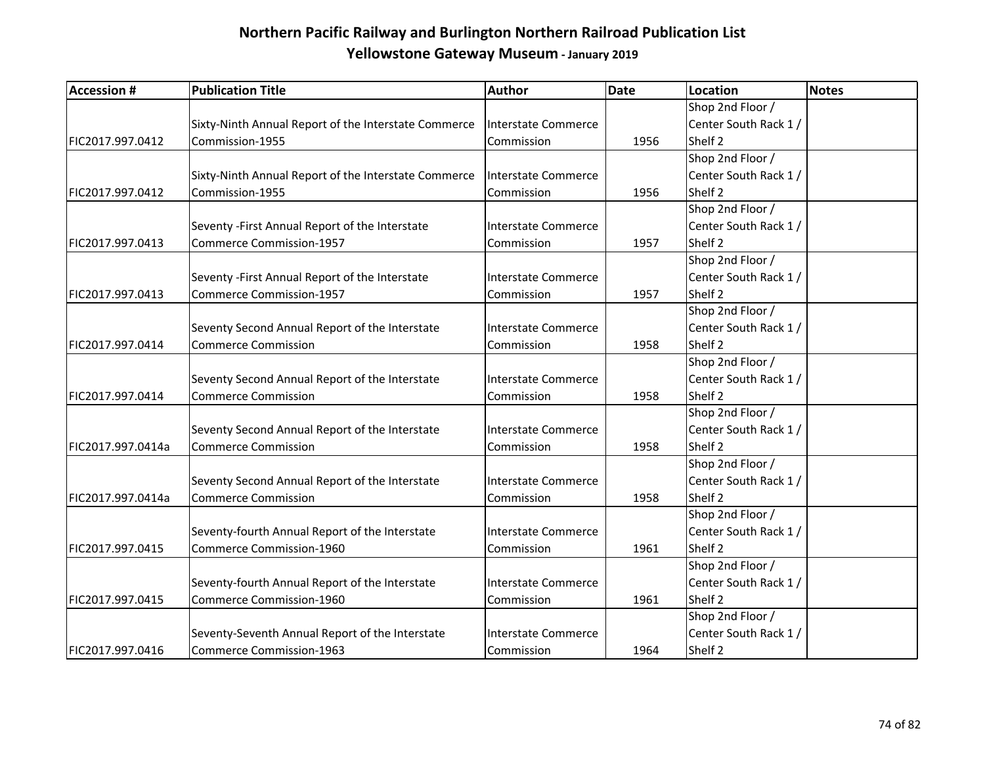| <b>Accession #</b> | <b>Publication Title</b>                             | Author                     | <b>Date</b> | Location              | <b>Notes</b> |
|--------------------|------------------------------------------------------|----------------------------|-------------|-----------------------|--------------|
|                    |                                                      |                            |             | Shop 2nd Floor /      |              |
|                    | Sixty-Ninth Annual Report of the Interstate Commerce | Interstate Commerce        |             | Center South Rack 1/  |              |
| FIC2017.997.0412   | Commission-1955                                      | Commission                 | 1956        | Shelf <sub>2</sub>    |              |
|                    |                                                      |                            |             | Shop 2nd Floor /      |              |
|                    | Sixty-Ninth Annual Report of the Interstate Commerce | Interstate Commerce        |             | Center South Rack 1 / |              |
| FIC2017.997.0412   | Commission-1955                                      | Commission                 | 1956        | Shelf <sub>2</sub>    |              |
|                    |                                                      |                            |             | Shop 2nd Floor /      |              |
|                    | Seventy - First Annual Report of the Interstate      | Interstate Commerce        |             | Center South Rack 1/  |              |
| FIC2017.997.0413   | <b>Commerce Commission-1957</b>                      | Commission                 | 1957        | Shelf <sub>2</sub>    |              |
|                    |                                                      |                            |             | Shop 2nd Floor /      |              |
|                    | Seventy - First Annual Report of the Interstate      | <b>Interstate Commerce</b> |             | Center South Rack 1 / |              |
| FIC2017.997.0413   | <b>Commerce Commission-1957</b>                      | Commission                 | 1957        | Shelf <sub>2</sub>    |              |
|                    |                                                      |                            |             | Shop 2nd Floor /      |              |
|                    | Seventy Second Annual Report of the Interstate       | <b>Interstate Commerce</b> |             | Center South Rack 1 / |              |
| FIC2017.997.0414   | <b>Commerce Commission</b>                           | Commission                 | 1958        | Shelf <sub>2</sub>    |              |
|                    |                                                      |                            |             | Shop 2nd Floor /      |              |
|                    | Seventy Second Annual Report of the Interstate       | <b>Interstate Commerce</b> |             | Center South Rack 1 / |              |
| FIC2017.997.0414   | <b>Commerce Commission</b>                           | Commission                 | 1958        | Shelf 2               |              |
|                    |                                                      |                            |             | Shop 2nd Floor /      |              |
|                    | Seventy Second Annual Report of the Interstate       | <b>Interstate Commerce</b> |             | Center South Rack 1 / |              |
| FIC2017.997.0414a  | <b>Commerce Commission</b>                           | Commission                 | 1958        | Shelf 2               |              |
|                    |                                                      |                            |             | Shop 2nd Floor /      |              |
|                    | Seventy Second Annual Report of the Interstate       | Interstate Commerce        |             | Center South Rack 1/  |              |
| FIC2017.997.0414a  | <b>Commerce Commission</b>                           | Commission                 | 1958        | Shelf <sub>2</sub>    |              |
|                    |                                                      |                            |             | Shop 2nd Floor /      |              |
|                    | Seventy-fourth Annual Report of the Interstate       | Interstate Commerce        |             | Center South Rack 1 / |              |
| FIC2017.997.0415   | Commerce Commission-1960                             | Commission                 | 1961        | Shelf <sub>2</sub>    |              |
|                    |                                                      |                            |             | Shop 2nd Floor /      |              |
|                    | Seventy-fourth Annual Report of the Interstate       | <b>Interstate Commerce</b> |             | Center South Rack 1/  |              |
| FIC2017.997.0415   | Commerce Commission-1960                             | Commission                 | 1961        | Shelf 2               |              |
|                    |                                                      |                            |             | Shop 2nd Floor /      |              |
|                    | Seventy-Seventh Annual Report of the Interstate      | Interstate Commerce        |             | Center South Rack 1 / |              |
| FIC2017.997.0416   | <b>Commerce Commission-1963</b>                      | Commission                 | 1964        | Shelf 2               |              |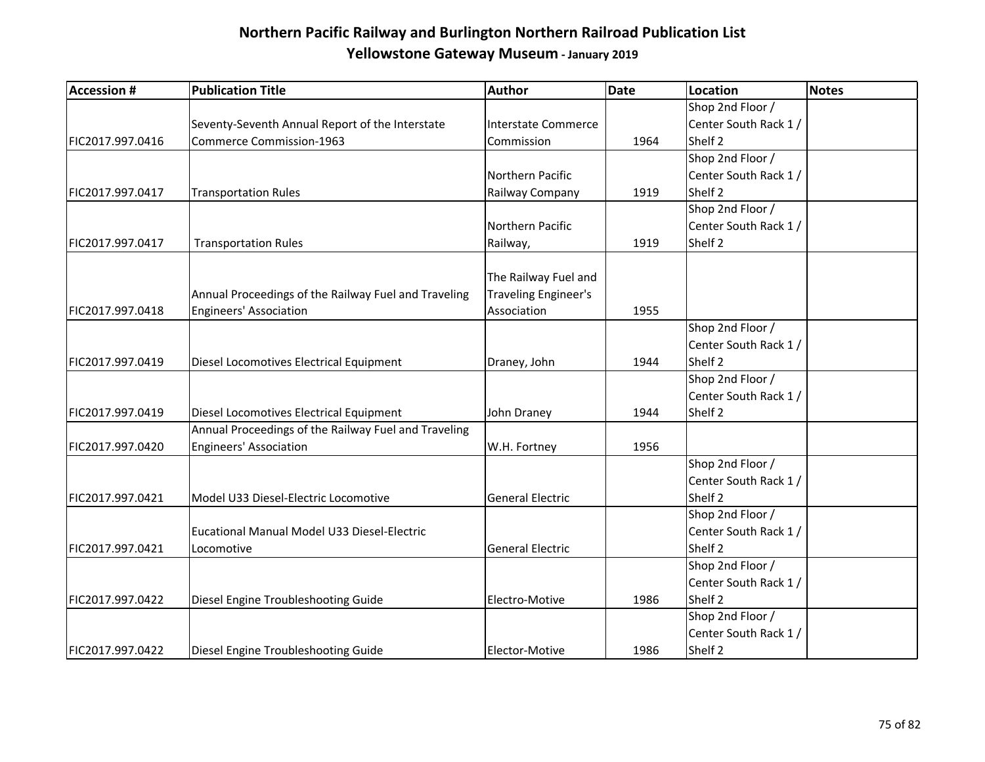| <b>Accession #</b> | <b>Publication Title</b>                             | Author                  | <b>Date</b> | Location              | Notes |
|--------------------|------------------------------------------------------|-------------------------|-------------|-----------------------|-------|
|                    |                                                      |                         |             | Shop 2nd Floor /      |       |
|                    | Seventy-Seventh Annual Report of the Interstate      | Interstate Commerce     |             | Center South Rack 1 / |       |
| FIC2017.997.0416   | <b>Commerce Commission-1963</b>                      | Commission              | 1964        | Shelf 2               |       |
|                    |                                                      |                         |             | Shop 2nd Floor /      |       |
|                    |                                                      | Northern Pacific        |             | Center South Rack 1 / |       |
| FIC2017.997.0417   | <b>Transportation Rules</b>                          | Railway Company         | 1919        | Shelf <sub>2</sub>    |       |
|                    |                                                      |                         |             | Shop 2nd Floor /      |       |
|                    |                                                      | Northern Pacific        |             | Center South Rack 1 / |       |
| FIC2017.997.0417   | <b>Transportation Rules</b>                          | Railway,                | 1919        | Shelf <sub>2</sub>    |       |
|                    |                                                      |                         |             |                       |       |
|                    |                                                      | The Railway Fuel and    |             |                       |       |
|                    | Annual Proceedings of the Railway Fuel and Traveling | Traveling Engineer's    |             |                       |       |
| FIC2017.997.0418   | <b>Engineers' Association</b>                        | Association             | 1955        |                       |       |
|                    |                                                      |                         |             | Shop 2nd Floor /      |       |
|                    |                                                      |                         |             | Center South Rack 1 / |       |
| FIC2017.997.0419   | Diesel Locomotives Electrical Equipment              | Draney, John            | 1944        | Shelf <sub>2</sub>    |       |
|                    |                                                      |                         |             | Shop 2nd Floor /      |       |
|                    |                                                      |                         |             | Center South Rack 1 / |       |
| FIC2017.997.0419   | Diesel Locomotives Electrical Equipment              | John Draney             | 1944        | Shelf <sub>2</sub>    |       |
|                    | Annual Proceedings of the Railway Fuel and Traveling |                         |             |                       |       |
| FIC2017.997.0420   | <b>Engineers' Association</b>                        | W.H. Fortney            | 1956        |                       |       |
|                    |                                                      |                         |             | Shop 2nd Floor /      |       |
|                    |                                                      |                         |             | Center South Rack 1 / |       |
| FIC2017.997.0421   | Model U33 Diesel-Electric Locomotive                 | <b>General Electric</b> |             | Shelf 2               |       |
|                    |                                                      |                         |             | Shop 2nd Floor /      |       |
|                    | Eucational Manual Model U33 Diesel-Electric          |                         |             | Center South Rack 1 / |       |
| FIC2017.997.0421   | Locomotive                                           | <b>General Electric</b> |             | Shelf 2               |       |
|                    |                                                      |                         |             | Shop 2nd Floor /      |       |
|                    |                                                      |                         |             | Center South Rack 1 / |       |
| FIC2017.997.0422   | Diesel Engine Troubleshooting Guide                  | Electro-Motive          | 1986        | Shelf 2               |       |
|                    |                                                      |                         |             | Shop 2nd Floor /      |       |
|                    |                                                      |                         |             | Center South Rack 1 / |       |
| FIC2017.997.0422   | Diesel Engine Troubleshooting Guide                  | Elector-Motive          | 1986        | Shelf 2               |       |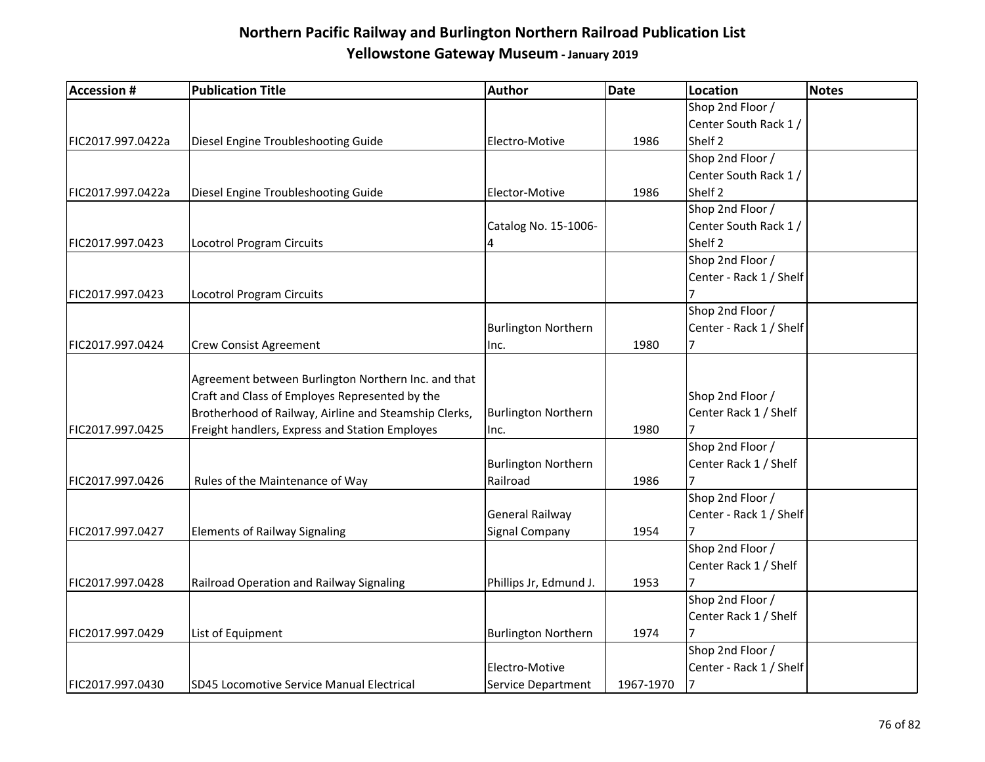| <b>Accession #</b> | <b>Publication Title</b>                              | Author                     | <b>Date</b> | Location                | Notes |
|--------------------|-------------------------------------------------------|----------------------------|-------------|-------------------------|-------|
|                    |                                                       |                            |             | Shop 2nd Floor /        |       |
|                    |                                                       |                            |             | Center South Rack 1/    |       |
| FIC2017.997.0422a  | Diesel Engine Troubleshooting Guide                   | Electro-Motive             | 1986        | Shelf 2                 |       |
|                    |                                                       |                            |             | Shop 2nd Floor /        |       |
|                    |                                                       |                            |             | Center South Rack 1/    |       |
| FIC2017.997.0422a  | Diesel Engine Troubleshooting Guide                   | Elector-Motive             | 1986        | Shelf 2                 |       |
|                    |                                                       |                            |             | Shop 2nd Floor /        |       |
|                    |                                                       | Catalog No. 15-1006-       |             | Center South Rack 1 /   |       |
| FIC2017.997.0423   | <b>Locotrol Program Circuits</b>                      | $\overline{4}$             |             | Shelf 2                 |       |
|                    |                                                       |                            |             | Shop 2nd Floor /        |       |
|                    |                                                       |                            |             | Center - Rack 1 / Shelf |       |
| FIC2017.997.0423   | Locotrol Program Circuits                             |                            |             |                         |       |
|                    |                                                       |                            |             | Shop 2nd Floor /        |       |
|                    |                                                       | <b>Burlington Northern</b> |             | Center - Rack 1 / Shelf |       |
| FIC2017.997.0424   | <b>Crew Consist Agreement</b>                         | Inc.                       | 1980        | 7                       |       |
|                    |                                                       |                            |             |                         |       |
|                    | Agreement between Burlington Northern Inc. and that   |                            |             |                         |       |
|                    | Craft and Class of Employes Represented by the        |                            |             | Shop 2nd Floor /        |       |
|                    | Brotherhood of Railway, Airline and Steamship Clerks, | <b>Burlington Northern</b> |             | Center Rack 1 / Shelf   |       |
| FIC2017.997.0425   | Freight handlers, Express and Station Employes        | Inc.                       | 1980        | 7                       |       |
|                    |                                                       |                            |             | Shop 2nd Floor /        |       |
|                    |                                                       | <b>Burlington Northern</b> |             | Center Rack 1 / Shelf   |       |
| FIC2017.997.0426   | Rules of the Maintenance of Way                       | Railroad                   | 1986        |                         |       |
|                    |                                                       |                            |             | Shop 2nd Floor /        |       |
|                    |                                                       | General Railway            |             | Center - Rack 1 / Shelf |       |
| FIC2017.997.0427   | <b>Elements of Railway Signaling</b>                  | Signal Company             | 1954        |                         |       |
|                    |                                                       |                            |             | Shop 2nd Floor /        |       |
|                    |                                                       |                            |             | Center Rack 1 / Shelf   |       |
| FIC2017.997.0428   | Railroad Operation and Railway Signaling              | Phillips Jr, Edmund J.     | 1953        |                         |       |
|                    |                                                       |                            |             | Shop 2nd Floor /        |       |
|                    |                                                       |                            |             | Center Rack 1 / Shelf   |       |
| FIC2017.997.0429   | List of Equipment                                     | <b>Burlington Northern</b> | 1974        | 7                       |       |
|                    |                                                       |                            |             | Shop 2nd Floor /        |       |
|                    |                                                       | Electro-Motive             |             | Center - Rack 1 / Shelf |       |
| FIC2017.997.0430   | SD45 Locomotive Service Manual Electrical             | Service Department         | 1967-1970   | 7                       |       |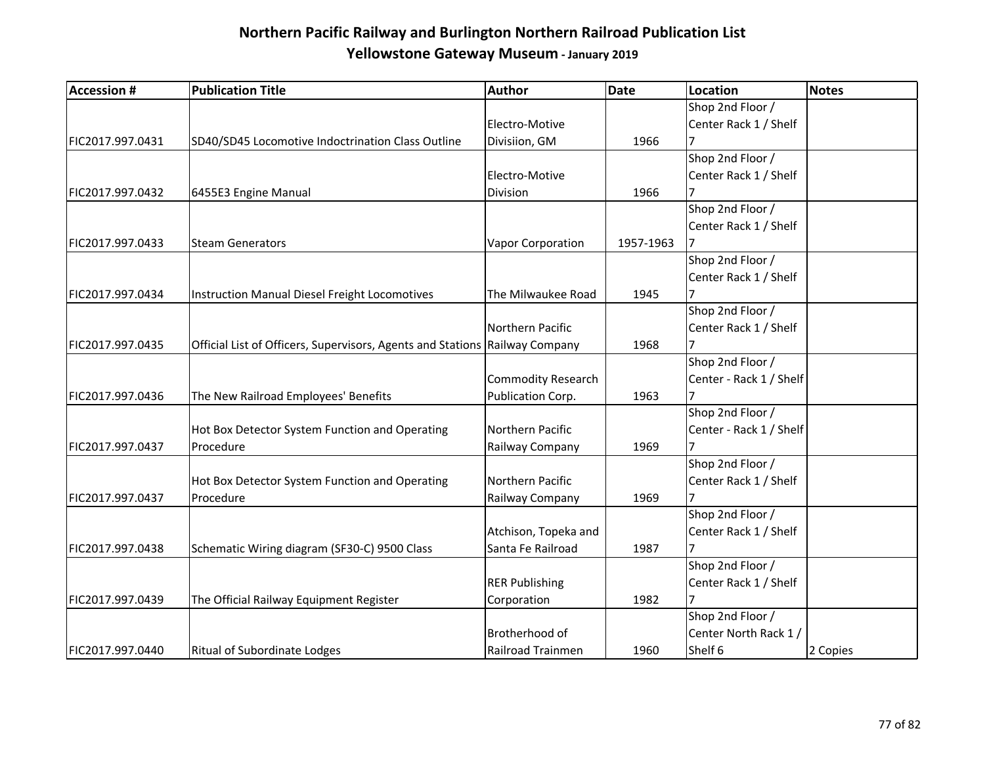| <b>Accession #</b> | <b>Publication Title</b>                                                    | Author                    | Date      | Location                | Notes    |
|--------------------|-----------------------------------------------------------------------------|---------------------------|-----------|-------------------------|----------|
|                    |                                                                             |                           |           | Shop 2nd Floor /        |          |
|                    |                                                                             | Electro-Motive            |           | Center Rack 1 / Shelf   |          |
| FIC2017.997.0431   | SD40/SD45 Locomotive Indoctrination Class Outline                           | Divisiion, GM             | 1966      |                         |          |
|                    |                                                                             |                           |           | Shop 2nd Floor /        |          |
|                    |                                                                             | Electro-Motive            |           | Center Rack 1 / Shelf   |          |
| FIC2017.997.0432   | 6455E3 Engine Manual                                                        | Division                  | 1966      | 7                       |          |
|                    |                                                                             |                           |           | Shop 2nd Floor /        |          |
|                    |                                                                             |                           |           | Center Rack 1 / Shelf   |          |
| FIC2017.997.0433   | <b>Steam Generators</b>                                                     | Vapor Corporation         | 1957-1963 |                         |          |
|                    |                                                                             |                           |           | Shop 2nd Floor /        |          |
|                    |                                                                             |                           |           | Center Rack 1 / Shelf   |          |
| FIC2017.997.0434   | <b>Instruction Manual Diesel Freight Locomotives</b>                        | The Milwaukee Road        | 1945      |                         |          |
|                    |                                                                             |                           |           | Shop 2nd Floor /        |          |
|                    |                                                                             | Northern Pacific          |           | Center Rack 1 / Shelf   |          |
| FIC2017.997.0435   | Official List of Officers, Supervisors, Agents and Stations Railway Company |                           | 1968      |                         |          |
|                    |                                                                             |                           |           | Shop 2nd Floor /        |          |
|                    |                                                                             | <b>Commodity Research</b> |           | Center - Rack 1 / Shelf |          |
| FIC2017.997.0436   | The New Railroad Employees' Benefits                                        | Publication Corp.         | 1963      |                         |          |
|                    |                                                                             |                           |           | Shop 2nd Floor /        |          |
|                    | Hot Box Detector System Function and Operating                              | Northern Pacific          |           | Center - Rack 1 / Shelf |          |
| FIC2017.997.0437   | Procedure                                                                   | Railway Company           | 1969      |                         |          |
|                    |                                                                             |                           |           | Shop 2nd Floor /        |          |
|                    | Hot Box Detector System Function and Operating                              | Northern Pacific          |           | Center Rack 1 / Shelf   |          |
| FIC2017.997.0437   | Procedure                                                                   | Railway Company           | 1969      |                         |          |
|                    |                                                                             |                           |           | Shop 2nd Floor /        |          |
|                    |                                                                             | Atchison, Topeka and      |           | Center Rack 1 / Shelf   |          |
| FIC2017.997.0438   | Schematic Wiring diagram (SF30-C) 9500 Class                                | Santa Fe Railroad         | 1987      | 7                       |          |
|                    |                                                                             |                           |           | Shop 2nd Floor /        |          |
|                    |                                                                             | <b>RER Publishing</b>     |           | Center Rack 1 / Shelf   |          |
| FIC2017.997.0439   | The Official Railway Equipment Register                                     | Corporation               | 1982      |                         |          |
|                    |                                                                             |                           |           | Shop 2nd Floor /        |          |
|                    |                                                                             | Brotherhood of            |           | Center North Rack 1/    |          |
| FIC2017.997.0440   | <b>Ritual of Subordinate Lodges</b>                                         | Railroad Trainmen         | 1960      | Shelf 6                 | 2 Copies |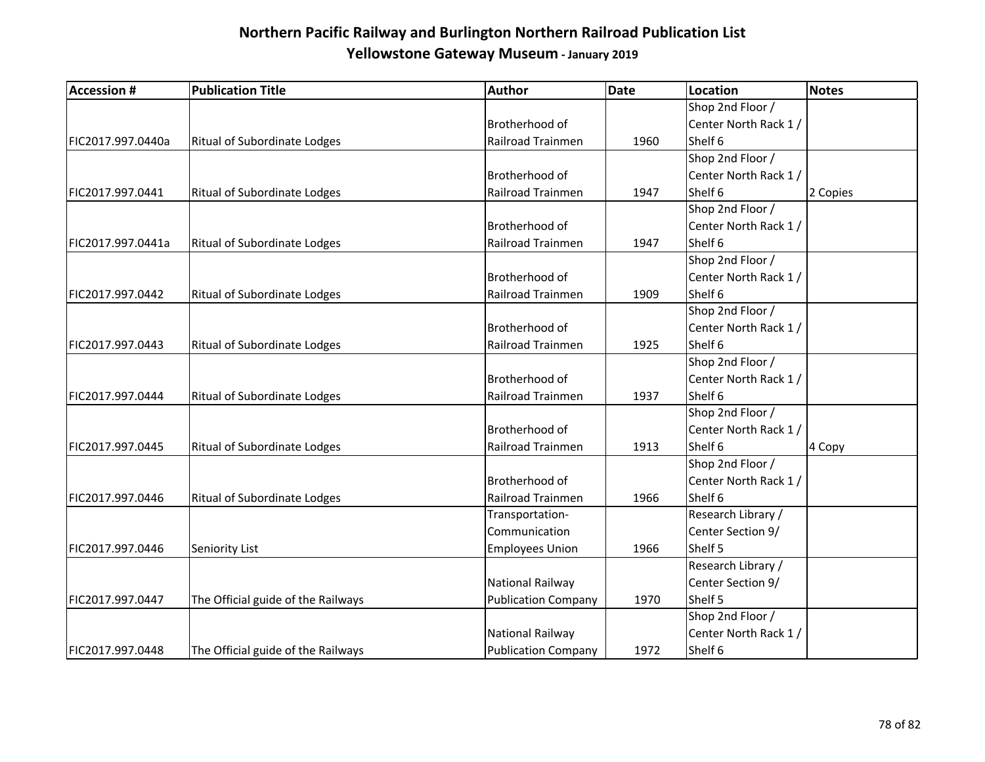| <b>Accession #</b> | <b>Publication Title</b>            | Author                     | Date | Location              | <b>Notes</b> |
|--------------------|-------------------------------------|----------------------------|------|-----------------------|--------------|
|                    |                                     |                            |      | Shop 2nd Floor /      |              |
|                    |                                     | Brotherhood of             |      | Center North Rack 1 / |              |
| FIC2017.997.0440a  | <b>Ritual of Subordinate Lodges</b> | Railroad Trainmen          | 1960 | Shelf 6               |              |
|                    |                                     |                            |      | Shop 2nd Floor /      |              |
|                    |                                     | Brotherhood of             |      | Center North Rack 1/  |              |
| FIC2017.997.0441   | <b>Ritual of Subordinate Lodges</b> | Railroad Trainmen          | 1947 | Shelf 6               | 2 Copies     |
|                    |                                     |                            |      | Shop 2nd Floor /      |              |
|                    |                                     | Brotherhood of             |      | Center North Rack 1 / |              |
| FIC2017.997.0441a  | Ritual of Subordinate Lodges        | Railroad Trainmen          | 1947 | Shelf 6               |              |
|                    |                                     |                            |      | Shop 2nd Floor /      |              |
|                    |                                     | Brotherhood of             |      | Center North Rack 1 / |              |
| FIC2017.997.0442   | <b>Ritual of Subordinate Lodges</b> | Railroad Trainmen          | 1909 | Shelf 6               |              |
|                    |                                     |                            |      | Shop 2nd Floor /      |              |
|                    |                                     | Brotherhood of             |      | Center North Rack 1 / |              |
| FIC2017.997.0443   | <b>Ritual of Subordinate Lodges</b> | Railroad Trainmen          | 1925 | Shelf 6               |              |
|                    |                                     |                            |      | Shop 2nd Floor /      |              |
|                    |                                     | Brotherhood of             |      | Center North Rack 1 / |              |
| FIC2017.997.0444   | <b>Ritual of Subordinate Lodges</b> | Railroad Trainmen          | 1937 | Shelf 6               |              |
|                    |                                     |                            |      | Shop 2nd Floor /      |              |
|                    |                                     | Brotherhood of             |      | Center North Rack 1 / |              |
| FIC2017.997.0445   | <b>Ritual of Subordinate Lodges</b> | Railroad Trainmen          | 1913 | Shelf 6               | 4 Copy       |
|                    |                                     |                            |      | Shop 2nd Floor /      |              |
|                    |                                     | Brotherhood of             |      | Center North Rack 1/  |              |
| FIC2017.997.0446   | <b>Ritual of Subordinate Lodges</b> | Railroad Trainmen          | 1966 | Shelf 6               |              |
|                    |                                     | Transportation-            |      | Research Library /    |              |
|                    |                                     | Communication              |      | Center Section 9/     |              |
| FIC2017.997.0446   | Seniority List                      | <b>Employees Union</b>     | 1966 | Shelf 5               |              |
|                    |                                     |                            |      | Research Library /    |              |
|                    |                                     | National Railway           |      | Center Section 9/     |              |
| FIC2017.997.0447   | The Official guide of the Railways  | <b>Publication Company</b> | 1970 | Shelf 5               |              |
|                    |                                     |                            |      | Shop 2nd Floor /      |              |
|                    |                                     | National Railway           |      | Center North Rack 1/  |              |
| FIC2017.997.0448   | The Official guide of the Railways  | <b>Publication Company</b> | 1972 | Shelf 6               |              |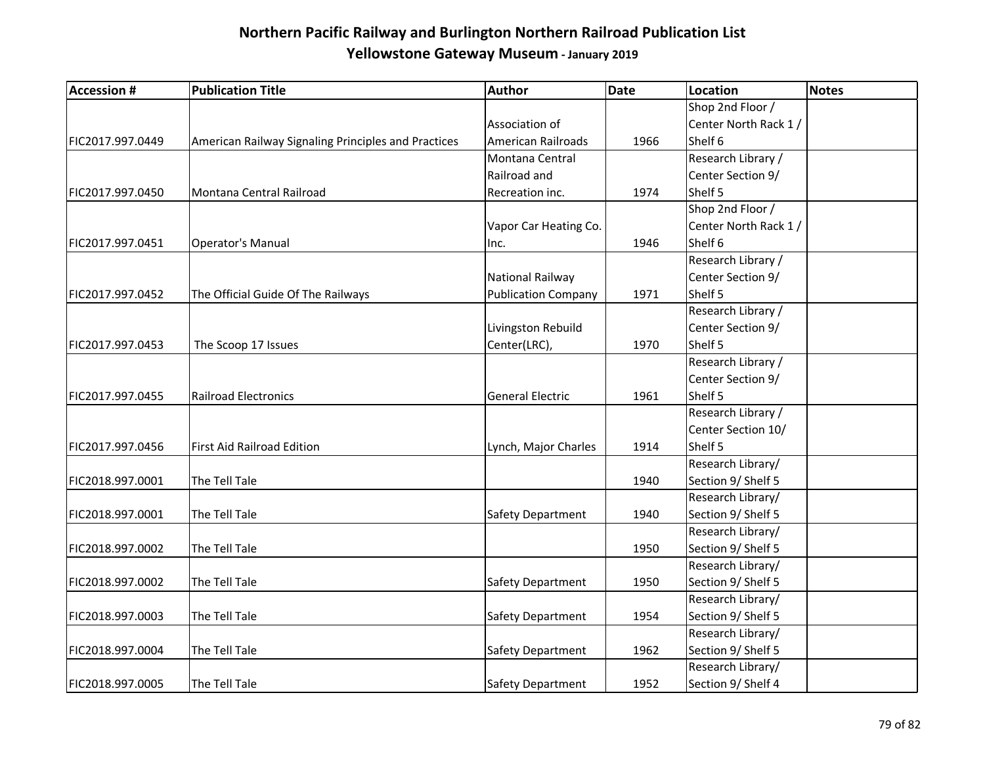| <b>Accession #</b> | <b>Publication Title</b>                            | Author                     | <b>Date</b> | <b>Location</b>       | <b>Notes</b> |
|--------------------|-----------------------------------------------------|----------------------------|-------------|-----------------------|--------------|
|                    |                                                     |                            |             | Shop 2nd Floor /      |              |
|                    |                                                     | Association of             |             | Center North Rack 1 / |              |
| FIC2017.997.0449   | American Railway Signaling Principles and Practices | <b>American Railroads</b>  | 1966        | Shelf 6               |              |
|                    |                                                     | Montana Central            |             | Research Library /    |              |
|                    |                                                     | Railroad and               |             | Center Section 9/     |              |
| FIC2017.997.0450   | Montana Central Railroad                            | Recreation inc.            | 1974        | Shelf 5               |              |
|                    |                                                     |                            |             | Shop 2nd Floor /      |              |
|                    |                                                     | Vapor Car Heating Co.      |             | Center North Rack 1/  |              |
| FIC2017.997.0451   | <b>Operator's Manual</b>                            | Inc.                       | 1946        | Shelf 6               |              |
|                    |                                                     |                            |             | Research Library /    |              |
|                    |                                                     | National Railway           |             | Center Section 9/     |              |
| FIC2017.997.0452   | The Official Guide Of The Railways                  | <b>Publication Company</b> | 1971        | Shelf 5               |              |
|                    |                                                     |                            |             | Research Library /    |              |
|                    |                                                     | Livingston Rebuild         |             | Center Section 9/     |              |
| FIC2017.997.0453   | The Scoop 17 Issues                                 | Center(LRC),               | 1970        | Shelf 5               |              |
|                    |                                                     |                            |             | Research Library /    |              |
|                    |                                                     |                            |             | Center Section 9/     |              |
| FIC2017.997.0455   | <b>Railroad Electronics</b>                         | <b>General Electric</b>    | 1961        | Shelf 5               |              |
|                    |                                                     |                            |             | Research Library /    |              |
|                    |                                                     |                            |             | Center Section 10/    |              |
| FIC2017.997.0456   | First Aid Railroad Edition                          | Lynch, Major Charles       | 1914        | Shelf 5               |              |
|                    |                                                     |                            |             | Research Library/     |              |
| FIC2018.997.0001   | The Tell Tale                                       |                            | 1940        | Section 9/ Shelf 5    |              |
|                    |                                                     |                            |             | Research Library/     |              |
| FIC2018.997.0001   | The Tell Tale                                       | Safety Department          | 1940        | Section 9/ Shelf 5    |              |
|                    |                                                     |                            |             | Research Library/     |              |
| FIC2018.997.0002   | The Tell Tale                                       |                            | 1950        | Section 9/ Shelf 5    |              |
|                    |                                                     |                            |             | Research Library/     |              |
| FIC2018.997.0002   | The Tell Tale                                       | Safety Department          | 1950        | Section 9/ Shelf 5    |              |
|                    |                                                     |                            |             | Research Library/     |              |
| FIC2018.997.0003   | The Tell Tale                                       | Safety Department          | 1954        | Section 9/ Shelf 5    |              |
|                    |                                                     |                            |             | Research Library/     |              |
| FIC2018.997.0004   | The Tell Tale                                       | <b>Safety Department</b>   | 1962        | Section 9/ Shelf 5    |              |
|                    |                                                     |                            |             | Research Library/     |              |
| FIC2018.997.0005   | The Tell Tale                                       | Safety Department          | 1952        | Section 9/ Shelf 4    |              |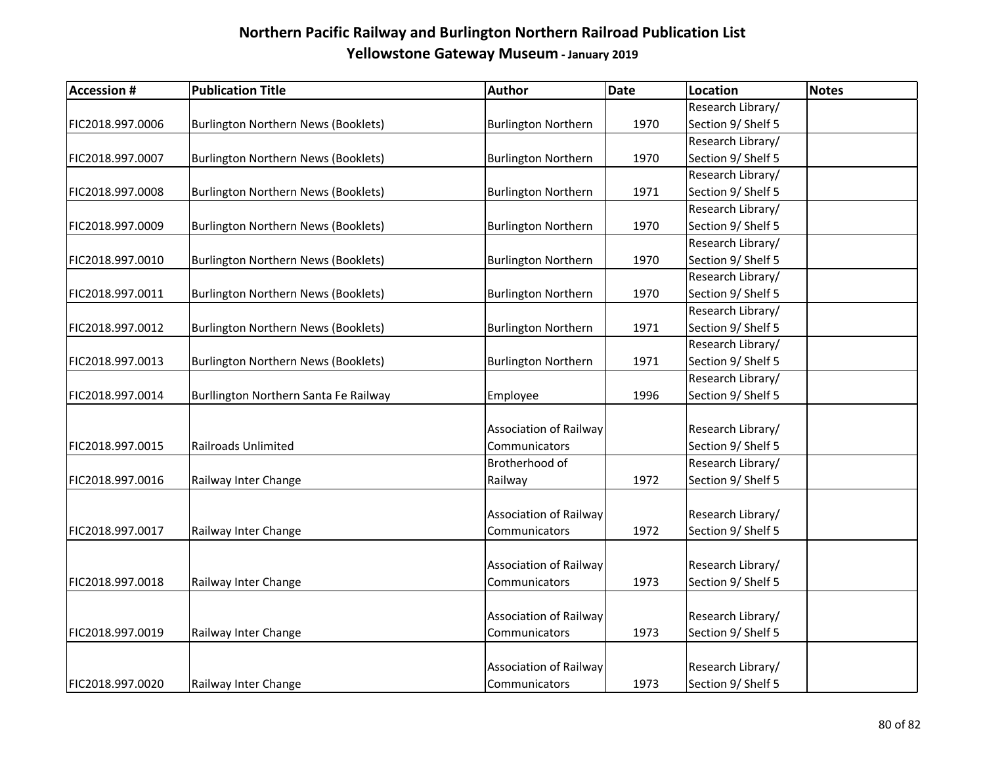| <b>Accession#</b> | <b>Publication Title</b>              | Author                        | <b>Date</b> | Location           | <b>Notes</b> |
|-------------------|---------------------------------------|-------------------------------|-------------|--------------------|--------------|
|                   |                                       |                               |             | Research Library/  |              |
| FIC2018.997.0006  | Burlington Northern News (Booklets)   | <b>Burlington Northern</b>    | 1970        | Section 9/ Shelf 5 |              |
|                   |                                       |                               |             | Research Library/  |              |
| FIC2018.997.0007  | Burlington Northern News (Booklets)   | <b>Burlington Northern</b>    | 1970        | Section 9/ Shelf 5 |              |
|                   |                                       |                               |             | Research Library/  |              |
| FIC2018.997.0008  | Burlington Northern News (Booklets)   | <b>Burlington Northern</b>    | 1971        | Section 9/ Shelf 5 |              |
|                   |                                       |                               |             | Research Library/  |              |
| FIC2018.997.0009  | Burlington Northern News (Booklets)   | <b>Burlington Northern</b>    | 1970        | Section 9/ Shelf 5 |              |
|                   |                                       |                               |             | Research Library/  |              |
| FIC2018.997.0010  | Burlington Northern News (Booklets)   | <b>Burlington Northern</b>    | 1970        | Section 9/ Shelf 5 |              |
|                   |                                       |                               |             | Research Library/  |              |
| FIC2018.997.0011  | Burlington Northern News (Booklets)   | <b>Burlington Northern</b>    | 1970        | Section 9/ Shelf 5 |              |
|                   |                                       |                               |             | Research Library/  |              |
| FIC2018.997.0012  | Burlington Northern News (Booklets)   | <b>Burlington Northern</b>    | 1971        | Section 9/ Shelf 5 |              |
|                   |                                       |                               |             | Research Library/  |              |
| FIC2018.997.0013  | Burlington Northern News (Booklets)   | <b>Burlington Northern</b>    | 1971        | Section 9/ Shelf 5 |              |
|                   |                                       |                               |             | Research Library/  |              |
| FIC2018.997.0014  | Burllington Northern Santa Fe Railway | Employee                      | 1996        | Section 9/ Shelf 5 |              |
|                   |                                       |                               |             |                    |              |
|                   |                                       | <b>Association of Railway</b> |             | Research Library/  |              |
| FIC2018.997.0015  | <b>Railroads Unlimited</b>            | Communicators                 |             | Section 9/ Shelf 5 |              |
|                   |                                       | Brotherhood of                |             | Research Library/  |              |
| FIC2018.997.0016  | Railway Inter Change                  | Railway                       | 1972        | Section 9/ Shelf 5 |              |
|                   |                                       |                               |             |                    |              |
|                   |                                       | <b>Association of Railway</b> |             | Research Library/  |              |
| FIC2018.997.0017  | Railway Inter Change                  | Communicators                 | 1972        | Section 9/ Shelf 5 |              |
|                   |                                       |                               |             |                    |              |
|                   |                                       | Association of Railway        |             | Research Library/  |              |
| FIC2018.997.0018  | Railway Inter Change                  | Communicators                 | 1973        | Section 9/ Shelf 5 |              |
|                   |                                       | <b>Association of Railway</b> |             | Research Library/  |              |
| FIC2018.997.0019  | Railway Inter Change                  | Communicators                 | 1973        | Section 9/ Shelf 5 |              |
|                   |                                       |                               |             |                    |              |
|                   |                                       | Association of Railway        |             | Research Library/  |              |
| FIC2018.997.0020  | Railway Inter Change                  | Communicators                 | 1973        | Section 9/ Shelf 5 |              |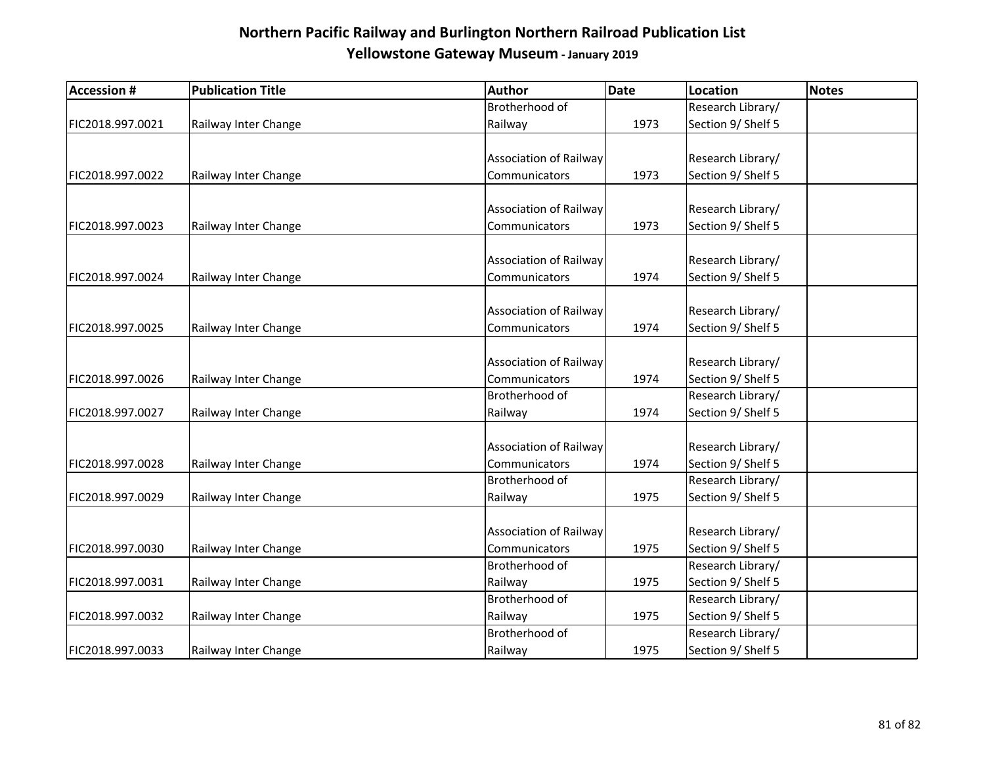| <b>Accession #</b> | <b>Publication Title</b> | Author                        | Date | Location           | Notes |
|--------------------|--------------------------|-------------------------------|------|--------------------|-------|
|                    |                          | Brotherhood of                |      | Research Library/  |       |
| FIC2018.997.0021   | Railway Inter Change     | Railway                       | 1973 | Section 9/ Shelf 5 |       |
|                    |                          |                               |      |                    |       |
|                    |                          | <b>Association of Railway</b> |      | Research Library/  |       |
| FIC2018.997.0022   | Railway Inter Change     | Communicators                 | 1973 | Section 9/ Shelf 5 |       |
|                    |                          |                               |      |                    |       |
|                    |                          | <b>Association of Railway</b> |      | Research Library/  |       |
| FIC2018.997.0023   | Railway Inter Change     | Communicators                 | 1973 | Section 9/ Shelf 5 |       |
|                    |                          |                               |      |                    |       |
|                    |                          | <b>Association of Railway</b> |      | Research Library/  |       |
| FIC2018.997.0024   | Railway Inter Change     | Communicators                 | 1974 | Section 9/ Shelf 5 |       |
|                    |                          | <b>Association of Railway</b> |      | Research Library/  |       |
| FIC2018.997.0025   | Railway Inter Change     | Communicators                 | 1974 | Section 9/ Shelf 5 |       |
|                    |                          |                               |      |                    |       |
|                    |                          | Association of Railway        |      | Research Library/  |       |
| FIC2018.997.0026   | Railway Inter Change     | Communicators                 | 1974 | Section 9/ Shelf 5 |       |
|                    |                          | Brotherhood of                |      | Research Library/  |       |
| FIC2018.997.0027   | Railway Inter Change     | Railway                       | 1974 | Section 9/ Shelf 5 |       |
|                    |                          |                               |      |                    |       |
|                    |                          | <b>Association of Railway</b> |      | Research Library/  |       |
| FIC2018.997.0028   | Railway Inter Change     | Communicators                 | 1974 | Section 9/ Shelf 5 |       |
|                    |                          | Brotherhood of                |      | Research Library/  |       |
| FIC2018.997.0029   | Railway Inter Change     | Railway                       | 1975 | Section 9/ Shelf 5 |       |
|                    |                          |                               |      |                    |       |
|                    |                          | <b>Association of Railway</b> |      | Research Library/  |       |
| FIC2018.997.0030   | Railway Inter Change     | Communicators                 | 1975 | Section 9/ Shelf 5 |       |
|                    |                          | Brotherhood of                |      | Research Library/  |       |
| FIC2018.997.0031   | Railway Inter Change     | Railway                       | 1975 | Section 9/ Shelf 5 |       |
|                    |                          | Brotherhood of                |      | Research Library/  |       |
| FIC2018.997.0032   | Railway Inter Change     | Railway                       | 1975 | Section 9/ Shelf 5 |       |
|                    |                          | Brotherhood of                |      | Research Library/  |       |
| FIC2018.997.0033   | Railway Inter Change     | Railway                       | 1975 | Section 9/ Shelf 5 |       |